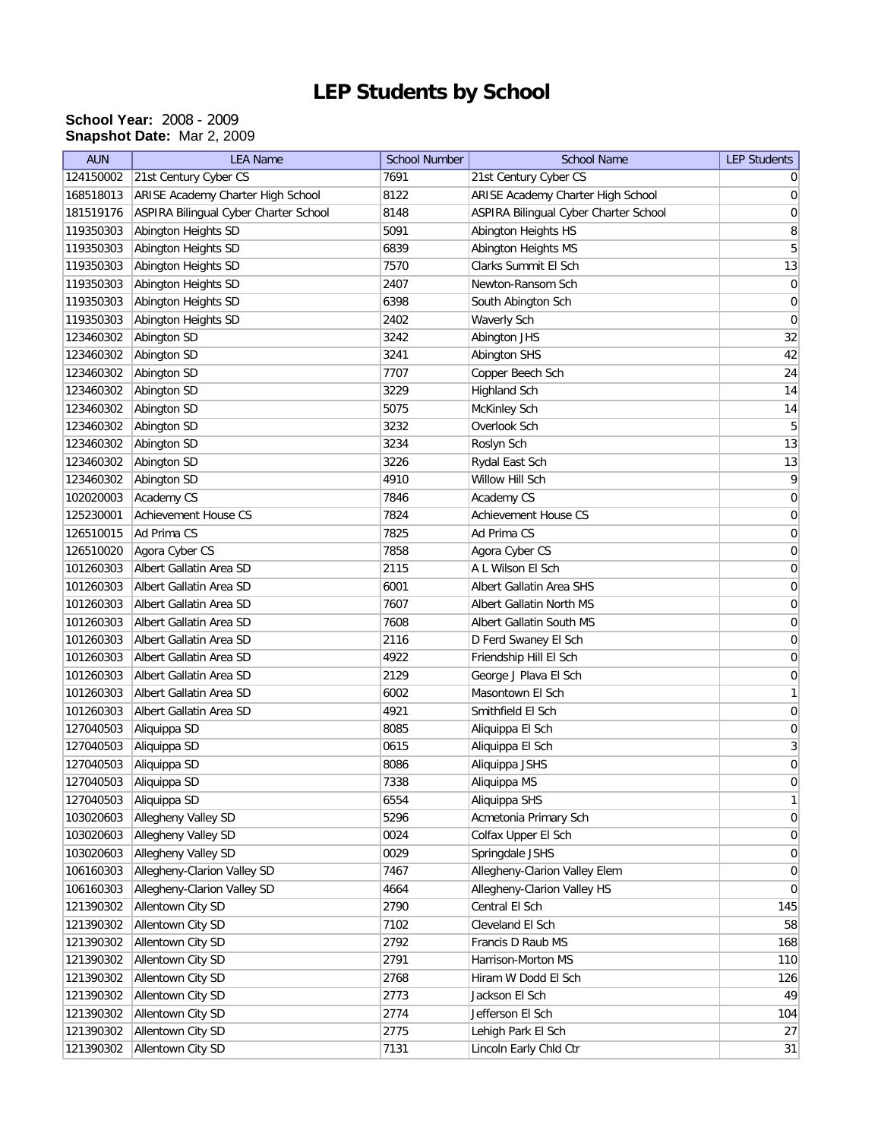## **LEP Students by School**

## **School Year:** 2008 - 2009 **Snapshot Date:** Mar 2, 2009

| <b>AUN</b> | <b>LEA Name</b>                       | <b>School Number</b> | <b>School Name</b>                    | <b>LEP Students</b> |
|------------|---------------------------------------|----------------------|---------------------------------------|---------------------|
| 124150002  | 21st Century Cyber CS                 | 7691                 | 21st Century Cyber CS                 | 0                   |
| 168518013  | ARISE Academy Charter High School     | 8122                 | ARISE Academy Charter High School     | 0                   |
| 181519176  | ASPIRA Bilingual Cyber Charter School | 8148                 | ASPIRA Bilingual Cyber Charter School | 0                   |
| 119350303  | Abington Heights SD                   | 5091                 | Abington Heights HS                   | 8                   |
| 119350303  | Abington Heights SD                   | 6839                 | Abington Heights MS                   | 5                   |
| 119350303  | Abington Heights SD                   | 7570                 | Clarks Summit El Sch                  | 13                  |
| 119350303  | Abington Heights SD                   | 2407                 | Newton-Ransom Sch                     | $\boldsymbol{0}$    |
| 119350303  | Abington Heights SD                   | 6398                 | South Abington Sch                    | $\boldsymbol{0}$    |
| 119350303  | Abington Heights SD                   | 2402                 | Waverly Sch                           | 0                   |
| 123460302  | Abington SD                           | 3242                 | Abington JHS                          | 32                  |
| 123460302  | Abington SD                           | 3241                 | Abington SHS                          | 42                  |
| 123460302  | Abington SD                           | 7707                 | Copper Beech Sch                      | 24                  |
| 123460302  | Abington SD                           | 3229                 | Highland Sch                          | 14                  |
| 123460302  | Abington SD                           | 5075                 | McKinley Sch                          | 14                  |
| 123460302  | Abington SD                           | 3232                 | Overlook Sch                          | 5                   |
| 123460302  | Abington SD                           | 3234                 | Roslyn Sch                            | 13                  |
| 123460302  | Abington SD                           | 3226                 | Rydal East Sch                        | 13                  |
| 123460302  | Abington SD                           | 4910                 | Willow Hill Sch                       | $\vert 9 \vert$     |
| 102020003  | Academy CS                            | 7846                 | Academy CS                            | $\boldsymbol{0}$    |
| 125230001  | <b>Achievement House CS</b>           | 7824                 | <b>Achievement House CS</b>           | $\boldsymbol{0}$    |
| 126510015  | Ad Prima CS                           | 7825                 | Ad Prima CS                           | $\boldsymbol{0}$    |
| 126510020  | Agora Cyber CS                        | 7858                 | Agora Cyber CS                        | $\boldsymbol{0}$    |
| 101260303  | Albert Gallatin Area SD               | 2115                 | A L Wilson El Sch                     | 0                   |
| 101260303  | Albert Gallatin Area SD               | 6001                 | Albert Gallatin Area SHS              | 0                   |
| 101260303  | Albert Gallatin Area SD               | 7607                 | Albert Gallatin North MS              | $\boldsymbol{0}$    |
| 101260303  | Albert Gallatin Area SD               | 7608                 | Albert Gallatin South MS              | 0                   |
| 101260303  | Albert Gallatin Area SD               | 2116                 | D Ferd Swaney El Sch                  | $\boldsymbol{0}$    |
| 101260303  | Albert Gallatin Area SD               | 4922                 | Friendship Hill El Sch                | $\boldsymbol{0}$    |
| 101260303  | Albert Gallatin Area SD               | 2129                 | George J Plava El Sch                 | 0                   |
| 101260303  | Albert Gallatin Area SD               | 6002                 | Masontown El Sch                      | $\mathbf{1}$        |
| 101260303  | Albert Gallatin Area SD               | 4921                 | Smithfield El Sch                     | $\boldsymbol{0}$    |
| 127040503  | Aliquippa SD                          | 8085                 | Aliquippa El Sch                      | 0                   |
| 127040503  | Aliquippa SD                          | 0615                 | Aliquippa El Sch                      | $\mathbf{3}$        |
| 127040503  | Aliquippa SD                          | 8086                 | Aliquippa JSHS                        | 0                   |
| 127040503  | Aliquippa SD                          | 7338                 | Aliquippa MS                          | 0                   |
| 127040503  | Aliquippa SD                          | 6554                 | Aliquippa SHS                         | 1                   |
| 103020603  | Allegheny Valley SD                   | 5296                 | Acmetonia Primary Sch                 | $\overline{0}$      |
| 103020603  | Allegheny Valley SD                   | 0024                 | Colfax Upper El Sch                   | 0                   |
| 103020603  | Allegheny Valley SD                   | 0029                 | Springdale JSHS                       | 0                   |
| 106160303  | Allegheny-Clarion Valley SD           | 7467                 | Allegheny-Clarion Valley Elem         | 0                   |
| 106160303  | Allegheny-Clarion Valley SD           | 4664                 | Allegheny-Clarion Valley HS           | $\overline{0}$      |
| 121390302  | Allentown City SD                     | 2790                 | Central El Sch                        | 145                 |
| 121390302  | Allentown City SD                     | 7102                 | Cleveland El Sch                      | 58                  |
| 121390302  | Allentown City SD                     | 2792                 | Francis D Raub MS                     | 168                 |
| 121390302  | Allentown City SD                     | 2791                 | Harrison-Morton MS                    | 110                 |
| 121390302  | Allentown City SD                     | 2768                 | Hiram W Dodd El Sch                   | 126                 |
| 121390302  | Allentown City SD                     | 2773                 | Jackson El Sch                        | 49                  |
| 121390302  | Allentown City SD                     | 2774                 | Jefferson El Sch                      | 104                 |
| 121390302  | Allentown City SD                     | 2775                 | Lehigh Park El Sch                    | 27                  |
| 121390302  | Allentown City SD                     | 7131                 | Lincoln Early Chld Ctr                | 31                  |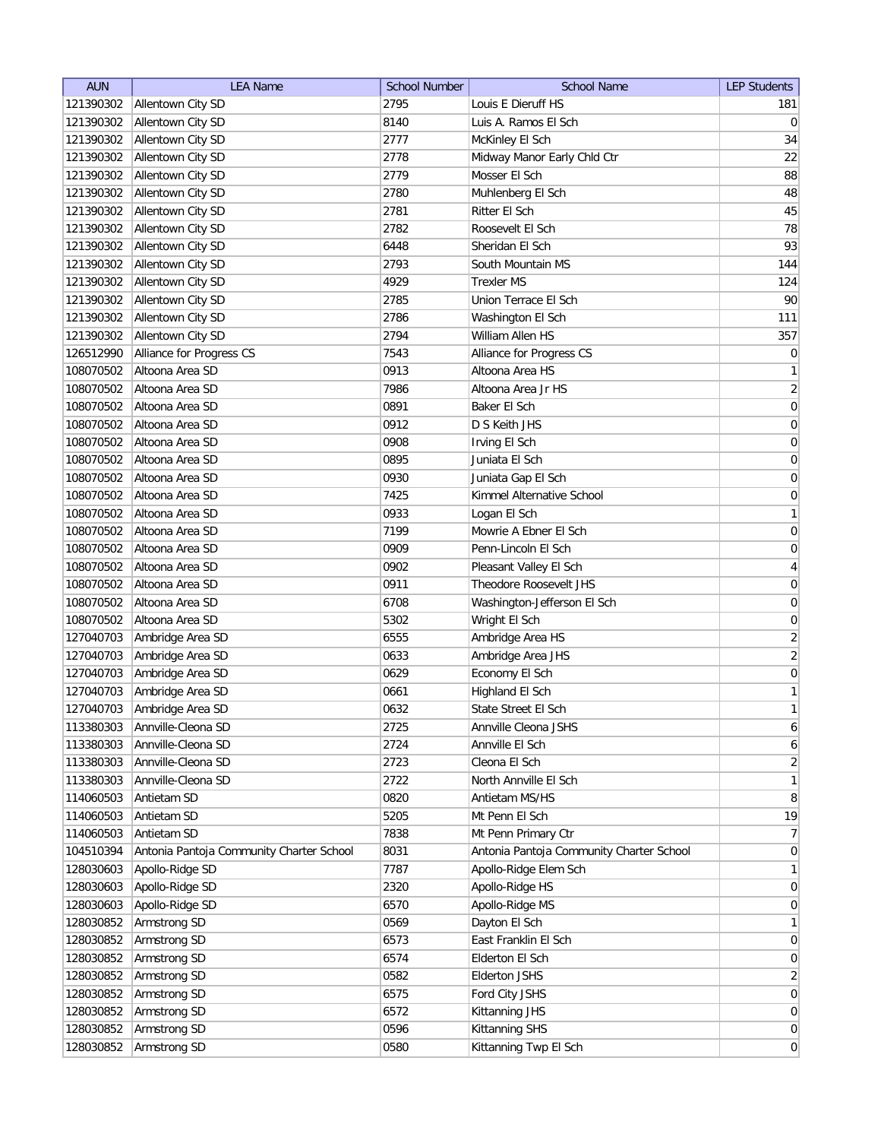| <b>AUN</b> | <b>LEA Name</b>                          | <b>School Number</b> | <b>School Name</b>                       | <b>LEP Students</b> |
|------------|------------------------------------------|----------------------|------------------------------------------|---------------------|
| 121390302  | Allentown City SD                        | 2795                 | Louis E Dieruff HS                       | 181                 |
| 121390302  | Allentown City SD                        | 8140                 | Luis A. Ramos El Sch                     | 0                   |
| 121390302  | Allentown City SD                        | 2777                 | McKinley El Sch                          | 34                  |
| 121390302  | Allentown City SD                        | 2778                 | Midway Manor Early Chld Ctr              | 22                  |
| 121390302  | Allentown City SD                        | 2779                 | Mosser El Sch                            | 88                  |
| 121390302  | Allentown City SD                        | 2780                 | Muhlenberg El Sch                        | 48                  |
| 121390302  | Allentown City SD                        | 2781                 | Ritter El Sch                            | 45                  |
| 121390302  | Allentown City SD                        | 2782                 | Roosevelt El Sch                         | 78                  |
| 121390302  | Allentown City SD                        | 6448                 | Sheridan El Sch                          | 93                  |
| 121390302  | Allentown City SD                        | 2793                 | South Mountain MS                        | 144                 |
|            | 121390302 Allentown City SD              | 4929                 | <b>Trexler MS</b>                        | 124                 |
| 121390302  | Allentown City SD                        | 2785                 | Union Terrace El Sch                     | 90                  |
| 121390302  | Allentown City SD                        | 2786                 | Washington El Sch                        | 111                 |
| 121390302  | Allentown City SD                        | 2794                 | William Allen HS                         | 357                 |
| 126512990  | Alliance for Progress CS                 | 7543                 | Alliance for Progress CS                 | $\overline{0}$      |
| 108070502  | Altoona Area SD                          | 0913                 | Altoona Area HS                          | $\mathbf{1}$        |
| 108070502  | Altoona Area SD                          | 7986                 | Altoona Area Jr HS                       | $\overline{2}$      |
| 108070502  | Altoona Area SD                          | 0891                 | Baker El Sch                             | 0                   |
| 108070502  | Altoona Area SD                          | 0912                 | D S Keith JHS                            | 0                   |
| 108070502  | Altoona Area SD                          | 0908                 | Irving El Sch                            | $\vert 0 \vert$     |
| 108070502  | Altoona Area SD                          | 0895                 | Juniata El Sch                           | $\boldsymbol{0}$    |
| 108070502  | Altoona Area SD                          | 0930                 | Juniata Gap El Sch                       | 0                   |
| 108070502  | Altoona Area SD                          | 7425                 | Kimmel Alternative School                | 0                   |
| 108070502  | Altoona Area SD                          | 0933                 | Logan El Sch                             | 1                   |
| 108070502  | Altoona Area SD                          | 7199                 | Mowrie A Ebner El Sch                    | $\boldsymbol{0}$    |
| 108070502  | Altoona Area SD                          | 0909                 | Penn-Lincoln El Sch                      | $\boldsymbol{0}$    |
| 108070502  | Altoona Area SD                          | 0902                 | Pleasant Valley El Sch                   | 4                   |
| 108070502  | Altoona Area SD                          | 0911                 | Theodore Roosevelt JHS                   | 0                   |
| 108070502  | Altoona Area SD                          | 6708                 | Washington-Jefferson El Sch              | 0                   |
| 108070502  | Altoona Area SD                          | 5302                 | Wright El Sch                            | 0                   |
| 127040703  | Ambridge Area SD                         | 6555                 | Ambridge Area HS                         | $\overline{2}$      |
| 127040703  | Ambridge Area SD                         | 0633                 | Ambridge Area JHS                        | $\overline{2}$      |
| 127040703  | Ambridge Area SD                         | 0629                 | Economy El Sch                           | $\boldsymbol{0}$    |
| 127040703  | Ambridge Area SD                         | 0661                 | Highland El Sch                          | $\mathbf{1}$        |
| 127040703  | Ambridge Area SD                         | 0632                 | State Street El Sch                      | 1                   |
| 113380303  | Annville-Cleona SD                       | 2725                 | Annville Cleona JSHS                     | $6 \mid$            |
| 113380303  | Annville-Cleona SD                       | 2724                 | Annville El Sch                          | $\boldsymbol{6}$    |
| 113380303  | Annville-Cleona SD                       | 2723                 | Cleona El Sch                            | $\overline{2}$      |
| 113380303  | Annville-Cleona SD                       | 2722                 | North Annville El Sch                    | $\mathbf{1}$        |
| 114060503  | Antietam SD                              | 0820                 | Antietam MS/HS                           | 8                   |
| 114060503  | Antietam SD                              | 5205                 | Mt Penn El Sch                           | 19                  |
| 114060503  | Antietam SD                              | 7838                 | Mt Penn Primary Ctr                      | 7                   |
| 104510394  | Antonia Pantoja Community Charter School | 8031                 | Antonia Pantoja Community Charter School | $\overline{0}$      |
| 128030603  | Apollo-Ridge SD                          | 7787                 | Apollo-Ridge Elem Sch                    | $\mathbf{1}$        |
| 128030603  | Apollo-Ridge SD                          | 2320                 | Apollo-Ridge HS                          | 0                   |
| 128030603  | Apollo-Ridge SD                          | 6570                 | Apollo-Ridge MS                          | 0                   |
| 128030852  | Armstrong SD                             | 0569                 | Dayton El Sch                            | 1                   |
| 128030852  | Armstrong SD                             | 6573                 | East Franklin El Sch                     | 0                   |
| 128030852  | Armstrong SD                             | 6574                 | Elderton El Sch                          | 0                   |
| 128030852  | Armstrong SD                             | 0582                 | <b>Elderton JSHS</b>                     | $\overline{2}$      |
| 128030852  | Armstrong SD                             | 6575                 | Ford City JSHS                           | $\overline{0}$      |
| 128030852  | Armstrong SD                             | 6572                 | Kittanning JHS                           | $\overline{0}$      |
| 128030852  | Armstrong SD                             | 0596                 | Kittanning SHS                           | $\overline{0}$      |
| 128030852  | Armstrong SD                             | 0580                 | Kittanning Twp El Sch                    | 0                   |
|            |                                          |                      |                                          |                     |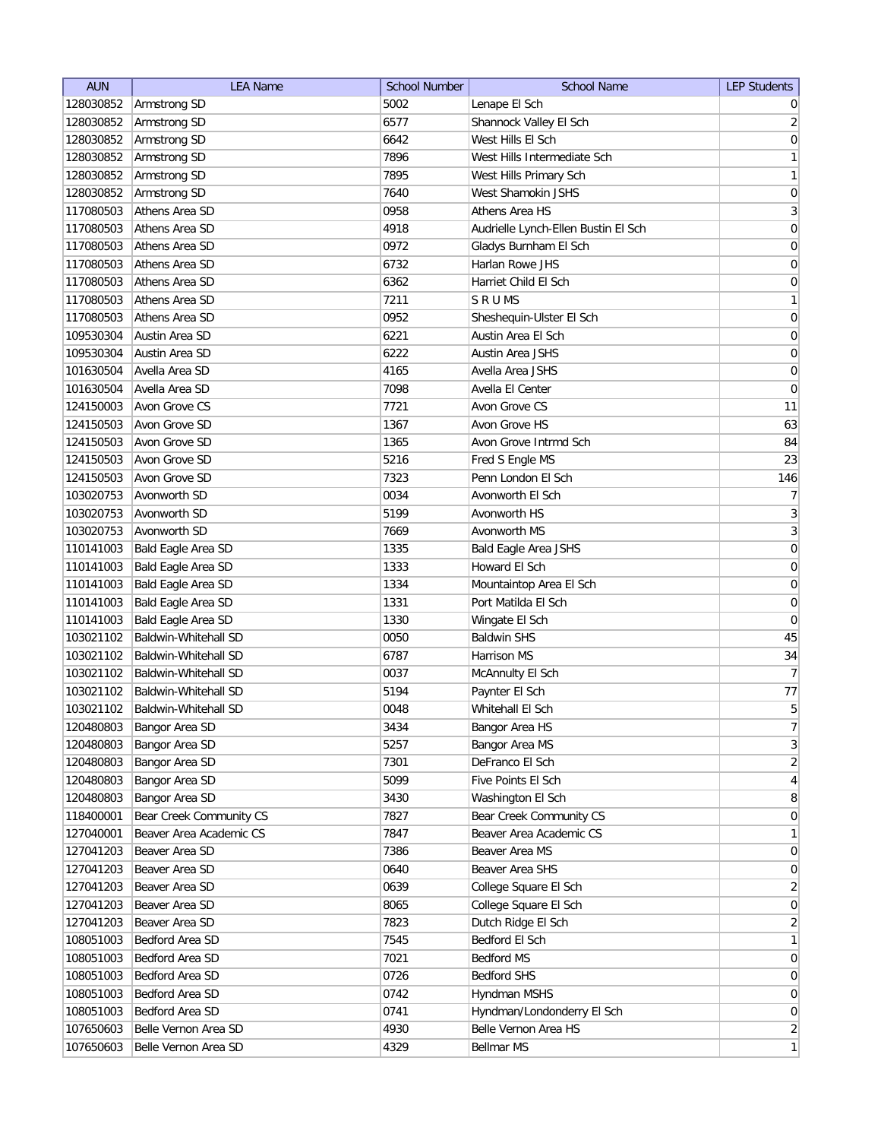| <b>AUN</b> | <b>LEA Name</b>             | <b>School Number</b> | <b>School Name</b>                  | <b>LEP Students</b> |
|------------|-----------------------------|----------------------|-------------------------------------|---------------------|
| 128030852  | Armstrong SD                | 5002                 | Lenape El Sch                       | $\overline{0}$      |
| 128030852  | Armstrong SD                | 6577                 | Shannock Valley El Sch              | $\overline{2}$      |
| 128030852  | Armstrong SD                | 6642                 | West Hills El Sch                   | $\vert 0 \vert$     |
| 128030852  | Armstrong SD                | 7896                 | West Hills Intermediate Sch         | 1                   |
| 128030852  | Armstrong SD                | 7895                 | West Hills Primary Sch              | $\mathbf{1}$        |
| 128030852  | Armstrong SD                | 7640                 | West Shamokin JSHS                  | $\boldsymbol{0}$    |
| 117080503  | Athens Area SD              | 0958                 | Athens Area HS                      | $\overline{3}$      |
| 117080503  | Athens Area SD              | 4918                 | Audrielle Lynch-Ellen Bustin El Sch | $\boldsymbol{0}$    |
| 117080503  | Athens Area SD              | 0972                 | Gladys Burnham El Sch               | $\boldsymbol{0}$    |
| 117080503  | Athens Area SD              | 6732                 | Harlan Rowe JHS                     | 0                   |
| 117080503  | Athens Area SD              | 6362                 | Harriet Child El Sch                | 0                   |
| 117080503  | Athens Area SD              | 7211                 | S R U MS                            | $\mathbf{1}$        |
| 117080503  | Athens Area SD              | 0952                 | Sheshequin-Ulster El Sch            | $\boldsymbol{0}$    |
| 109530304  | Austin Area SD              | 6221                 | Austin Area El Sch                  | 0                   |
| 109530304  | Austin Area SD              | 6222                 | Austin Area JSHS                    | 0                   |
| 101630504  | Avella Area SD              | 4165                 | Avella Area JSHS                    | 0                   |
| 101630504  | Avella Area SD              | 7098                 | Avella El Center                    | 0                   |
| 124150003  | Avon Grove CS               | 7721                 | Avon Grove CS                       | 11                  |
| 124150503  | Avon Grove SD               | 1367                 | Avon Grove HS                       | 63                  |
| 124150503  | Avon Grove SD               | 1365                 | Avon Grove Intrmd Sch               | 84                  |
| 124150503  | Avon Grove SD               | 5216                 | Fred S Engle MS                     | 23                  |
| 124150503  | Avon Grove SD               | 7323                 | Penn London El Sch                  | 146                 |
| 103020753  | Avonworth SD                | 0034                 | Avonworth El Sch                    | 7                   |
| 103020753  | Avonworth SD                | 5199                 | Avonworth HS                        | $\overline{3}$      |
| 103020753  | Avonworth SD                | 7669                 | Avonworth MS                        | $\overline{3}$      |
|            |                             |                      |                                     |                     |
| 110141003  | Bald Eagle Area SD          | 1335                 | <b>Bald Eagle Area JSHS</b>         | $\boldsymbol{0}$    |
| 110141003  | Bald Eagle Area SD          | 1333                 | Howard El Sch                       | 0                   |
| 110141003  | Bald Eagle Area SD          | 1334                 | Mountaintop Area El Sch             | 0                   |
| 110141003  | Bald Eagle Area SD          | 1331                 | Port Matilda El Sch                 | 0                   |
| 110141003  | Bald Eagle Area SD          | 1330                 | Wingate El Sch                      | 0                   |
| 103021102  | Baldwin-Whitehall SD        | 0050                 | <b>Baldwin SHS</b>                  | 45                  |
| 103021102  | Baldwin-Whitehall SD        | 6787                 | Harrison MS                         | 34                  |
| 103021102  | Baldwin-Whitehall SD        | 0037                 | McAnnulty El Sch                    | $\overline{7}$      |
| 103021102  | Baldwin-Whitehall SD        | 5194                 | Paynter El Sch                      | 77                  |
| 103021102  | <b>Baldwin-Whitehall SD</b> | 0048                 | Whitehall El Sch                    | 5 <sup>1</sup>      |
| 120480803  | Bangor Area SD              | 3434                 | Bangor Area HS                      | $7\vert$            |
| 120480803  | Bangor Area SD              | 5257                 | Bangor Area MS                      | $\overline{3}$      |
| 120480803  | Bangor Area SD              | 7301                 | DeFranco El Sch                     | $\overline{2}$      |
| 120480803  | Bangor Area SD              | 5099                 | Five Points El Sch                  | $\vert 4 \vert$     |
| 120480803  | Bangor Area SD              | 3430                 | Washington El Sch                   | 8 <sup>1</sup>      |
| 118400001  | Bear Creek Community CS     | 7827                 | Bear Creek Community CS             | $\overline{0}$      |
| 127040001  | Beaver Area Academic CS     | 7847                 | Beaver Area Academic CS             | $\mathbf{1}$        |
| 127041203  | Beaver Area SD              | 7386                 | Beaver Area MS                      | $\overline{0}$      |
| 127041203  | Beaver Area SD              | 0640                 | Beaver Area SHS                     | 0                   |
| 127041203  | Beaver Area SD              | 0639                 | College Square El Sch               | $\overline{2}$      |
| 127041203  | Beaver Area SD              | 8065                 | College Square El Sch               | 0                   |
| 127041203  | Beaver Area SD              | 7823                 | Dutch Ridge El Sch                  | $\overline{2}$      |
| 108051003  | Bedford Area SD             | 7545                 | Bedford El Sch                      | $\mathbf{1}$        |
| 108051003  | Bedford Area SD             | 7021                 | Bedford MS                          | $\overline{0}$      |
| 108051003  | Bedford Area SD             | 0726                 | <b>Bedford SHS</b>                  | $\overline{0}$      |
| 108051003  | Bedford Area SD             | 0742                 | Hyndman MSHS                        | $\overline{0}$      |
| 108051003  | Bedford Area SD             | 0741                 | Hyndman/Londonderry El Sch          | 0                   |
| 107650603  | Belle Vernon Area SD        | 4930                 | Belle Vernon Area HS                | $\overline{2}$      |
| 107650603  | Belle Vernon Area SD        | 4329                 | Bellmar MS                          | $\mathbf{1}$        |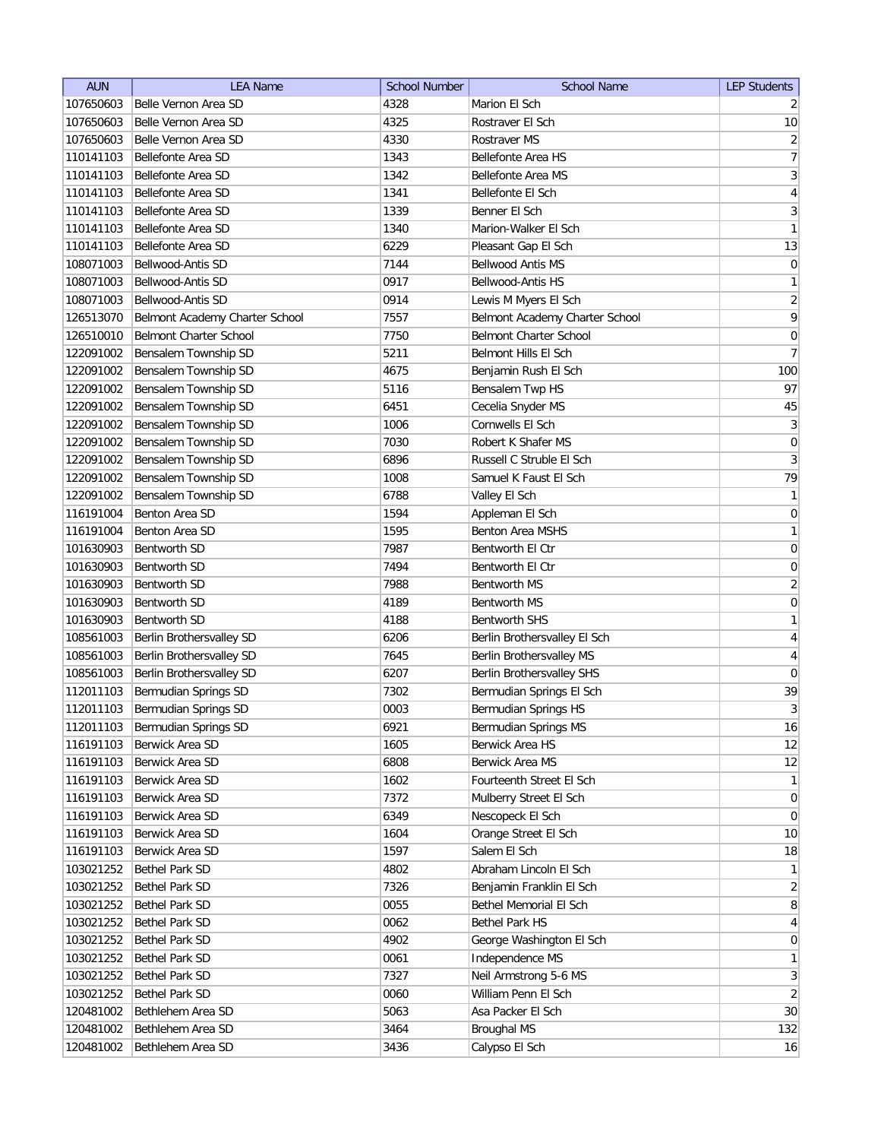| 107650603<br>Belle Vernon Area SD<br>4328<br>Marion El Sch<br>Belle Vernon Area SD<br>107650603<br>4325<br>Rostraver El Sch<br>Belle Vernon Area SD<br>4330<br>107650603<br>Rostraver MS<br>1343<br>Bellefonte Area HS<br>110141103<br>Bellefonte Area SD<br>1342<br>110141103<br>Bellefonte Area SD<br>Bellefonte Area MS<br>Bellefonte Area SD<br>110141103<br>1341<br>Bellefonte El Sch | $\overline{2}$<br>10<br>$\overline{2}$<br>$\overline{7}$<br>$\overline{\mathbf{3}}$<br>$\overline{4}$<br>$3\vert$<br>1<br>13<br>$\vert 0 \vert$ |
|--------------------------------------------------------------------------------------------------------------------------------------------------------------------------------------------------------------------------------------------------------------------------------------------------------------------------------------------------------------------------------------------|-------------------------------------------------------------------------------------------------------------------------------------------------|
|                                                                                                                                                                                                                                                                                                                                                                                            |                                                                                                                                                 |
|                                                                                                                                                                                                                                                                                                                                                                                            |                                                                                                                                                 |
|                                                                                                                                                                                                                                                                                                                                                                                            |                                                                                                                                                 |
|                                                                                                                                                                                                                                                                                                                                                                                            |                                                                                                                                                 |
|                                                                                                                                                                                                                                                                                                                                                                                            |                                                                                                                                                 |
|                                                                                                                                                                                                                                                                                                                                                                                            |                                                                                                                                                 |
| Bellefonte Area SD<br>1339<br>Benner El Sch<br>110141103                                                                                                                                                                                                                                                                                                                                   |                                                                                                                                                 |
| Bellefonte Area SD<br>Marion-Walker El Sch<br>110141103<br>1340                                                                                                                                                                                                                                                                                                                            |                                                                                                                                                 |
| 110141103<br>Bellefonte Area SD<br>6229<br>Pleasant Gap El Sch                                                                                                                                                                                                                                                                                                                             |                                                                                                                                                 |
| 108071003<br>Bellwood-Antis SD<br>7144<br><b>Bellwood Antis MS</b>                                                                                                                                                                                                                                                                                                                         |                                                                                                                                                 |
| Bellwood-Antis HS<br>108071003<br>Bellwood-Antis SD<br>0917                                                                                                                                                                                                                                                                                                                                | $\mathbf{1}$                                                                                                                                    |
| Bellwood-Antis SD<br>0914<br>Lewis M Myers El Sch<br>108071003                                                                                                                                                                                                                                                                                                                             | $\overline{2}$                                                                                                                                  |
| Belmont Academy Charter School<br>7557<br>Belmont Academy Charter School<br>126513070                                                                                                                                                                                                                                                                                                      | $\mathsf{q}$                                                                                                                                    |
| <b>Belmont Charter School</b><br><b>Belmont Charter School</b><br>126510010<br>7750                                                                                                                                                                                                                                                                                                        | $\mathsf{O}\xspace$                                                                                                                             |
| Bensalem Township SD<br>122091002<br>5211<br>Belmont Hills El Sch                                                                                                                                                                                                                                                                                                                          | $\overline{7}$                                                                                                                                  |
| 122091002<br>Bensalem Township SD<br>4675<br>Benjamin Rush El Sch                                                                                                                                                                                                                                                                                                                          | 100                                                                                                                                             |
| 122091002<br>Bensalem Township SD<br>5116<br>Bensalem Twp HS                                                                                                                                                                                                                                                                                                                               | 97                                                                                                                                              |
| 122091002<br>Bensalem Township SD<br>6451<br>Cecelia Snyder MS                                                                                                                                                                                                                                                                                                                             | 45                                                                                                                                              |
| Bensalem Township SD<br>1006<br>Cornwells El Sch<br>122091002                                                                                                                                                                                                                                                                                                                              | 3                                                                                                                                               |
| Bensalem Township SD<br>7030<br>Robert K Shafer MS<br>122091002                                                                                                                                                                                                                                                                                                                            | 0                                                                                                                                               |
| 122091002<br>Bensalem Township SD<br>6896<br>Russell C Struble El Sch                                                                                                                                                                                                                                                                                                                      | $\vert 3 \vert$                                                                                                                                 |
| Bensalem Township SD<br>122091002<br>1008<br>Samuel K Faust El Sch                                                                                                                                                                                                                                                                                                                         | 79                                                                                                                                              |
| 122091002<br>Bensalem Township SD<br>6788<br>Valley El Sch                                                                                                                                                                                                                                                                                                                                 | 1                                                                                                                                               |
| Benton Area SD<br>1594<br>116191004<br>Appleman El Sch                                                                                                                                                                                                                                                                                                                                     | 0                                                                                                                                               |
| Benton Area SD<br>1595<br><b>Benton Area MSHS</b><br>116191004                                                                                                                                                                                                                                                                                                                             | 1                                                                                                                                               |
| Bentworth El Ctr<br>101630903<br><b>Bentworth SD</b><br>7987                                                                                                                                                                                                                                                                                                                               | $\boldsymbol{0}$                                                                                                                                |
| 101630903<br><b>Bentworth SD</b><br>7494<br>Bentworth El Ctr                                                                                                                                                                                                                                                                                                                               | $\boldsymbol{0}$                                                                                                                                |
| 101630903<br><b>Bentworth SD</b><br>7988<br>Bentworth MS                                                                                                                                                                                                                                                                                                                                   | $\overline{2}$                                                                                                                                  |
| 101630903<br><b>Bentworth SD</b><br>4189<br>Bentworth MS                                                                                                                                                                                                                                                                                                                                   | $\boldsymbol{0}$                                                                                                                                |
| 101630903<br><b>Bentworth SD</b><br>4188<br><b>Bentworth SHS</b>                                                                                                                                                                                                                                                                                                                           | 1                                                                                                                                               |
| 108561003<br>Berlin Brothersvalley SD<br>6206<br>Berlin Brothersvalley El Sch                                                                                                                                                                                                                                                                                                              | 4                                                                                                                                               |
| 108561003<br>Berlin Brothersvalley SD<br>7645<br>Berlin Brothersvalley MS                                                                                                                                                                                                                                                                                                                  | 4                                                                                                                                               |
| 108561003<br>Berlin Brothersvalley SD<br>6207<br>Berlin Brothersvalley SHS                                                                                                                                                                                                                                                                                                                 | $\pmb{0}$                                                                                                                                       |
| 112011103<br>Bermudian Springs SD<br>7302<br>Bermudian Springs El Sch                                                                                                                                                                                                                                                                                                                      | 39                                                                                                                                              |
| 112011103<br>Bermudian Springs SD<br>0003<br>Bermudian Springs HS                                                                                                                                                                                                                                                                                                                          | 3                                                                                                                                               |
| 112011103<br>Bermudian Springs SD<br>6921<br>Bermudian Springs MS                                                                                                                                                                                                                                                                                                                          | 16                                                                                                                                              |
| 116191103<br>Berwick Area SD<br>1605<br>Berwick Area HS                                                                                                                                                                                                                                                                                                                                    | 12                                                                                                                                              |
| Berwick Area SD<br>6808<br>Berwick Area MS<br>116191103                                                                                                                                                                                                                                                                                                                                    | 12                                                                                                                                              |
| Berwick Area SD<br>1602<br>Fourteenth Street El Sch<br>116191103                                                                                                                                                                                                                                                                                                                           | $\mathbf{1}$                                                                                                                                    |
| Berwick Area SD<br>Mulberry Street El Sch<br>116191103<br>7372                                                                                                                                                                                                                                                                                                                             | 0                                                                                                                                               |
| Berwick Area SD<br>6349<br>Nescopeck El Sch<br>116191103                                                                                                                                                                                                                                                                                                                                   | 0                                                                                                                                               |
| Berwick Area SD<br>Orange Street El Sch<br>116191103<br>1604                                                                                                                                                                                                                                                                                                                               | 10                                                                                                                                              |
| Berwick Area SD<br>1597<br>Salem El Sch<br>116191103                                                                                                                                                                                                                                                                                                                                       | 18                                                                                                                                              |
| Bethel Park SD<br>4802<br>Abraham Lincoln El Sch<br>103021252                                                                                                                                                                                                                                                                                                                              | 1                                                                                                                                               |
| Bethel Park SD<br>7326<br>Benjamin Franklin El Sch<br>103021252                                                                                                                                                                                                                                                                                                                            | $\overline{2}$                                                                                                                                  |
| Bethel Memorial El Sch<br>103021252<br><b>Bethel Park SD</b><br>0055                                                                                                                                                                                                                                                                                                                       | 8 <sup>1</sup>                                                                                                                                  |
| Bethel Park SD<br>0062<br><b>Bethel Park HS</b><br>103021252                                                                                                                                                                                                                                                                                                                               | $\overline{4}$                                                                                                                                  |
| Bethel Park SD<br>4902<br>George Washington El Sch<br>103021252                                                                                                                                                                                                                                                                                                                            | 0                                                                                                                                               |
| Bethel Park SD<br>0061<br>Independence MS<br>103021252                                                                                                                                                                                                                                                                                                                                     | $\mathbf{1}$                                                                                                                                    |
| Neil Armstrong 5-6 MS<br>103021252<br>Bethel Park SD<br>7327                                                                                                                                                                                                                                                                                                                               | 3                                                                                                                                               |
| <b>Bethel Park SD</b><br>William Penn El Sch<br>103021252<br>0060                                                                                                                                                                                                                                                                                                                          | $\overline{2}$                                                                                                                                  |
| 5063<br>Asa Packer El Sch<br>120481002<br>Bethlehem Area SD                                                                                                                                                                                                                                                                                                                                | 30                                                                                                                                              |
| Bethlehem Area SD<br>3464<br>Broughal MS<br>120481002                                                                                                                                                                                                                                                                                                                                      | 132                                                                                                                                             |
| Bethlehem Area SD<br>120481002<br>3436<br>Calypso El Sch                                                                                                                                                                                                                                                                                                                                   | 16                                                                                                                                              |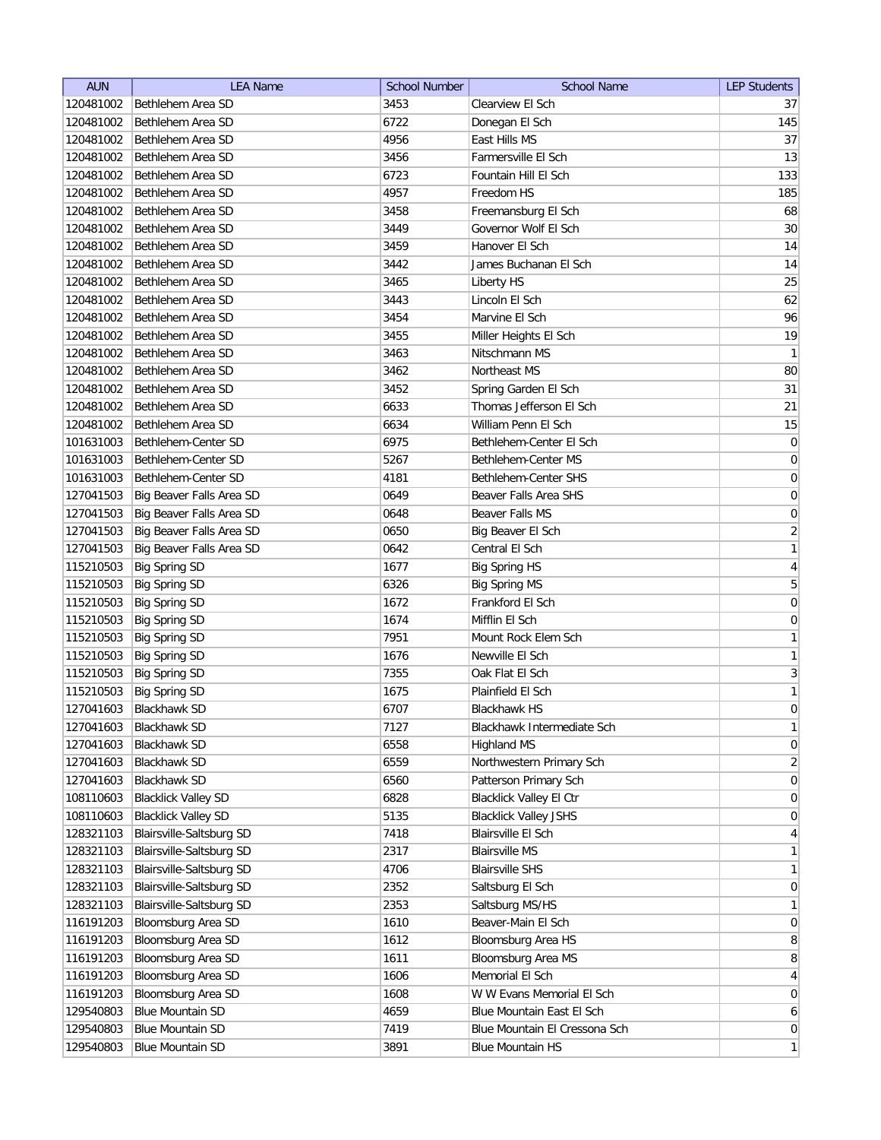| <b>AUN</b> | <b>LEA Name</b>            | <b>School Number</b> | <b>School Name</b>             | <b>LEP Students</b> |
|------------|----------------------------|----------------------|--------------------------------|---------------------|
| 120481002  | Bethlehem Area SD          | 3453                 | Clearview El Sch               | 37                  |
| 120481002  | Bethlehem Area SD          | 6722                 | Donegan El Sch                 | 145                 |
| 120481002  | Bethlehem Area SD          | 4956                 | East Hills MS                  | 37                  |
| 120481002  | Bethlehem Area SD          | 3456                 | Farmersville El Sch            | 13                  |
| 120481002  | Bethlehem Area SD          | 6723                 | Fountain Hill El Sch           | 133                 |
| 120481002  | Bethlehem Area SD          | 4957                 | Freedom HS                     | 185                 |
| 120481002  | Bethlehem Area SD          | 3458                 | Freemansburg El Sch            | 68                  |
| 120481002  | Bethlehem Area SD          | 3449                 | Governor Wolf El Sch           | 30                  |
| 120481002  | Bethlehem Area SD          | 3459                 | Hanover El Sch                 | 14                  |
| 120481002  | Bethlehem Area SD          | 3442                 | James Buchanan El Sch          | 14                  |
| 120481002  | Bethlehem Area SD          | 3465                 | Liberty HS                     | 25                  |
| 120481002  | Bethlehem Area SD          | 3443                 | Lincoln El Sch                 | 62                  |
| 120481002  | Bethlehem Area SD          | 3454                 | Marvine El Sch                 | 96                  |
| 120481002  | Bethlehem Area SD          | 3455                 | Miller Heights El Sch          | 19                  |
| 120481002  | Bethlehem Area SD          | 3463                 | Nitschmann MS                  | $\mathbf{1}$        |
| 120481002  | Bethlehem Area SD          | 3462                 | Northeast MS                   | 80                  |
| 120481002  | Bethlehem Area SD          | 3452                 | Spring Garden El Sch           | 31                  |
| 120481002  | Bethlehem Area SD          | 6633                 | Thomas Jefferson El Sch        | 21                  |
| 120481002  | Bethlehem Area SD          | 6634                 | William Penn El Sch            | 15                  |
| 101631003  | Bethlehem-Center SD        | 6975                 | Bethlehem-Center El Sch        | $\boldsymbol{0}$    |
| 101631003  | Bethlehem-Center SD        | 5267                 | Bethlehem-Center MS            | $\mathsf{O}\xspace$ |
| 101631003  | Bethlehem-Center SD        | 4181                 | Bethlehem-Center SHS           | $\mathsf{O}\xspace$ |
| 127041503  | Big Beaver Falls Area SD   | 0649                 | Beaver Falls Area SHS          | $\mathsf{O}\xspace$ |
| 127041503  | Big Beaver Falls Area SD   | 0648                 | Beaver Falls MS                | $\boldsymbol{0}$    |
| 127041503  | Big Beaver Falls Area SD   | 0650                 | Big Beaver El Sch              | $\overline{2}$      |
| 127041503  | Big Beaver Falls Area SD   | 0642                 | Central El Sch                 | $\mathbf{1}$        |
| 115210503  | <b>Big Spring SD</b>       | 1677                 | <b>Big Spring HS</b>           | $\overline{4}$      |
| 115210503  | <b>Big Spring SD</b>       | 6326                 | <b>Big Spring MS</b>           | 5                   |
| 115210503  | <b>Big Spring SD</b>       | 1672                 | Frankford El Sch               | $\mathbf 0$         |
| 115210503  | <b>Big Spring SD</b>       | 1674                 | Mifflin El Sch                 | 0                   |
| 115210503  | <b>Big Spring SD</b>       | 7951                 | Mount Rock Elem Sch            | $\mathbf{1}$        |
| 115210503  | <b>Big Spring SD</b>       | 1676                 | Newville El Sch                | $\mathbf{1}$        |
| 115210503  | <b>Big Spring SD</b>       | 7355                 | Oak Flat El Sch                | $\overline{3}$      |
| 115210503  | <b>Big Spring SD</b>       | 1675                 | Plainfield El Sch              | $\mathbf{1}$        |
| 127041603  | <b>Blackhawk SD</b>        | 6707                 | Blackhawk HS                   | 0                   |
| 127041603  | <b>Blackhawk SD</b>        | 7127                 | Blackhawk Intermediate Sch     | $\mathbf{1}$        |
| 127041603  | Blackhawk SD               | 6558                 | <b>Highland MS</b>             | $\boldsymbol{0}$    |
| 127041603  | <b>Blackhawk SD</b>        | 6559                 | Northwestern Primary Sch       | $\overline{2}$      |
| 127041603  | <b>Blackhawk SD</b>        | 6560                 | Patterson Primary Sch          | $\boldsymbol{0}$    |
| 108110603  | <b>Blacklick Valley SD</b> | 6828                 | <b>Blacklick Valley El Ctr</b> | $\boldsymbol{0}$    |
| 108110603  | <b>Blacklick Valley SD</b> | 5135                 | <b>Blacklick Valley JSHS</b>   | $\boldsymbol{0}$    |
| 128321103  | Blairsville-Saltsburg SD   | 7418                 | Blairsville El Sch             | $\overline{4}$      |
| 128321103  | Blairsville-Saltsburg SD   | 2317                 | <b>Blairsville MS</b>          | $\mathbf{1}$        |
| 128321103  | Blairsville-Saltsburg SD   | 4706                 | <b>Blairsville SHS</b>         | $\mathbf{1}$        |
| 128321103  | Blairsville-Saltsburg SD   | 2352                 | Saltsburg El Sch               | $\boldsymbol{0}$    |
| 128321103  | Blairsville-Saltsburg SD   | 2353                 | Saltsburg MS/HS                | $\mathbf{1}$        |
| 116191203  | Bloomsburg Area SD         | 1610                 | Beaver-Main El Sch             | $\overline{0}$      |
| 116191203  | Bloomsburg Area SD         | 1612                 | Bloomsburg Area HS             | 8                   |
| 116191203  | Bloomsburg Area SD         | 1611                 | Bloomsburg Area MS             | 8                   |
| 116191203  | Bloomsburg Area SD         | 1606                 | Memorial El Sch                | $\overline{4}$      |
| 116191203  | Bloomsburg Area SD         | 1608                 | W W Evans Memorial El Sch      | $\boldsymbol{0}$    |
| 129540803  | <b>Blue Mountain SD</b>    | 4659                 | Blue Mountain East El Sch      | $\overline{6}$      |
| 129540803  | <b>Blue Mountain SD</b>    | 7419                 | Blue Mountain El Cressona Sch  | $\overline{0}$      |
| 129540803  | <b>Blue Mountain SD</b>    | 3891                 | <b>Blue Mountain HS</b>        | $\mathbf{1}$        |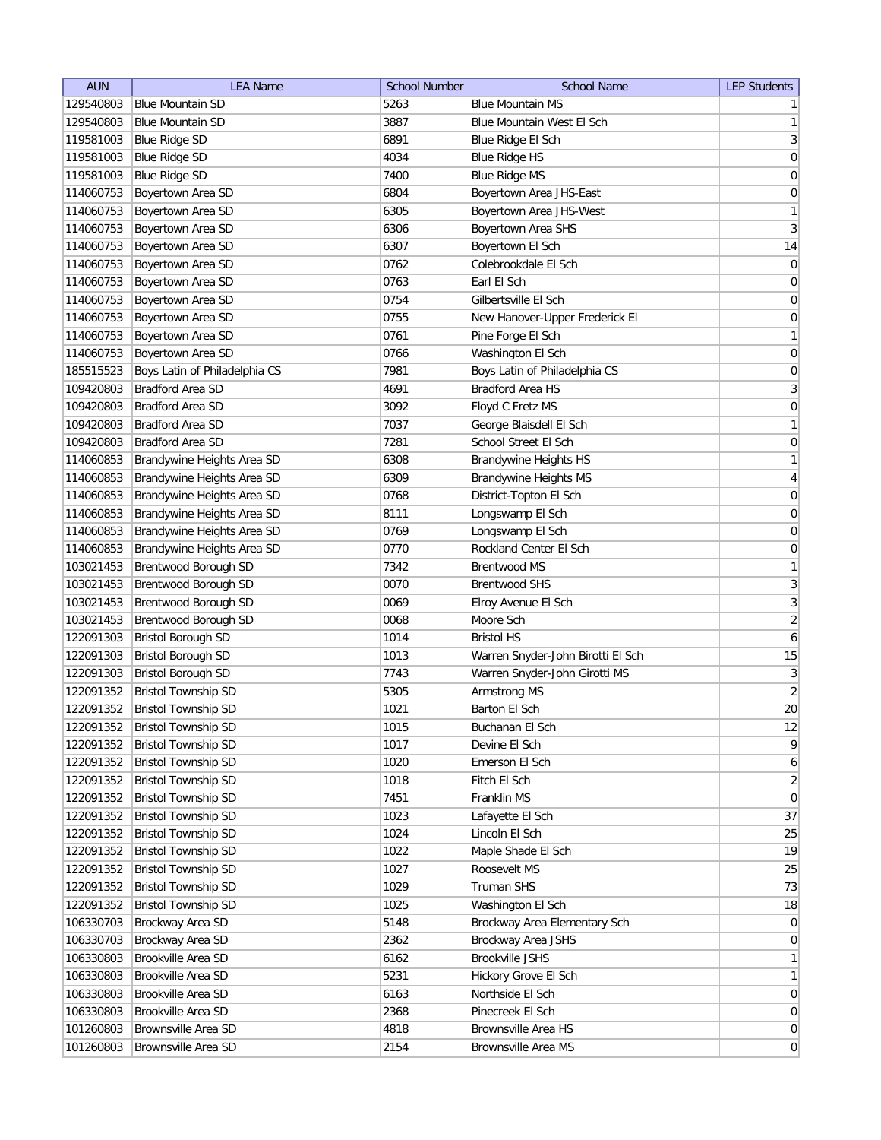| <b>AUN</b> | <b>LEA Name</b>               | <b>School Number</b> | <b>School Name</b>                | <b>LEP Students</b>                |
|------------|-------------------------------|----------------------|-----------------------------------|------------------------------------|
| 129540803  | <b>Blue Mountain SD</b>       | 5263                 | <b>Blue Mountain MS</b>           | $\mathbf{1}$                       |
| 129540803  | <b>Blue Mountain SD</b>       | 3887                 | Blue Mountain West El Sch         | $\mathbf{1}$                       |
| 119581003  | <b>Blue Ridge SD</b>          | 6891                 | Blue Ridge El Sch                 | $\mathbf{3}$                       |
| 119581003  | <b>Blue Ridge SD</b>          | 4034                 | <b>Blue Ridge HS</b>              | $\boldsymbol{0}$                   |
| 119581003  | <b>Blue Ridge SD</b>          | 7400                 | <b>Blue Ridge MS</b>              | $\boldsymbol{0}$                   |
| 114060753  | Boyertown Area SD             | 6804                 | Boyertown Area JHS-East           | $\boldsymbol{0}$                   |
| 114060753  | Boyertown Area SD             | 6305                 | Boyertown Area JHS-West           | $\mathbf{1}$                       |
| 114060753  | Boyertown Area SD             | 6306                 | Boyertown Area SHS                | $\mathbf{3}$                       |
| 114060753  | Boyertown Area SD             | 6307                 | Boyertown El Sch                  | 14                                 |
| 114060753  | Boyertown Area SD             | 0762                 | Colebrookdale El Sch              | 0                                  |
| 114060753  | Boyertown Area SD             | 0763                 | Earl El Sch                       | 0                                  |
| 114060753  | Boyertown Area SD             | 0754                 | Gilbertsville El Sch              | 0                                  |
| 114060753  | Boyertown Area SD             | 0755                 | New Hanover-Upper Frederick El    | 0                                  |
| 114060753  | Boyertown Area SD             | 0761                 | Pine Forge El Sch                 | $\mathbf{1}$                       |
| 114060753  | Boyertown Area SD             | 0766                 | Washington El Sch                 | $\boldsymbol{0}$                   |
| 185515523  | Boys Latin of Philadelphia CS | 7981                 | Boys Latin of Philadelphia CS     | $\boldsymbol{0}$                   |
| 109420803  | <b>Bradford Area SD</b>       | 4691                 | <b>Bradford Area HS</b>           | $\sqrt{3}$                         |
| 109420803  | <b>Bradford Area SD</b>       | 3092                 | Floyd C Fretz MS                  | $\mathsf{O}\xspace$                |
| 109420803  | <b>Bradford Area SD</b>       | 7037                 | George Blaisdell El Sch           | $\mathbf{1}$                       |
| 109420803  | <b>Bradford Area SD</b>       | 7281                 | School Street El Sch              | $\boldsymbol{0}$                   |
| 114060853  | Brandywine Heights Area SD    | 6308                 | Brandywine Heights HS             | $\mathbf{1}$                       |
| 114060853  | Brandywine Heights Area SD    | 6309                 | Brandywine Heights MS             | $\overline{4}$                     |
| 114060853  | Brandywine Heights Area SD    | 0768                 | District-Topton El Sch            | $\boldsymbol{0}$                   |
| 114060853  | Brandywine Heights Area SD    | 8111                 | Longswamp El Sch                  | $\boldsymbol{0}$                   |
| 114060853  | Brandywine Heights Area SD    | 0769                 | Longswamp El Sch                  | $\boldsymbol{0}$                   |
| 114060853  | Brandywine Heights Area SD    | 0770                 | Rockland Center El Sch            | $\boldsymbol{0}$                   |
| 103021453  | <b>Brentwood Borough SD</b>   | 7342                 | <b>Brentwood MS</b>               | $\mathbf{1}$                       |
| 103021453  | Brentwood Borough SD          | 0070                 | <b>Brentwood SHS</b>              | 3                                  |
| 103021453  | Brentwood Borough SD          | 0069                 | Elroy Avenue El Sch               | 3                                  |
| 103021453  | Brentwood Borough SD          | 0068                 | Moore Sch                         | $\overline{2}$                     |
| 122091303  | <b>Bristol Borough SD</b>     | 1014                 | <b>Bristol HS</b>                 | 6                                  |
| 122091303  | <b>Bristol Borough SD</b>     | 1013                 | Warren Snyder-John Birotti El Sch | 15                                 |
| 122091303  | <b>Bristol Borough SD</b>     | 7743                 | Warren Snyder-John Girotti MS     | $\mathbf{3}$                       |
| 122091352  | <b>Bristol Township SD</b>    | 5305                 | Armstrong MS                      | $\overline{2}$                     |
| 122091352  | Bristol Township SD           | 1021                 | Barton El Sch                     | 20                                 |
| 122091352  | <b>Bristol Township SD</b>    | 1015                 | Buchanan El Sch                   | 12                                 |
| 122091352  | <b>Bristol Township SD</b>    | 1017                 | Devine El Sch                     | $\mathsf q$                        |
| 122091352  | <b>Bristol Township SD</b>    | 1020                 | Emerson El Sch                    | $\boldsymbol{6}$                   |
| 122091352  | <b>Bristol Township SD</b>    | 1018                 | Fitch El Sch                      | $\overline{2}$                     |
| 122091352  | <b>Bristol Township SD</b>    | 7451                 | Franklin MS                       | $\pmb{0}$                          |
| 122091352  | <b>Bristol Township SD</b>    | 1023                 | Lafayette El Sch                  | 37                                 |
| 122091352  | <b>Bristol Township SD</b>    | 1024                 | Lincoln El Sch                    | 25                                 |
| 122091352  | <b>Bristol Township SD</b>    | 1022                 | Maple Shade El Sch                | 19                                 |
| 122091352  | <b>Bristol Township SD</b>    | 1027                 | Roosevelt MS                      | 25                                 |
| 122091352  | <b>Bristol Township SD</b>    | 1029                 | Truman SHS                        | 73                                 |
| 122091352  | <b>Bristol Township SD</b>    | 1025                 | Washington El Sch                 | 18                                 |
| 106330703  | Brockway Area SD              | 5148                 | Brockway Area Elementary Sch      | $\overline{0}$                     |
| 106330703  | Brockway Area SD              | 2362                 | Brockway Area JSHS                | $\boldsymbol{0}$                   |
| 106330803  | Brookville Area SD            | 6162                 | Brookville JSHS                   | $\mathbf{1}$                       |
| 106330803  | Brookville Area SD            | 5231                 | Hickory Grove El Sch              | $\mathbf{1}$                       |
| 106330803  | Brookville Area SD            | 6163                 | Northside El Sch                  | $\overline{0}$                     |
| 106330803  | Brookville Area SD            | 2368                 | Pinecreek El Sch                  |                                    |
| 101260803  | <b>Brownsville Area SD</b>    | 4818                 | <b>Brownsville Area HS</b>        | $\boldsymbol{0}$<br>$\overline{0}$ |
| 101260803  | Brownsville Area SD           | 2154                 | Brownsville Area MS               | $\boldsymbol{0}$                   |
|            |                               |                      |                                   |                                    |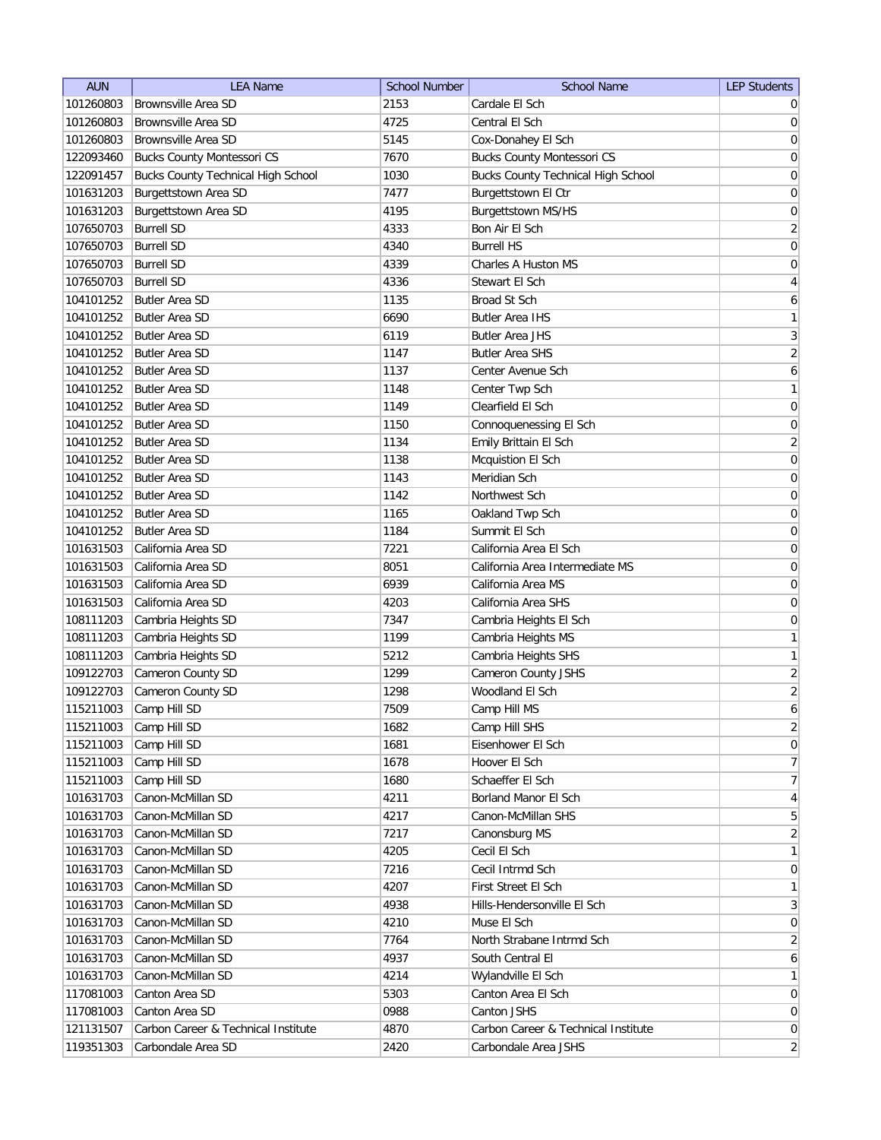| <b>AUN</b> | <b>LEA Name</b>                           | <b>School Number</b> | <b>School Name</b>                        | <b>LEP Students</b> |
|------------|-------------------------------------------|----------------------|-------------------------------------------|---------------------|
| 101260803  | Brownsville Area SD                       | 2153                 | Cardale El Sch                            | $\overline{0}$      |
| 101260803  | <b>Brownsville Area SD</b>                | 4725                 | Central El Sch                            | 0                   |
| 101260803  | <b>Brownsville Area SD</b>                | 5145                 | Cox-Donahey El Sch                        | $\vert 0 \vert$     |
| 122093460  | <b>Bucks County Montessori CS</b>         | 7670                 | <b>Bucks County Montessori CS</b>         | 0                   |
| 122091457  | <b>Bucks County Technical High School</b> | 1030                 | <b>Bucks County Technical High School</b> | 0                   |
| 101631203  | Burgettstown Area SD                      | 7477                 | Burgettstown El Ctr                       | 0                   |
| 101631203  | Burgettstown Area SD                      | 4195                 | Burgettstown MS/HS                        | 0                   |
| 107650703  | <b>Burrell SD</b>                         | 4333                 | Bon Air El Sch                            | $\overline{2}$      |
| 107650703  | <b>Burrell SD</b>                         | 4340                 | <b>Burrell HS</b>                         | $\boldsymbol{0}$    |
| 107650703  | <b>Burrell SD</b>                         | 4339                 | Charles A Huston MS                       | $\boldsymbol{0}$    |
| 107650703  | <b>Burrell SD</b>                         | 4336                 | Stewart El Sch                            | 4                   |
| 104101252  | Butler Area SD                            | 1135                 | Broad St Sch                              | 6                   |
| 104101252  | Butler Area SD                            | 6690                 | <b>Butler Area IHS</b>                    | $\mathbf{1}$        |
| 104101252  | Butler Area SD                            | 6119                 | <b>Butler Area JHS</b>                    | 3                   |
| 104101252  | <b>Butler Area SD</b>                     | 1147                 | <b>Butler Area SHS</b>                    | $\overline{2}$      |
| 104101252  | <b>Butler Area SD</b>                     | 1137                 | Center Avenue Sch                         | 6                   |
| 104101252  | <b>Butler Area SD</b>                     | 1148                 | Center Twp Sch                            | $\mathbf{1}$        |
| 104101252  | <b>Butler Area SD</b>                     | 1149                 | Clearfield El Sch                         | $\vert 0 \vert$     |
| 104101252  | <b>Butler Area SD</b>                     | 1150                 | Connoquenessing El Sch                    | $\boldsymbol{0}$    |
| 104101252  | <b>Butler Area SD</b>                     | 1134                 | Emily Brittain El Sch                     | $\overline{2}$      |
| 104101252  | Butler Area SD                            | 1138                 | Mcquistion El Sch                         | 0                   |
| 104101252  | <b>Butler Area SD</b>                     | 1143                 | Meridian Sch                              | $\boldsymbol{0}$    |
| 104101252  | <b>Butler Area SD</b>                     | 1142                 | Northwest Sch                             | 0                   |
| 104101252  | <b>Butler Area SD</b>                     | 1165                 | Oakland Twp Sch                           | $\boldsymbol{0}$    |
| 104101252  | <b>Butler Area SD</b>                     | 1184                 | Summit El Sch                             | $\boldsymbol{0}$    |
| 101631503  | California Area SD                        | 7221                 | California Area El Sch                    | $\boldsymbol{0}$    |
| 101631503  | California Area SD                        | 8051                 | California Area Intermediate MS           | $\boldsymbol{0}$    |
| 101631503  | California Area SD                        | 6939                 | California Area MS                        | 0                   |
| 101631503  | California Area SD                        | 4203                 | California Area SHS                       | 0                   |
| 108111203  | Cambria Heights SD                        | 7347                 | Cambria Heights El Sch                    | 0                   |
| 108111203  | Cambria Heights SD                        | 1199                 | Cambria Heights MS                        | 1                   |
| 108111203  | Cambria Heights SD                        | 5212                 | Cambria Heights SHS                       | 1                   |
| 109122703  | Cameron County SD                         | 1299                 | Cameron County JSHS                       | $\overline{2}$      |
| 109122703  | Cameron County SD                         | 1298                 | Woodland El Sch                           | $\overline{2}$      |
| 115211003  | Camp Hill SD                              | 7509                 | Camp Hill MS                              | 6                   |
| 115211003  | Camp Hill SD                              | 1682                 | Camp Hill SHS                             | $\overline{2}$      |
| 115211003  | Camp Hill SD                              | 1681                 | Eisenhower El Sch                         | 0                   |
| 115211003  | Camp Hill SD                              | 1678                 | Hoover El Sch                             | $\overline{7}$      |
| 115211003  | Camp Hill SD                              | 1680                 | Schaeffer El Sch                          | $\overline{7}$      |
| 101631703  | Canon-McMillan SD                         | 4211                 | Borland Manor El Sch                      | $\vert 4 \vert$     |
| 101631703  | Canon-McMillan SD                         | 4217                 | Canon-McMillan SHS                        | 5 <sup>2</sup>      |
| 101631703  | Canon-McMillan SD                         | 7217                 | Canonsburg MS                             | $\overline{2}$      |
| 101631703  | Canon-McMillan SD                         | 4205                 | Cecil El Sch                              | $\mathbf{1}$        |
| 101631703  | Canon-McMillan SD                         | 7216                 | Cecil Intrmd Sch                          | $\overline{0}$      |
| 101631703  | Canon-McMillan SD                         | 4207                 | First Street El Sch                       | $\mathbf{1}$        |
| 101631703  | Canon-McMillan SD                         | 4938                 | Hills-Hendersonville El Sch               | 3                   |
| 101631703  | Canon-McMillan SD                         | 4210                 | Muse El Sch                               | $\boldsymbol{0}$    |
| 101631703  | Canon-McMillan SD                         | 7764                 | North Strabane Intrmd Sch                 | $\overline{2}$      |
| 101631703  | Canon-McMillan SD                         | 4937                 | South Central El                          | $\boldsymbol{6}$    |
| 101631703  | Canon-McMillan SD                         | 4214                 | Wylandville El Sch                        | $\mathbf{1}$        |
| 117081003  | Canton Area SD                            | 5303                 | Canton Area El Sch                        | $\overline{0}$      |
| 117081003  | Canton Area SD                            | 0988                 | Canton JSHS                               | $\overline{0}$      |
| 121131507  | Carbon Career & Technical Institute       | 4870                 | Carbon Career & Technical Institute       | $\overline{0}$      |
| 119351303  | Carbondale Area SD                        | 2420                 | Carbondale Area JSHS                      | $\overline{2}$      |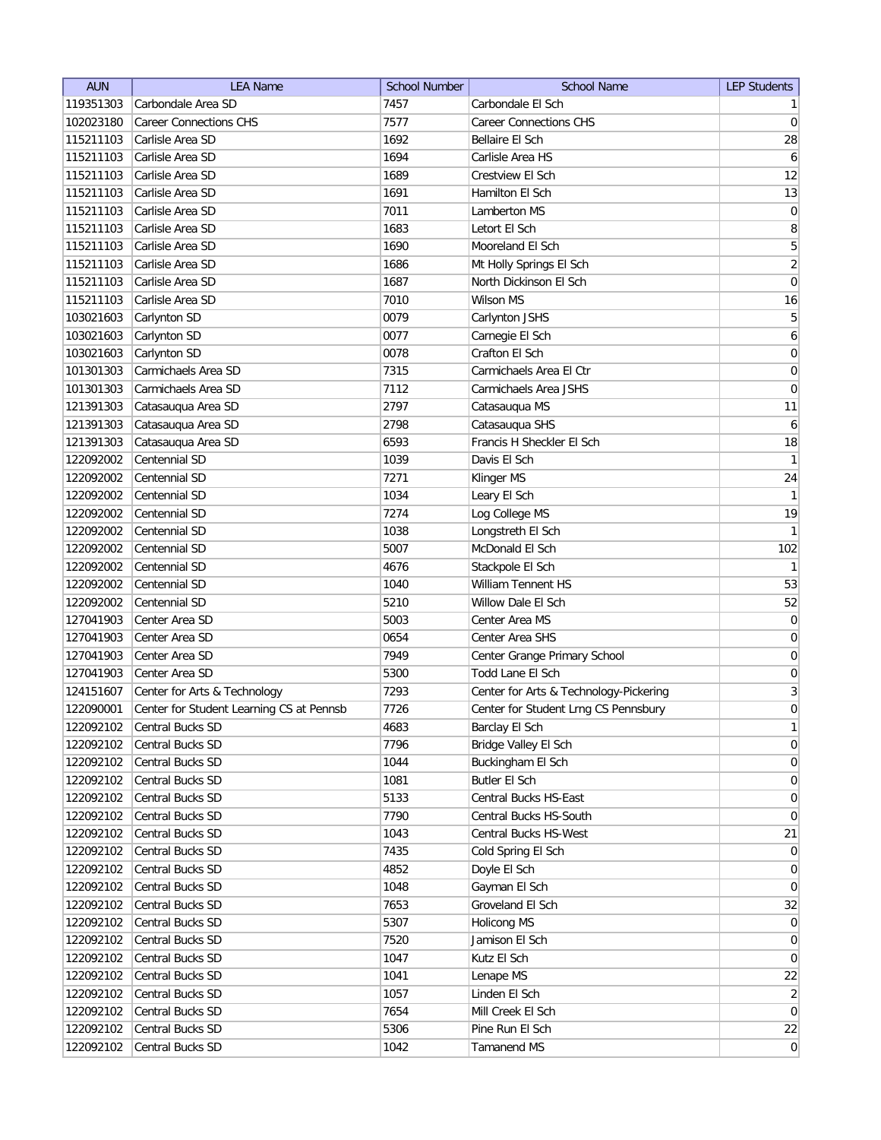| <b>AUN</b>             | <b>LEA Name</b>                          | <b>School Number</b> | <b>School Name</b>                     | <b>LEP Students</b>              |
|------------------------|------------------------------------------|----------------------|----------------------------------------|----------------------------------|
| 119351303              | Carbondale Area SD                       | 7457                 | Carbondale El Sch                      | 1                                |
| 102023180              | <b>Career Connections CHS</b>            | 7577                 | <b>Career Connections CHS</b>          | 0                                |
| 115211103              | Carlisle Area SD                         | 1692                 | Bellaire El Sch                        | 28                               |
| 115211103              | Carlisle Area SD                         | 1694                 | Carlisle Area HS                       | $\overline{6}$                   |
| 115211103              | Carlisle Area SD                         | 1689                 | Crestview El Sch                       | 12                               |
| 115211103              | Carlisle Area SD                         | 1691                 | Hamilton El Sch                        | 13                               |
| 115211103              | Carlisle Area SD                         | 7011                 | Lamberton MS                           | 0                                |
| 115211103              | Carlisle Area SD                         | 1683                 | Letort El Sch                          | 8                                |
| 115211103              | Carlisle Area SD                         | 1690                 | Mooreland El Sch                       | 5                                |
| 115211103              | Carlisle Area SD                         | 1686                 | Mt Holly Springs El Sch                | $\overline{2}$                   |
| 115211103              | Carlisle Area SD                         | 1687                 | North Dickinson El Sch                 | $\overline{0}$                   |
| 115211103              | Carlisle Area SD                         | 7010                 | Wilson MS                              | 16                               |
| 103021603              | Carlynton SD                             | 0079                 | Carlynton JSHS                         | 5                                |
| 103021603              | Carlynton SD                             | 0077                 | Carnegie El Sch                        | 6                                |
| 103021603              | Carlynton SD                             | 0078                 | Crafton El Sch                         | 0                                |
| 101301303              | Carmichaels Area SD                      | 7315                 | Carmichaels Area El Ctr                | 0                                |
| 101301303              | Carmichaels Area SD                      | 7112                 | Carmichaels Area JSHS                  | $\boldsymbol{0}$                 |
| 121391303              | Catasauqua Area SD                       | 2797                 | Catasauqua MS                          | 11                               |
| 121391303              | Catasauqua Area SD                       | 2798                 | Catasauqua SHS                         | $\boldsymbol{6}$                 |
| 121391303              | Catasauqua Area SD                       | 6593                 | Francis H Sheckler El Sch              | 18                               |
| 122092002              | Centennial SD                            | 1039                 | Davis El Sch                           | 1                                |
| 122092002              | Centennial SD                            | 7271                 | Klinger MS                             | 24                               |
| 122092002              | Centennial SD                            | 1034                 | Leary El Sch                           | $\mathbf{1}$                     |
| 122092002              | Centennial SD                            | 7274                 | Log College MS                         | 19                               |
| 122092002              | Centennial SD                            | 1038                 | Longstreth El Sch                      | 1                                |
| 122092002              | Centennial SD                            | 5007                 | McDonald El Sch                        | 102                              |
| 122092002              | Centennial SD                            | 4676                 | Stackpole El Sch                       | 1                                |
| 122092002              | Centennial SD                            | 1040                 | William Tennent HS                     | 53                               |
| 122092002              | Centennial SD                            | 5210                 | Willow Dale El Sch                     | 52                               |
| 127041903              | Center Area SD                           | 5003                 | Center Area MS                         | $\overline{0}$                   |
| 127041903              | Center Area SD                           | 0654                 | Center Area SHS                        | $\boldsymbol{0}$                 |
| 127041903              | Center Area SD                           | 7949                 | Center Grange Primary School           | 0                                |
| 127041903              | Center Area SD                           | 5300                 | Todd Lane El Sch                       | $\boldsymbol{0}$                 |
| 124151607              | Center for Arts & Technology             | 7293                 | Center for Arts & Technology-Pickering | $\vert 3 \vert$                  |
| 122090001              | Center for Student Learning CS at Pennsb | 7726                 | Center for Student Lrng CS Pennsbury   | $\mathbf 0$                      |
| 122092102              | Central Bucks SD                         | 4683                 | Barclay El Sch                         | 1                                |
| 122092102              | Central Bucks SD                         | 7796                 | Bridge Valley El Sch                   | 0                                |
| 122092102              | Central Bucks SD                         | 1044                 | Buckingham El Sch                      | 0                                |
| 122092102              | Central Bucks SD                         | 1081                 | Butler El Sch                          | $\vert 0 \vert$                  |
| 122092102              | Central Bucks SD                         | 5133                 | Central Bucks HS-East                  | $\overline{0}$                   |
| 122092102              | Central Bucks SD                         | 7790                 | Central Bucks HS-South                 | $\overline{0}$                   |
| 122092102              | Central Bucks SD                         | 1043                 | Central Bucks HS-West                  | 21                               |
| 122092102              | Central Bucks SD                         | 7435                 | Cold Spring El Sch                     | $\overline{0}$                   |
| 122092102              | Central Bucks SD                         | 4852                 | Doyle El Sch                           | $\overline{0}$                   |
|                        | Central Bucks SD                         | 1048                 |                                        | $\overline{0}$                   |
| 122092102<br>122092102 | Central Bucks SD                         | 7653                 | Gayman El Sch<br>Groveland El Sch      | 32                               |
|                        |                                          |                      |                                        |                                  |
| 122092102              | Central Bucks SD<br>Central Bucks SD     | 5307<br>7520         | Holicong MS<br>Jamison El Sch          | $\overline{0}$<br>$\overline{0}$ |
| 122092102              | Central Bucks SD                         | 1047                 | Kutz El Sch                            | $\overline{0}$                   |
| 122092102              | Central Bucks SD                         | 1041                 |                                        |                                  |
| 122092102              |                                          | 1057                 | Lenape MS                              | 22                               |
| 122092102              | Central Bucks SD                         |                      | Linden El Sch                          | $\overline{2}$                   |
| 122092102              | Central Bucks SD                         | 7654                 | Mill Creek El Sch                      | $\overline{0}$                   |
| 122092102              | Central Bucks SD                         | 5306                 | Pine Run El Sch                        | 22                               |
| 122092102              | Central Bucks SD                         | 1042                 | Tamanend MS                            | 0                                |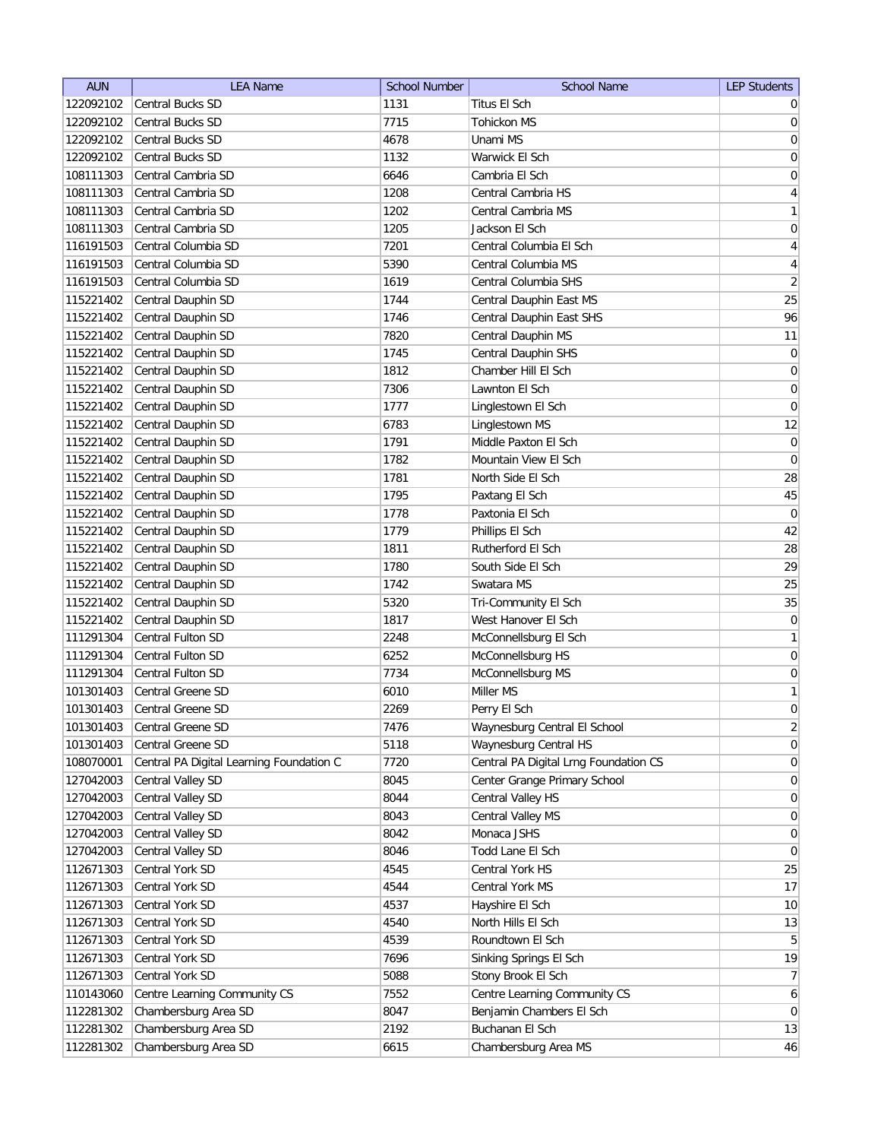| <b>AUN</b> | <b>LEA Name</b>                          | <b>School Number</b> | <b>School Name</b>                    | <b>LEP Students</b> |
|------------|------------------------------------------|----------------------|---------------------------------------|---------------------|
| 122092102  | <b>Central Bucks SD</b>                  | 1131                 | Titus El Sch                          | $\overline{0}$      |
| 122092102  | <b>Central Bucks SD</b>                  | 7715                 | <b>Tohickon MS</b>                    | 0                   |
| 122092102  | Central Bucks SD                         | 4678                 | Unami MS                              | 0                   |
| 122092102  | <b>Central Bucks SD</b>                  | 1132                 | Warwick El Sch                        | 0                   |
| 108111303  | Central Cambria SD                       | 6646                 | Cambria El Sch                        | $\boldsymbol{0}$    |
| 108111303  | Central Cambria SD                       | 1208                 | Central Cambria HS                    | $\vert 4 \vert$     |
| 108111303  | Central Cambria SD                       | 1202                 | Central Cambria MS                    | $\mathbf{1}$        |
| 108111303  | Central Cambria SD                       | 1205                 | Jackson El Sch                        | $\boldsymbol{0}$    |
| 116191503  | Central Columbia SD                      | 7201                 | Central Columbia El Sch               | $\overline{4}$      |
| 116191503  | Central Columbia SD                      | 5390                 | Central Columbia MS                   | $\overline{4}$      |
| 116191503  | Central Columbia SD                      | 1619                 | Central Columbia SHS                  | $\overline{2}$      |
| 115221402  | Central Dauphin SD                       | 1744                 | Central Dauphin East MS               | 25                  |
| 115221402  | Central Dauphin SD                       | 1746                 | Central Dauphin East SHS              | 96                  |
| 115221402  | Central Dauphin SD                       | 7820                 | Central Dauphin MS                    | 11                  |
| 115221402  | Central Dauphin SD                       | 1745                 | Central Dauphin SHS                   | $\overline{0}$      |
| 115221402  | Central Dauphin SD                       | 1812                 | Chamber Hill El Sch                   | $\overline{0}$      |
| 115221402  | Central Dauphin SD                       | 7306                 | Lawnton El Sch                        | $\overline{0}$      |
| 115221402  | Central Dauphin SD                       | 1777                 | Linglestown El Sch                    | $\mathbf 0$         |
| 115221402  | Central Dauphin SD                       | 6783                 | Linglestown MS                        | 12                  |
| 115221402  | Central Dauphin SD                       | 1791                 | Middle Paxton El Sch                  | 0                   |
| 115221402  | Central Dauphin SD                       | 1782                 | Mountain View El Sch                  | $\overline{0}$      |
| 115221402  | Central Dauphin SD                       | 1781                 | North Side El Sch                     | 28                  |
| 115221402  | Central Dauphin SD                       | 1795                 | Paxtang El Sch                        | 45                  |
| 115221402  | Central Dauphin SD                       | 1778                 | Paxtonia El Sch                       | $\overline{0}$      |
| 115221402  | Central Dauphin SD                       | 1779                 | Phillips El Sch                       | 42                  |
| 115221402  | Central Dauphin SD                       | 1811                 | Rutherford El Sch                     | 28                  |
| 115221402  | Central Dauphin SD                       | 1780                 | South Side El Sch                     | 29                  |
| 115221402  | Central Dauphin SD                       | 1742                 | Swatara MS                            | 25                  |
| 115221402  | Central Dauphin SD                       | 5320                 | Tri-Community El Sch                  | 35                  |
| 115221402  | Central Dauphin SD                       | 1817                 | West Hanover El Sch                   | $\boldsymbol{0}$    |
| 111291304  | Central Fulton SD                        | 2248                 | McConnellsburg El Sch                 | 1                   |
| 111291304  | Central Fulton SD                        | 6252                 | McConnellsburg HS                     | $\overline{0}$      |
| 111291304  | Central Fulton SD                        | 7734                 | McConnellsburg MS                     | $\overline{0}$      |
| 101301403  | Central Greene SD                        | 6010                 | Miller MS                             | 1                   |
| 101301403  | Central Greene SD                        | 2269                 | Perry El Sch                          | 0                   |
| 101301403  | Central Greene SD                        | 7476                 | Waynesburg Central El School          | $\overline{2}$      |
| 101301403  | <b>Central Greene SD</b>                 | 5118                 | Waynesburg Central HS                 | 0                   |
| 108070001  | Central PA Digital Learning Foundation C | 7720                 | Central PA Digital Lrng Foundation CS | 0                   |
| 127042003  | Central Valley SD                        | 8045                 | Center Grange Primary School          | $\vert 0 \vert$     |
| 127042003  | Central Valley SD                        | 8044                 | Central Valley HS                     | $\overline{0}$      |
| 127042003  | Central Valley SD                        | 8043                 | Central Valley MS                     | $\overline{0}$      |
| 127042003  | Central Valley SD                        | 8042                 | Monaca JSHS                           | $\overline{0}$      |
| 127042003  | Central Valley SD                        | 8046                 | Todd Lane El Sch                      | $\overline{0}$      |
| 112671303  | Central York SD                          | 4545                 | Central York HS                       | 25                  |
| 112671303  | Central York SD                          | 4544                 | Central York MS                       | 17                  |
| 112671303  | Central York SD                          | 4537                 | Hayshire El Sch                       | 10                  |
| 112671303  | Central York SD                          | 4540                 | North Hills El Sch                    | 13                  |
| 112671303  | Central York SD                          | 4539                 | Roundtown El Sch                      | $\overline{5}$      |
| 112671303  | Central York SD                          | 7696                 | Sinking Springs El Sch                | 19                  |
| 112671303  | Central York SD                          | 5088                 | Stony Brook El Sch                    | 7                   |
| 110143060  | Centre Learning Community CS             | 7552                 | Centre Learning Community CS          | $6 \mid$            |
| 112281302  | Chambersburg Area SD                     | 8047                 | Benjamin Chambers El Sch              | $\overline{0}$      |
| 112281302  | Chambersburg Area SD                     | 2192                 | Buchanan El Sch                       | 13                  |
| 112281302  | Chambersburg Area SD                     | 6615                 | Chambersburg Area MS                  | 46                  |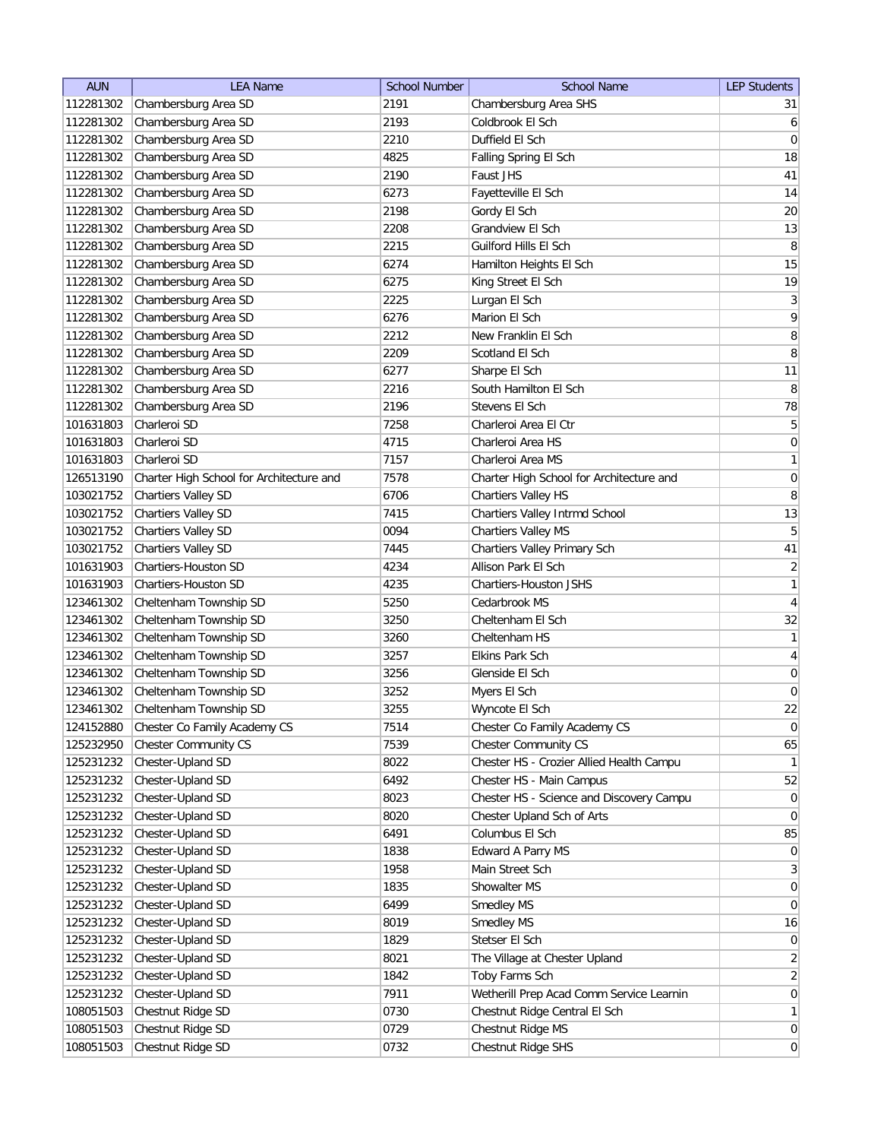| <b>AUN</b> | <b>LEA Name</b>                          | <b>School Number</b> | <b>School Name</b>                       | <b>LEP Students</b> |
|------------|------------------------------------------|----------------------|------------------------------------------|---------------------|
| 112281302  | Chambersburg Area SD                     | 2191                 | Chambersburg Area SHS                    | 31                  |
| 112281302  | Chambersburg Area SD                     | 2193                 | Coldbrook El Sch                         | $6 \mid$            |
| 112281302  | Chambersburg Area SD                     | 2210                 | Duffield El Sch                          | 0                   |
| 112281302  | Chambersburg Area SD                     | 4825                 | Falling Spring El Sch                    | 18                  |
| 112281302  | Chambersburg Area SD                     | 2190                 | Faust JHS                                | 41                  |
| 112281302  | Chambersburg Area SD                     | 6273                 | Fayetteville El Sch                      | 14                  |
| 112281302  | Chambersburg Area SD                     | 2198                 | Gordy El Sch                             | 20                  |
| 112281302  | Chambersburg Area SD                     | 2208                 | Grandview El Sch                         | 13                  |
| 112281302  | Chambersburg Area SD                     | 2215                 | Guilford Hills El Sch                    | 8                   |
| 112281302  | Chambersburg Area SD                     | 6274                 | Hamilton Heights El Sch                  | 15                  |
| 112281302  | Chambersburg Area SD                     | 6275                 | King Street El Sch                       | 19                  |
| 112281302  | Chambersburg Area SD                     | 2225                 | Lurgan El Sch                            | $\mathbf{3}$        |
| 112281302  | Chambersburg Area SD                     | 6276                 | Marion El Sch                            | 9                   |
| 112281302  | Chambersburg Area SD                     | 2212                 | New Franklin El Sch                      | 8                   |
| 112281302  | Chambersburg Area SD                     | 2209                 | Scotland El Sch                          | 8                   |
| 112281302  | Chambersburg Area SD                     | 6277                 | Sharpe El Sch                            | 11                  |
| 112281302  | Chambersburg Area SD                     | 2216                 | South Hamilton El Sch                    | $\, 8$              |
| 112281302  | Chambersburg Area SD                     | 2196                 | Stevens El Sch                           | 78                  |
| 101631803  | Charleroi SD                             | 7258                 | Charleroi Area El Ctr                    | $\overline{5}$      |
| 101631803  | Charleroi SD                             | 4715                 | Charleroi Area HS                        | 0                   |
| 101631803  | Charleroi SD                             | 7157                 | Charleroi Area MS                        | 1                   |
| 126513190  | Charter High School for Architecture and | 7578                 | Charter High School for Architecture and | 0                   |
| 103021752  | <b>Chartiers Valley SD</b>               | 6706                 | Chartiers Valley HS                      | 8                   |
| 103021752  | <b>Chartiers Valley SD</b>               | 7415                 | Chartiers Valley Intrmd School           | 13                  |
| 103021752  | <b>Chartiers Valley SD</b>               | 0094                 | Chartiers Valley MS                      | $5\overline{)}$     |
| 103021752  | <b>Chartiers Valley SD</b>               | 7445                 | Chartiers Valley Primary Sch             | 41                  |
| 101631903  | Chartiers-Houston SD                     | 4234                 | Allison Park El Sch                      | $\overline{2}$      |
| 101631903  | <b>Chartiers-Houston SD</b>              | 4235                 | Chartiers-Houston JSHS                   | 1                   |
| 123461302  | Cheltenham Township SD                   | 5250                 | Cedarbrook MS                            | $\overline{4}$      |
| 123461302  | Cheltenham Township SD                   | 3250                 | Cheltenham El Sch                        | 32                  |
| 123461302  | Cheltenham Township SD                   | 3260                 | Cheltenham HS                            | 1                   |
| 123461302  | Cheltenham Township SD                   | 3257                 | <b>Elkins Park Sch</b>                   | $\overline{4}$      |
| 123461302  | Cheltenham Township SD                   | 3256                 | Glenside El Sch                          | $\overline{0}$      |
| 123461302  | Cheltenham Township SD                   | 3252                 | Myers El Sch                             | $\overline{0}$      |
| 123461302  | Cheltenham Township SD                   | 3255                 | Wyncote El Sch                           | 22                  |
| 124152880  | Chester Co Family Academy CS             | 7514                 | Chester Co Family Academy CS             | 0                   |
| 125232950  | Chester Community CS                     | 7539                 | <b>Chester Community CS</b>              | 65                  |
| 125231232  | Chester-Upland SD                        | 8022                 | Chester HS - Crozier Allied Health Campu | $\mathbf{1}$        |
| 125231232  | Chester-Upland SD                        | 6492                 | Chester HS - Main Campus                 | 52                  |
| 125231232  | Chester-Upland SD                        | 8023                 | Chester HS - Science and Discovery Campu | $\overline{0}$      |
| 125231232  | Chester-Upland SD                        | 8020                 | Chester Upland Sch of Arts               | $\overline{0}$      |
| 125231232  | Chester-Upland SD                        | 6491                 | Columbus El Sch                          | 85                  |
| 125231232  | Chester-Upland SD                        | 1838                 | Edward A Parry MS                        | $\overline{0}$      |
| 125231232  | Chester-Upland SD                        | 1958                 | Main Street Sch                          | 3                   |
| 125231232  | Chester-Upland SD                        | 1835                 | Showalter MS                             | $\overline{0}$      |
| 125231232  | Chester-Upland SD                        | 6499                 | Smedley MS                               | $\overline{0}$      |
| 125231232  | Chester-Upland SD                        | 8019                 | Smedley MS                               | 16                  |
| 125231232  | Chester-Upland SD                        | 1829                 | Stetser El Sch                           | 0                   |
| 125231232  | Chester-Upland SD                        | 8021                 | The Village at Chester Upland            | $\overline{2}$      |
| 125231232  | Chester-Upland SD                        | 1842                 | Toby Farms Sch                           | $\overline{2}$      |
| 125231232  | Chester-Upland SD                        | 7911                 | Wetherill Prep Acad Comm Service Learnin | $\overline{0}$      |
| 108051503  | Chestnut Ridge SD                        | 0730                 | Chestnut Ridge Central El Sch            | 1                   |
| 108051503  | Chestnut Ridge SD                        | 0729                 | Chestnut Ridge MS                        | $\overline{0}$      |
|            | Chestnut Ridge SD                        |                      | Chestnut Ridge SHS                       | 0                   |
| 108051503  |                                          | 0732                 |                                          |                     |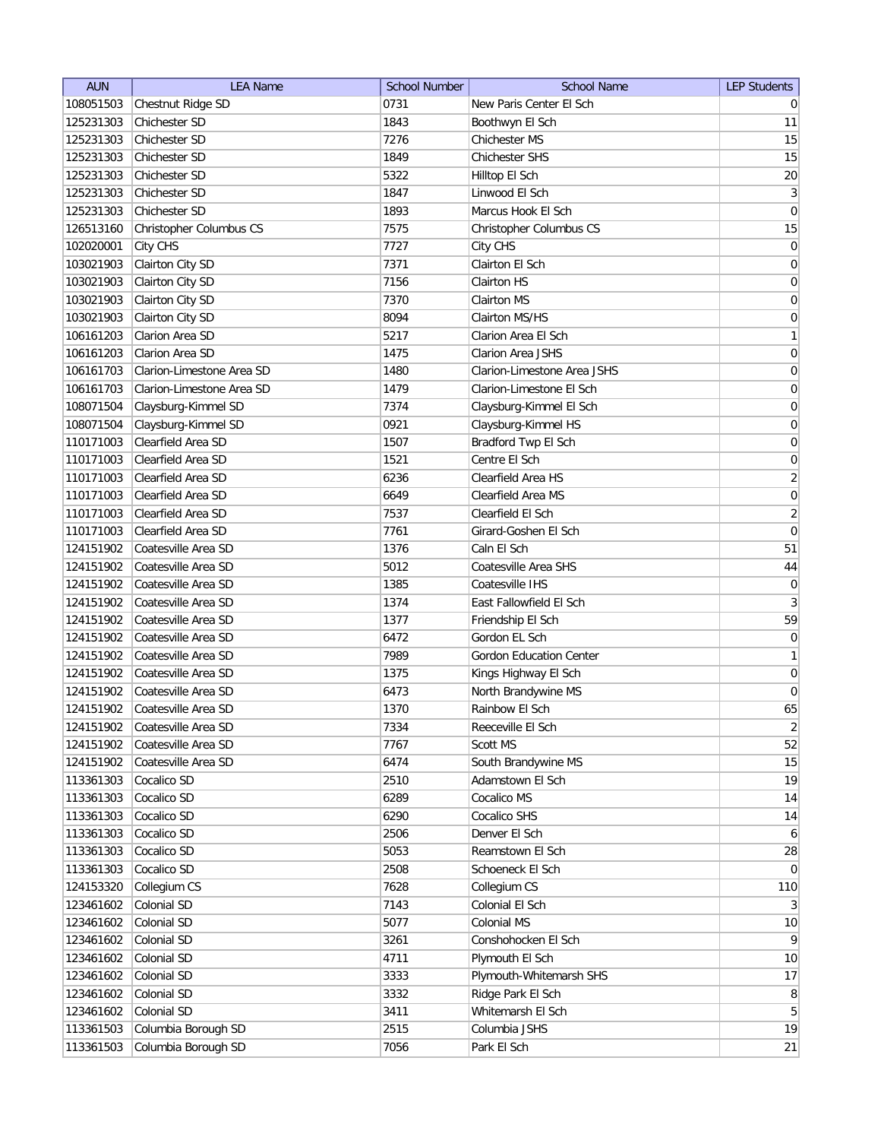| <b>AUN</b> | <b>LEA Name</b>           | <b>School Number</b> | <b>School Name</b>             | <b>LEP Students</b>     |
|------------|---------------------------|----------------------|--------------------------------|-------------------------|
| 108051503  | Chestnut Ridge SD         | 0731                 | New Paris Center El Sch        | $\overline{0}$          |
| 125231303  | Chichester SD             | 1843                 | Boothwyn El Sch                | 11                      |
| 125231303  | Chichester SD             | 7276                 | Chichester MS                  | 15                      |
| 125231303  | Chichester SD             | 1849                 | Chichester SHS                 | 15                      |
| 125231303  | Chichester SD             | 5322                 | Hilltop El Sch                 | 20                      |
| 125231303  | Chichester SD             | 1847                 | Linwood El Sch                 | $\overline{\mathbf{3}}$ |
| 125231303  | Chichester SD             | 1893                 | Marcus Hook El Sch             | $\overline{0}$          |
| 126513160  | Christopher Columbus CS   | 7575                 | Christopher Columbus CS        | 15                      |
| 102020001  | City CHS                  | 7727                 | City CHS                       | $\vert 0 \vert$         |
| 103021903  | Clairton City SD          | 7371                 | Clairton El Sch                | $\overline{0}$          |
| 103021903  | Clairton City SD          | 7156                 | Clairton HS                    | 0                       |
| 103021903  | Clairton City SD          | 7370                 | Clairton MS                    | 0                       |
| 103021903  | Clairton City SD          | 8094                 | Clairton MS/HS                 | 0                       |
| 106161203  | Clarion Area SD           | 5217                 | Clarion Area El Sch            | $\mathbf{1}$            |
| 106161203  | Clarion Area SD           | 1475                 | Clarion Area JSHS              | $\overline{0}$          |
| 106161703  | Clarion-Limestone Area SD | 1480                 | Clarion-Limestone Area JSHS    | 0                       |
| 106161703  | Clarion-Limestone Area SD | 1479                 | Clarion-Limestone El Sch       | $\overline{0}$          |
| 108071504  | Claysburg-Kimmel SD       | 7374                 | Claysburg-Kimmel El Sch        | $\boldsymbol{0}$        |
| 108071504  | Claysburg-Kimmel SD       | 0921                 | Claysburg-Kimmel HS            | $\vert 0 \vert$         |
| 110171003  | Clearfield Area SD        | 1507                 | Bradford Twp El Sch            | 0                       |
| 110171003  | Clearfield Area SD        | 1521                 | Centre El Sch                  | $\mathsf{O}\xspace$     |
| 110171003  | Clearfield Area SD        | 6236                 | Clearfield Area HS             | $\overline{2}$          |
| 110171003  | Clearfield Area SD        | 6649                 | Clearfield Area MS             | $\boldsymbol{0}$        |
| 110171003  | Clearfield Area SD        | 7537                 | Clearfield El Sch              | $\overline{2}$          |
| 110171003  | Clearfield Area SD        | 7761                 | Girard-Goshen El Sch           | $\pmb{0}$               |
| 124151902  | Coatesville Area SD       | 1376                 | Caln El Sch                    | 51                      |
| 124151902  | Coatesville Area SD       | 5012                 | Coatesville Area SHS           | 44                      |
| 124151902  | Coatesville Area SD       | 1385                 | Coatesville IHS                | $\boldsymbol{0}$        |
| 124151902  | Coatesville Area SD       | 1374                 | East Fallowfield El Sch        | $\mathbf{3}$            |
| 124151902  | Coatesville Area SD       | 1377                 | Friendship El Sch              | 59                      |
| 124151902  | Coatesville Area SD       | 6472                 | Gordon EL Sch                  | $\boldsymbol{0}$        |
| 124151902  | Coatesville Area SD       | 7989                 | <b>Gordon Education Center</b> | 1                       |
| 124151902  | Coatesville Area SD       | 1375                 | Kings Highway El Sch           | $\overline{0}$          |
| 124151902  | Coatesville Area SD       | 6473                 | North Brandywine MS            | $\overline{0}$          |
| 124151902  | Coatesville Area SD       | 1370                 | Rainbow El Sch                 | 65                      |
| 124151902  | Coatesville Area SD       | 7334                 | Reeceville El Sch              | $\overline{2}$          |
| 124151902  | Coatesville Area SD       | 7767                 | Scott MS                       | 52                      |
| 124151902  | Coatesville Area SD       | 6474                 | South Brandywine MS            | 15                      |
| 113361303  | Cocalico SD               | 2510                 | Adamstown El Sch               | 19                      |
| 113361303  | Cocalico SD               | 6289                 | Cocalico MS                    | 14                      |
| 113361303  | Cocalico SD               | 6290                 | Cocalico SHS                   | 14                      |
| 113361303  | Cocalico SD               | 2506                 | Denver El Sch                  | 6                       |
| 113361303  | Cocalico SD               | 5053                 | Reamstown El Sch               | 28                      |
| 113361303  | Cocalico SD               | 2508                 | Schoeneck El Sch               | $\overline{0}$          |
| 124153320  | Collegium CS              | 7628                 | Collegium CS                   | 110                     |
| 123461602  | Colonial SD               | 7143                 | Colonial El Sch                | $\frac{3}{2}$           |
| 123461602  | Colonial SD               | 5077                 | Colonial MS                    | 10                      |
| 123461602  | Colonial SD               | 3261                 | Conshohocken El Sch            | $\vert 9 \vert$         |
| 123461602  | Colonial SD               | 4711                 | Plymouth El Sch                | 10                      |
| 123461602  | Colonial SD               | 3333                 | Plymouth-Whitemarsh SHS        | 17                      |
| 123461602  | Colonial SD               | 3332                 | Ridge Park El Sch              | 8 <sup>2</sup>          |
| 123461602  | Colonial SD               | 3411                 | Whitemarsh El Sch              | 5 <sup>2</sup>          |
| 113361503  | Columbia Borough SD       | 2515                 | Columbia JSHS                  | 19                      |
| 113361503  | Columbia Borough SD       | 7056                 | Park El Sch                    | 21                      |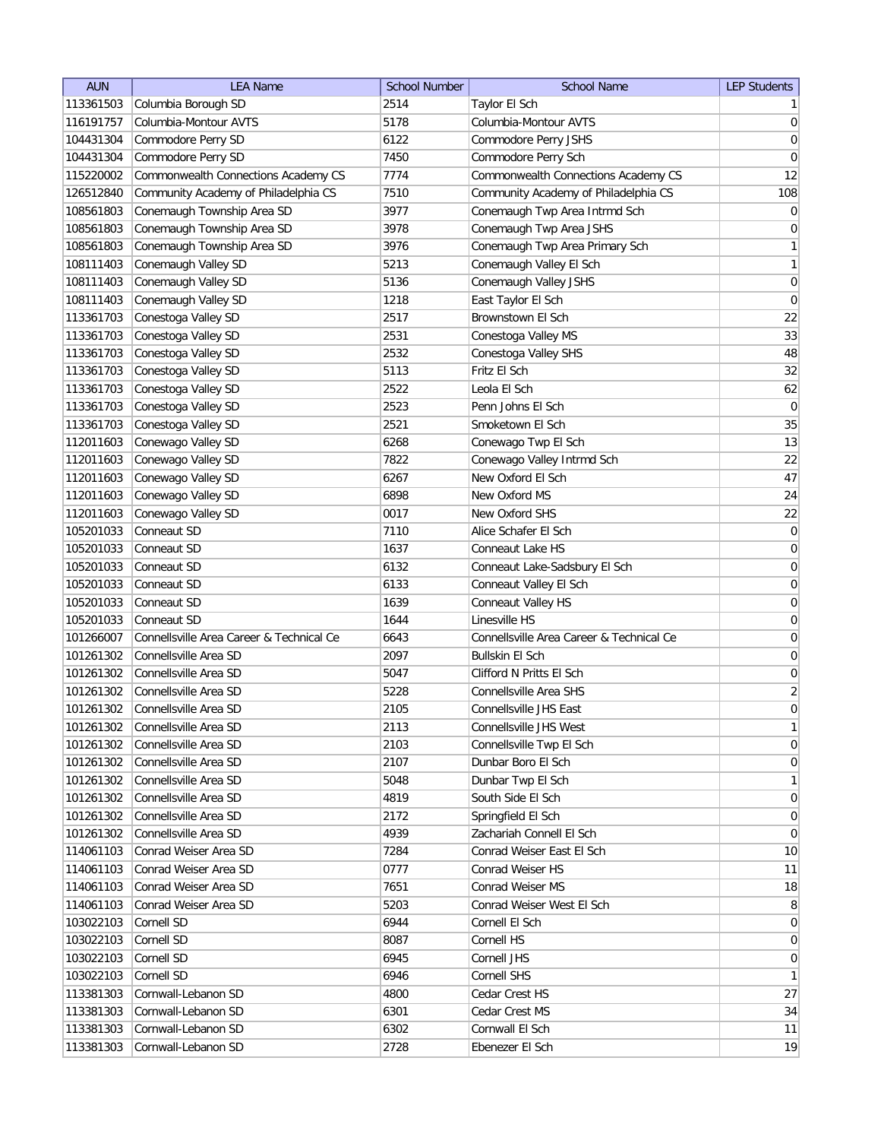| <b>AUN</b> | <b>LEA Name</b>                          | <b>School Number</b> | <b>School Name</b>                       | <b>LEP Students</b> |
|------------|------------------------------------------|----------------------|------------------------------------------|---------------------|
| 113361503  | Columbia Borough SD                      | 2514                 | Taylor El Sch                            | 1                   |
| 116191757  | Columbia-Montour AVTS                    | 5178                 | Columbia-Montour AVTS                    | $\vert 0 \vert$     |
| 104431304  | Commodore Perry SD                       | 6122                 | Commodore Perry JSHS                     | 0                   |
| 104431304  | Commodore Perry SD                       | 7450                 | Commodore Perry Sch                      | $\boldsymbol{0}$    |
| 115220002  | Commonwealth Connections Academy CS      | 7774                 | Commonwealth Connections Academy CS      | 12                  |
| 126512840  | Community Academy of Philadelphia CS     | 7510                 | Community Academy of Philadelphia CS     | 108                 |
| 108561803  | Conemaugh Township Area SD               | 3977                 | Conemaugh Twp Area Intrmd Sch            | 0                   |
| 108561803  | Conemaugh Township Area SD               | 3978                 | Conemaugh Twp Area JSHS                  | $\boldsymbol{0}$    |
| 108561803  | Conemaugh Township Area SD               | 3976                 | Conemaugh Twp Area Primary Sch           | $\mathbf{1}$        |
| 108111403  | Conemaugh Valley SD                      | 5213                 | Conemaugh Valley El Sch                  | $\mathbf{1}$        |
| 108111403  | Conemaugh Valley SD                      | 5136                 | Conemaugh Valley JSHS                    | 0                   |
| 108111403  | Conemaugh Valley SD                      | 1218                 | East Taylor El Sch                       | $\pmb{0}$           |
| 113361703  | Conestoga Valley SD                      | 2517                 | Brownstown El Sch                        | 22                  |
| 113361703  | Conestoga Valley SD                      | 2531                 | Conestoga Valley MS                      | 33                  |
| 113361703  | Conestoga Valley SD                      | 2532                 | Conestoga Valley SHS                     | 48                  |
| 113361703  | Conestoga Valley SD                      | 5113                 | Fritz El Sch                             | 32                  |
| 113361703  | Conestoga Valley SD                      | 2522                 | Leola El Sch                             | 62                  |
| 113361703  | Conestoga Valley SD                      | 2523                 | Penn Johns El Sch                        | 0                   |
| 113361703  | Conestoga Valley SD                      | 2521                 | Smoketown El Sch                         | 35                  |
| 112011603  | Conewago Valley SD                       | 6268                 | Conewago Twp El Sch                      | 13                  |
| 112011603  | Conewago Valley SD                       | 7822                 | Conewago Valley Intrmd Sch               | 22                  |
| 112011603  | Conewago Valley SD                       | 6267                 | New Oxford El Sch                        | 47                  |
| 112011603  | Conewago Valley SD                       | 6898                 | New Oxford MS                            | 24                  |
| 112011603  | Conewago Valley SD                       | 0017                 | New Oxford SHS                           | 22                  |
| 105201033  | Conneaut SD                              | 7110                 | Alice Schafer El Sch                     | $\vert 0 \vert$     |
| 105201033  | Conneaut SD                              | 1637                 | Conneaut Lake HS                         | $\overline{0}$      |
| 105201033  | Conneaut SD                              | 6132                 | Conneaut Lake-Sadsbury El Sch            | $\boldsymbol{0}$    |
| 105201033  | Conneaut SD                              | 6133                 | Conneaut Valley El Sch                   | 0                   |
| 105201033  | Conneaut SD                              | 1639                 | Conneaut Valley HS                       | 0                   |
| 105201033  | Conneaut SD                              | 1644                 | Linesville HS                            | $\boldsymbol{0}$    |
| 101266007  | Connellsville Area Career & Technical Ce | 6643                 | Connellsville Area Career & Technical Ce | 0                   |
| 101261302  | Connellsville Area SD                    | 2097                 | <b>Bullskin El Sch</b>                   | $\boldsymbol{0}$    |
| 101261302  | Connellsville Area SD                    | 5047                 | Clifford N Pritts El Sch                 | $\boldsymbol{0}$    |
| 101261302  | Connellsville Area SD                    | 5228                 | Connellsville Area SHS                   | $\overline{2}$      |
| 101261302  | Connellsville Area SD                    | 2105                 | Connellsville JHS East                   | $\overline{0}$      |
| 101261302  | Connellsville Area SD                    | 2113                 | Connellsville JHS West                   | 1                   |
| 101261302  | Connellsville Area SD                    | 2103                 | Connellsville Twp El Sch                 | $\vert 0 \vert$     |
| 101261302  | Connellsville Area SD                    | 2107                 | Dunbar Boro El Sch                       | 0                   |
| 101261302  | Connellsville Area SD                    | 5048                 | Dunbar Twp El Sch                        | $\mathbf{1}$        |
| 101261302  | Connellsville Area SD                    | 4819                 | South Side El Sch                        | $\overline{0}$      |
| 101261302  | Connellsville Area SD                    | 2172                 | Springfield El Sch                       | 0                   |
| 101261302  | Connellsville Area SD                    | 4939                 | Zachariah Connell El Sch                 | $\overline{0}$      |
| 114061103  | Conrad Weiser Area SD                    | 7284                 | Conrad Weiser East El Sch                | 10                  |
| 114061103  | Conrad Weiser Area SD                    | 0777                 | Conrad Weiser HS                         | 11                  |
| 114061103  | Conrad Weiser Area SD                    | 7651                 | Conrad Weiser MS                         | 18                  |
| 114061103  | Conrad Weiser Area SD                    | 5203                 | Conrad Weiser West El Sch                | 8                   |
| 103022103  | Cornell SD                               | 6944                 | Cornell El Sch                           | $\overline{0}$      |
| 103022103  | Cornell SD                               | 8087                 | Cornell HS                               | $\overline{0}$      |
| 103022103  | Cornell SD                               | 6945                 | Cornell JHS                              | $\overline{0}$      |
| 103022103  | Cornell SD                               | 6946                 | Cornell SHS                              | 1                   |
| 113381303  | Cornwall-Lebanon SD                      | 4800                 | Cedar Crest HS                           | 27                  |
| 113381303  | Cornwall-Lebanon SD                      | 6301                 | Cedar Crest MS                           | 34                  |
| 113381303  | Cornwall-Lebanon SD                      | 6302                 | Cornwall El Sch                          | 11                  |
| 113381303  | Cornwall-Lebanon SD                      | 2728                 | Ebenezer El Sch                          | 19                  |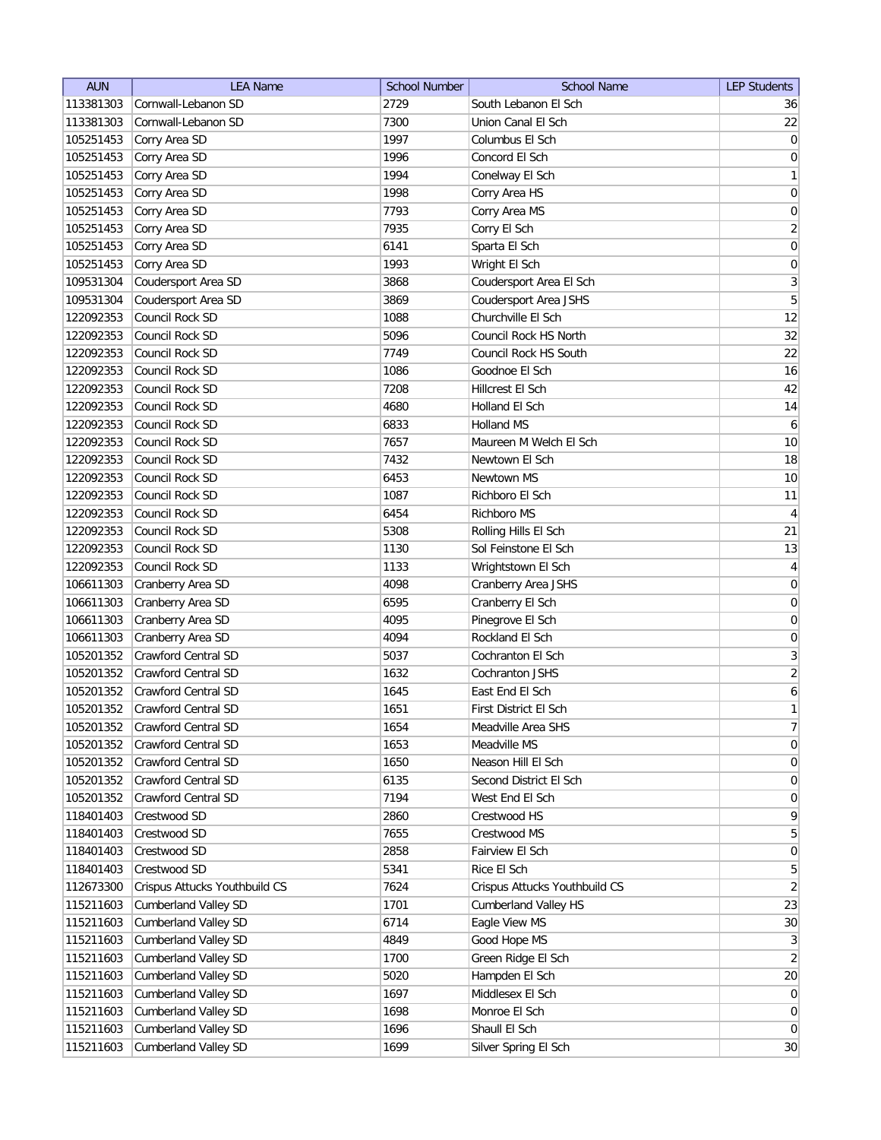| Cornwall-Lebanon SD<br>2729<br>South Lebanon El Sch<br>113381303<br>36<br>Cornwall-Lebanon SD<br>113381303<br>7300<br>Union Canal El Sch<br>Corry Area SD<br>1997<br>105251453<br>Columbus El Sch<br>1996<br>105251453<br>Corry Area SD<br>Concord El Sch<br>Corry Area SD<br>1994<br>Conelway El Sch<br>105251453<br>105251453<br>Corry Area SD<br>1998<br>Corry Area HS<br>105251453<br>7793<br>Corry Area MS<br>Corry Area SD<br>7935<br>105251453<br>Corry Area SD<br>Corry El Sch<br>105251453<br>Corry Area SD<br>Sparta El Sch<br>6141<br>105251453<br>Corry Area SD<br>1993<br>Wright El Sch<br>Coudersport Area SD<br>3<br>3868<br>Coudersport Area El Sch<br>109531304<br>5<br>Coudersport Area SD<br>3869<br>109531304<br>Coudersport Area JSHS<br>Council Rock SD<br>1088<br>122092353<br>Churchville El Sch<br>Council Rock SD<br>5096<br>Council Rock HS North<br>122092353<br>122092353<br>Council Rock SD<br>7749<br>Council Rock HS South<br>16<br>Council Rock SD<br>1086<br>Goodnoe El Sch<br>122092353<br>122092353<br>Council Rock SD<br>7208<br>Hillcrest El Sch<br>14<br>122092353<br>Council Rock SD<br>4680<br>Holland El Sch<br>Council Rock SD<br>122092353<br>6833<br>Holland MS<br>Council Rock SD<br>122092353<br>7657<br>Maureen M Welch El Sch<br>122092353<br>Council Rock SD<br>7432<br>Newtown El Sch<br>Council Rock SD<br>122092353<br>6453<br>Newtown MS<br>122092353<br>Council Rock SD<br>1087<br>Richboro El Sch<br>Council Rock SD<br>122092353<br>6454<br>Richboro MS<br>Council Rock SD<br>122092353<br>5308<br>Rolling Hills El Sch<br>122092353<br>Council Rock SD<br>Sol Feinstone El Sch<br>1130<br>Council Rock SD<br>122092353<br>1133<br>Wrightstown El Sch<br>106611303<br>Cranberry Area SD<br>4098<br>Cranberry Area JSHS<br>Cranberry Area SD<br>0<br>106611303<br>6595<br>Cranberry El Sch<br>Cranberry Area SD<br>0<br>106611303<br>4095<br>Pinegrove El Sch<br>Cranberry Area SD<br>4094<br>Rockland El Sch<br>0<br>106611303<br><b>Crawford Central SD</b><br>3<br>105201352<br>5037<br>Cochranton El Sch<br><b>Crawford Central SD</b><br>105201352<br>1632<br>Cochranton JSHS<br><b>Crawford Central SD</b><br>105201352<br>1645<br>East End El Sch<br>105201352<br><b>Crawford Central SD</b><br>1651<br>First District El Sch<br>105201352<br>Crawford Central SD<br>1654<br>Meadville Area SHS<br>Crawford Central SD<br>1653<br>105201352<br>Meadville MS<br>Crawford Central SD<br>1650<br>105201352<br>Neason Hill El Sch<br>Crawford Central SD<br>Second District El Sch<br>105201352<br>6135<br>105201352<br>Crawford Central SD<br>West End El Sch<br>7194<br>118401403<br>Crestwood SD<br>2860<br>Crestwood HS<br>118401403<br>Crestwood SD<br>7655<br>Crestwood MS<br>118401403<br>Crestwood SD<br>2858<br>Fairview El Sch<br>Rice El Sch<br>118401403<br>Crestwood SD<br>5341<br>112673300<br>Crispus Attucks Youthbuild CS<br>7624<br>Crispus Attucks Youthbuild CS<br>115211603<br><b>Cumberland Valley SD</b><br>1701<br><b>Cumberland Valley HS</b><br>Cumberland Valley SD<br>Eagle View MS<br>115211603<br>6714<br>Good Hope MS<br>115211603<br><b>Cumberland Valley SD</b><br>4849<br>Green Ridge El Sch<br>115211603<br><b>Cumberland Valley SD</b><br>1700<br>115211603<br><b>Cumberland Valley SD</b><br>Hampden El Sch<br>5020<br>Middlesex El Sch<br>115211603<br><b>Cumberland Valley SD</b><br>1697<br>Monroe El Sch<br>115211603<br><b>Cumberland Valley SD</b><br>1698<br>1696<br>115211603<br><b>Cumberland Valley SD</b><br>Shaull El Sch | <b>AUN</b> | <b>LEA Name</b>             | <b>School Number</b> | <b>School Name</b>   | <b>LEP Students</b> |
|---------------------------------------------------------------------------------------------------------------------------------------------------------------------------------------------------------------------------------------------------------------------------------------------------------------------------------------------------------------------------------------------------------------------------------------------------------------------------------------------------------------------------------------------------------------------------------------------------------------------------------------------------------------------------------------------------------------------------------------------------------------------------------------------------------------------------------------------------------------------------------------------------------------------------------------------------------------------------------------------------------------------------------------------------------------------------------------------------------------------------------------------------------------------------------------------------------------------------------------------------------------------------------------------------------------------------------------------------------------------------------------------------------------------------------------------------------------------------------------------------------------------------------------------------------------------------------------------------------------------------------------------------------------------------------------------------------------------------------------------------------------------------------------------------------------------------------------------------------------------------------------------------------------------------------------------------------------------------------------------------------------------------------------------------------------------------------------------------------------------------------------------------------------------------------------------------------------------------------------------------------------------------------------------------------------------------------------------------------------------------------------------------------------------------------------------------------------------------------------------------------------------------------------------------------------------------------------------------------------------------------------------------------------------------------------------------------------------------------------------------------------------------------------------------------------------------------------------------------------------------------------------------------------------------------------------------------------------------------------------------------------------------------------------------------------------------------------------------------------------------------------------------------------------------------------------------------------------------------------------------------------------------------------------------------------------------------------------------------------------------------------------------------------------------------------------------------------------------------------------------------------------------------------|------------|-----------------------------|----------------------|----------------------|---------------------|
|                                                                                                                                                                                                                                                                                                                                                                                                                                                                                                                                                                                                                                                                                                                                                                                                                                                                                                                                                                                                                                                                                                                                                                                                                                                                                                                                                                                                                                                                                                                                                                                                                                                                                                                                                                                                                                                                                                                                                                                                                                                                                                                                                                                                                                                                                                                                                                                                                                                                                                                                                                                                                                                                                                                                                                                                                                                                                                                                                                                                                                                                                                                                                                                                                                                                                                                                                                                                                                                                                                                                       |            |                             |                      |                      |                     |
| 0 <br>$\boldsymbol{0}$<br>1<br> 0 <br>0<br>$\overline{2}$<br>$\boldsymbol{0}$<br>$\boldsymbol{0}$<br>12<br>32<br>22<br>42<br>$\boldsymbol{6}$<br>10<br>18<br>10<br>11<br>$\overline{4}$<br>21<br>13<br>$\overline{4}$<br>$\boldsymbol{0}$<br>$\overline{2}$<br>$\boldsymbol{6}$<br>1<br>$7\vert$<br>$\overline{0}$<br> 0 <br>$\vert 0 \vert$<br>$\overline{0}$<br>$\vert 9 \vert$<br>5 <sup>2</sup><br>$\boldsymbol{0}$<br>$\overline{5}$<br>$\overline{2}$<br>23<br>30 <sup>°</sup><br>3<br>$\overline{2}$<br>20<br>$\overline{0}$<br>$\overline{0}$<br>$\overline{0}$                                                                                                                                                                                                                                                                                                                                                                                                                                                                                                                                                                                                                                                                                                                                                                                                                                                                                                                                                                                                                                                                                                                                                                                                                                                                                                                                                                                                                                                                                                                                                                                                                                                                                                                                                                                                                                                                                                                                                                                                                                                                                                                                                                                                                                                                                                                                                                                                                                                                                                                                                                                                                                                                                                                                                                                                                                                                                                                                                               |            |                             |                      |                      | 22                  |
|                                                                                                                                                                                                                                                                                                                                                                                                                                                                                                                                                                                                                                                                                                                                                                                                                                                                                                                                                                                                                                                                                                                                                                                                                                                                                                                                                                                                                                                                                                                                                                                                                                                                                                                                                                                                                                                                                                                                                                                                                                                                                                                                                                                                                                                                                                                                                                                                                                                                                                                                                                                                                                                                                                                                                                                                                                                                                                                                                                                                                                                                                                                                                                                                                                                                                                                                                                                                                                                                                                                                       |            |                             |                      |                      |                     |
|                                                                                                                                                                                                                                                                                                                                                                                                                                                                                                                                                                                                                                                                                                                                                                                                                                                                                                                                                                                                                                                                                                                                                                                                                                                                                                                                                                                                                                                                                                                                                                                                                                                                                                                                                                                                                                                                                                                                                                                                                                                                                                                                                                                                                                                                                                                                                                                                                                                                                                                                                                                                                                                                                                                                                                                                                                                                                                                                                                                                                                                                                                                                                                                                                                                                                                                                                                                                                                                                                                                                       |            |                             |                      |                      |                     |
|                                                                                                                                                                                                                                                                                                                                                                                                                                                                                                                                                                                                                                                                                                                                                                                                                                                                                                                                                                                                                                                                                                                                                                                                                                                                                                                                                                                                                                                                                                                                                                                                                                                                                                                                                                                                                                                                                                                                                                                                                                                                                                                                                                                                                                                                                                                                                                                                                                                                                                                                                                                                                                                                                                                                                                                                                                                                                                                                                                                                                                                                                                                                                                                                                                                                                                                                                                                                                                                                                                                                       |            |                             |                      |                      |                     |
|                                                                                                                                                                                                                                                                                                                                                                                                                                                                                                                                                                                                                                                                                                                                                                                                                                                                                                                                                                                                                                                                                                                                                                                                                                                                                                                                                                                                                                                                                                                                                                                                                                                                                                                                                                                                                                                                                                                                                                                                                                                                                                                                                                                                                                                                                                                                                                                                                                                                                                                                                                                                                                                                                                                                                                                                                                                                                                                                                                                                                                                                                                                                                                                                                                                                                                                                                                                                                                                                                                                                       |            |                             |                      |                      |                     |
|                                                                                                                                                                                                                                                                                                                                                                                                                                                                                                                                                                                                                                                                                                                                                                                                                                                                                                                                                                                                                                                                                                                                                                                                                                                                                                                                                                                                                                                                                                                                                                                                                                                                                                                                                                                                                                                                                                                                                                                                                                                                                                                                                                                                                                                                                                                                                                                                                                                                                                                                                                                                                                                                                                                                                                                                                                                                                                                                                                                                                                                                                                                                                                                                                                                                                                                                                                                                                                                                                                                                       |            |                             |                      |                      |                     |
|                                                                                                                                                                                                                                                                                                                                                                                                                                                                                                                                                                                                                                                                                                                                                                                                                                                                                                                                                                                                                                                                                                                                                                                                                                                                                                                                                                                                                                                                                                                                                                                                                                                                                                                                                                                                                                                                                                                                                                                                                                                                                                                                                                                                                                                                                                                                                                                                                                                                                                                                                                                                                                                                                                                                                                                                                                                                                                                                                                                                                                                                                                                                                                                                                                                                                                                                                                                                                                                                                                                                       |            |                             |                      |                      |                     |
|                                                                                                                                                                                                                                                                                                                                                                                                                                                                                                                                                                                                                                                                                                                                                                                                                                                                                                                                                                                                                                                                                                                                                                                                                                                                                                                                                                                                                                                                                                                                                                                                                                                                                                                                                                                                                                                                                                                                                                                                                                                                                                                                                                                                                                                                                                                                                                                                                                                                                                                                                                                                                                                                                                                                                                                                                                                                                                                                                                                                                                                                                                                                                                                                                                                                                                                                                                                                                                                                                                                                       |            |                             |                      |                      |                     |
|                                                                                                                                                                                                                                                                                                                                                                                                                                                                                                                                                                                                                                                                                                                                                                                                                                                                                                                                                                                                                                                                                                                                                                                                                                                                                                                                                                                                                                                                                                                                                                                                                                                                                                                                                                                                                                                                                                                                                                                                                                                                                                                                                                                                                                                                                                                                                                                                                                                                                                                                                                                                                                                                                                                                                                                                                                                                                                                                                                                                                                                                                                                                                                                                                                                                                                                                                                                                                                                                                                                                       |            |                             |                      |                      |                     |
|                                                                                                                                                                                                                                                                                                                                                                                                                                                                                                                                                                                                                                                                                                                                                                                                                                                                                                                                                                                                                                                                                                                                                                                                                                                                                                                                                                                                                                                                                                                                                                                                                                                                                                                                                                                                                                                                                                                                                                                                                                                                                                                                                                                                                                                                                                                                                                                                                                                                                                                                                                                                                                                                                                                                                                                                                                                                                                                                                                                                                                                                                                                                                                                                                                                                                                                                                                                                                                                                                                                                       |            |                             |                      |                      |                     |
|                                                                                                                                                                                                                                                                                                                                                                                                                                                                                                                                                                                                                                                                                                                                                                                                                                                                                                                                                                                                                                                                                                                                                                                                                                                                                                                                                                                                                                                                                                                                                                                                                                                                                                                                                                                                                                                                                                                                                                                                                                                                                                                                                                                                                                                                                                                                                                                                                                                                                                                                                                                                                                                                                                                                                                                                                                                                                                                                                                                                                                                                                                                                                                                                                                                                                                                                                                                                                                                                                                                                       |            |                             |                      |                      |                     |
|                                                                                                                                                                                                                                                                                                                                                                                                                                                                                                                                                                                                                                                                                                                                                                                                                                                                                                                                                                                                                                                                                                                                                                                                                                                                                                                                                                                                                                                                                                                                                                                                                                                                                                                                                                                                                                                                                                                                                                                                                                                                                                                                                                                                                                                                                                                                                                                                                                                                                                                                                                                                                                                                                                                                                                                                                                                                                                                                                                                                                                                                                                                                                                                                                                                                                                                                                                                                                                                                                                                                       |            |                             |                      |                      |                     |
|                                                                                                                                                                                                                                                                                                                                                                                                                                                                                                                                                                                                                                                                                                                                                                                                                                                                                                                                                                                                                                                                                                                                                                                                                                                                                                                                                                                                                                                                                                                                                                                                                                                                                                                                                                                                                                                                                                                                                                                                                                                                                                                                                                                                                                                                                                                                                                                                                                                                                                                                                                                                                                                                                                                                                                                                                                                                                                                                                                                                                                                                                                                                                                                                                                                                                                                                                                                                                                                                                                                                       |            |                             |                      |                      |                     |
|                                                                                                                                                                                                                                                                                                                                                                                                                                                                                                                                                                                                                                                                                                                                                                                                                                                                                                                                                                                                                                                                                                                                                                                                                                                                                                                                                                                                                                                                                                                                                                                                                                                                                                                                                                                                                                                                                                                                                                                                                                                                                                                                                                                                                                                                                                                                                                                                                                                                                                                                                                                                                                                                                                                                                                                                                                                                                                                                                                                                                                                                                                                                                                                                                                                                                                                                                                                                                                                                                                                                       |            |                             |                      |                      |                     |
|                                                                                                                                                                                                                                                                                                                                                                                                                                                                                                                                                                                                                                                                                                                                                                                                                                                                                                                                                                                                                                                                                                                                                                                                                                                                                                                                                                                                                                                                                                                                                                                                                                                                                                                                                                                                                                                                                                                                                                                                                                                                                                                                                                                                                                                                                                                                                                                                                                                                                                                                                                                                                                                                                                                                                                                                                                                                                                                                                                                                                                                                                                                                                                                                                                                                                                                                                                                                                                                                                                                                       |            |                             |                      |                      |                     |
|                                                                                                                                                                                                                                                                                                                                                                                                                                                                                                                                                                                                                                                                                                                                                                                                                                                                                                                                                                                                                                                                                                                                                                                                                                                                                                                                                                                                                                                                                                                                                                                                                                                                                                                                                                                                                                                                                                                                                                                                                                                                                                                                                                                                                                                                                                                                                                                                                                                                                                                                                                                                                                                                                                                                                                                                                                                                                                                                                                                                                                                                                                                                                                                                                                                                                                                                                                                                                                                                                                                                       |            |                             |                      |                      |                     |
|                                                                                                                                                                                                                                                                                                                                                                                                                                                                                                                                                                                                                                                                                                                                                                                                                                                                                                                                                                                                                                                                                                                                                                                                                                                                                                                                                                                                                                                                                                                                                                                                                                                                                                                                                                                                                                                                                                                                                                                                                                                                                                                                                                                                                                                                                                                                                                                                                                                                                                                                                                                                                                                                                                                                                                                                                                                                                                                                                                                                                                                                                                                                                                                                                                                                                                                                                                                                                                                                                                                                       |            |                             |                      |                      |                     |
|                                                                                                                                                                                                                                                                                                                                                                                                                                                                                                                                                                                                                                                                                                                                                                                                                                                                                                                                                                                                                                                                                                                                                                                                                                                                                                                                                                                                                                                                                                                                                                                                                                                                                                                                                                                                                                                                                                                                                                                                                                                                                                                                                                                                                                                                                                                                                                                                                                                                                                                                                                                                                                                                                                                                                                                                                                                                                                                                                                                                                                                                                                                                                                                                                                                                                                                                                                                                                                                                                                                                       |            |                             |                      |                      |                     |
|                                                                                                                                                                                                                                                                                                                                                                                                                                                                                                                                                                                                                                                                                                                                                                                                                                                                                                                                                                                                                                                                                                                                                                                                                                                                                                                                                                                                                                                                                                                                                                                                                                                                                                                                                                                                                                                                                                                                                                                                                                                                                                                                                                                                                                                                                                                                                                                                                                                                                                                                                                                                                                                                                                                                                                                                                                                                                                                                                                                                                                                                                                                                                                                                                                                                                                                                                                                                                                                                                                                                       |            |                             |                      |                      |                     |
|                                                                                                                                                                                                                                                                                                                                                                                                                                                                                                                                                                                                                                                                                                                                                                                                                                                                                                                                                                                                                                                                                                                                                                                                                                                                                                                                                                                                                                                                                                                                                                                                                                                                                                                                                                                                                                                                                                                                                                                                                                                                                                                                                                                                                                                                                                                                                                                                                                                                                                                                                                                                                                                                                                                                                                                                                                                                                                                                                                                                                                                                                                                                                                                                                                                                                                                                                                                                                                                                                                                                       |            |                             |                      |                      |                     |
|                                                                                                                                                                                                                                                                                                                                                                                                                                                                                                                                                                                                                                                                                                                                                                                                                                                                                                                                                                                                                                                                                                                                                                                                                                                                                                                                                                                                                                                                                                                                                                                                                                                                                                                                                                                                                                                                                                                                                                                                                                                                                                                                                                                                                                                                                                                                                                                                                                                                                                                                                                                                                                                                                                                                                                                                                                                                                                                                                                                                                                                                                                                                                                                                                                                                                                                                                                                                                                                                                                                                       |            |                             |                      |                      |                     |
|                                                                                                                                                                                                                                                                                                                                                                                                                                                                                                                                                                                                                                                                                                                                                                                                                                                                                                                                                                                                                                                                                                                                                                                                                                                                                                                                                                                                                                                                                                                                                                                                                                                                                                                                                                                                                                                                                                                                                                                                                                                                                                                                                                                                                                                                                                                                                                                                                                                                                                                                                                                                                                                                                                                                                                                                                                                                                                                                                                                                                                                                                                                                                                                                                                                                                                                                                                                                                                                                                                                                       |            |                             |                      |                      |                     |
|                                                                                                                                                                                                                                                                                                                                                                                                                                                                                                                                                                                                                                                                                                                                                                                                                                                                                                                                                                                                                                                                                                                                                                                                                                                                                                                                                                                                                                                                                                                                                                                                                                                                                                                                                                                                                                                                                                                                                                                                                                                                                                                                                                                                                                                                                                                                                                                                                                                                                                                                                                                                                                                                                                                                                                                                                                                                                                                                                                                                                                                                                                                                                                                                                                                                                                                                                                                                                                                                                                                                       |            |                             |                      |                      |                     |
|                                                                                                                                                                                                                                                                                                                                                                                                                                                                                                                                                                                                                                                                                                                                                                                                                                                                                                                                                                                                                                                                                                                                                                                                                                                                                                                                                                                                                                                                                                                                                                                                                                                                                                                                                                                                                                                                                                                                                                                                                                                                                                                                                                                                                                                                                                                                                                                                                                                                                                                                                                                                                                                                                                                                                                                                                                                                                                                                                                                                                                                                                                                                                                                                                                                                                                                                                                                                                                                                                                                                       |            |                             |                      |                      |                     |
|                                                                                                                                                                                                                                                                                                                                                                                                                                                                                                                                                                                                                                                                                                                                                                                                                                                                                                                                                                                                                                                                                                                                                                                                                                                                                                                                                                                                                                                                                                                                                                                                                                                                                                                                                                                                                                                                                                                                                                                                                                                                                                                                                                                                                                                                                                                                                                                                                                                                                                                                                                                                                                                                                                                                                                                                                                                                                                                                                                                                                                                                                                                                                                                                                                                                                                                                                                                                                                                                                                                                       |            |                             |                      |                      |                     |
|                                                                                                                                                                                                                                                                                                                                                                                                                                                                                                                                                                                                                                                                                                                                                                                                                                                                                                                                                                                                                                                                                                                                                                                                                                                                                                                                                                                                                                                                                                                                                                                                                                                                                                                                                                                                                                                                                                                                                                                                                                                                                                                                                                                                                                                                                                                                                                                                                                                                                                                                                                                                                                                                                                                                                                                                                                                                                                                                                                                                                                                                                                                                                                                                                                                                                                                                                                                                                                                                                                                                       |            |                             |                      |                      |                     |
|                                                                                                                                                                                                                                                                                                                                                                                                                                                                                                                                                                                                                                                                                                                                                                                                                                                                                                                                                                                                                                                                                                                                                                                                                                                                                                                                                                                                                                                                                                                                                                                                                                                                                                                                                                                                                                                                                                                                                                                                                                                                                                                                                                                                                                                                                                                                                                                                                                                                                                                                                                                                                                                                                                                                                                                                                                                                                                                                                                                                                                                                                                                                                                                                                                                                                                                                                                                                                                                                                                                                       |            |                             |                      |                      |                     |
|                                                                                                                                                                                                                                                                                                                                                                                                                                                                                                                                                                                                                                                                                                                                                                                                                                                                                                                                                                                                                                                                                                                                                                                                                                                                                                                                                                                                                                                                                                                                                                                                                                                                                                                                                                                                                                                                                                                                                                                                                                                                                                                                                                                                                                                                                                                                                                                                                                                                                                                                                                                                                                                                                                                                                                                                                                                                                                                                                                                                                                                                                                                                                                                                                                                                                                                                                                                                                                                                                                                                       |            |                             |                      |                      |                     |
|                                                                                                                                                                                                                                                                                                                                                                                                                                                                                                                                                                                                                                                                                                                                                                                                                                                                                                                                                                                                                                                                                                                                                                                                                                                                                                                                                                                                                                                                                                                                                                                                                                                                                                                                                                                                                                                                                                                                                                                                                                                                                                                                                                                                                                                                                                                                                                                                                                                                                                                                                                                                                                                                                                                                                                                                                                                                                                                                                                                                                                                                                                                                                                                                                                                                                                                                                                                                                                                                                                                                       |            |                             |                      |                      |                     |
|                                                                                                                                                                                                                                                                                                                                                                                                                                                                                                                                                                                                                                                                                                                                                                                                                                                                                                                                                                                                                                                                                                                                                                                                                                                                                                                                                                                                                                                                                                                                                                                                                                                                                                                                                                                                                                                                                                                                                                                                                                                                                                                                                                                                                                                                                                                                                                                                                                                                                                                                                                                                                                                                                                                                                                                                                                                                                                                                                                                                                                                                                                                                                                                                                                                                                                                                                                                                                                                                                                                                       |            |                             |                      |                      |                     |
|                                                                                                                                                                                                                                                                                                                                                                                                                                                                                                                                                                                                                                                                                                                                                                                                                                                                                                                                                                                                                                                                                                                                                                                                                                                                                                                                                                                                                                                                                                                                                                                                                                                                                                                                                                                                                                                                                                                                                                                                                                                                                                                                                                                                                                                                                                                                                                                                                                                                                                                                                                                                                                                                                                                                                                                                                                                                                                                                                                                                                                                                                                                                                                                                                                                                                                                                                                                                                                                                                                                                       |            |                             |                      |                      |                     |
|                                                                                                                                                                                                                                                                                                                                                                                                                                                                                                                                                                                                                                                                                                                                                                                                                                                                                                                                                                                                                                                                                                                                                                                                                                                                                                                                                                                                                                                                                                                                                                                                                                                                                                                                                                                                                                                                                                                                                                                                                                                                                                                                                                                                                                                                                                                                                                                                                                                                                                                                                                                                                                                                                                                                                                                                                                                                                                                                                                                                                                                                                                                                                                                                                                                                                                                                                                                                                                                                                                                                       |            |                             |                      |                      |                     |
|                                                                                                                                                                                                                                                                                                                                                                                                                                                                                                                                                                                                                                                                                                                                                                                                                                                                                                                                                                                                                                                                                                                                                                                                                                                                                                                                                                                                                                                                                                                                                                                                                                                                                                                                                                                                                                                                                                                                                                                                                                                                                                                                                                                                                                                                                                                                                                                                                                                                                                                                                                                                                                                                                                                                                                                                                                                                                                                                                                                                                                                                                                                                                                                                                                                                                                                                                                                                                                                                                                                                       |            |                             |                      |                      |                     |
|                                                                                                                                                                                                                                                                                                                                                                                                                                                                                                                                                                                                                                                                                                                                                                                                                                                                                                                                                                                                                                                                                                                                                                                                                                                                                                                                                                                                                                                                                                                                                                                                                                                                                                                                                                                                                                                                                                                                                                                                                                                                                                                                                                                                                                                                                                                                                                                                                                                                                                                                                                                                                                                                                                                                                                                                                                                                                                                                                                                                                                                                                                                                                                                                                                                                                                                                                                                                                                                                                                                                       |            |                             |                      |                      |                     |
|                                                                                                                                                                                                                                                                                                                                                                                                                                                                                                                                                                                                                                                                                                                                                                                                                                                                                                                                                                                                                                                                                                                                                                                                                                                                                                                                                                                                                                                                                                                                                                                                                                                                                                                                                                                                                                                                                                                                                                                                                                                                                                                                                                                                                                                                                                                                                                                                                                                                                                                                                                                                                                                                                                                                                                                                                                                                                                                                                                                                                                                                                                                                                                                                                                                                                                                                                                                                                                                                                                                                       |            |                             |                      |                      |                     |
|                                                                                                                                                                                                                                                                                                                                                                                                                                                                                                                                                                                                                                                                                                                                                                                                                                                                                                                                                                                                                                                                                                                                                                                                                                                                                                                                                                                                                                                                                                                                                                                                                                                                                                                                                                                                                                                                                                                                                                                                                                                                                                                                                                                                                                                                                                                                                                                                                                                                                                                                                                                                                                                                                                                                                                                                                                                                                                                                                                                                                                                                                                                                                                                                                                                                                                                                                                                                                                                                                                                                       |            |                             |                      |                      |                     |
|                                                                                                                                                                                                                                                                                                                                                                                                                                                                                                                                                                                                                                                                                                                                                                                                                                                                                                                                                                                                                                                                                                                                                                                                                                                                                                                                                                                                                                                                                                                                                                                                                                                                                                                                                                                                                                                                                                                                                                                                                                                                                                                                                                                                                                                                                                                                                                                                                                                                                                                                                                                                                                                                                                                                                                                                                                                                                                                                                                                                                                                                                                                                                                                                                                                                                                                                                                                                                                                                                                                                       |            |                             |                      |                      |                     |
|                                                                                                                                                                                                                                                                                                                                                                                                                                                                                                                                                                                                                                                                                                                                                                                                                                                                                                                                                                                                                                                                                                                                                                                                                                                                                                                                                                                                                                                                                                                                                                                                                                                                                                                                                                                                                                                                                                                                                                                                                                                                                                                                                                                                                                                                                                                                                                                                                                                                                                                                                                                                                                                                                                                                                                                                                                                                                                                                                                                                                                                                                                                                                                                                                                                                                                                                                                                                                                                                                                                                       |            |                             |                      |                      |                     |
|                                                                                                                                                                                                                                                                                                                                                                                                                                                                                                                                                                                                                                                                                                                                                                                                                                                                                                                                                                                                                                                                                                                                                                                                                                                                                                                                                                                                                                                                                                                                                                                                                                                                                                                                                                                                                                                                                                                                                                                                                                                                                                                                                                                                                                                                                                                                                                                                                                                                                                                                                                                                                                                                                                                                                                                                                                                                                                                                                                                                                                                                                                                                                                                                                                                                                                                                                                                                                                                                                                                                       |            |                             |                      |                      |                     |
|                                                                                                                                                                                                                                                                                                                                                                                                                                                                                                                                                                                                                                                                                                                                                                                                                                                                                                                                                                                                                                                                                                                                                                                                                                                                                                                                                                                                                                                                                                                                                                                                                                                                                                                                                                                                                                                                                                                                                                                                                                                                                                                                                                                                                                                                                                                                                                                                                                                                                                                                                                                                                                                                                                                                                                                                                                                                                                                                                                                                                                                                                                                                                                                                                                                                                                                                                                                                                                                                                                                                       |            |                             |                      |                      |                     |
|                                                                                                                                                                                                                                                                                                                                                                                                                                                                                                                                                                                                                                                                                                                                                                                                                                                                                                                                                                                                                                                                                                                                                                                                                                                                                                                                                                                                                                                                                                                                                                                                                                                                                                                                                                                                                                                                                                                                                                                                                                                                                                                                                                                                                                                                                                                                                                                                                                                                                                                                                                                                                                                                                                                                                                                                                                                                                                                                                                                                                                                                                                                                                                                                                                                                                                                                                                                                                                                                                                                                       |            |                             |                      |                      |                     |
|                                                                                                                                                                                                                                                                                                                                                                                                                                                                                                                                                                                                                                                                                                                                                                                                                                                                                                                                                                                                                                                                                                                                                                                                                                                                                                                                                                                                                                                                                                                                                                                                                                                                                                                                                                                                                                                                                                                                                                                                                                                                                                                                                                                                                                                                                                                                                                                                                                                                                                                                                                                                                                                                                                                                                                                                                                                                                                                                                                                                                                                                                                                                                                                                                                                                                                                                                                                                                                                                                                                                       |            |                             |                      |                      |                     |
|                                                                                                                                                                                                                                                                                                                                                                                                                                                                                                                                                                                                                                                                                                                                                                                                                                                                                                                                                                                                                                                                                                                                                                                                                                                                                                                                                                                                                                                                                                                                                                                                                                                                                                                                                                                                                                                                                                                                                                                                                                                                                                                                                                                                                                                                                                                                                                                                                                                                                                                                                                                                                                                                                                                                                                                                                                                                                                                                                                                                                                                                                                                                                                                                                                                                                                                                                                                                                                                                                                                                       |            |                             |                      |                      |                     |
|                                                                                                                                                                                                                                                                                                                                                                                                                                                                                                                                                                                                                                                                                                                                                                                                                                                                                                                                                                                                                                                                                                                                                                                                                                                                                                                                                                                                                                                                                                                                                                                                                                                                                                                                                                                                                                                                                                                                                                                                                                                                                                                                                                                                                                                                                                                                                                                                                                                                                                                                                                                                                                                                                                                                                                                                                                                                                                                                                                                                                                                                                                                                                                                                                                                                                                                                                                                                                                                                                                                                       |            |                             |                      |                      |                     |
|                                                                                                                                                                                                                                                                                                                                                                                                                                                                                                                                                                                                                                                                                                                                                                                                                                                                                                                                                                                                                                                                                                                                                                                                                                                                                                                                                                                                                                                                                                                                                                                                                                                                                                                                                                                                                                                                                                                                                                                                                                                                                                                                                                                                                                                                                                                                                                                                                                                                                                                                                                                                                                                                                                                                                                                                                                                                                                                                                                                                                                                                                                                                                                                                                                                                                                                                                                                                                                                                                                                                       |            |                             |                      |                      |                     |
|                                                                                                                                                                                                                                                                                                                                                                                                                                                                                                                                                                                                                                                                                                                                                                                                                                                                                                                                                                                                                                                                                                                                                                                                                                                                                                                                                                                                                                                                                                                                                                                                                                                                                                                                                                                                                                                                                                                                                                                                                                                                                                                                                                                                                                                                                                                                                                                                                                                                                                                                                                                                                                                                                                                                                                                                                                                                                                                                                                                                                                                                                                                                                                                                                                                                                                                                                                                                                                                                                                                                       |            |                             |                      |                      |                     |
|                                                                                                                                                                                                                                                                                                                                                                                                                                                                                                                                                                                                                                                                                                                                                                                                                                                                                                                                                                                                                                                                                                                                                                                                                                                                                                                                                                                                                                                                                                                                                                                                                                                                                                                                                                                                                                                                                                                                                                                                                                                                                                                                                                                                                                                                                                                                                                                                                                                                                                                                                                                                                                                                                                                                                                                                                                                                                                                                                                                                                                                                                                                                                                                                                                                                                                                                                                                                                                                                                                                                       |            |                             |                      |                      |                     |
|                                                                                                                                                                                                                                                                                                                                                                                                                                                                                                                                                                                                                                                                                                                                                                                                                                                                                                                                                                                                                                                                                                                                                                                                                                                                                                                                                                                                                                                                                                                                                                                                                                                                                                                                                                                                                                                                                                                                                                                                                                                                                                                                                                                                                                                                                                                                                                                                                                                                                                                                                                                                                                                                                                                                                                                                                                                                                                                                                                                                                                                                                                                                                                                                                                                                                                                                                                                                                                                                                                                                       |            |                             |                      |                      |                     |
|                                                                                                                                                                                                                                                                                                                                                                                                                                                                                                                                                                                                                                                                                                                                                                                                                                                                                                                                                                                                                                                                                                                                                                                                                                                                                                                                                                                                                                                                                                                                                                                                                                                                                                                                                                                                                                                                                                                                                                                                                                                                                                                                                                                                                                                                                                                                                                                                                                                                                                                                                                                                                                                                                                                                                                                                                                                                                                                                                                                                                                                                                                                                                                                                                                                                                                                                                                                                                                                                                                                                       |            |                             |                      |                      |                     |
|                                                                                                                                                                                                                                                                                                                                                                                                                                                                                                                                                                                                                                                                                                                                                                                                                                                                                                                                                                                                                                                                                                                                                                                                                                                                                                                                                                                                                                                                                                                                                                                                                                                                                                                                                                                                                                                                                                                                                                                                                                                                                                                                                                                                                                                                                                                                                                                                                                                                                                                                                                                                                                                                                                                                                                                                                                                                                                                                                                                                                                                                                                                                                                                                                                                                                                                                                                                                                                                                                                                                       |            |                             |                      |                      |                     |
|                                                                                                                                                                                                                                                                                                                                                                                                                                                                                                                                                                                                                                                                                                                                                                                                                                                                                                                                                                                                                                                                                                                                                                                                                                                                                                                                                                                                                                                                                                                                                                                                                                                                                                                                                                                                                                                                                                                                                                                                                                                                                                                                                                                                                                                                                                                                                                                                                                                                                                                                                                                                                                                                                                                                                                                                                                                                                                                                                                                                                                                                                                                                                                                                                                                                                                                                                                                                                                                                                                                                       |            |                             |                      |                      |                     |
|                                                                                                                                                                                                                                                                                                                                                                                                                                                                                                                                                                                                                                                                                                                                                                                                                                                                                                                                                                                                                                                                                                                                                                                                                                                                                                                                                                                                                                                                                                                                                                                                                                                                                                                                                                                                                                                                                                                                                                                                                                                                                                                                                                                                                                                                                                                                                                                                                                                                                                                                                                                                                                                                                                                                                                                                                                                                                                                                                                                                                                                                                                                                                                                                                                                                                                                                                                                                                                                                                                                                       |            |                             |                      |                      |                     |
|                                                                                                                                                                                                                                                                                                                                                                                                                                                                                                                                                                                                                                                                                                                                                                                                                                                                                                                                                                                                                                                                                                                                                                                                                                                                                                                                                                                                                                                                                                                                                                                                                                                                                                                                                                                                                                                                                                                                                                                                                                                                                                                                                                                                                                                                                                                                                                                                                                                                                                                                                                                                                                                                                                                                                                                                                                                                                                                                                                                                                                                                                                                                                                                                                                                                                                                                                                                                                                                                                                                                       | 115211603  | <b>Cumberland Valley SD</b> | 1699                 | Silver Spring El Sch | 30                  |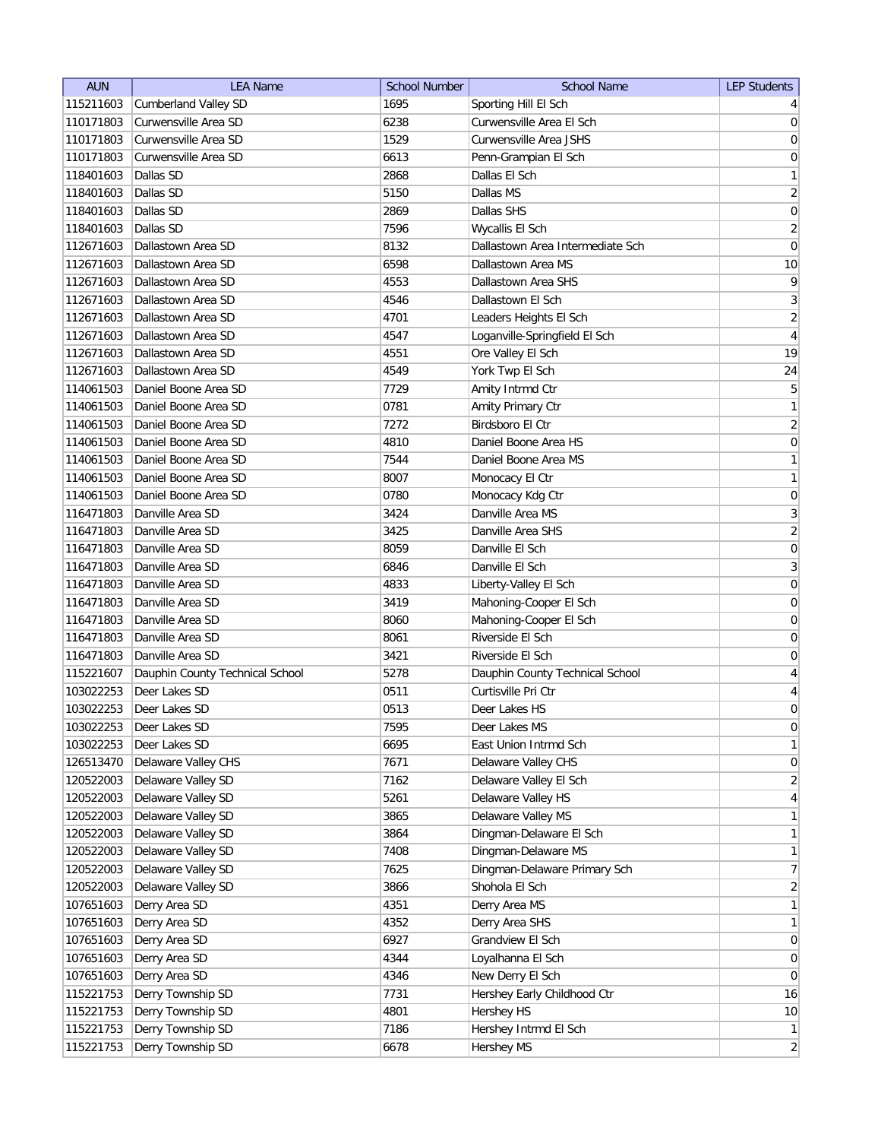| <b>AUN</b> | <b>LEA Name</b>                 | <b>School Number</b> | <b>School Name</b>               | <b>LEP Students</b> |
|------------|---------------------------------|----------------------|----------------------------------|---------------------|
| 115211603  | <b>Cumberland Valley SD</b>     | 1695                 | Sporting Hill El Sch             | $\frac{4}{ }$       |
| 110171803  | Curwensville Area SD            | 6238                 | Curwensville Area El Sch         | $\overline{0}$      |
| 110171803  | Curwensville Area SD            | 1529                 | Curwensville Area JSHS           | $\boldsymbol{0}$    |
| 110171803  | Curwensville Area SD            | 6613                 | Penn-Grampian El Sch             | $\boldsymbol{0}$    |
| 118401603  | Dallas SD                       | 2868                 | Dallas El Sch                    | $\mathbf{1}$        |
| 118401603  | Dallas SD                       | 5150                 | Dallas MS                        | $\overline{2}$      |
| 118401603  | Dallas SD                       | 2869                 | Dallas SHS                       | $\boldsymbol{0}$    |
| 118401603  | Dallas SD                       | 7596                 | Wycallis El Sch                  | $\overline{2}$      |
| 112671603  | Dallastown Area SD              | 8132                 | Dallastown Area Intermediate Sch | $\mathsf{O}\xspace$ |
| 112671603  | Dallastown Area SD              | 6598                 | Dallastown Area MS               | 10                  |
| 112671603  | Dallastown Area SD              | 4553                 | Dallastown Area SHS              | $\mathsf q$         |
| 112671603  | Dallastown Area SD              | 4546                 | Dallastown El Sch                | 3                   |
| 112671603  | Dallastown Area SD              | 4701                 | Leaders Heights El Sch           | $\overline{2}$      |
| 112671603  | Dallastown Area SD              | 4547                 | Loganville-Springfield El Sch    | $\overline{4}$      |
| 112671603  | Dallastown Area SD              | 4551                 | Ore Valley El Sch                | 19                  |
| 112671603  | Dallastown Area SD              | 4549                 | York Twp El Sch                  | 24                  |
| 114061503  | Daniel Boone Area SD            | 7729                 | Amity Intrmd Ctr                 | $\sqrt{5}$          |
| 114061503  | Daniel Boone Area SD            | 0781                 | Amity Primary Ctr                | $\mathbf{1}$        |
| 114061503  | Daniel Boone Area SD            | 7272                 | Birdsboro El Ctr                 | $\overline{2}$      |
| 114061503  | Daniel Boone Area SD            | 4810                 | Daniel Boone Area HS             | $\mathsf{O}\xspace$ |
| 114061503  | Daniel Boone Area SD            | 7544                 | Daniel Boone Area MS             | $\mathbf{1}$        |
| 114061503  | Daniel Boone Area SD            | 8007                 | Monocacy El Ctr                  | $\mathbf{1}$        |
| 114061503  | Daniel Boone Area SD            | 0780                 | Monocacy Kdg Ctr                 | $\boldsymbol{0}$    |
| 116471803  | Danville Area SD                | 3424                 | Danville Area MS                 | $\sqrt{3}$          |
| 116471803  | Danville Area SD                | 3425                 | Danville Area SHS                | $\overline{2}$      |
| 116471803  | Danville Area SD                | 8059                 | Danville El Sch                  | $\boldsymbol{0}$    |
| 116471803  | Danville Area SD                | 6846                 | Danville El Sch                  | $\overline{3}$      |
| 116471803  | Danville Area SD                | 4833                 | Liberty-Valley El Sch            | 0                   |
| 116471803  | Danville Area SD                | 3419                 | Mahoning-Cooper El Sch           | 0                   |
| 116471803  | Danville Area SD                | 8060                 | Mahoning-Cooper El Sch           | 0                   |
| 116471803  | Danville Area SD                | 8061                 | Riverside El Sch                 | 0                   |
| 116471803  | Danville Area SD                | 3421                 | Riverside El Sch                 | 0                   |
| 115221607  | Dauphin County Technical School | 5278                 | Dauphin County Technical School  | $\overline{4}$      |
| 103022253  | Deer Lakes SD                   | 0511                 | Curtisville Pri Ctr              | $\overline{4}$      |
| 103022253  | Deer Lakes SD                   | 0513                 | Deer Lakes HS                    | $\mathbf 0$         |
| 103022253  | Deer Lakes SD                   | 7595                 | Deer Lakes MS                    | $\boldsymbol{0}$    |
| 103022253  | Deer Lakes SD                   | 6695                 | East Union Intrmd Sch            | $\mathbf{1}$        |
| 126513470  | Delaware Valley CHS             | 7671                 | Delaware Valley CHS              | $\boldsymbol{0}$    |
| 120522003  | Delaware Valley SD              | 7162                 | Delaware Valley El Sch           | $\overline{2}$      |
| 120522003  | Delaware Valley SD              | 5261                 | Delaware Valley HS               | $\overline{4}$      |
| 120522003  | Delaware Valley SD              | 3865                 | Delaware Valley MS               | $\mathbf{1}$        |
| 120522003  | Delaware Valley SD              | 3864                 | Dingman-Delaware El Sch          | $\mathbf{1}$        |
| 120522003  | Delaware Valley SD              | 7408                 | Dingman-Delaware MS              | $\mathbf{1}$        |
| 120522003  | Delaware Valley SD              | 7625                 | Dingman-Delaware Primary Sch     | $\overline{7}$      |
| 120522003  | Delaware Valley SD              | 3866                 | Shohola El Sch                   | $\overline{2}$      |
| 107651603  | Derry Area SD                   | 4351                 | Derry Area MS                    | $\mathbf{1}$        |
| 107651603  | Derry Area SD                   | 4352                 | Derry Area SHS                   | $\mathbf{1}$        |
| 107651603  | Derry Area SD                   | 6927                 | Grandview El Sch                 | $\boldsymbol{0}$    |
| 107651603  | Derry Area SD                   | 4344                 | Loyalhanna El Sch                | $\overline{0}$      |
| 107651603  | Derry Area SD                   | 4346                 | New Derry El Sch                 | $\pmb{0}$           |
| 115221753  | Derry Township SD               | 7731                 | Hershey Early Childhood Ctr      | 16                  |
| 115221753  | Derry Township SD               | 4801                 | Hershey HS                       | 10                  |
| 115221753  | Derry Township SD               | 7186                 | Hershey Intrmd El Sch            | $\mathbf{1}$        |
| 115221753  | Derry Township SD               | 6678                 | Hershey MS                       | $\overline{2}$      |
|            |                                 |                      |                                  |                     |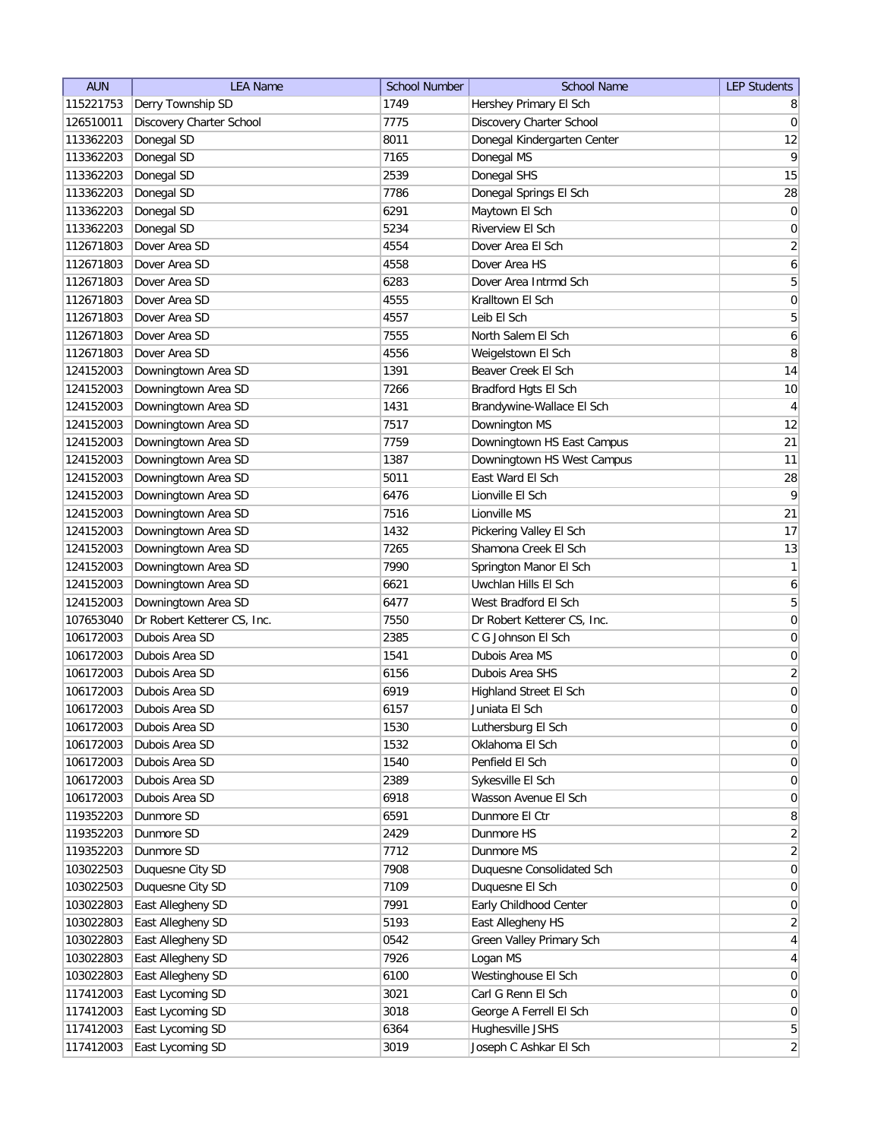| <b>AUN</b>             | <b>LEA Name</b>                  | <b>School Number</b> | <b>School Name</b>                       | <b>LEP Students</b> |
|------------------------|----------------------------------|----------------------|------------------------------------------|---------------------|
| 115221753              | Derry Township SD                | 1749                 | Hershey Primary El Sch                   | 8                   |
| 126510011              | Discovery Charter School         | 7775                 | Discovery Charter School                 | 0                   |
| 113362203              | Donegal SD                       | 8011                 | Donegal Kindergarten Center              | 12                  |
| 113362203              | Donegal SD                       | 7165                 | Donegal MS                               | $\vert 9 \vert$     |
| 113362203              | Donegal SD                       | 2539                 | Donegal SHS                              | 15                  |
| 113362203              | Donegal SD                       | 7786                 | Donegal Springs El Sch                   | 28                  |
| 113362203              | Donegal SD                       | 6291                 | Maytown El Sch                           | 0                   |
| 113362203              | Donegal SD                       | 5234                 | Riverview El Sch                         | $\boldsymbol{0}$    |
| 112671803              | Dover Area SD                    | 4554                 | Dover Area El Sch                        | $\overline{2}$      |
| 112671803              | Dover Area SD                    | 4558                 | Dover Area HS                            | 6                   |
| 112671803              | Dover Area SD                    | 6283                 | Dover Area Intrmd Sch                    | 5                   |
| 112671803              | Dover Area SD                    | 4555                 | Kralltown El Sch                         | 0                   |
| 112671803              | Dover Area SD                    | 4557                 | Leib El Sch                              | 5                   |
| 112671803              | Dover Area SD                    | 7555                 | North Salem El Sch                       | 6                   |
| 112671803              | Dover Area SD                    | 4556                 | Weigelstown El Sch                       | 8                   |
| 124152003              | Downingtown Area SD              | 1391                 | Beaver Creek El Sch                      | 14                  |
| 124152003              | Downingtown Area SD              | 7266                 | Bradford Hgts El Sch                     | $10$                |
| 124152003              | Downingtown Area SD              | 1431                 | Brandywine-Wallace El Sch                | $\overline{4}$      |
| 124152003              | Downingtown Area SD              | 7517                 | Downington MS                            | 12                  |
| 124152003              | Downingtown Area SD              | 7759                 | Downingtown HS East Campus               | 21                  |
| 124152003              | Downingtown Area SD              | 1387                 | Downingtown HS West Campus               | 11                  |
| 124152003              | Downingtown Area SD              | 5011                 | East Ward El Sch                         | 28                  |
| 124152003              | Downingtown Area SD              | 6476                 | Lionville El Sch                         | 9                   |
| 124152003              | Downingtown Area SD              | 7516                 | Lionville MS                             | 21                  |
| 124152003              | Downingtown Area SD              | 1432                 | Pickering Valley El Sch                  | 17                  |
| 124152003              | Downingtown Area SD              | 7265                 | Shamona Creek El Sch                     | 13                  |
| 124152003              | Downingtown Area SD              | 7990                 | Springton Manor El Sch                   | $\mathbf{1}$        |
| 124152003              | Downingtown Area SD              | 6621                 | Uwchlan Hills El Sch                     | $\boldsymbol{6}$    |
| 124152003              | Downingtown Area SD              | 6477                 | West Bradford El Sch                     | 5                   |
| 107653040              | Dr Robert Ketterer CS, Inc.      | 7550                 | Dr Robert Ketterer CS, Inc.              | $\overline{0}$      |
| 106172003              | Dubois Area SD                   | 2385                 | C G Johnson El Sch                       | 0                   |
| 106172003              | Dubois Area SD                   | 1541                 | Dubois Area MS                           | 0                   |
| 106172003              | Dubois Area SD                   | 6156                 | Dubois Area SHS                          | $\overline{2}$      |
| 106172003              | Dubois Area SD                   | 6919                 |                                          | $\boldsymbol{0}$    |
| 106172003              | Dubois Area SD                   | 6157                 | Highland Street El Sch<br>Juniata El Sch | $\overline{0}$      |
|                        |                                  | 1530                 |                                          | $\overline{0}$      |
| 106172003<br>106172003 | Dubois Area SD<br>Dubois Area SD | 1532                 | Luthersburg El Sch<br>Oklahoma El Sch    | 0                   |
| 106172003              | Dubois Area SD                   | 1540                 | Penfield El Sch                          | 0                   |
| 106172003              | Dubois Area SD                   | 2389                 | Sykesville El Sch                        | 0                   |
|                        |                                  |                      |                                          |                     |
| 106172003              | Dubois Area SD                   | 6918                 | Wasson Avenue El Sch                     | $\overline{0}$      |
| 119352203<br>119352203 | Dunmore SD<br>Dunmore SD         | 6591                 | Dunmore El Ctr<br>Dunmore HS             | 8                   |
|                        |                                  | 2429                 |                                          | $\overline{2}$      |
| 119352203              | Dunmore SD                       | 7712                 | Dunmore MS                               | $\overline{2}$      |
| 103022503              | Duquesne City SD                 | 7908                 | Duquesne Consolidated Sch                | 0                   |
| 103022503              | Duquesne City SD                 | 7109                 | Duquesne El Sch                          | 0                   |
| 103022803              | East Allegheny SD                | 7991                 | Early Childhood Center                   | 0                   |
| 103022803              | East Allegheny SD                | 5193                 | East Allegheny HS                        | $\overline{2}$      |
| 103022803              | East Allegheny SD                | 0542                 | Green Valley Primary Sch                 | $\overline{4}$      |
| 103022803              | East Allegheny SD                | 7926                 | Logan MS                                 | $\overline{4}$      |
| 103022803              | East Allegheny SD                | 6100                 | Westinghouse El Sch                      | $\overline{0}$      |
| 117412003              | East Lycoming SD                 | 3021                 | Carl G Renn El Sch                       | $\overline{0}$      |
| 117412003              | East Lycoming SD                 | 3018                 | George A Ferrell El Sch                  | 0                   |
| 117412003              | East Lycoming SD                 | 6364                 | Hughesville JSHS                         | 5 <sup>2</sup>      |
| 117412003              | East Lycoming SD                 | 3019                 | Joseph C Ashkar El Sch                   | $\overline{2}$      |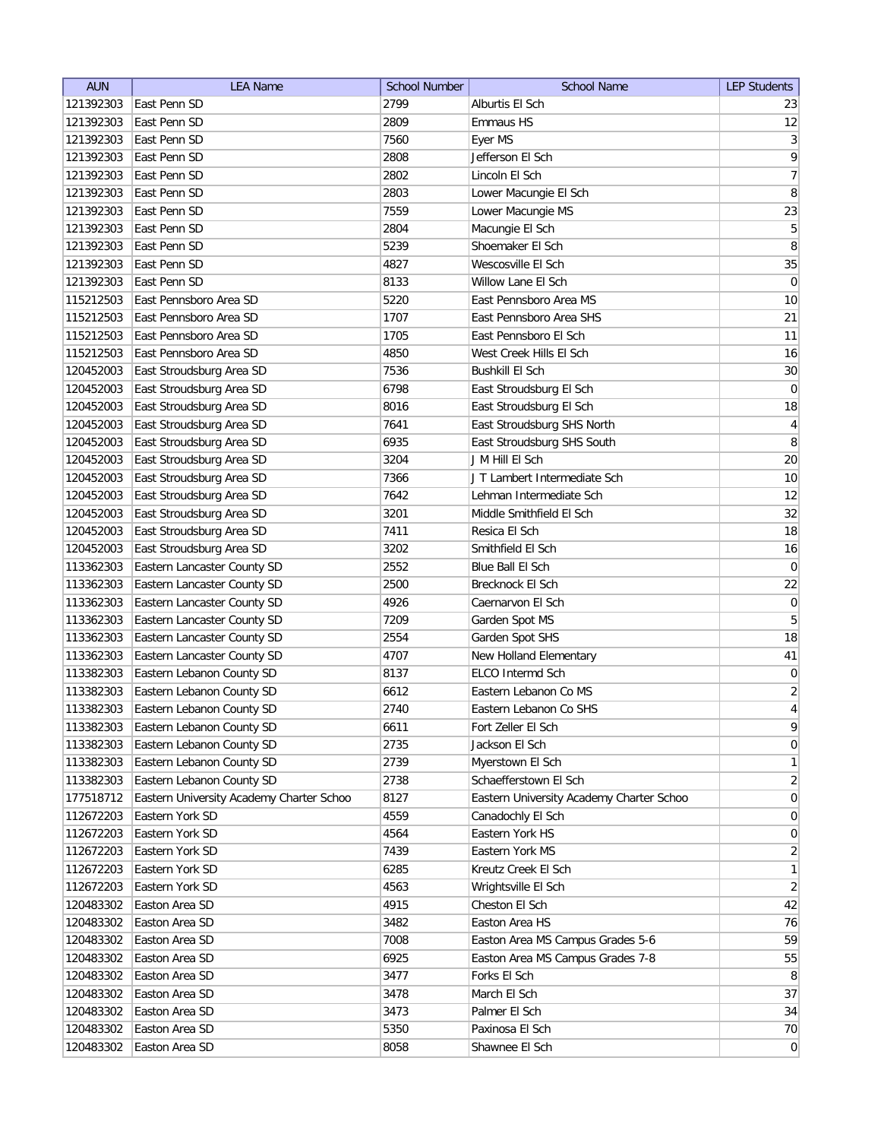| <b>AUN</b> | <b>LEA Name</b>                          | <b>School Number</b> | <b>School Name</b>                       | <b>LEP Students</b> |
|------------|------------------------------------------|----------------------|------------------------------------------|---------------------|
| 121392303  | East Penn SD                             | 2799                 | Alburtis El Sch                          | 23                  |
| 121392303  | East Penn SD                             | 2809                 | Emmaus HS                                | 12                  |
| 121392303  | East Penn SD                             | 7560                 | Eyer MS                                  | $\vert 3 \vert$     |
| 121392303  | East Penn SD                             | 2808                 | Jefferson El Sch                         | $\overline{9}$      |
| 121392303  | East Penn SD                             | 2802                 | Lincoln El Sch                           | $\overline{7}$      |
| 121392303  | East Penn SD                             | 2803                 | Lower Macungie El Sch                    | 8                   |
| 121392303  | East Penn SD                             | 7559                 | Lower Macungie MS                        | 23                  |
| 121392303  | East Penn SD                             | 2804                 | Macungie El Sch                          | 5                   |
| 121392303  | East Penn SD                             | 5239                 | Shoemaker El Sch                         | 8                   |
| 121392303  | East Penn SD                             | 4827                 | Wescosville El Sch                       | 35                  |
| 121392303  | East Penn SD                             | 8133                 | Willow Lane El Sch                       | $\overline{0}$      |
| 115212503  | East Pennsboro Area SD                   | 5220                 | East Pennsboro Area MS                   | 10                  |
| 115212503  | East Pennsboro Area SD                   | 1707                 | East Pennsboro Area SHS                  | 21                  |
| 115212503  | East Pennsboro Area SD                   | 1705                 | East Pennsboro El Sch                    | 11                  |
| 115212503  | East Pennsboro Area SD                   | 4850                 | West Creek Hills El Sch                  | 16                  |
| 120452003  | East Stroudsburg Area SD                 | 7536                 | <b>Bushkill El Sch</b>                   | $30\,$              |
| 120452003  | East Stroudsburg Area SD                 | 6798                 | East Stroudsburg El Sch                  | $\pmb{0}$           |
| 120452003  | East Stroudsburg Area SD                 | 8016                 | East Stroudsburg El Sch                  | 18                  |
| 120452003  | East Stroudsburg Area SD                 | 7641                 | East Stroudsburg SHS North               | $\vert 4 \vert$     |
| 120452003  | East Stroudsburg Area SD                 | 6935                 | East Stroudsburg SHS South               | 8                   |
| 120452003  | East Stroudsburg Area SD                 | 3204                 | J M Hill El Sch                          | 20                  |
| 120452003  | East Stroudsburg Area SD                 | 7366                 | J T Lambert Intermediate Sch             | 10                  |
| 120452003  | East Stroudsburg Area SD                 | 7642                 | Lehman Intermediate Sch                  | 12                  |
| 120452003  | East Stroudsburg Area SD                 | 3201                 | Middle Smithfield El Sch                 | 32                  |
| 120452003  | East Stroudsburg Area SD                 | 7411                 | Resica El Sch                            | 18                  |
| 120452003  | East Stroudsburg Area SD                 | 3202                 | Smithfield El Sch                        | 16                  |
| 113362303  | Eastern Lancaster County SD              | 2552                 | Blue Ball El Sch                         | 0                   |
| 113362303  | Eastern Lancaster County SD              | 2500                 | Brecknock El Sch                         | 22                  |
| 113362303  | Eastern Lancaster County SD              | 4926                 | Caernarvon El Sch                        | $\pmb{0}$           |
| 113362303  | Eastern Lancaster County SD              | 7209                 | Garden Spot MS                           | 5                   |
| 113362303  | Eastern Lancaster County SD              | 2554                 | Garden Spot SHS                          | 18                  |
| 113362303  | Eastern Lancaster County SD              | 4707                 | New Holland Elementary                   | 41                  |
| 113382303  | Eastern Lebanon County SD                | 8137                 | ELCO Intermd Sch                         | $\pmb{0}$           |
| 113382303  | Eastern Lebanon County SD                | 6612                 | Eastern Lebanon Co MS                    | $\overline{2}$      |
| 113382303  | Eastern Lebanon County SD                | 2740                 | Eastern Lebanon Co SHS                   | $\overline{4}$      |
| 113382303  | Eastern Lebanon County SD                | 6611                 | Fort Zeller El Sch                       | 9                   |
| 113382303  | Eastern Lebanon County SD                | 2735                 | Jackson El Sch                           | 0                   |
| 113382303  | Eastern Lebanon County SD                | 2739                 | Myerstown El Sch                         | 1                   |
| 113382303  | Eastern Lebanon County SD                | 2738                 | Schaefferstown El Sch                    | $\overline{2}$      |
| 177518712  | Eastern University Academy Charter Schoo | 8127                 | Eastern University Academy Charter Schoo | $\overline{0}$      |
| 112672203  | Eastern York SD                          | 4559                 | Canadochly El Sch                        | $\overline{0}$      |
| 112672203  | Eastern York SD                          | 4564                 | Eastern York HS                          | $\overline{0}$      |
| 112672203  | Eastern York SD                          | 7439                 | Eastern York MS                          | $\overline{2}$      |
| 112672203  | Eastern York SD                          | 6285                 | Kreutz Creek El Sch                      | 1                   |
| 112672203  | Eastern York SD                          | 4563                 | Wrightsville El Sch                      | $\overline{2}$      |
| 120483302  | Easton Area SD                           | 4915                 | Cheston El Sch                           | 42                  |
| 120483302  | Easton Area SD                           | 3482                 | Easton Area HS                           | 76                  |
| 120483302  | Easton Area SD                           | 7008                 | Easton Area MS Campus Grades 5-6         | 59                  |
| 120483302  | Easton Area SD                           | 6925                 | Easton Area MS Campus Grades 7-8         | 55                  |
| 120483302  | Easton Area SD                           | 3477                 | Forks El Sch                             | 8                   |
| 120483302  | Easton Area SD                           | 3478                 | March El Sch                             | 37                  |
| 120483302  | Easton Area SD                           | 3473                 | Palmer El Sch                            | 34                  |
| 120483302  | Easton Area SD                           | 5350                 | Paxinosa El Sch                          | 70                  |
| 120483302  | Easton Area SD                           | 8058                 | Shawnee El Sch                           | 0                   |
|            |                                          |                      |                                          |                     |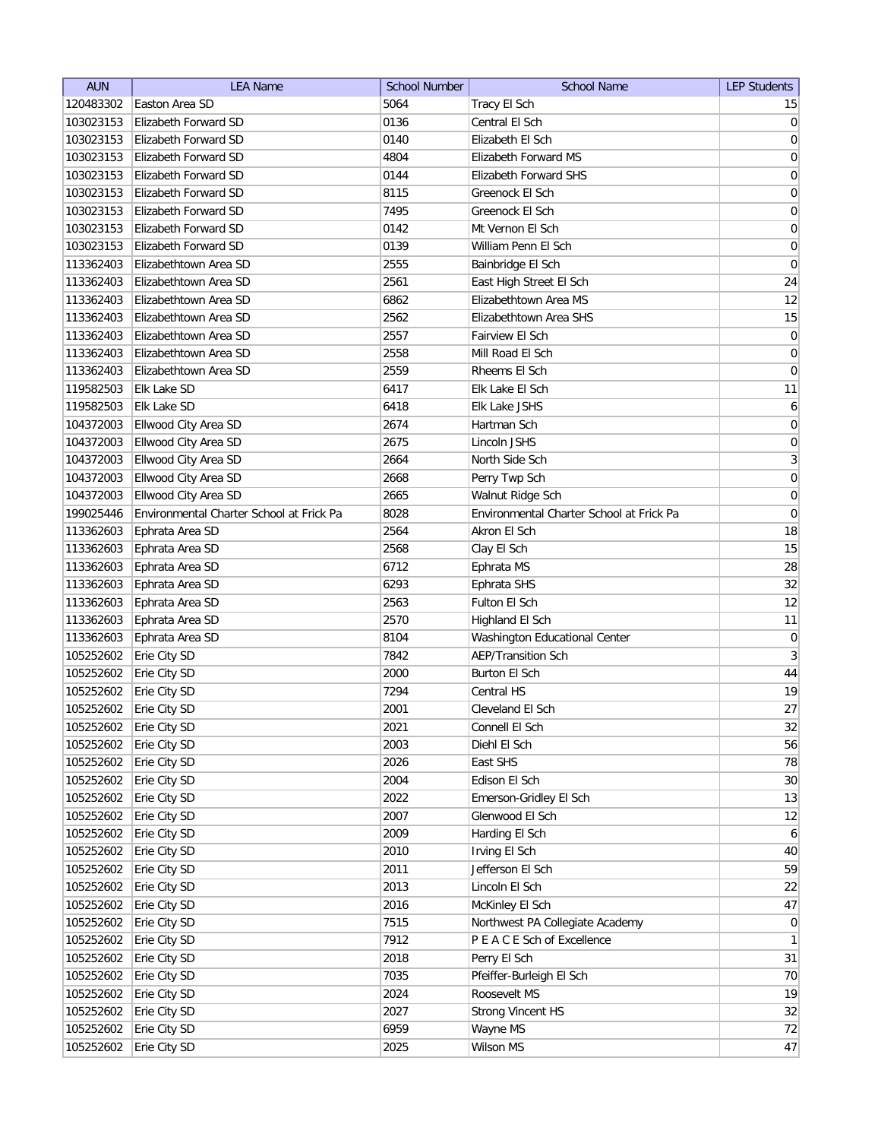| <b>AUN</b> | <b>LEA Name</b>                          | <b>School Number</b> | <b>School Name</b>                       | <b>LEP Students</b> |
|------------|------------------------------------------|----------------------|------------------------------------------|---------------------|
| 120483302  | Easton Area SD                           | 5064                 | Tracy El Sch                             | 15                  |
| 103023153  | Elizabeth Forward SD                     | 0136                 | Central El Sch                           | 0                   |
| 103023153  | Elizabeth Forward SD                     | 0140                 | Elizabeth El Sch                         | 0                   |
| 103023153  | Elizabeth Forward SD                     | 4804                 | <b>Elizabeth Forward MS</b>              | 0                   |
| 103023153  | Elizabeth Forward SD                     | 0144                 | <b>Elizabeth Forward SHS</b>             | 0                   |
| 103023153  | Elizabeth Forward SD                     | 8115                 | Greenock El Sch                          | $\boldsymbol{0}$    |
| 103023153  | Elizabeth Forward SD                     | 7495                 | Greenock El Sch                          | $\boldsymbol{0}$    |
| 103023153  | Elizabeth Forward SD                     | 0142                 | Mt Vernon El Sch                         | $\boldsymbol{0}$    |
| 103023153  | Elizabeth Forward SD                     | 0139                 | William Penn El Sch                      | $\boldsymbol{0}$    |
| 113362403  | Elizabethtown Area SD                    | 2555                 | Bainbridge El Sch                        | $\overline{0}$      |
| 113362403  | Elizabethtown Area SD                    | 2561                 | East High Street El Sch                  | 24                  |
| 113362403  | Elizabethtown Area SD                    | 6862                 | Elizabethtown Area MS                    | 12                  |
| 113362403  | Elizabethtown Area SD                    | 2562                 | Elizabethtown Area SHS                   | 15                  |
| 113362403  | Elizabethtown Area SD                    | 2557                 | Fairview El Sch                          | $\overline{0}$      |
| 113362403  | Elizabethtown Area SD                    | 2558                 | Mill Road El Sch                         | 0                   |
| 113362403  | Elizabethtown Area SD                    | 2559                 | Rheems El Sch                            | 0                   |
| 119582503  | Elk Lake SD                              | 6417                 | Elk Lake El Sch                          | 11                  |
| 119582503  | Elk Lake SD                              | 6418                 | Elk Lake JSHS                            | $6\vert$            |
| 104372003  | Ellwood City Area SD                     | 2674                 | Hartman Sch                              | $\vert 0 \vert$     |
| 104372003  | Ellwood City Area SD                     | 2675                 | Lincoln JSHS                             | $\mathsf{O}\xspace$ |
| 104372003  | Ellwood City Area SD                     | 2664                 | North Side Sch                           | $\overline{3}$      |
| 104372003  | Ellwood City Area SD                     | 2668                 | Perry Twp Sch                            | $\boldsymbol{0}$    |
| 104372003  | Ellwood City Area SD                     | 2665                 | Walnut Ridge Sch                         | $\boldsymbol{0}$    |
| 199025446  | Environmental Charter School at Frick Pa | 8028                 | Environmental Charter School at Frick Pa | $\overline{0}$      |
| 113362603  | Ephrata Area SD                          | 2564                 | Akron El Sch                             | 18                  |
| 113362603  | Ephrata Area SD                          | 2568                 | Clay El Sch                              | 15                  |
| 113362603  | Ephrata Area SD                          | 6712                 | Ephrata MS                               | 28                  |
| 113362603  | Ephrata Area SD                          | 6293                 | Ephrata SHS                              | 32                  |
| 113362603  | Ephrata Area SD                          | 2563                 | Fulton El Sch                            | 12                  |
| 113362603  | Ephrata Area SD                          | 2570                 | Highland El Sch                          | 11                  |
| 113362603  | Ephrata Area SD                          | 8104                 | <b>Washington Educational Center</b>     | $\overline{0}$      |
| 105252602  | Erie City SD                             | 7842                 | <b>AEP/Transition Sch</b>                | $\mathbf{3}$        |
| 105252602  | Erie City SD                             | 2000                 | Burton El Sch                            | 44                  |
| 105252602  | Erie City SD                             | 7294                 | Central HS                               | 19                  |
| 105252602  | Erie City SD                             | 2001                 | Cleveland El Sch                         | 27                  |
| 105252602  | Erie City SD                             | 2021                 | Connell El Sch                           | 32                  |
| 105252602  | Erie City SD                             | 2003                 | Diehl El Sch                             | 56                  |
| 105252602  | Erie City SD                             | 2026                 | East SHS                                 | 78                  |
| 105252602  | Erie City SD                             | 2004                 | Edison El Sch                            | $30\,$              |
| 105252602  | Erie City SD                             | 2022                 | Emerson-Gridley El Sch                   | 13                  |
| 105252602  | Erie City SD                             | 2007                 | Glenwood El Sch                          | 12                  |
| 105252602  | Erie City SD                             | 2009                 | Harding El Sch                           | 6                   |
| 105252602  | Erie City SD                             | 2010                 | Irving El Sch                            | 40                  |
| 105252602  | Erie City SD                             | 2011                 | Jefferson El Sch                         | 59                  |
| 105252602  | Erie City SD                             | 2013                 | Lincoln El Sch                           | 22                  |
| 105252602  | Erie City SD                             | 2016                 | McKinley El Sch                          | 47                  |
| 105252602  | Erie City SD                             | 7515                 | Northwest PA Collegiate Academy          | 0                   |
| 105252602  | Erie City SD                             | 7912                 | P E A C E Sch of Excellence              | $\mathbf{1}$        |
| 105252602  | Erie City SD                             | 2018                 | Perry El Sch                             | 31                  |
| 105252602  | Erie City SD                             | 7035                 | Pfeiffer-Burleigh El Sch                 | 70                  |
| 105252602  | Erie City SD                             | 2024                 | Roosevelt MS                             | 19                  |
| 105252602  | Erie City SD                             | 2027                 | <b>Strong Vincent HS</b>                 | 32                  |
| 105252602  | Erie City SD                             | 6959                 | Wayne MS                                 | 72                  |
| 105252602  | Erie City SD                             | 2025                 | Wilson MS                                | 47                  |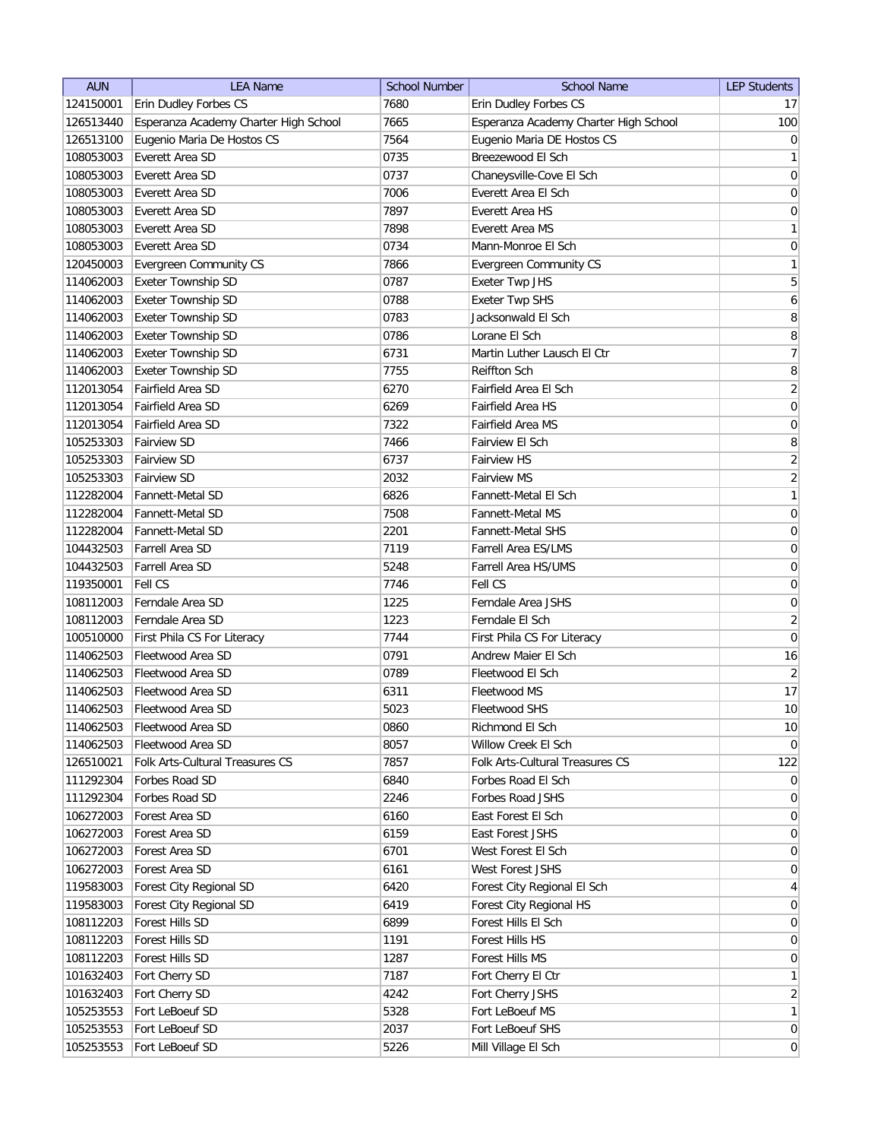| <b>AUN</b> | <b>LEA Name</b>                           | <b>School Number</b> | <b>School Name</b>                    | <b>LEP Students</b> |
|------------|-------------------------------------------|----------------------|---------------------------------------|---------------------|
| 124150001  | Erin Dudley Forbes CS                     | 7680                 | Erin Dudley Forbes CS                 | 17 <sup>1</sup>     |
| 126513440  | Esperanza Academy Charter High School     | 7665                 | Esperanza Academy Charter High School | 100                 |
| 126513100  | Eugenio Maria De Hostos CS                | 7564                 | Eugenio Maria DE Hostos CS            | $\overline{0}$      |
| 108053003  | Everett Area SD                           | 0735                 | Breezewood El Sch                     | $\mathbf{1}$        |
| 108053003  | Everett Area SD                           | 0737                 | Chaneysville-Cove El Sch              | 0                   |
| 108053003  | Everett Area SD                           | 7006                 | Everett Area El Sch                   | 0                   |
| 108053003  | Everett Area SD                           | 7897                 | <b>Everett Area HS</b>                | $\overline{0}$      |
| 108053003  | Everett Area SD                           | 7898                 | Everett Area MS                       | $\mathbf{1}$        |
| 108053003  | Everett Area SD                           | 0734                 | Mann-Monroe El Sch                    | 0                   |
| 120450003  | Evergreen Community CS                    | 7866                 | <b>Evergreen Community CS</b>         | $\mathbf{1}$        |
| 114062003  | Exeter Township SD                        | 0787                 | Exeter Twp JHS                        | 5                   |
| 114062003  | Exeter Township SD                        | 0788                 | <b>Exeter Twp SHS</b>                 | 6                   |
| 114062003  | Exeter Township SD                        | 0783                 | Jacksonwald El Sch                    | 8                   |
| 114062003  | Exeter Township SD                        | 0786                 | Lorane El Sch                         | 8                   |
| 114062003  | Exeter Township SD                        | 6731                 | Martin Luther Lausch El Ctr           | $\overline{7}$      |
| 114062003  | Exeter Township SD                        | 7755                 | Reiffton Sch                          | 8                   |
| 112013054  | Fairfield Area SD                         | 6270                 | Fairfield Area El Sch                 | $\overline{2}$      |
| 112013054  | Fairfield Area SD                         | 6269                 | Fairfield Area HS                     | 0                   |
| 112013054  | Fairfield Area SD                         | 7322                 | Fairfield Area MS                     | 0                   |
| 105253303  | <b>Fairview SD</b>                        | 7466                 | Fairview El Sch                       | 8                   |
| 105253303  | <b>Fairview SD</b>                        | 6737                 | Fairview HS                           | $\overline{2}$      |
| 105253303  | <b>Fairview SD</b>                        | 2032                 | <b>Fairview MS</b>                    | $\overline{2}$      |
| 112282004  | <b>Fannett-Metal SD</b>                   | 6826                 | Fannett-Metal El Sch                  | 1                   |
| 112282004  | <b>Fannett-Metal SD</b>                   | 7508                 | <b>Fannett-Metal MS</b>               | 0                   |
|            |                                           |                      |                                       |                     |
| 112282004  | <b>Fannett-Metal SD</b>                   | 2201                 | <b>Fannett-Metal SHS</b>              | $\boldsymbol{0}$    |
| 104432503  | <b>Farrell Area SD</b><br>Farrell Area SD | 7119                 | Farrell Area ES/LMS                   | $\boldsymbol{0}$    |
| 104432503  |                                           | 5248                 | Farrell Area HS/UMS                   | $\overline{0}$      |
| 119350001  | <b>Fell CS</b>                            | 7746                 | Fell CS                               | 0                   |
| 108112003  | Ferndale Area SD                          | 1225                 | Ferndale Area JSHS                    | $\boldsymbol{0}$    |
| 108112003  | Ferndale Area SD                          | 1223                 | Ferndale El Sch                       | $\overline{2}$      |
| 100510000  | First Phila CS For Literacy               | 7744                 | First Phila CS For Literacy           | $\mathbf 0$         |
| 114062503  | Fleetwood Area SD                         | 0791                 | Andrew Maier El Sch                   | 16                  |
| 114062503  | Fleetwood Area SD                         | 0789                 | Fleetwood El Sch                      | $\overline{2}$      |
| 114062503  | Fleetwood Area SD                         | 6311                 | Fleetwood MS                          | 17                  |
| 114062503  | Fleetwood Area SD                         | 5023                 | Fleetwood SHS                         | 10                  |
| 114062503  | Fleetwood Area SD                         | 0860                 | Richmond El Sch                       | 10                  |
| 114062503  | Fleetwood Area SD                         | 8057                 | Willow Creek El Sch                   | 0                   |
| 126510021  | Folk Arts-Cultural Treasures CS           | 7857                 | Folk Arts-Cultural Treasures CS       | 122                 |
| 111292304  | Forbes Road SD                            | 6840                 | Forbes Road El Sch                    | $\overline{0}$      |
| 111292304  | Forbes Road SD                            | 2246                 | Forbes Road JSHS                      | $\overline{0}$      |
| 106272003  | Forest Area SD                            | 6160                 | East Forest El Sch                    | $\overline{0}$      |
| 106272003  | Forest Area SD                            | 6159                 | East Forest JSHS                      | $\overline{0}$      |
| 106272003  | Forest Area SD                            | 6701                 | West Forest El Sch                    | 0                   |
| 106272003  | Forest Area SD                            | 6161                 | West Forest JSHS                      | 0                   |
| 119583003  | Forest City Regional SD                   | 6420                 | Forest City Regional El Sch           | 4                   |
| 119583003  | Forest City Regional SD                   | 6419                 | Forest City Regional HS               | $\overline{0}$      |
| 108112203  | Forest Hills SD                           | 6899                 | Forest Hills El Sch                   | $\overline{0}$      |
| 108112203  | Forest Hills SD                           | 1191                 | Forest Hills HS                       | $\overline{0}$      |
| 108112203  | Forest Hills SD                           | 1287                 | Forest Hills MS                       | 0                   |
| 101632403  | Fort Cherry SD                            | 7187                 | Fort Cherry El Ctr                    | $\mathbf{1}$        |
| 101632403  | Fort Cherry SD                            | 4242                 | Fort Cherry JSHS                      | $\overline{2}$      |
| 105253553  | Fort LeBoeuf SD                           | 5328                 | Fort LeBoeuf MS                       | 1                   |
| 105253553  | Fort LeBoeuf SD                           | 2037                 | Fort LeBoeuf SHS                      | $\overline{0}$      |
| 105253553  | Fort LeBoeuf SD                           | 5226                 | Mill Village El Sch                   | 0                   |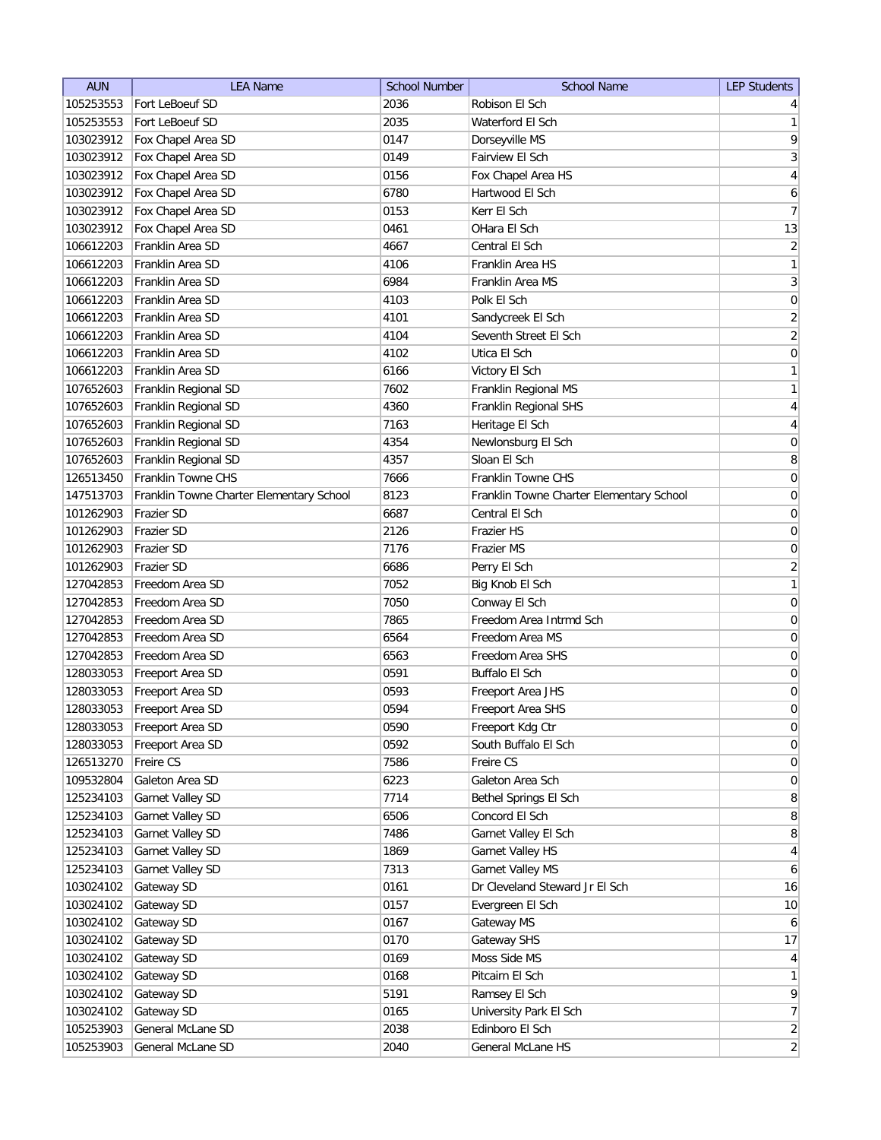| Fort LeBoeuf SD<br>2036<br>Robison El Sch<br>105253553                                                    | $\vert 4 \vert$     |
|-----------------------------------------------------------------------------------------------------------|---------------------|
| Fort LeBoeuf SD<br>2035<br>105253553<br>Waterford El Sch                                                  | $\mathbf{1}$        |
| Fox Chapel Area SD<br>103023912<br>0147<br>Dorseyville MS                                                 | 9                   |
| 103023912<br>Fox Chapel Area SD<br>0149<br>Fairview El Sch                                                | $\sqrt{3}$          |
| Fox Chapel Area SD<br>Fox Chapel Area HS<br>103023912<br>0156                                             | $\overline{4}$      |
| Fox Chapel Area SD<br>6780<br>Hartwood El Sch<br>103023912                                                | 6                   |
| Fox Chapel Area SD<br>0153<br>Kerr El Sch<br>103023912                                                    | $\overline{7}$      |
| Fox Chapel Area SD<br>103023912<br>0461<br>OHara El Sch                                                   | 13                  |
| Franklin Area SD<br>4667<br>106612203<br>Central El Sch                                                   | $\overline{2}$      |
| Franklin Area SD<br>4106<br>106612203<br>Franklin Area HS                                                 | $\mathbf{1}$        |
| Franklin Area SD<br>6984<br>106612203<br>Franklin Area MS                                                 | 3                   |
| 106612203<br>Franklin Area SD<br>Polk El Sch<br>4103                                                      | 0                   |
| Franklin Area SD<br>106612203<br>4101<br>Sandycreek El Sch                                                | $\overline{2}$      |
| Franklin Area SD<br>106612203<br>4104<br>Seventh Street El Sch                                            | $\overline{2}$      |
| Franklin Area SD<br>106612203<br>4102<br>Utica El Sch                                                     | 0                   |
| 106612203<br>Franklin Area SD<br>6166<br>Victory El Sch                                                   | $\mathbf{1}$        |
| 107652603<br>Franklin Regional SD<br>7602<br>Franklin Regional MS                                         | $\mathbf{1}$        |
| 107652603<br>Franklin Regional SD<br>4360<br>Franklin Regional SHS                                        | $\overline{4}$      |
| Heritage El Sch<br>107652603<br>Franklin Regional SD<br>7163                                              | $\overline{4}$      |
| 4354<br>107652603<br>Franklin Regional SD<br>Newlonsburg El Sch                                           | $\mathsf{O}\xspace$ |
| 4357<br>Sloan El Sch<br>107652603<br>Franklin Regional SD                                                 | 8                   |
| Franklin Towne CHS<br>Franklin Towne CHS<br>7666<br>126513450                                             | $\boldsymbol{0}$    |
| 8123<br>147513703<br>Franklin Towne Charter Elementary School<br>Franklin Towne Charter Elementary School | $\boldsymbol{0}$    |
| Central El Sch<br>Frazier SD<br>6687<br>101262903                                                         | $\boldsymbol{0}$    |
| 101262903<br>Frazier SD<br>2126<br><b>Frazier HS</b>                                                      | $\boldsymbol{0}$    |
| 7176<br>101262903<br><b>Frazier SD</b><br>Frazier MS                                                      | 0                   |
| 101262903<br><b>Frazier SD</b><br>6686<br>Perry El Sch                                                    | $\sqrt{2}$          |
| Freedom Area SD<br>7052<br>127042853<br>Big Knob El Sch                                                   | $\mathbf{1}$        |
| 127042853<br>Freedom Area SD<br>7050<br>Conway El Sch                                                     | 0                   |
| Freedom Area SD<br>Freedom Area Intrmd Sch<br>127042853<br>7865                                           | 0                   |
| Freedom Area SD<br>Freedom Area MS<br>127042853<br>6564                                                   | 0                   |
| Freedom Area SD<br>127042853<br>6563<br>Freedom Area SHS                                                  | 0                   |
| 128033053<br>Freeport Area SD<br>0591<br>Buffalo El Sch                                                   | $\boldsymbol{0}$    |
| 128033053<br>Freeport Area SD<br>0593<br>Freeport Area JHS                                                | $\boldsymbol{0}$    |
| 128033053<br>0594<br>Freeport Area SD<br>Freeport Area SHS                                                | 0                   |
| 128033053<br>Freeport Area SD<br>0590<br>Freeport Kdg Ctr                                                 | $\mathsf{O}\xspace$ |
| South Buffalo El Sch<br>128033053<br>Freeport Area SD<br>0592                                             | $\boldsymbol{0}$    |
| Freire CS<br>Freire CS<br>126513270<br>7586                                                               | $\boldsymbol{0}$    |
| 109532804<br>Galeton Area SD<br>6223<br>Galeton Area Sch                                                  | $\boldsymbol{0}$    |
| 125234103<br>Garnet Valley SD<br>7714<br>Bethel Springs El Sch                                            | $\bf 8$             |
| Concord El Sch<br>125234103<br>Garnet Valley SD<br>6506                                                   | $\,8\,$             |
| Garnet Valley SD<br>Garnet Valley El Sch<br>125234103<br>7486                                             | $\,8\,$             |
| 125234103<br>Garnet Valley SD<br>Garnet Valley HS<br>1869                                                 | $\overline{4}$      |
| 125234103<br>Garnet Valley SD<br>Garnet Valley MS<br>7313                                                 | $\boldsymbol{6}$    |
| Gateway SD<br>Dr Cleveland Steward Jr El Sch<br>103024102<br>0161                                         | 16                  |
| Gateway SD<br>Evergreen El Sch<br>103024102<br>0157                                                       | 10                  |
| Gateway SD<br>103024102<br>0167<br>Gateway MS                                                             | 6                   |
| Gateway SD<br>0170<br>Gateway SHS<br>103024102                                                            | 17                  |
| Moss Side MS<br>103024102<br>Gateway SD<br>0169                                                           | $\overline{4}$      |
| Pitcairn El Sch<br>103024102<br>Gateway SD<br>0168                                                        | $\mathbf{1}$        |
| Gateway SD<br>5191<br>Ramsey El Sch<br>103024102                                                          | 9                   |
| University Park El Sch<br>103024102<br>Gateway SD<br>0165                                                 | $\overline{7}$      |
| General McLane SD<br>Edinboro El Sch<br>105253903<br>2038                                                 | $\overline{2}$      |
| General McLane SD<br>105253903<br>2040<br>General McLane HS                                               | $\overline{2}$      |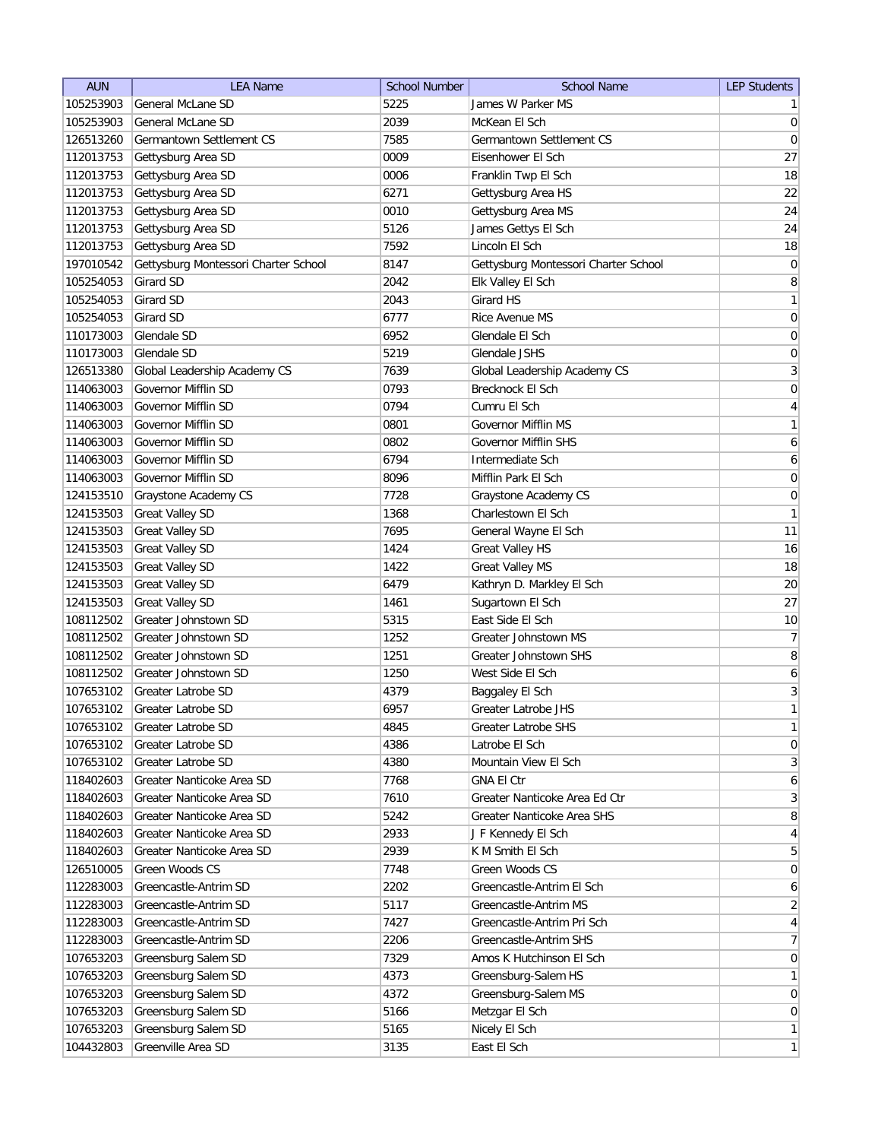| <b>AUN</b> | <b>LEA Name</b>                      | <b>School Number</b> | <b>School Name</b>                   | <b>LEP Students</b> |
|------------|--------------------------------------|----------------------|--------------------------------------|---------------------|
| 105253903  | General McLane SD                    | 5225                 | James W Parker MS                    | $\mathbf{1}$        |
| 105253903  | <b>General McLane SD</b>             | 2039                 | McKean El Sch                        | $\overline{0}$      |
| 126513260  | Germantown Settlement CS             | 7585                 | Germantown Settlement CS             | $\pmb{0}$           |
| 112013753  | Gettysburg Area SD                   | 0009                 | Eisenhower El Sch                    | 27                  |
| 112013753  | Gettysburg Area SD                   | 0006                 | Franklin Twp El Sch                  | 18                  |
| 112013753  | Gettysburg Area SD                   | 6271                 | Gettysburg Area HS                   | 22                  |
| 112013753  | Gettysburg Area SD                   | 0010                 | Gettysburg Area MS                   | 24                  |
| 112013753  | Gettysburg Area SD                   | 5126                 | James Gettys El Sch                  | 24                  |
| 112013753  | Gettysburg Area SD                   | 7592                 | Lincoln El Sch                       | 18                  |
| 197010542  | Gettysburg Montessori Charter School | 8147                 | Gettysburg Montessori Charter School | $\pmb{0}$           |
| 105254053  | Girard SD                            | 2042                 | Elk Valley El Sch                    | 8                   |
| 105254053  | Girard SD                            | 2043                 | Girard HS                            | $\mathbf{1}$        |
| 105254053  | Girard SD                            | 6777                 | Rice Avenue MS                       | 0                   |
| 110173003  | Glendale SD                          | 6952                 | Glendale El Sch                      | 0                   |
| 110173003  | Glendale SD                          | 5219                 | Glendale JSHS                        | 0                   |
| 126513380  | Global Leadership Academy CS         | 7639                 | Global Leadership Academy CS         | $\mathbf{3}$        |
| 114063003  | Governor Mifflin SD                  | 0793                 | Brecknock El Sch                     | $\boldsymbol{0}$    |
| 114063003  | Governor Mifflin SD                  | 0794                 | Cumru El Sch                         | $\overline{4}$      |
|            |                                      |                      | <b>Governor Mifflin MS</b>           | $\mathbf{1}$        |
| 114063003  | Governor Mifflin SD                  | 0801                 |                                      |                     |
| 114063003  | Governor Mifflin SD                  | 0802                 | Governor Mifflin SHS                 | $\boldsymbol{6}$    |
| 114063003  | Governor Mifflin SD                  | 6794                 | Intermediate Sch                     | 6                   |
| 114063003  | Governor Mifflin SD                  | 8096                 | Mifflin Park El Sch                  | 0                   |
| 124153510  | Graystone Academy CS                 | 7728                 | Graystone Academy CS                 | 0                   |
| 124153503  | <b>Great Valley SD</b>               | 1368                 | Charlestown El Sch                   | $\mathbf{1}$        |
| 124153503  | <b>Great Valley SD</b>               | 7695                 | General Wayne El Sch                 | 11                  |
| 124153503  | <b>Great Valley SD</b>               | 1424                 | <b>Great Valley HS</b>               | 16                  |
| 124153503  | <b>Great Valley SD</b>               | 1422                 | <b>Great Valley MS</b>               | 18                  |
| 124153503  | <b>Great Valley SD</b>               | 6479                 | Kathryn D. Markley El Sch            | 20                  |
| 124153503  | <b>Great Valley SD</b>               | 1461                 | Sugartown El Sch                     | 27                  |
| 108112502  | Greater Johnstown SD                 | 5315                 | East Side El Sch                     | 10                  |
| 108112502  | Greater Johnstown SD                 | 1252                 | Greater Johnstown MS                 | $\overline{7}$      |
| 108112502  | Greater Johnstown SD                 | 1251                 | Greater Johnstown SHS                | 8                   |
| 108112502  | Greater Johnstown SD                 | 1250                 | West Side El Sch                     | $\boldsymbol{6}$    |
| 107653102  | <b>Greater Latrobe SD</b>            | 4379                 | Baggaley El Sch                      | $\sqrt{3}$          |
| 107653102  | Greater Latrobe SD                   | 6957                 | Greater Latrobe JHS                  | $\mathbf{1}$        |
| 107653102  | Greater Latrobe SD                   | 4845                 | Greater Latrobe SHS                  | $\mathbf{1}$        |
| 107653102  | Greater Latrobe SD                   | 4386                 | Latrobe El Sch                       | $\boldsymbol{0}$    |
| 107653102  | Greater Latrobe SD                   | 4380                 | Mountain View El Sch                 | $\mathbf{3}$        |
| 118402603  | Greater Nanticoke Area SD            | 7768                 | <b>GNA El Ctr</b>                    | $\boldsymbol{6}$    |
| 118402603  | Greater Nanticoke Area SD            | 7610                 | Greater Nanticoke Area Ed Ctr        | $\mathbf{3}$        |
| 118402603  | Greater Nanticoke Area SD            | 5242                 | Greater Nanticoke Area SHS           | $\,8\,$             |
| 118402603  | Greater Nanticoke Area SD            | 2933                 | J F Kennedy El Sch                   | $\overline{4}$      |
| 118402603  | Greater Nanticoke Area SD            | 2939                 | K M Smith El Sch                     | $\sqrt{5}$          |
| 126510005  | Green Woods CS                       | 7748                 | Green Woods CS                       | $\overline{0}$      |
| 112283003  | Greencastle-Antrim SD                | 2202                 | Greencastle-Antrim El Sch            | 6                   |
| 112283003  | Greencastle-Antrim SD                | 5117                 | Greencastle-Antrim MS                | $\overline{2}$      |
| 112283003  | Greencastle-Antrim SD                | 7427                 | Greencastle-Antrim Pri Sch           | $\overline{4}$      |
| 112283003  | Greencastle-Antrim SD                | 2206                 | Greencastle-Antrim SHS               | $\overline{7}$      |
| 107653203  | Greensburg Salem SD                  | 7329                 | Amos K Hutchinson El Sch             | $\overline{0}$      |
| 107653203  | Greensburg Salem SD                  | 4373                 | Greensburg-Salem HS                  | $\mathbf{1}$        |
| 107653203  | Greensburg Salem SD                  | 4372                 | Greensburg-Salem MS                  | $\overline{0}$      |
| 107653203  | Greensburg Salem SD                  | 5166                 | Metzgar El Sch                       | $\overline{0}$      |
| 107653203  | Greensburg Salem SD                  | 5165                 | Nicely El Sch                        | $\mathbf{1}$        |
| 104432803  | Greenville Area SD                   | 3135                 | East El Sch                          | $\mathbf{1}$        |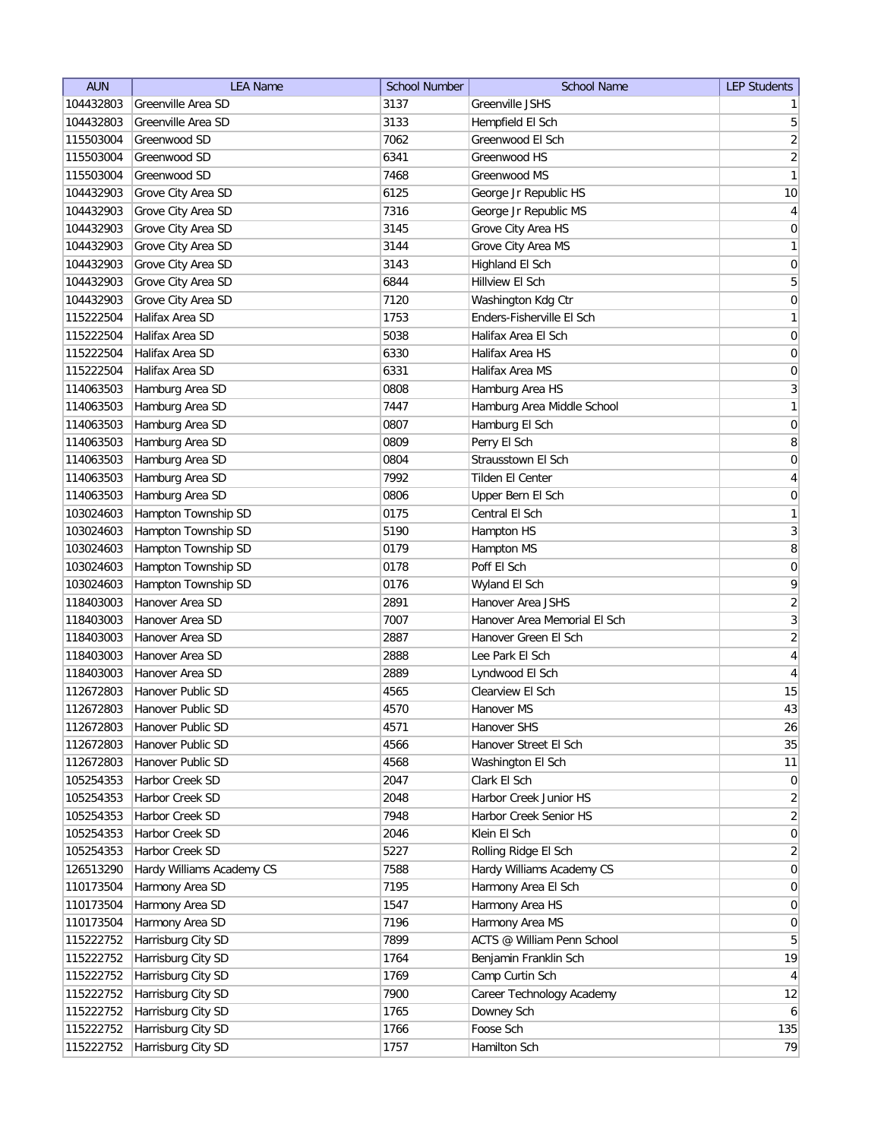| <b>AUN</b> | <b>LEA Name</b>           | <b>School Number</b> | <b>School Name</b>           | <b>LEP Students</b> |
|------------|---------------------------|----------------------|------------------------------|---------------------|
| 104432803  | Greenville Area SD        | 3137                 | Greenville JSHS              | $\mathbf{1}$        |
| 104432803  | Greenville Area SD        | 3133                 | Hempfield El Sch             | $\mathbf 5$         |
| 115503004  | Greenwood SD              | 7062                 | Greenwood El Sch             | $\sqrt{2}$          |
| 115503004  | Greenwood SD              | 6341                 | Greenwood HS                 | $\overline{2}$      |
| 115503004  | Greenwood SD              | 7468                 | Greenwood MS                 | $\mathbf{1}$        |
| 104432903  | Grove City Area SD        | 6125                 | George Jr Republic HS        | 10                  |
| 104432903  | Grove City Area SD        | 7316                 | George Jr Republic MS        | $\overline{4}$      |
| 104432903  | Grove City Area SD        | 3145                 | Grove City Area HS           | $\boldsymbol{0}$    |
| 104432903  | Grove City Area SD        | 3144                 | Grove City Area MS           | $\mathbf{1}$        |
| 104432903  | Grove City Area SD        | 3143                 | Highland El Sch              | $\boldsymbol{0}$    |
| 104432903  | Grove City Area SD        | 6844                 | Hillview El Sch              | 5                   |
| 104432903  | Grove City Area SD        | 7120                 | Washington Kdg Ctr           | 0                   |
| 115222504  | Halifax Area SD           | 1753                 | Enders-Fisherville El Sch    | $\mathbf{1}$        |
| 115222504  | Halifax Area SD           | 5038                 | Halifax Area El Sch          | 0                   |
| 115222504  | Halifax Area SD           | 6330                 | Halifax Area HS              | 0                   |
| 115222504  | Halifax Area SD           | 6331                 | Halifax Area MS              | 0                   |
| 114063503  | Hamburg Area SD           | 0808                 | Hamburg Area HS              | $\mathbf{3}$        |
| 114063503  | Hamburg Area SD           | 7447                 | Hamburg Area Middle School   | $\mathbf{1}$        |
| 114063503  | Hamburg Area SD           | 0807                 | Hamburg El Sch               | $\mathsf{O}\xspace$ |
| 114063503  | Hamburg Area SD           | 0809                 | Perry El Sch                 | $\bf 8$             |
| 114063503  | Hamburg Area SD           | 0804                 | Strausstown El Sch           | $\mathsf{O}\xspace$ |
| 114063503  | Hamburg Area SD           | 7992                 | <b>Tilden El Center</b>      | $\overline{4}$      |
| 114063503  | Hamburg Area SD           | 0806                 | Upper Bern El Sch            | $\boldsymbol{0}$    |
| 103024603  | Hampton Township SD       | 0175                 | Central El Sch               | $\mathbf{1}$        |
| 103024603  | Hampton Township SD       | 5190                 | Hampton HS                   | $\sqrt{3}$          |
| 103024603  | Hampton Township SD       | 0179                 | Hampton MS                   | $\bf 8$             |
| 103024603  | Hampton Township SD       | 0178                 | Poff El Sch                  | 0                   |
| 103024603  | Hampton Township SD       | 0176                 | Wyland El Sch                | 9                   |
| 118403003  | Hanover Area SD           | 2891                 | Hanover Area JSHS            | $\sqrt{2}$          |
| 118403003  | Hanover Area SD           | 7007                 | Hanover Area Memorial El Sch | 3                   |
| 118403003  | Hanover Area SD           | 2887                 | Hanover Green El Sch         | $\overline{2}$      |
| 118403003  | Hanover Area SD           | 2888                 | Lee Park El Sch              | $\overline{4}$      |
| 118403003  | Hanover Area SD           | 2889                 | Lyndwood El Sch              | $\overline{4}$      |
| 112672803  | Hanover Public SD         | 4565                 | Clearview El Sch             | 15                  |
| 112672803  | Hanover Public SD         | 4570                 | Hanover MS                   | 43                  |
| 112672803  | Hanover Public SD         | 4571                 | Hanover SHS                  | 26                  |
| 112672803  | Hanover Public SD         | 4566                 | Hanover Street El Sch        | 35                  |
| 112672803  | Hanover Public SD         | 4568                 | Washington El Sch            | 11                  |
| 105254353  | Harbor Creek SD           | 2047                 | Clark El Sch                 | $\boldsymbol{0}$    |
| 105254353  | Harbor Creek SD           | 2048                 | Harbor Creek Junior HS       | $\overline{2}$      |
| 105254353  | Harbor Creek SD           | 7948                 | Harbor Creek Senior HS       | $\overline{2}$      |
| 105254353  | Harbor Creek SD           | 2046                 | Klein El Sch                 | $\boldsymbol{0}$    |
| 105254353  | Harbor Creek SD           | 5227                 | Rolling Ridge El Sch         | $\overline{2}$      |
| 126513290  | Hardy Williams Academy CS | 7588                 | Hardy Williams Academy CS    | $\boldsymbol{0}$    |
| 110173504  | Harmony Area SD           | 7195                 | Harmony Area El Sch          | 0                   |
| 110173504  | Harmony Area SD           | 1547                 | Harmony Area HS              | 0                   |
| 110173504  | Harmony Area SD           | 7196                 | Harmony Area MS              | 0                   |
| 115222752  | Harrisburg City SD        | 7899                 | ACTS @ William Penn School   | $5\overline{)}$     |
| 115222752  | Harrisburg City SD        | 1764                 | Benjamin Franklin Sch        | 19                  |
| 115222752  | Harrisburg City SD        | 1769                 | Camp Curtin Sch              | $\overline{4}$      |
| 115222752  | Harrisburg City SD        | 7900                 | Career Technology Academy    | 12                  |
| 115222752  | Harrisburg City SD        | 1765                 | Downey Sch                   | 6                   |
| 115222752  | Harrisburg City SD        | 1766                 | Foose Sch                    | 135                 |
| 115222752  | Harrisburg City SD        | 1757                 | Hamilton Sch                 | 79                  |
|            |                           |                      |                              |                     |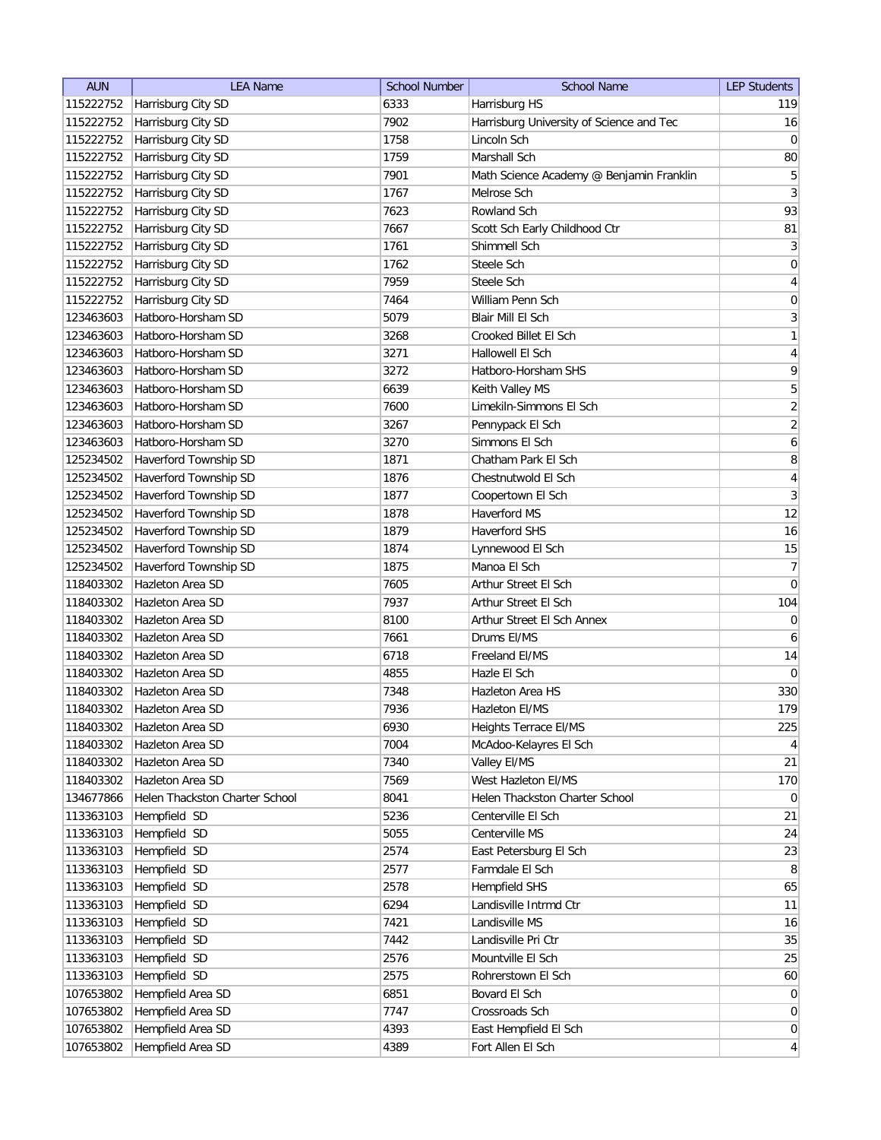| <b>AUN</b> | <b>LEA Name</b>                | <b>School Number</b> | <b>School Name</b>                       | <b>LEP Students</b>     |
|------------|--------------------------------|----------------------|------------------------------------------|-------------------------|
| 115222752  | Harrisburg City SD             | 6333                 | Harrisburg HS                            | 119                     |
| 115222752  | Harrisburg City SD             | 7902                 | Harrisburg University of Science and Tec | 16                      |
| 115222752  | Harrisburg City SD             | 1758                 | Lincoln Sch                              | 0                       |
| 115222752  | Harrisburg City SD             | 1759                 | Marshall Sch                             | 80                      |
| 115222752  | Harrisburg City SD             | 7901                 | Math Science Academy @ Benjamin Franklin | 5                       |
| 115222752  | Harrisburg City SD             | 1767                 | Melrose Sch                              | $\mathbf{3}$            |
| 115222752  | Harrisburg City SD             | 7623                 | Rowland Sch                              | 93                      |
| 115222752  | Harrisburg City SD             | 7667                 | Scott Sch Early Childhood Ctr            | 81                      |
| 115222752  | Harrisburg City SD             | 1761                 | Shimmell Sch                             | $\overline{3}$          |
| 115222752  | Harrisburg City SD             | 1762                 | Steele Sch                               | $\boldsymbol{0}$        |
|            | 115222752 Harrisburg City SD   | 7959                 | Steele Sch                               | 4                       |
| 115222752  | Harrisburg City SD             | 7464                 | William Penn Sch                         | $\boldsymbol{0}$        |
| 123463603  | Hatboro-Horsham SD             | 5079                 | Blair Mill El Sch                        | $\overline{3}$          |
| 123463603  | Hatboro-Horsham SD             | 3268                 | Crooked Billet El Sch                    | 1                       |
| 123463603  | Hatboro-Horsham SD             | 3271                 | Hallowell El Sch                         | 4                       |
| 123463603  | Hatboro-Horsham SD             | 3272                 | Hatboro-Horsham SHS                      | 9                       |
| 123463603  | Hatboro-Horsham SD             | 6639                 | Keith Valley MS                          | 5                       |
| 123463603  | Hatboro-Horsham SD             | 7600                 | Limekiln-Simmons El Sch                  | $\overline{2}$          |
| 123463603  | Hatboro-Horsham SD             | 3267                 | Pennypack El Sch                         | $\overline{2}$          |
| 123463603  | Hatboro-Horsham SD             | 3270                 | Simmons El Sch                           | $\overline{6}$          |
| 125234502  | Haverford Township SD          | 1871                 | Chatham Park El Sch                      | 8                       |
| 125234502  | Haverford Township SD          | 1876                 | Chestnutwold El Sch                      | $\overline{\mathbf{4}}$ |
| 125234502  | Haverford Township SD          | 1877                 | Coopertown El Sch                        | $\overline{3}$          |
| 125234502  | Haverford Township SD          | 1878                 | Haverford MS                             | 12                      |
| 125234502  | Haverford Township SD          | 1879                 | <b>Haverford SHS</b>                     | 16                      |
| 125234502  | Haverford Township SD          | 1874                 | Lynnewood El Sch                         | 15                      |
| 125234502  | Haverford Township SD          | 1875                 | Manoa El Sch                             | 7                       |
| 118403302  | Hazleton Area SD               | 7605                 | Arthur Street El Sch                     | 0                       |
| 118403302  | Hazleton Area SD               | 7937                 | Arthur Street El Sch                     | 104                     |
| 118403302  | Hazleton Area SD               | 8100                 | Arthur Street El Sch Annex               | 0                       |
| 118403302  | Hazleton Area SD               | 7661                 | Drums EI/MS                              | 6                       |
| 118403302  | Hazleton Area SD               | 6718                 | Freeland EI/MS                           | 14                      |
| 118403302  | <b>Hazleton Area SD</b>        | 4855                 | Hazle El Sch                             | 0                       |
| 118403302  | Hazleton Area SD               | 7348                 | Hazleton Area HS                         | 330                     |
| 118403302  | <b>Hazleton Area SD</b>        | 7936                 | Hazleton El/MS                           | 179                     |
| 118403302  | Hazleton Area SD               | 6930                 | Heights Terrace EI/MS                    | 225                     |
| 118403302  | Hazleton Area SD               | 7004                 | McAdoo-Kelayres El Sch                   | $\vert 4 \vert$         |
| 118403302  | Hazleton Area SD               | 7340                 | Valley EI/MS                             | 21                      |
| 118403302  | Hazleton Area SD               | 7569                 | West Hazleton El/MS                      | 170                     |
| 134677866  | Helen Thackston Charter School | 8041                 | Helen Thackston Charter School           | $\overline{0}$          |
| 113363103  | Hempfield SD                   | 5236                 | Centerville El Sch                       | 21                      |
| 113363103  | Hempfield SD                   | 5055                 | Centerville MS                           | 24                      |
| 113363103  | Hempfield SD                   | 2574                 | East Petersburg El Sch                   | 23                      |
| 113363103  | Hempfield SD                   | 2577                 | Farmdale El Sch                          | 8                       |
| 113363103  | Hempfield SD                   | 2578                 | Hempfield SHS                            | 65                      |
| 113363103  | Hempfield SD                   | 6294                 | Landisville Intrmd Ctr                   | 11                      |
| 113363103  | Hempfield SD                   | 7421                 | Landisville MS                           | 16                      |
| 113363103  | Hempfield SD                   | 7442                 | Landisville Pri Ctr                      | 35                      |
| 113363103  | Hempfield SD                   | 2576                 | Mountville El Sch                        | 25                      |
| 113363103  | Hempfield SD                   | 2575                 | Rohrerstown El Sch                       | 60                      |
| 107653802  | Hempfield Area SD              | 6851                 | Bovard El Sch                            | $\overline{0}$          |
| 107653802  | Hempfield Area SD              | 7747                 | Crossroads Sch                           | $\overline{0}$          |
| 107653802  | Hempfield Area SD              | 4393                 | East Hempfield El Sch                    | $\overline{0}$          |
| 107653802  | Hempfield Area SD              | 4389                 | Fort Allen El Sch                        | $\vert 4 \vert$         |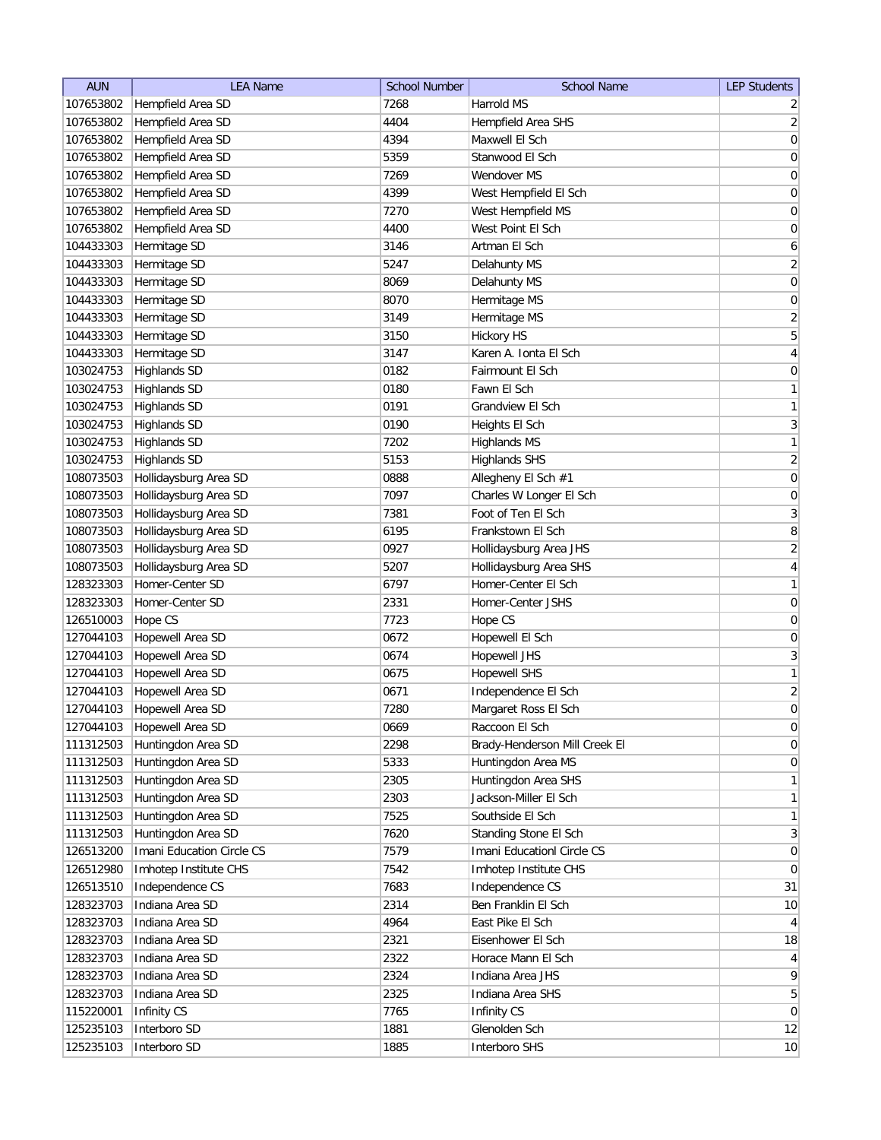| <b>AUN</b> | <b>LEA Name</b>           | <b>School Number</b> | <b>School Name</b>            | <b>LEP Students</b>       |
|------------|---------------------------|----------------------|-------------------------------|---------------------------|
| 107653802  | Hempfield Area SD         | 7268                 | Harrold MS                    | $\overline{2}$            |
| 107653802  | Hempfield Area SD         | 4404                 | Hempfield Area SHS            | $\mathbf{2}$              |
| 107653802  | Hempfield Area SD         | 4394                 | Maxwell El Sch                | $\boldsymbol{0}$          |
| 107653802  | Hempfield Area SD         | 5359                 | Stanwood El Sch               | $\boldsymbol{0}$          |
| 107653802  | Hempfield Area SD         | 7269                 | Wendover MS                   | $\boldsymbol{0}$          |
| 107653802  | Hempfield Area SD         | 4399                 | West Hempfield El Sch         | $\boldsymbol{0}$          |
| 107653802  | Hempfield Area SD         | 7270                 | West Hempfield MS             | $\boldsymbol{0}$          |
| 107653802  | Hempfield Area SD         | 4400                 | West Point El Sch             | $\boldsymbol{0}$          |
| 104433303  | Hermitage SD              | 3146                 | Artman El Sch                 | $\boldsymbol{6}$          |
| 104433303  | Hermitage SD              | 5247                 | Delahunty MS                  | $\mathbf{2}$              |
| 104433303  | Hermitage SD              | 8069                 | Delahunty MS                  | 0                         |
| 104433303  | Hermitage SD              | 8070                 | Hermitage MS                  | 0                         |
| 104433303  | Hermitage SD              | 3149                 | Hermitage MS                  | $\overline{2}$            |
| 104433303  | Hermitage SD              | 3150                 | <b>Hickory HS</b>             | $\overline{5}$            |
| 104433303  | Hermitage SD              | 3147                 | Karen A. Ionta El Sch         | $\overline{4}$            |
| 103024753  | <b>Highlands SD</b>       | 0182                 | Fairmount El Sch              | $\overline{0}$            |
| 103024753  | <b>Highlands SD</b>       | 0180                 | Fawn El Sch                   | $\mathbf{1}$              |
| 103024753  | <b>Highlands SD</b>       | 0191                 | Grandview El Sch              | $\mathbf{1}$              |
| 103024753  | <b>Highlands SD</b>       | 0190                 | Heights El Sch                | $\overline{3}$            |
| 103024753  | <b>Highlands SD</b>       | 7202                 | <b>Highlands MS</b>           | $\mathbf{1}$              |
| 103024753  | <b>Highlands SD</b>       | 5153                 | <b>Highlands SHS</b>          | $\overline{2}$            |
| 108073503  | Hollidaysburg Area SD     | 0888                 | Allegheny El Sch #1           | $\boldsymbol{0}$          |
| 108073503  | Hollidaysburg Area SD     | 7097                 | Charles W Longer El Sch       | $\pmb{0}$                 |
| 108073503  | Hollidaysburg Area SD     | 7381                 | Foot of Ten El Sch            | $\ensuremath{\mathsf{3}}$ |
| 108073503  | Hollidaysburg Area SD     | 6195                 | Frankstown El Sch             | $\bf 8$                   |
| 108073503  | Hollidaysburg Area SD     | 0927                 | Hollidaysburg Area JHS        | $\overline{2}$            |
| 108073503  | Hollidaysburg Area SD     | 5207                 | Hollidaysburg Area SHS        | $\overline{4}$            |
| 128323303  | Homer-Center SD           | 6797                 | Homer-Center El Sch           | $\mathbf{1}$              |
| 128323303  | Homer-Center SD           | 2331                 | Homer-Center JSHS             |                           |
|            |                           |                      |                               | 0                         |
| 126510003  | Hope CS                   | 7723                 | Hope CS                       | 0                         |
| 127044103  | Hopewell Area SD          | 0672                 | Hopewell El Sch               | 0                         |
| 127044103  | Hopewell Area SD          | 0674                 | <b>Hopewell JHS</b>           | $\mathbf{3}$              |
| 127044103  | Hopewell Area SD          | 0675                 | <b>Hopewell SHS</b>           | $\mathbf{1}$              |
| 127044103  | Hopewell Area SD          | 0671                 | Independence El Sch           | $\sqrt{2}$                |
| 127044103  | Hopewell Area SD          | 7280                 | Margaret Ross El Sch          | $\overline{0}$            |
| 127044103  | Hopewell Area SD          | 0669                 | Raccoon El Sch                | $\mathsf{O}\xspace$       |
| 111312503  | Huntingdon Area SD        | 2298                 | Brady-Henderson Mill Creek El | $\mathsf{O}\xspace$       |
| 111312503  | Huntingdon Area SD        | 5333                 | Huntingdon Area MS            | $\boldsymbol{0}$          |
| 111312503  | Huntingdon Area SD        | 2305                 | Huntingdon Area SHS           | $\mathbf{1}$              |
| 111312503  | Huntingdon Area SD        | 2303                 | Jackson-Miller El Sch         | $\mathbf{1}$              |
| 111312503  | Huntingdon Area SD        | 7525                 | Southside El Sch              | $\mathbf{1}$              |
| 111312503  | Huntingdon Area SD        | 7620                 | Standing Stone El Sch         | $\mathbf{3}$              |
| 126513200  | Imani Education Circle CS | 7579                 | Imani EducationI Circle CS    | $\boldsymbol{0}$          |
| 126512980  | Imhotep Institute CHS     | 7542                 | Imhotep Institute CHS         | $\overline{0}$            |
| 126513510  | Independence CS           | 7683                 | Independence CS               | 31                        |
| 128323703  | Indiana Area SD           | 2314                 | Ben Franklin El Sch           | 10                        |
| 128323703  | Indiana Area SD           | 4964                 | East Pike El Sch              | $\overline{4}$            |
| 128323703  | Indiana Area SD           | 2321                 | Eisenhower El Sch             | 18                        |
| 128323703  | Indiana Area SD           | 2322                 | Horace Mann El Sch            | $\overline{4}$            |
| 128323703  | Indiana Area SD           | 2324                 | Indiana Area JHS              | $\mathsf q$               |
| 128323703  | Indiana Area SD           | 2325                 | Indiana Area SHS              | $\overline{5}$            |
| 115220001  | Infinity CS               | 7765                 | Infinity CS                   | $\pmb{0}$                 |
| 125235103  | Interboro SD              | 1881                 | Glenolden Sch                 | 12                        |
| 125235103  | Interboro SD              | 1885                 | Interboro SHS                 | 10                        |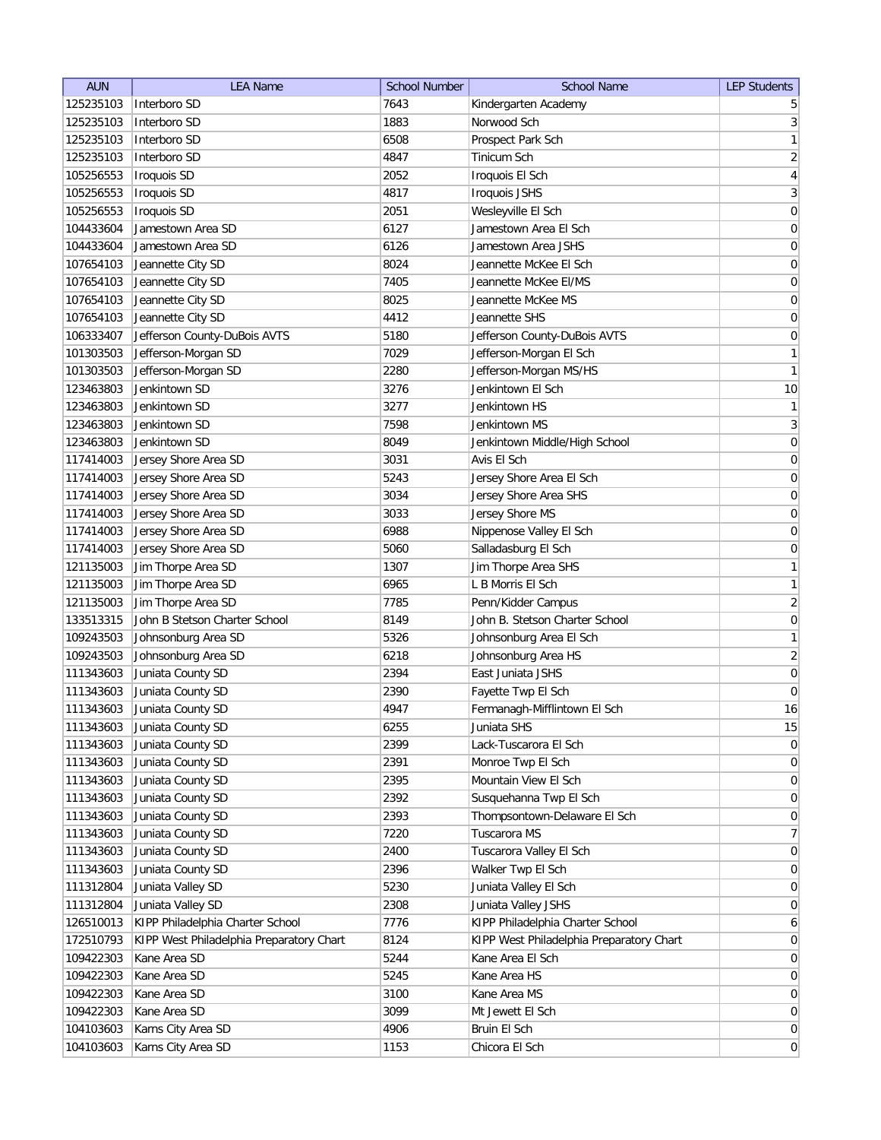| <b>AUN</b> | <b>LEA Name</b>                              | <b>School Number</b> | <b>School Name</b>                       | <b>LEP Students</b>                  |
|------------|----------------------------------------------|----------------------|------------------------------------------|--------------------------------------|
| 125235103  | Interboro SD                                 | 7643                 | Kindergarten Academy                     | 5                                    |
| 125235103  | Interboro SD                                 | 1883                 | Norwood Sch                              | 3                                    |
| 125235103  | Interboro SD                                 | 6508                 | Prospect Park Sch                        | $\mathbf{1}$                         |
| 125235103  | Interboro SD                                 | 4847                 | Tinicum Sch                              | $\overline{2}$                       |
| 105256553  | <b>Iroquois SD</b>                           | 2052                 | Iroquois El Sch                          | $\overline{4}$                       |
| 105256553  | Iroquois SD                                  | 4817                 | <b>Iroquois JSHS</b>                     | $\overline{3}$                       |
| 105256553  | Iroquois SD                                  | 2051                 | Wesleyville El Sch                       | $\boldsymbol{0}$                     |
| 104433604  | Jamestown Area SD                            | 6127                 | Jamestown Area El Sch                    | $\boldsymbol{0}$                     |
| 104433604  | Jamestown Area SD                            | 6126                 | Jamestown Area JSHS                      | $\boldsymbol{0}$                     |
| 107654103  | Jeannette City SD                            | 8024                 | Jeannette McKee El Sch                   | $\boldsymbol{0}$                     |
| 107654103  | Jeannette City SD                            | 7405                 | Jeannette McKee El/MS                    | 0                                    |
| 107654103  | Jeannette City SD                            | 8025                 | Jeannette McKee MS                       | 0                                    |
| 107654103  | Jeannette City SD                            | 4412                 | Jeannette SHS                            | 0                                    |
| 106333407  | Jefferson County-DuBois AVTS                 | 5180                 | Jefferson County-DuBois AVTS             | 0                                    |
| 101303503  | Jefferson-Morgan SD                          | 7029                 | Jefferson-Morgan El Sch                  | $\mathbf{1}$                         |
| 101303503  | Jefferson-Morgan SD                          | 2280                 | Jefferson-Morgan MS/HS                   | $\mathbf{1}$                         |
| 123463803  | Jenkintown SD                                | 3276                 | Jenkintown El Sch                        | $10$                                 |
| 123463803  | Jenkintown SD                                | 3277                 | Jenkintown HS                            | 1                                    |
| 123463803  | Jenkintown SD                                | 7598                 | Jenkintown MS                            | $\overline{3}$                       |
| 123463803  | Jenkintown SD                                | 8049                 | Jenkintown Middle/High School            | 0                                    |
| 117414003  | Jersey Shore Area SD                         | 3031                 | Avis El Sch                              | 0                                    |
| 117414003  |                                              | 5243                 | Jersey Shore Area El Sch                 |                                      |
| 117414003  | Jersey Shore Area SD<br>Jersey Shore Area SD | 3034                 | Jersey Shore Area SHS                    | $\boldsymbol{0}$<br>$\boldsymbol{0}$ |
| 117414003  |                                              | 3033                 | Jersey Shore MS                          |                                      |
|            | Jersey Shore Area SD                         |                      |                                          | $\boldsymbol{0}$                     |
| 117414003  | Jersey Shore Area SD                         | 6988                 | Nippenose Valley El Sch                  | $\boldsymbol{0}$                     |
| 117414003  | Jersey Shore Area SD                         | 5060                 | Salladasburg El Sch                      | $\boldsymbol{0}$                     |
| 121135003  | Jim Thorpe Area SD                           | 1307                 | Jim Thorpe Area SHS                      | $\mathbf{1}$                         |
| 121135003  | Jim Thorpe Area SD                           | 6965                 | L B Morris El Sch                        | 1                                    |
| 121135003  | Jim Thorpe Area SD                           | 7785                 | Penn/Kidder Campus                       | $\overline{2}$                       |
| 133513315  | John B Stetson Charter School                | 8149                 | John B. Stetson Charter School           | $\boldsymbol{0}$                     |
| 109243503  | Johnsonburg Area SD                          | 5326                 | Johnsonburg Area El Sch                  | 1                                    |
| 109243503  | Johnsonburg Area SD                          | 6218                 | Johnsonburg Area HS                      | $\overline{2}$                       |
| 111343603  | Juniata County SD                            | 2394                 | East Juniata JSHS                        | $\pmb{0}$                            |
| 111343603  | Juniata County SD                            | 2390                 | Fayette Twp El Sch                       | $\overline{0}$                       |
| 111343603  | Juniata County SD                            | 4947                 | Fermanagh-Mifflintown El Sch             | 16                                   |
| 111343603  | Juniata County SD                            | 6255                 | Juniata SHS                              | 15                                   |
| 111343603  | Juniata County SD                            | 2399                 | Lack-Tuscarora El Sch                    | $\overline{0}$                       |
| 111343603  | Juniata County SD                            | 2391                 | Monroe Twp El Sch                        | 0                                    |
| 111343603  | Juniata County SD                            | 2395                 | Mountain View El Sch                     | 0                                    |
| 111343603  | Juniata County SD                            | 2392                 | Susquehanna Twp El Sch                   | $\overline{0}$                       |
| 111343603  | Juniata County SD                            | 2393                 | Thompsontown-Delaware El Sch             | $\overline{0}$                       |
| 111343603  | Juniata County SD                            | 7220                 | Tuscarora MS                             | 7                                    |
| 111343603  | Juniata County SD                            | 2400                 | Tuscarora Valley El Sch                  | $\vert 0 \vert$                      |
| 111343603  | Juniata County SD                            | 2396                 | Walker Twp El Sch                        | 0                                    |
| 111312804  | Juniata Valley SD                            | 5230                 | Juniata Valley El Sch                    | 0                                    |
| 111312804  | Juniata Valley SD                            | 2308                 | Juniata Valley JSHS                      | 0                                    |
| 126510013  | KIPP Philadelphia Charter School             | 7776                 | KIPP Philadelphia Charter School         | 6                                    |
| 172510793  | KIPP West Philadelphia Preparatory Chart     | 8124                 | KIPP West Philadelphia Preparatory Chart | $\overline{0}$                       |
| 109422303  | Kane Area SD                                 | 5244                 | Kane Area El Sch                         | 0                                    |
| 109422303  | Kane Area SD                                 | 5245                 | Kane Area HS                             | $\overline{0}$                       |
| 109422303  | Kane Area SD                                 | 3100                 | Kane Area MS                             | $\overline{0}$                       |
| 109422303  | Kane Area SD                                 | 3099                 | Mt Jewett El Sch                         | $\overline{0}$                       |
| 104103603  | Karns City Area SD                           | 4906                 | Bruin El Sch                             | 0                                    |
| 104103603  | Karns City Area SD                           | 1153                 | Chicora El Sch                           | 0                                    |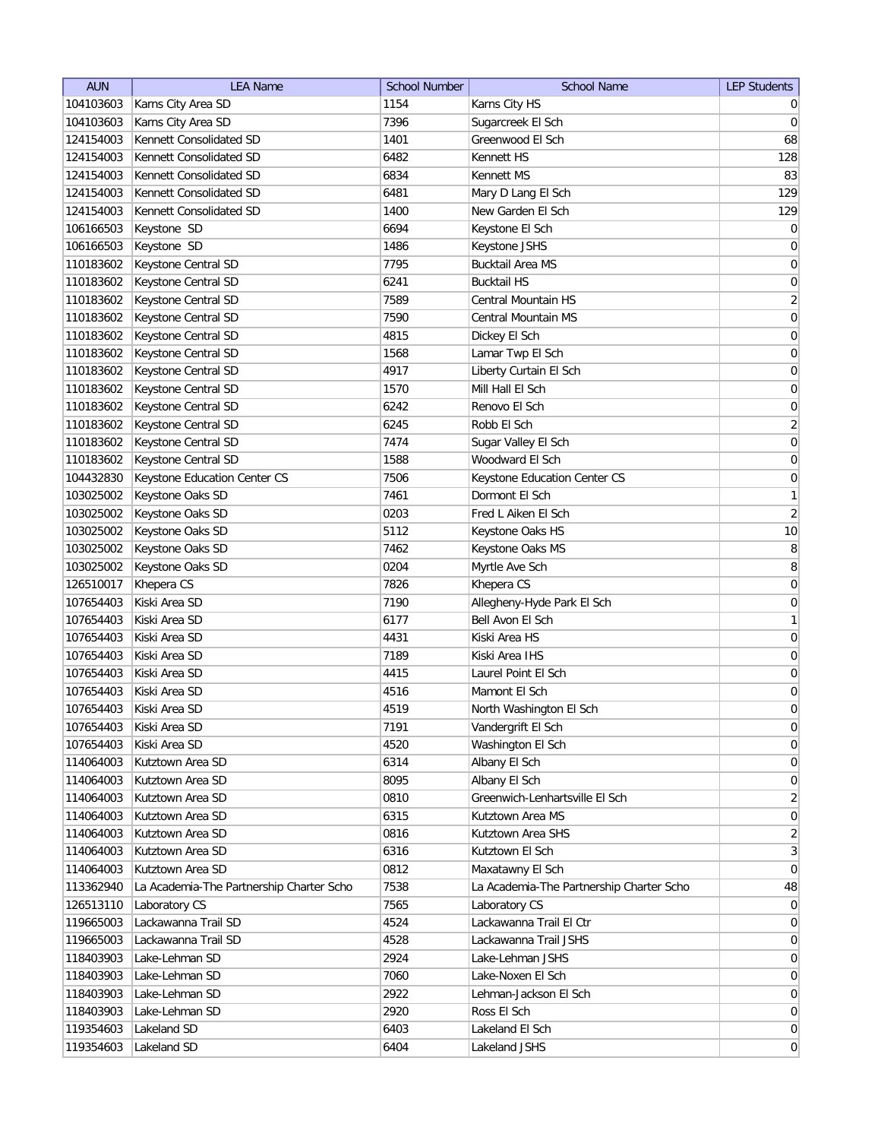| <b>AUN</b> | <b>LEA Name</b>                          | <b>School Number</b> | <b>School Name</b>                       | <b>LEP Students</b> |
|------------|------------------------------------------|----------------------|------------------------------------------|---------------------|
| 104103603  | Karns City Area SD                       | 1154                 | Karns City HS                            | $\overline{0}$      |
| 104103603  | Karns City Area SD                       | 7396                 | Sugarcreek El Sch                        | $\overline{0}$      |
| 124154003  | Kennett Consolidated SD                  | 1401                 | Greenwood El Sch                         | 68                  |
| 124154003  | Kennett Consolidated SD                  | 6482                 | Kennett HS                               | 128                 |
| 124154003  | Kennett Consolidated SD                  | 6834                 | Kennett MS                               | 83                  |
| 124154003  | Kennett Consolidated SD                  | 6481                 | Mary D Lang El Sch                       | 129                 |
| 124154003  | Kennett Consolidated SD                  | 1400                 | New Garden El Sch                        | 129                 |
| 106166503  | Keystone SD                              | 6694                 | Keystone El Sch                          | $\overline{0}$      |
| 106166503  | Keystone SD                              | 1486                 | Keystone JSHS                            | $\overline{0}$      |
| 110183602  | Keystone Central SD                      | 7795                 | <b>Bucktail Area MS</b>                  | $\overline{0}$      |
| 110183602  | Keystone Central SD                      | 6241                 | <b>Bucktail HS</b>                       | 0                   |
| 110183602  | Keystone Central SD                      | 7589                 | Central Mountain HS                      | $\overline{2}$      |
| 110183602  | Keystone Central SD                      | 7590                 | Central Mountain MS                      | $\overline{0}$      |
| 110183602  | Keystone Central SD                      | 4815                 | Dickey El Sch                            | 0                   |
| 110183602  | Keystone Central SD                      | 1568                 | Lamar Twp El Sch                         | 0                   |
| 110183602  | Keystone Central SD                      | 4917                 | Liberty Curtain El Sch                   | 0                   |
| 110183602  | Keystone Central SD                      | 1570                 | Mill Hall El Sch                         | $\overline{0}$      |
| 110183602  | Keystone Central SD                      | 6242                 | Renovo El Sch                            | $\boldsymbol{0}$    |
| 110183602  | Keystone Central SD                      | 6245                 | Robb El Sch                              | $\overline{2}$      |
| 110183602  | Keystone Central SD                      | 7474                 | Sugar Valley El Sch                      | 0                   |
| 110183602  | Keystone Central SD                      | 1588                 | Woodward El Sch                          | $\boldsymbol{0}$    |
| 104432830  | Keystone Education Center CS             | 7506                 | Keystone Education Center CS             | $\boldsymbol{0}$    |
| 103025002  | Keystone Oaks SD                         | 7461                 | Dormont El Sch                           | 1                   |
| 103025002  | Keystone Oaks SD                         | 0203                 | Fred L Aiken El Sch                      | $\overline{2}$      |
| 103025002  | Keystone Oaks SD                         | 5112                 | Keystone Oaks HS                         | 10                  |
| 103025002  | Keystone Oaks SD                         | 7462                 | Keystone Oaks MS                         | 8                   |
| 103025002  | Keystone Oaks SD                         | 0204                 | Myrtle Ave Sch                           | 8                   |
| 126510017  | Khepera CS                               | 7826                 | Khepera CS                               | $\overline{0}$      |
| 107654403  | Kiski Area SD                            | 7190                 | Allegheny-Hyde Park El Sch               | 0                   |
| 107654403  | Kiski Area SD                            | 6177                 | Bell Avon El Sch                         | $\mathbf{1}$        |
| 107654403  | Kiski Area SD                            | 4431                 | Kiski Area HS                            | $\overline{0}$      |
| 107654403  | Kiski Area SD                            | 7189                 | Kiski Area IHS                           | 0                   |
| 107654403  | Kiski Area SD                            | 4415                 | Laurel Point El Sch                      | $\overline{0}$      |
| 107654403  | Kiski Area SD                            | 4516                 | Mamont El Sch                            | $\overline{0}$      |
| 107654403  | Kiski Area SD                            | 4519                 | North Washington El Sch                  | $\overline{0}$      |
| 107654403  | Kiski Area SD                            | 7191                 | Vandergrift El Sch                       | 0                   |
| 107654403  | Kiski Area SD                            | 4520                 | Washington El Sch                        | 0                   |
| 114064003  | Kutztown Area SD                         | 6314                 | Albany El Sch                            | 0                   |
| 114064003  | Kutztown Area SD                         | 8095                 | Albany El Sch                            | $\vert 0 \vert$     |
| 114064003  | Kutztown Area SD                         | 0810                 | Greenwich-Lenhartsville El Sch           | $\overline{2}$      |
| 114064003  | Kutztown Area SD                         | 6315                 | Kutztown Area MS                         | 0                   |
| 114064003  | Kutztown Area SD                         | 0816                 | Kutztown Area SHS                        | $\overline{2}$      |
| 114064003  | Kutztown Area SD                         | 6316                 | Kutztown El Sch                          | 3                   |
| 114064003  | Kutztown Area SD                         | 0812                 | Maxatawny El Sch                         | 0                   |
| 113362940  | La Academia-The Partnership Charter Scho | 7538                 | La Academia-The Partnership Charter Scho | 48                  |
| 126513110  | Laboratory CS                            | 7565                 | Laboratory CS                            | $\overline{0}$      |
| 119665003  | Lackawanna Trail SD                      | 4524                 | Lackawanna Trail El Ctr                  | $\overline{0}$      |
| 119665003  | Lackawanna Trail SD                      | 4528                 | Lackawanna Trail JSHS                    | $\overline{0}$      |
| 118403903  | Lake-Lehman SD                           | 2924                 | Lake-Lehman JSHS                         | $\overline{0}$      |
| 118403903  | Lake-Lehman SD                           | 7060                 | Lake-Noxen El Sch                        | $\overline{0}$      |
| 118403903  | Lake-Lehman SD                           | 2922                 | Lehman-Jackson El Sch                    | $\overline{0}$      |
| 118403903  | Lake-Lehman SD                           | 2920                 | Ross El Sch                              | $\overline{0}$      |
| 119354603  | Lakeland SD                              | 6403                 | Lakeland El Sch                          | $\overline{0}$      |
| 119354603  | Lakeland SD                              | 6404                 | Lakeland JSHS                            | $\overline{0}$      |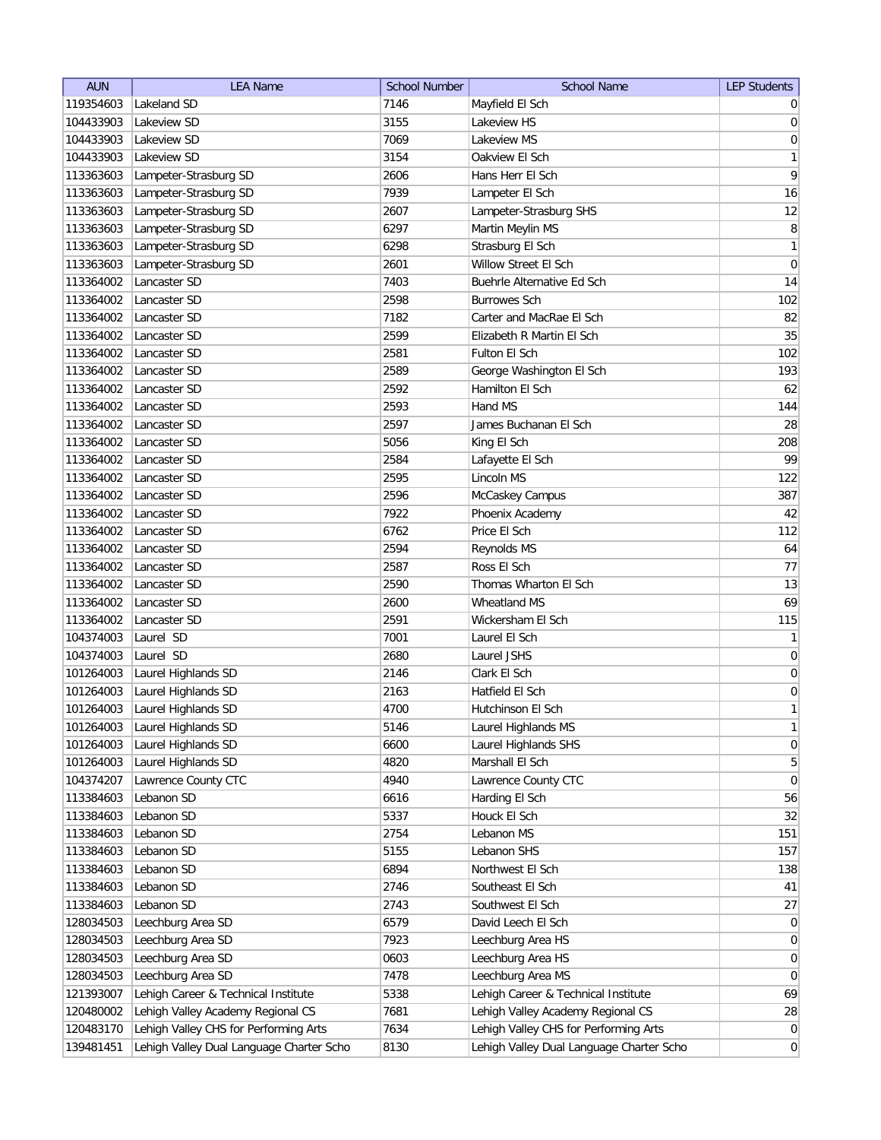| <b>AUN</b> | <b>LEA Name</b>                          | <b>School Number</b> | <b>School Name</b>                       | <b>LEP Students</b> |
|------------|------------------------------------------|----------------------|------------------------------------------|---------------------|
| 119354603  | Lakeland SD                              | 7146                 | Mayfield El Sch                          | $\overline{0}$      |
| 104433903  | Lakeview SD                              | 3155                 | Lakeview HS                              | 0                   |
| 104433903  | Lakeview SD                              | 7069                 | Lakeview MS                              | 0                   |
| 104433903  | Lakeview SD                              | 3154                 | Oakview El Sch                           | 1                   |
| 113363603  | Lampeter-Strasburg SD                    | 2606                 | Hans Herr El Sch                         | 9                   |
| 113363603  | Lampeter-Strasburg SD                    | 7939                 | Lampeter El Sch                          | 16                  |
| 113363603  | Lampeter-Strasburg SD                    | 2607                 | Lampeter-Strasburg SHS                   | 12                  |
| 113363603  | Lampeter-Strasburg SD                    | 6297                 | Martin Meylin MS                         | 8                   |
| 113363603  | Lampeter-Strasburg SD                    | 6298                 | Strasburg El Sch                         | 1                   |
| 113363603  | Lampeter-Strasburg SD                    | 2601                 | Willow Street El Sch                     | $\boldsymbol{0}$    |
| 113364002  | Lancaster SD                             | 7403                 | Buehrle Alternative Ed Sch               | 14                  |
| 113364002  | Lancaster SD                             | 2598                 | <b>Burrowes Sch</b>                      | 102                 |
| 113364002  | Lancaster SD                             | 7182                 | Carter and MacRae El Sch                 | 82                  |
| 113364002  | Lancaster SD                             | 2599                 | Elizabeth R Martin El Sch                | 35                  |
| 113364002  | Lancaster SD                             | 2581                 | Fulton El Sch                            | 102                 |
| 113364002  | Lancaster SD                             | 2589                 | George Washington El Sch                 | 193                 |
| 113364002  | Lancaster SD                             | 2592                 | Hamilton El Sch                          | 62                  |
| 113364002  | Lancaster SD                             | 2593                 | Hand MS                                  | 144                 |
| 113364002  | Lancaster SD                             | 2597                 | James Buchanan El Sch                    | 28                  |
| 113364002  | Lancaster SD                             | 5056                 | King El Sch                              | 208                 |
| 113364002  | Lancaster SD                             | 2584                 | Lafayette El Sch                         | 99                  |
| 113364002  | Lancaster SD                             | 2595                 | Lincoln MS                               | 122                 |
| 113364002  | Lancaster SD                             | 2596                 | McCaskey Campus                          | 387                 |
| 113364002  | Lancaster SD                             | 7922                 | Phoenix Academy                          | 42                  |
| 113364002  | Lancaster SD                             | 6762                 | Price El Sch                             | 112                 |
| 113364002  | Lancaster SD                             | 2594                 | <b>Reynolds MS</b>                       | 64                  |
| 113364002  | Lancaster SD                             | 2587                 | Ross El Sch                              | 77                  |
| 113364002  | Lancaster SD                             | 2590                 | Thomas Wharton El Sch                    | 13                  |
| 113364002  | Lancaster SD                             | 2600                 | Wheatland MS                             | 69                  |
| 113364002  | Lancaster SD                             | 2591                 | Wickersham El Sch                        | 115                 |
| 104374003  | Laurel SD                                | 7001                 | Laurel El Sch                            | 1                   |
| 104374003  | Laurel SD                                | 2680                 | Laurel JSHS                              | $\overline{0}$      |
| 101264003  | Laurel Highlands SD                      | 2146                 | Clark El Sch                             | $\overline{0}$      |
| 101264003  | Laurel Highlands SD                      | 2163                 | Hatfield El Sch                          | $\overline{0}$      |
| 101264003  | Laurel Highlands SD                      | 4700                 | Hutchinson El Sch                        | 1                   |
| 101264003  | Laurel Highlands SD                      | 5146                 | Laurel Highlands MS                      | $\mathbf{1}$        |
| 101264003  | Laurel Highlands SD                      | 6600                 | Laurel Highlands SHS                     | 0                   |
| 101264003  | Laurel Highlands SD                      | 4820                 | Marshall El Sch                          | $\overline{5}$      |
| 104374207  | Lawrence County CTC                      | 4940                 | Lawrence County CTC                      | 0                   |
| 113384603  | Lebanon SD                               | 6616                 | Harding El Sch                           | 56                  |
| 113384603  | Lebanon SD                               | 5337                 | Houck El Sch                             | 32                  |
| 113384603  | Lebanon SD                               | 2754                 | Lebanon MS                               | 151                 |
| 113384603  | Lebanon SD                               | 5155                 | Lebanon SHS                              | 157                 |
| 113384603  | Lebanon SD                               | 6894                 | Northwest El Sch                         | 138                 |
| 113384603  | Lebanon SD                               | 2746                 | Southeast El Sch                         | 41                  |
| 113384603  | Lebanon SD                               | 2743                 | Southwest El Sch                         | 27                  |
| 128034503  | Leechburg Area SD                        | 6579                 | David Leech El Sch                       | 0                   |
| 128034503  | Leechburg Area SD                        | 7923                 | Leechburg Area HS                        | 0                   |
| 128034503  | Leechburg Area SD                        | 0603                 | Leechburg Area HS                        | 0                   |
| 128034503  | Leechburg Area SD                        | 7478                 | Leechburg Area MS                        | $\overline{0}$      |
| 121393007  | Lehigh Career & Technical Institute      | 5338                 | Lehigh Career & Technical Institute      | 69                  |
| 120480002  | Lehigh Valley Academy Regional CS        | 7681                 | Lehigh Valley Academy Regional CS        | 28                  |
| 120483170  | Lehigh Valley CHS for Performing Arts    | 7634                 | Lehigh Valley CHS for Performing Arts    | $\overline{0}$      |
| 139481451  | Lehigh Valley Dual Language Charter Scho | 8130                 | Lehigh Valley Dual Language Charter Scho | $\overline{0}$      |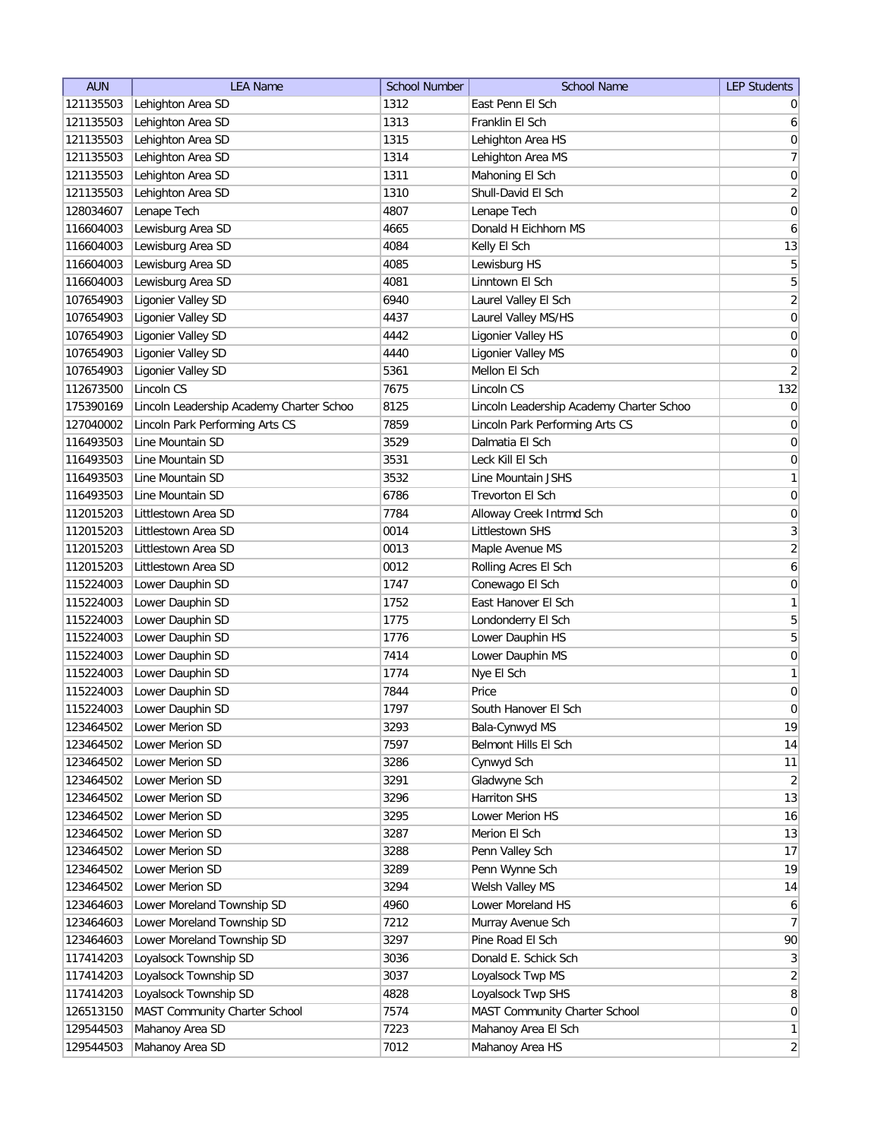| <b>AUN</b> | <b>LEA Name</b>                          | <b>School Number</b> | <b>School Name</b>                       | <b>LEP Students</b> |
|------------|------------------------------------------|----------------------|------------------------------------------|---------------------|
| 121135503  | Lehighton Area SD                        | 1312                 | East Penn El Sch                         | $\overline{0}$      |
| 121135503  | Lehighton Area SD                        | 1313                 | Franklin El Sch                          | $6 \mid$            |
| 121135503  | Lehighton Area SD                        | 1315                 | Lehighton Area HS                        | 0                   |
| 121135503  | Lehighton Area SD                        | 1314                 | Lehighton Area MS                        | $\overline{7}$      |
| 121135503  | Lehighton Area SD                        | 1311                 | Mahoning El Sch                          | 0                   |
| 121135503  | Lehighton Area SD                        | 1310                 | Shull-David El Sch                       | $\overline{2}$      |
| 128034607  | Lenape Tech                              | 4807                 | Lenape Tech                              | 0                   |
| 116604003  | Lewisburg Area SD                        | 4665                 | Donald H Eichhorn MS                     | $\boldsymbol{6}$    |
| 116604003  | Lewisburg Area SD                        | 4084                 | Kelly El Sch                             | 13                  |
| 116604003  | Lewisburg Area SD                        | 4085                 | Lewisburg HS                             | 5                   |
| 116604003  | Lewisburg Area SD                        | 4081                 | Linntown El Sch                          | 5                   |
| 107654903  | Ligonier Valley SD                       | 6940                 | Laurel Valley El Sch                     | $\overline{2}$      |
| 107654903  | Ligonier Valley SD                       | 4437                 | Laurel Valley MS/HS                      | $\boldsymbol{0}$    |
| 107654903  | Ligonier Valley SD                       | 4442                 | Ligonier Valley HS                       | $\overline{0}$      |
| 107654903  | Ligonier Valley SD                       | 4440                 | Ligonier Valley MS                       | 0                   |
| 107654903  | Ligonier Valley SD                       | 5361                 | Mellon El Sch                            | $\overline{2}$      |
| 112673500  | Lincoln CS                               | 7675                 | Lincoln CS                               | 132                 |
| 175390169  | Lincoln Leadership Academy Charter Schoo | 8125                 | Lincoln Leadership Academy Charter Schoo | 0                   |
| 127040002  | Lincoln Park Performing Arts CS          | 7859                 | Lincoln Park Performing Arts CS          | 0                   |
| 116493503  | Line Mountain SD                         | 3529                 | Dalmatia El Sch                          | $\vert 0 \vert$     |
| 116493503  | Line Mountain SD                         | 3531                 | Leck Kill El Sch                         | 0                   |
| 116493503  | Line Mountain SD                         | 3532                 | Line Mountain JSHS                       | 1                   |
| 116493503  | Line Mountain SD                         | 6786                 | Trevorton El Sch                         | 0                   |
| 112015203  | Littlestown Area SD                      | 7784                 | Alloway Creek Intrmd Sch                 | $\boldsymbol{0}$    |
| 112015203  | Littlestown Area SD                      | 0014                 | Littlestown SHS                          | $\overline{3}$      |
| 112015203  | Littlestown Area SD                      | 0013                 | Maple Avenue MS                          | $\overline{2}$      |
| 112015203  | Littlestown Area SD                      | 0012                 | Rolling Acres El Sch                     | $\boldsymbol{6}$    |
| 115224003  | Lower Dauphin SD                         | 1747                 | Conewago El Sch                          | $\boldsymbol{0}$    |
| 115224003  | Lower Dauphin SD                         | 1752                 | East Hanover El Sch                      | 1                   |
| 115224003  | Lower Dauphin SD                         | 1775                 | Londonderry El Sch                       | 5                   |
| 115224003  | Lower Dauphin SD                         | 1776                 | Lower Dauphin HS                         | 5                   |
| 115224003  | Lower Dauphin SD                         | 7414                 | Lower Dauphin MS                         | 0                   |
| 115224003  | Lower Dauphin SD                         | 1774                 | Nye El Sch                               | 1                   |
| 115224003  | Lower Dauphin SD                         | 7844                 | Price                                    | $\boldsymbol{0}$    |
| 115224003  | Lower Dauphin SD                         | 1797                 | South Hanover El Sch                     | $\overline{0}$      |
| 123464502  | Lower Merion SD                          | 3293                 | Bala-Cynwyd MS                           | 19                  |
| 123464502  | Lower Merion SD                          | 7597                 | Belmont Hills El Sch                     | 14                  |
| 123464502  | Lower Merion SD                          | 3286                 | Cynwyd Sch                               | 11                  |
| 123464502  | Lower Merion SD                          | 3291                 | Gladwyne Sch                             | $\overline{2}$      |
| 123464502  | Lower Merion SD                          | 3296                 | Harriton SHS                             | 13                  |
| 123464502  | Lower Merion SD                          | 3295                 | Lower Merion HS                          | 16                  |
| 123464502  | Lower Merion SD                          | 3287                 | Merion El Sch                            | 13                  |
| 123464502  | Lower Merion SD                          | 3288                 | Penn Valley Sch                          | 17                  |
| 123464502  | Lower Merion SD                          | 3289                 | Penn Wynne Sch                           | 19                  |
| 123464502  | Lower Merion SD                          | 3294                 | Welsh Valley MS                          | 14                  |
| 123464603  | Lower Moreland Township SD               | 4960                 | Lower Moreland HS                        | 6                   |
| 123464603  | Lower Moreland Township SD               | 7212                 | Murray Avenue Sch                        | 7                   |
| 123464603  | Lower Moreland Township SD               | 3297                 | Pine Road El Sch                         | 90                  |
| 117414203  | Loyalsock Township SD                    | 3036                 | Donald E. Schick Sch                     | 3                   |
| 117414203  | Loyalsock Township SD                    | 3037                 | Loyalsock Twp MS                         | $\overline{2}$      |
| 117414203  | Loyalsock Township SD                    | 4828                 | Loyalsock Twp SHS                        | 8 <sup>1</sup>      |
| 126513150  | MAST Community Charter School            | 7574                 | MAST Community Charter School            | 0                   |
| 129544503  | Mahanoy Area SD                          | 7223                 | Mahanoy Area El Sch                      | 1                   |
| 129544503  | Mahanoy Area SD                          | 7012                 | Mahanoy Area HS                          | $\overline{2}$      |
|            |                                          |                      |                                          |                     |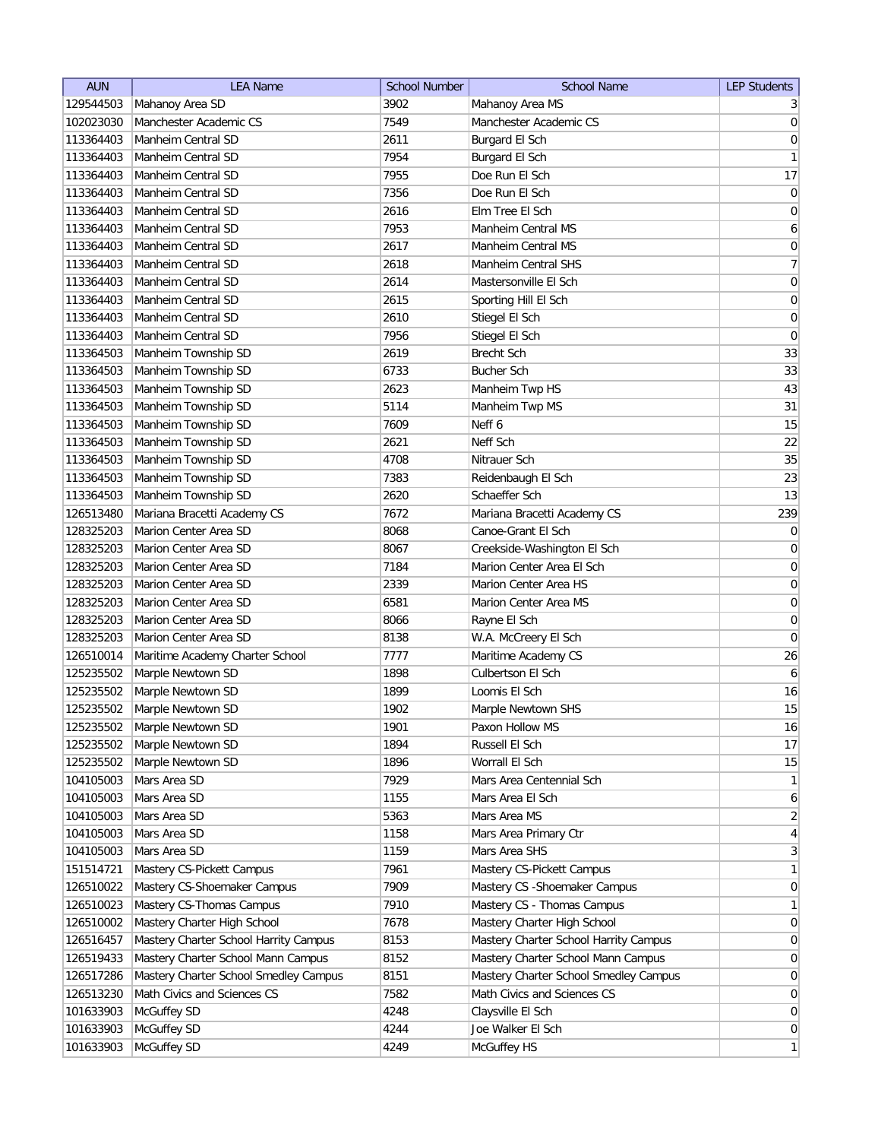| <b>AUN</b>             | <b>LEA Name</b>                            | <b>School Number</b> | <b>School Name</b>                    | <b>LEP Students</b> |
|------------------------|--------------------------------------------|----------------------|---------------------------------------|---------------------|
| 129544503              | Mahanoy Area SD                            | 3902                 | Mahanoy Area MS                       | $\frac{3}{2}$       |
| 102023030              | Manchester Academic CS                     | 7549                 | Manchester Academic CS                | $\vert 0 \vert$     |
| 113364403              | Manheim Central SD                         | 2611                 | Burgard El Sch                        | 0                   |
| 113364403              | Manheim Central SD                         | 7954                 | Burgard El Sch                        | 1                   |
| 113364403              | Manheim Central SD                         | 7955                 | Doe Run El Sch                        | 17                  |
| 113364403              | Manheim Central SD                         | 7356                 | Doe Run El Sch                        | 0                   |
| 113364403              | Manheim Central SD                         | 2616                 | Elm Tree El Sch                       | $\boldsymbol{0}$    |
| 113364403              | Manheim Central SD                         | 7953                 | <b>Manheim Central MS</b>             | $\boldsymbol{6}$    |
| 113364403              | Manheim Central SD                         | 2617                 | Manheim Central MS                    | 0                   |
| 113364403              | Manheim Central SD                         | 2618                 | Manheim Central SHS                   | 7                   |
| 113364403              | Manheim Central SD                         | 2614                 | Mastersonville El Sch                 | 0                   |
| 113364403              | Manheim Central SD                         | 2615                 | Sporting Hill El Sch                  | $\overline{0}$      |
| 113364403              | Manheim Central SD                         | 2610                 | Stiegel El Sch                        | $\overline{0}$      |
| 113364403              | Manheim Central SD                         | 7956                 | Stiegel El Sch                        | $\overline{0}$      |
| 113364503              | Manheim Township SD                        | 2619                 | Brecht Sch                            | 33                  |
| 113364503              | Manheim Township SD                        | 6733                 | <b>Bucher Sch</b>                     | 33                  |
| 113364503              | Manheim Township SD                        | 2623                 | Manheim Twp HS                        | 43                  |
| 113364503              | Manheim Township SD                        | 5114                 | Manheim Twp MS                        | 31                  |
| 113364503              | Manheim Township SD                        | 7609                 | Neff 6                                | 15                  |
| 113364503              | Manheim Township SD                        | 2621                 | Neff Sch                              | 22                  |
| 113364503              | Manheim Township SD                        | 4708                 | Nitrauer Sch                          | 35                  |
|                        |                                            |                      |                                       |                     |
| 113364503<br>113364503 | Manheim Township SD<br>Manheim Township SD | 7383<br>2620         | Reidenbaugh El Sch<br>Schaeffer Sch   | 23<br>13            |
|                        |                                            | 7672                 | Mariana Bracetti Academy CS           | 239                 |
| 126513480              | Mariana Bracetti Academy CS                |                      | Canoe-Grant El Sch                    |                     |
| 128325203              | Marion Center Area SD                      | 8068                 |                                       | 0                   |
| 128325203              | Marion Center Area SD                      | 8067                 | Creekside-Washington El Sch           | 0                   |
| 128325203              | Marion Center Area SD                      | 7184                 | Marion Center Area El Sch             | $\overline{0}$      |
| 128325203              | Marion Center Area SD                      | 2339                 | Marion Center Area HS                 | $\boldsymbol{0}$    |
| 128325203              | Marion Center Area SD                      | 6581                 | Marion Center Area MS                 | $\overline{0}$      |
| 128325203              | Marion Center Area SD                      | 8066                 | Rayne El Sch                          | $\overline{0}$      |
| 128325203              | Marion Center Area SD                      | 8138                 | W.A. McCreery El Sch                  | $\overline{0}$      |
| 126510014              | Maritime Academy Charter School            | 7777                 | Maritime Academy CS                   | 26                  |
| 125235502              | Marple Newtown SD                          | 1898                 | Culbertson El Sch                     | $6\vert$            |
| 125235502              | Marple Newtown SD                          | 1899                 | Loomis El Sch                         | 16                  |
| 125235502              | Marple Newtown SD                          | 1902                 | Marple Newtown SHS                    | 15                  |
| 125235502              | Marple Newtown SD                          | 1901                 | Paxon Hollow MS                       | 16                  |
| 125235502              | Marple Newtown SD                          | 1894                 | Russell El Sch                        | 17                  |
| 125235502              | Marple Newtown SD                          | 1896                 | Worrall El Sch                        | 15                  |
| 104105003              | Mars Area SD                               | 7929                 | Mars Area Centennial Sch              | $\left  \right $    |
| 104105003              | Mars Area SD                               | 1155                 | Mars Area El Sch                      | 6                   |
| 104105003              | Mars Area SD                               | 5363                 | Mars Area MS                          | $\overline{2}$      |
| 104105003              | Mars Area SD                               | 1158                 | Mars Area Primary Ctr                 | $\vert 4 \vert$     |
| 104105003              | Mars Area SD                               | 1159                 | Mars Area SHS                         | 3                   |
| 151514721              | Mastery CS-Pickett Campus                  | 7961                 | Mastery CS-Pickett Campus             | $\mathbf{1}$        |
| 126510022              | Mastery CS-Shoemaker Campus                | 7909                 | Mastery CS - Shoemaker Campus         | 0                   |
| 126510023              | Mastery CS-Thomas Campus                   | 7910                 | Mastery CS - Thomas Campus            | 1                   |
| 126510002              | Mastery Charter High School                | 7678                 | Mastery Charter High School           | 0                   |
| 126516457              | Mastery Charter School Harrity Campus      | 8153                 | Mastery Charter School Harrity Campus | 0                   |
| 126519433              | Mastery Charter School Mann Campus         | 8152                 | Mastery Charter School Mann Campus    | $\overline{0}$      |
| 126517286              | Mastery Charter School Smedley Campus      | 8151                 | Mastery Charter School Smedley Campus | $\overline{0}$      |
| 126513230              | Math Civics and Sciences CS                | 7582                 | Math Civics and Sciences CS           | $\overline{0}$      |
| 101633903              | McGuffey SD                                | 4248                 | Claysville El Sch                     | 0                   |
| 101633903              | McGuffey SD                                | 4244                 | Joe Walker El Sch                     | $\overline{0}$      |
| 101633903              | McGuffey SD                                | 4249                 | McGuffey HS                           | $\mathbf{1}$        |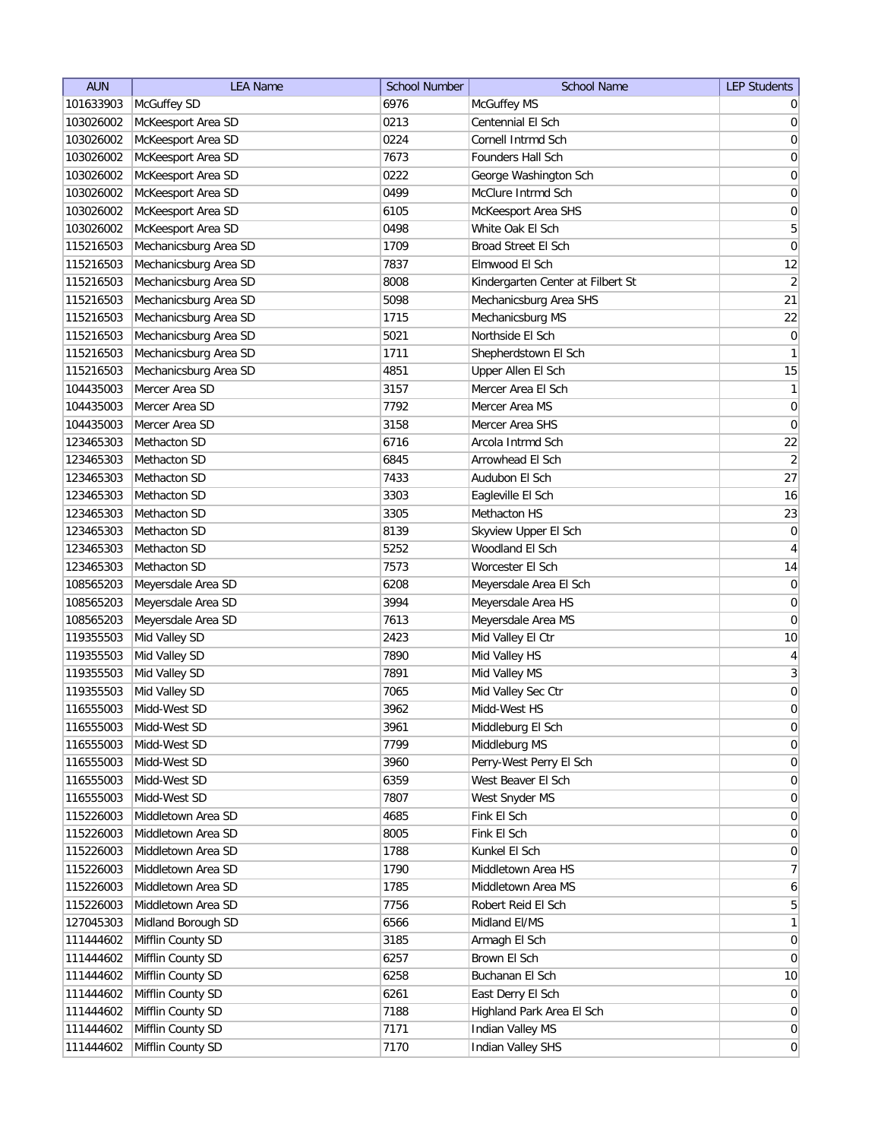| <b>AUN</b> | <b>LEA Name</b>       | <b>School Number</b> | <b>School Name</b>                | <b>LEP Students</b> |
|------------|-----------------------|----------------------|-----------------------------------|---------------------|
| 101633903  | McGuffey SD           | 6976                 | McGuffey MS                       | $\overline{0}$      |
| 103026002  | McKeesport Area SD    | 0213                 | Centennial El Sch                 | 0                   |
| 103026002  | McKeesport Area SD    | 0224                 | Cornell Intrmd Sch                | 0                   |
| 103026002  | McKeesport Area SD    | 7673                 | Founders Hall Sch                 | 0                   |
| 103026002  | McKeesport Area SD    | 0222                 | George Washington Sch             | 0                   |
| 103026002  | McKeesport Area SD    | 0499                 | McClure Intrmd Sch                | 0                   |
| 103026002  | McKeesport Area SD    | 6105                 | McKeesport Area SHS               | 0                   |
| 103026002  | McKeesport Area SD    | 0498                 | White Oak El Sch                  | 5                   |
| 115216503  | Mechanicsburg Area SD | 1709                 | Broad Street El Sch               | $\overline{0}$      |
| 115216503  | Mechanicsburg Area SD | 7837                 | Elmwood El Sch                    | 12                  |
| 115216503  | Mechanicsburg Area SD | 8008                 | Kindergarten Center at Filbert St | $\overline{2}$      |
| 115216503  | Mechanicsburg Area SD | 5098                 | Mechanicsburg Area SHS            | 21                  |
| 115216503  | Mechanicsburg Area SD | 1715                 | Mechanicsburg MS                  | 22                  |
| 115216503  | Mechanicsburg Area SD | 5021                 | Northside El Sch                  | 0                   |
| 115216503  | Mechanicsburg Area SD | 1711                 | Shepherdstown El Sch              | 1                   |
| 115216503  | Mechanicsburg Area SD | 4851                 | Upper Allen El Sch                | 15                  |
| 104435003  | Mercer Area SD        | 3157                 | Mercer Area El Sch                | $\mathbf{1}$        |
| 104435003  | Mercer Area SD        | 7792                 | Mercer Area MS                    | $\vert 0 \vert$     |
| 104435003  | Mercer Area SD        | 3158                 | Mercer Area SHS                   | $\overline{0}$      |
| 123465303  | Methacton SD          | 6716                 | Arcola Intrmd Sch                 | 22                  |
| 123465303  | Methacton SD          | 6845                 | Arrowhead El Sch                  | $\overline{2}$      |
| 123465303  | Methacton SD          | 7433                 | Audubon El Sch                    | 27                  |
| 123465303  | Methacton SD          | 3303                 | Eagleville El Sch                 | 16                  |
| 123465303  | Methacton SD          | 3305                 | Methacton HS                      | 23                  |
| 123465303  | Methacton SD          | 8139                 | Skyview Upper El Sch              | $\overline{0}$      |
| 123465303  | Methacton SD          | 5252                 | Woodland El Sch                   | $\overline{4}$      |
| 123465303  | Methacton SD          | 7573                 | Worcester El Sch                  | 14                  |
| 108565203  | Meyersdale Area SD    | 6208                 | Meyersdale Area El Sch            | 0                   |
| 108565203  | Meyersdale Area SD    | 3994                 | Meyersdale Area HS                | 0                   |
| 108565203  | Meyersdale Area SD    | 7613                 | Meyersdale Area MS                | 0                   |
| 119355503  | Mid Valley SD         | 2423                 | Mid Valley El Ctr                 | 10                  |
| 119355503  | Mid Valley SD         | 7890                 | Mid Valley HS                     | 4                   |
| 119355503  | Mid Valley SD         | 7891                 | Mid Valley MS                     | $\overline{3}$      |
| 119355503  | Mid Valley SD         | 7065                 | Mid Valley Sec Ctr                | $\overline{0}$      |
| 116555003  | Midd-West SD          | 3962                 | Midd-West HS                      | $\overline{0}$      |
| 116555003  | Midd-West SD          | 3961                 | Middleburg El Sch                 | $\overline{0}$      |
| 116555003  | Midd-West SD          | 7799                 | Middleburg MS                     | 0                   |
| 116555003  | Midd-West SD          | 3960                 | Perry-West Perry El Sch           | $\vert 0 \vert$     |
| 116555003  | Midd-West SD          | 6359                 | West Beaver El Sch                | $\vert 0 \vert$     |
| 116555003  | Midd-West SD          | 7807                 | West Snyder MS                    | $\overline{0}$      |
| 115226003  | Middletown Area SD    | 4685                 | Fink El Sch                       | $\overline{0}$      |
| 115226003  | Middletown Area SD    | 8005                 | Fink El Sch                       | 0                   |
| 115226003  | Middletown Area SD    | 1788                 | Kunkel El Sch                     | $\vert 0 \vert$     |
| 115226003  | Middletown Area SD    | 1790                 | Middletown Area HS                | 7                   |
| 115226003  | Middletown Area SD    | 1785                 | Middletown Area MS                | 6                   |
| 115226003  | Middletown Area SD    | 7756                 | Robert Reid El Sch                | 5 <sup>1</sup>      |
| 127045303  | Midland Borough SD    | 6566                 | Midland El/MS                     | $\mathbf{1}$        |
| 111444602  | Mifflin County SD     | 3185                 | Armagh El Sch                     | $\overline{0}$      |
| 111444602  | Mifflin County SD     | 6257                 | Brown El Sch                      | 0                   |
| 111444602  | Mifflin County SD     | 6258                 | Buchanan El Sch                   | 10                  |
| 111444602  | Mifflin County SD     | 6261                 | East Derry El Sch                 | $\overline{0}$      |
| 111444602  | Mifflin County SD     | 7188                 | Highland Park Area El Sch         | $\overline{0}$      |
| 111444602  | Mifflin County SD     | 7171                 | Indian Valley MS                  | 0                   |
| 111444602  | Mifflin County SD     | 7170                 | Indian Valley SHS                 | 0                   |
|            |                       |                      |                                   |                     |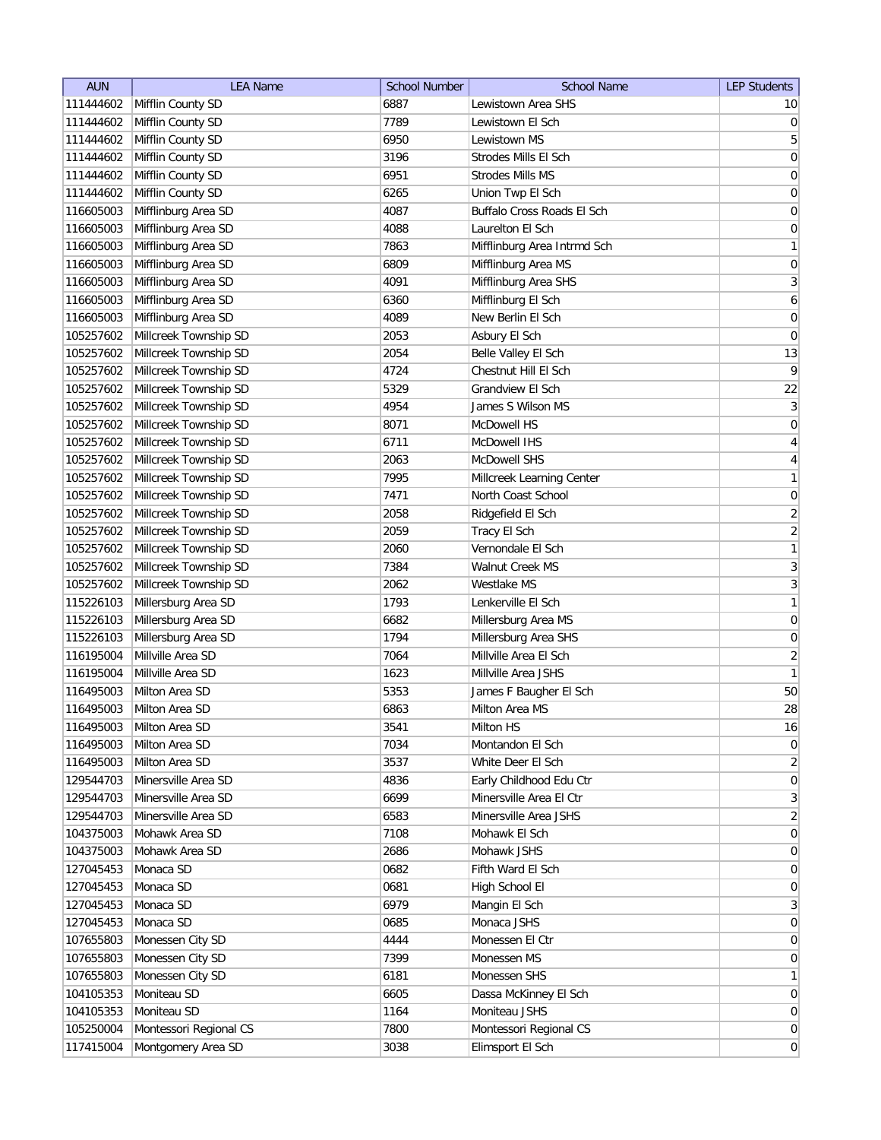| Lewistown Area SHS<br>111444602<br>Mifflin County SD<br>6887<br>10 <sub>l</sub><br> 0 <br>111444602<br>Mifflin County SD<br>7789<br>Lewistown El Sch<br>$\overline{5}$<br>111444602<br>Mifflin County SD<br>6950<br>Lewistown MS<br>3196<br>$\boldsymbol{0}$<br>111444602<br>Mifflin County SD<br>Strodes Mills El Sch<br>0<br>111444602<br>Mifflin County SD<br>6951<br><b>Strodes Mills MS</b><br>$\overline{0}$<br>111444602<br>Mifflin County SD<br>6265<br>Union Twp El Sch<br>4087<br>Buffalo Cross Roads El Sch<br>116605003<br>Mifflinburg Area SD<br>0<br>4088<br>Laurelton El Sch<br>$\boldsymbol{0}$<br>116605003<br>Mifflinburg Area SD<br>1<br>116605003<br>Mifflinburg Area SD<br>7863<br>Mifflinburg Area Intrmd Sch<br>$\boldsymbol{0}$<br>116605003<br>Mifflinburg Area SD<br>6809<br>Mifflinburg Area MS<br>$\mathbf{3}$<br>116605003<br>Mifflinburg Area SD<br>4091<br>Mifflinburg Area SHS<br>Mifflinburg Area SD<br>6<br>116605003<br>Mifflinburg El Sch<br>6360<br>0<br>116605003<br>Mifflinburg Area SD<br>4089<br>New Berlin El Sch<br>Millcreek Township SD<br>0<br>105257602<br>2053<br>Asbury El Sch<br>Millcreek Township SD<br>13<br>105257602<br>2054<br>Belle Valley El Sch<br>$\overline{9}$<br>105257602<br>Millcreek Township SD<br>4724<br>Chestnut Hill El Sch<br>22<br>Millcreek Township SD<br>5329<br>Grandview El Sch<br>105257602<br>$\vert 3 \vert$<br>105257602<br>Millcreek Township SD<br>4954<br>James S Wilson MS<br> 0 <br>Millcreek Township SD<br>8071<br>McDowell HS<br>105257602<br>$\vert 4 \vert$<br>McDowell IHS<br>105257602<br>Millcreek Township SD<br>6711<br>$\overline{4}$<br>105257602<br>Millcreek Township SD<br>2063<br><b>McDowell SHS</b><br>1<br>Millcreek Township SD<br>105257602<br>7995<br>Millcreek Learning Center<br>$\boldsymbol{0}$<br>105257602<br>Millcreek Township SD<br>7471<br>North Coast School<br>Millcreek Township SD<br>$\overline{2}$<br>105257602<br>2058<br>Ridgefield El Sch<br>$\overline{2}$<br>Millcreek Township SD<br>2059<br>105257602<br>Tracy El Sch<br>1<br>Millcreek Township SD<br>Vernondale El Sch<br>105257602<br>2060<br>$\mathbf{3}$<br>Millcreek Township SD<br>105257602<br>7384<br><b>Walnut Creek MS</b><br>$\overline{3}$<br>Millcreek Township SD<br>105257602<br>2062<br>Westlake MS<br>1<br>Millersburg Area SD<br>115226103<br>1793<br>Lenkerville El Sch<br>$\boldsymbol{0}$<br>115226103<br>Millersburg Area SD<br>6682<br>Millersburg Area MS<br>Millersburg Area SD<br>115226103<br>1794<br>Millersburg Area SHS<br>0<br>Millville Area SD<br>$\overline{2}$<br>116195004<br>7064<br>Millville Area El Sch<br>$\mathbf{1}$<br>116195004<br>Millville Area SD<br>1623<br>Millville Area JSHS<br>50<br>116495003<br>Milton Area SD<br>5353<br>James F Baugher El Sch<br>28<br>116495003<br>Milton Area SD<br>6863<br>Milton Area MS<br>116495003<br>Milton Area SD<br>3541<br>Milton HS<br>16<br> 0 <br>116495003<br>Milton Area SD<br>7034<br>Montandon El Sch<br>$\overline{2}$<br>Milton Area SD<br>3537<br>116495003<br>White Deer El Sch<br>$\vert 0 \vert$<br>129544703<br>Minersville Area SD<br>4836<br>Early Childhood Edu Ctr<br>129544703<br>Minersville Area SD<br>6699<br>Minersville Area El Ctr<br>3<br>129544703<br>Minersville Area SD<br>6583<br>Minersville Area JSHS<br>$\overline{2}$<br>Mohawk Area SD<br>7108<br>Mohawk El Sch<br> 0 <br>104375003<br>Mohawk Area SD<br>2686<br>Mohawk JSHS<br> 0 <br>104375003<br>Monaca SD<br>127045453<br>0682<br>Fifth Ward El Sch<br>0<br>Monaca SD<br>High School El<br>127045453<br>0681<br>$\overline{0}$<br>3<br>127045453<br>Monaca SD<br>6979<br>Mangin El Sch<br>Monaca SD<br>Monaca JSHS<br>$\overline{0}$<br>127045453<br>0685<br>107655803<br>Monessen City SD<br>4444<br>Monessen El Ctr<br>$\overline{0}$<br>107655803<br>Monessen City SD<br>7399<br>Monessen MS<br>0<br>107655803<br>Monessen City SD<br>Monessen SHS<br>6181<br>1<br>Moniteau SD<br>6605<br>Dassa McKinney El Sch<br>104105353<br>$\overline{0}$<br>Moniteau SD<br>1164<br>Moniteau JSHS<br>104105353<br>$\overline{0}$<br>105250004<br>Montessori Regional CS<br>7800<br>Montessori Regional CS<br>$\overline{0}$ | <b>AUN</b> | <b>LEA Name</b>    | <b>School Number</b> | <b>School Name</b> | <b>LEP Students</b> |
|---------------------------------------------------------------------------------------------------------------------------------------------------------------------------------------------------------------------------------------------------------------------------------------------------------------------------------------------------------------------------------------------------------------------------------------------------------------------------------------------------------------------------------------------------------------------------------------------------------------------------------------------------------------------------------------------------------------------------------------------------------------------------------------------------------------------------------------------------------------------------------------------------------------------------------------------------------------------------------------------------------------------------------------------------------------------------------------------------------------------------------------------------------------------------------------------------------------------------------------------------------------------------------------------------------------------------------------------------------------------------------------------------------------------------------------------------------------------------------------------------------------------------------------------------------------------------------------------------------------------------------------------------------------------------------------------------------------------------------------------------------------------------------------------------------------------------------------------------------------------------------------------------------------------------------------------------------------------------------------------------------------------------------------------------------------------------------------------------------------------------------------------------------------------------------------------------------------------------------------------------------------------------------------------------------------------------------------------------------------------------------------------------------------------------------------------------------------------------------------------------------------------------------------------------------------------------------------------------------------------------------------------------------------------------------------------------------------------------------------------------------------------------------------------------------------------------------------------------------------------------------------------------------------------------------------------------------------------------------------------------------------------------------------------------------------------------------------------------------------------------------------------------------------------------------------------------------------------------------------------------------------------------------------------------------------------------------------------------------------------------------------------------------------------------------------------------------------------------------------------------------------------------------------------------------------------------------------------------------------------------------------------------------------------------------------------------------------------------------------------------------------------------------------------------------------------------------------------------------------------------------------------------------------------------------------------------------------------------------------------------------------------------------------------------------------------------------------------------------------------------------------------------------------------------------------|------------|--------------------|----------------------|--------------------|---------------------|
|                                                                                                                                                                                                                                                                                                                                                                                                                                                                                                                                                                                                                                                                                                                                                                                                                                                                                                                                                                                                                                                                                                                                                                                                                                                                                                                                                                                                                                                                                                                                                                                                                                                                                                                                                                                                                                                                                                                                                                                                                                                                                                                                                                                                                                                                                                                                                                                                                                                                                                                                                                                                                                                                                                                                                                                                                                                                                                                                                                                                                                                                                                                                                                                                                                                                                                                                                                                                                                                                                                                                                                                                                                                                                                                                                                                                                                                                                                                                                                                                                                                                                                                                                                                       |            |                    |                      |                    |                     |
|                                                                                                                                                                                                                                                                                                                                                                                                                                                                                                                                                                                                                                                                                                                                                                                                                                                                                                                                                                                                                                                                                                                                                                                                                                                                                                                                                                                                                                                                                                                                                                                                                                                                                                                                                                                                                                                                                                                                                                                                                                                                                                                                                                                                                                                                                                                                                                                                                                                                                                                                                                                                                                                                                                                                                                                                                                                                                                                                                                                                                                                                                                                                                                                                                                                                                                                                                                                                                                                                                                                                                                                                                                                                                                                                                                                                                                                                                                                                                                                                                                                                                                                                                                                       |            |                    |                      |                    |                     |
|                                                                                                                                                                                                                                                                                                                                                                                                                                                                                                                                                                                                                                                                                                                                                                                                                                                                                                                                                                                                                                                                                                                                                                                                                                                                                                                                                                                                                                                                                                                                                                                                                                                                                                                                                                                                                                                                                                                                                                                                                                                                                                                                                                                                                                                                                                                                                                                                                                                                                                                                                                                                                                                                                                                                                                                                                                                                                                                                                                                                                                                                                                                                                                                                                                                                                                                                                                                                                                                                                                                                                                                                                                                                                                                                                                                                                                                                                                                                                                                                                                                                                                                                                                                       |            |                    |                      |                    |                     |
|                                                                                                                                                                                                                                                                                                                                                                                                                                                                                                                                                                                                                                                                                                                                                                                                                                                                                                                                                                                                                                                                                                                                                                                                                                                                                                                                                                                                                                                                                                                                                                                                                                                                                                                                                                                                                                                                                                                                                                                                                                                                                                                                                                                                                                                                                                                                                                                                                                                                                                                                                                                                                                                                                                                                                                                                                                                                                                                                                                                                                                                                                                                                                                                                                                                                                                                                                                                                                                                                                                                                                                                                                                                                                                                                                                                                                                                                                                                                                                                                                                                                                                                                                                                       |            |                    |                      |                    |                     |
|                                                                                                                                                                                                                                                                                                                                                                                                                                                                                                                                                                                                                                                                                                                                                                                                                                                                                                                                                                                                                                                                                                                                                                                                                                                                                                                                                                                                                                                                                                                                                                                                                                                                                                                                                                                                                                                                                                                                                                                                                                                                                                                                                                                                                                                                                                                                                                                                                                                                                                                                                                                                                                                                                                                                                                                                                                                                                                                                                                                                                                                                                                                                                                                                                                                                                                                                                                                                                                                                                                                                                                                                                                                                                                                                                                                                                                                                                                                                                                                                                                                                                                                                                                                       |            |                    |                      |                    |                     |
|                                                                                                                                                                                                                                                                                                                                                                                                                                                                                                                                                                                                                                                                                                                                                                                                                                                                                                                                                                                                                                                                                                                                                                                                                                                                                                                                                                                                                                                                                                                                                                                                                                                                                                                                                                                                                                                                                                                                                                                                                                                                                                                                                                                                                                                                                                                                                                                                                                                                                                                                                                                                                                                                                                                                                                                                                                                                                                                                                                                                                                                                                                                                                                                                                                                                                                                                                                                                                                                                                                                                                                                                                                                                                                                                                                                                                                                                                                                                                                                                                                                                                                                                                                                       |            |                    |                      |                    |                     |
|                                                                                                                                                                                                                                                                                                                                                                                                                                                                                                                                                                                                                                                                                                                                                                                                                                                                                                                                                                                                                                                                                                                                                                                                                                                                                                                                                                                                                                                                                                                                                                                                                                                                                                                                                                                                                                                                                                                                                                                                                                                                                                                                                                                                                                                                                                                                                                                                                                                                                                                                                                                                                                                                                                                                                                                                                                                                                                                                                                                                                                                                                                                                                                                                                                                                                                                                                                                                                                                                                                                                                                                                                                                                                                                                                                                                                                                                                                                                                                                                                                                                                                                                                                                       |            |                    |                      |                    |                     |
|                                                                                                                                                                                                                                                                                                                                                                                                                                                                                                                                                                                                                                                                                                                                                                                                                                                                                                                                                                                                                                                                                                                                                                                                                                                                                                                                                                                                                                                                                                                                                                                                                                                                                                                                                                                                                                                                                                                                                                                                                                                                                                                                                                                                                                                                                                                                                                                                                                                                                                                                                                                                                                                                                                                                                                                                                                                                                                                                                                                                                                                                                                                                                                                                                                                                                                                                                                                                                                                                                                                                                                                                                                                                                                                                                                                                                                                                                                                                                                                                                                                                                                                                                                                       |            |                    |                      |                    |                     |
|                                                                                                                                                                                                                                                                                                                                                                                                                                                                                                                                                                                                                                                                                                                                                                                                                                                                                                                                                                                                                                                                                                                                                                                                                                                                                                                                                                                                                                                                                                                                                                                                                                                                                                                                                                                                                                                                                                                                                                                                                                                                                                                                                                                                                                                                                                                                                                                                                                                                                                                                                                                                                                                                                                                                                                                                                                                                                                                                                                                                                                                                                                                                                                                                                                                                                                                                                                                                                                                                                                                                                                                                                                                                                                                                                                                                                                                                                                                                                                                                                                                                                                                                                                                       |            |                    |                      |                    |                     |
|                                                                                                                                                                                                                                                                                                                                                                                                                                                                                                                                                                                                                                                                                                                                                                                                                                                                                                                                                                                                                                                                                                                                                                                                                                                                                                                                                                                                                                                                                                                                                                                                                                                                                                                                                                                                                                                                                                                                                                                                                                                                                                                                                                                                                                                                                                                                                                                                                                                                                                                                                                                                                                                                                                                                                                                                                                                                                                                                                                                                                                                                                                                                                                                                                                                                                                                                                                                                                                                                                                                                                                                                                                                                                                                                                                                                                                                                                                                                                                                                                                                                                                                                                                                       |            |                    |                      |                    |                     |
|                                                                                                                                                                                                                                                                                                                                                                                                                                                                                                                                                                                                                                                                                                                                                                                                                                                                                                                                                                                                                                                                                                                                                                                                                                                                                                                                                                                                                                                                                                                                                                                                                                                                                                                                                                                                                                                                                                                                                                                                                                                                                                                                                                                                                                                                                                                                                                                                                                                                                                                                                                                                                                                                                                                                                                                                                                                                                                                                                                                                                                                                                                                                                                                                                                                                                                                                                                                                                                                                                                                                                                                                                                                                                                                                                                                                                                                                                                                                                                                                                                                                                                                                                                                       |            |                    |                      |                    |                     |
|                                                                                                                                                                                                                                                                                                                                                                                                                                                                                                                                                                                                                                                                                                                                                                                                                                                                                                                                                                                                                                                                                                                                                                                                                                                                                                                                                                                                                                                                                                                                                                                                                                                                                                                                                                                                                                                                                                                                                                                                                                                                                                                                                                                                                                                                                                                                                                                                                                                                                                                                                                                                                                                                                                                                                                                                                                                                                                                                                                                                                                                                                                                                                                                                                                                                                                                                                                                                                                                                                                                                                                                                                                                                                                                                                                                                                                                                                                                                                                                                                                                                                                                                                                                       |            |                    |                      |                    |                     |
|                                                                                                                                                                                                                                                                                                                                                                                                                                                                                                                                                                                                                                                                                                                                                                                                                                                                                                                                                                                                                                                                                                                                                                                                                                                                                                                                                                                                                                                                                                                                                                                                                                                                                                                                                                                                                                                                                                                                                                                                                                                                                                                                                                                                                                                                                                                                                                                                                                                                                                                                                                                                                                                                                                                                                                                                                                                                                                                                                                                                                                                                                                                                                                                                                                                                                                                                                                                                                                                                                                                                                                                                                                                                                                                                                                                                                                                                                                                                                                                                                                                                                                                                                                                       |            |                    |                      |                    |                     |
|                                                                                                                                                                                                                                                                                                                                                                                                                                                                                                                                                                                                                                                                                                                                                                                                                                                                                                                                                                                                                                                                                                                                                                                                                                                                                                                                                                                                                                                                                                                                                                                                                                                                                                                                                                                                                                                                                                                                                                                                                                                                                                                                                                                                                                                                                                                                                                                                                                                                                                                                                                                                                                                                                                                                                                                                                                                                                                                                                                                                                                                                                                                                                                                                                                                                                                                                                                                                                                                                                                                                                                                                                                                                                                                                                                                                                                                                                                                                                                                                                                                                                                                                                                                       |            |                    |                      |                    |                     |
|                                                                                                                                                                                                                                                                                                                                                                                                                                                                                                                                                                                                                                                                                                                                                                                                                                                                                                                                                                                                                                                                                                                                                                                                                                                                                                                                                                                                                                                                                                                                                                                                                                                                                                                                                                                                                                                                                                                                                                                                                                                                                                                                                                                                                                                                                                                                                                                                                                                                                                                                                                                                                                                                                                                                                                                                                                                                                                                                                                                                                                                                                                                                                                                                                                                                                                                                                                                                                                                                                                                                                                                                                                                                                                                                                                                                                                                                                                                                                                                                                                                                                                                                                                                       |            |                    |                      |                    |                     |
|                                                                                                                                                                                                                                                                                                                                                                                                                                                                                                                                                                                                                                                                                                                                                                                                                                                                                                                                                                                                                                                                                                                                                                                                                                                                                                                                                                                                                                                                                                                                                                                                                                                                                                                                                                                                                                                                                                                                                                                                                                                                                                                                                                                                                                                                                                                                                                                                                                                                                                                                                                                                                                                                                                                                                                                                                                                                                                                                                                                                                                                                                                                                                                                                                                                                                                                                                                                                                                                                                                                                                                                                                                                                                                                                                                                                                                                                                                                                                                                                                                                                                                                                                                                       |            |                    |                      |                    |                     |
|                                                                                                                                                                                                                                                                                                                                                                                                                                                                                                                                                                                                                                                                                                                                                                                                                                                                                                                                                                                                                                                                                                                                                                                                                                                                                                                                                                                                                                                                                                                                                                                                                                                                                                                                                                                                                                                                                                                                                                                                                                                                                                                                                                                                                                                                                                                                                                                                                                                                                                                                                                                                                                                                                                                                                                                                                                                                                                                                                                                                                                                                                                                                                                                                                                                                                                                                                                                                                                                                                                                                                                                                                                                                                                                                                                                                                                                                                                                                                                                                                                                                                                                                                                                       |            |                    |                      |                    |                     |
|                                                                                                                                                                                                                                                                                                                                                                                                                                                                                                                                                                                                                                                                                                                                                                                                                                                                                                                                                                                                                                                                                                                                                                                                                                                                                                                                                                                                                                                                                                                                                                                                                                                                                                                                                                                                                                                                                                                                                                                                                                                                                                                                                                                                                                                                                                                                                                                                                                                                                                                                                                                                                                                                                                                                                                                                                                                                                                                                                                                                                                                                                                                                                                                                                                                                                                                                                                                                                                                                                                                                                                                                                                                                                                                                                                                                                                                                                                                                                                                                                                                                                                                                                                                       |            |                    |                      |                    |                     |
|                                                                                                                                                                                                                                                                                                                                                                                                                                                                                                                                                                                                                                                                                                                                                                                                                                                                                                                                                                                                                                                                                                                                                                                                                                                                                                                                                                                                                                                                                                                                                                                                                                                                                                                                                                                                                                                                                                                                                                                                                                                                                                                                                                                                                                                                                                                                                                                                                                                                                                                                                                                                                                                                                                                                                                                                                                                                                                                                                                                                                                                                                                                                                                                                                                                                                                                                                                                                                                                                                                                                                                                                                                                                                                                                                                                                                                                                                                                                                                                                                                                                                                                                                                                       |            |                    |                      |                    |                     |
|                                                                                                                                                                                                                                                                                                                                                                                                                                                                                                                                                                                                                                                                                                                                                                                                                                                                                                                                                                                                                                                                                                                                                                                                                                                                                                                                                                                                                                                                                                                                                                                                                                                                                                                                                                                                                                                                                                                                                                                                                                                                                                                                                                                                                                                                                                                                                                                                                                                                                                                                                                                                                                                                                                                                                                                                                                                                                                                                                                                                                                                                                                                                                                                                                                                                                                                                                                                                                                                                                                                                                                                                                                                                                                                                                                                                                                                                                                                                                                                                                                                                                                                                                                                       |            |                    |                      |                    |                     |
|                                                                                                                                                                                                                                                                                                                                                                                                                                                                                                                                                                                                                                                                                                                                                                                                                                                                                                                                                                                                                                                                                                                                                                                                                                                                                                                                                                                                                                                                                                                                                                                                                                                                                                                                                                                                                                                                                                                                                                                                                                                                                                                                                                                                                                                                                                                                                                                                                                                                                                                                                                                                                                                                                                                                                                                                                                                                                                                                                                                                                                                                                                                                                                                                                                                                                                                                                                                                                                                                                                                                                                                                                                                                                                                                                                                                                                                                                                                                                                                                                                                                                                                                                                                       |            |                    |                      |                    |                     |
|                                                                                                                                                                                                                                                                                                                                                                                                                                                                                                                                                                                                                                                                                                                                                                                                                                                                                                                                                                                                                                                                                                                                                                                                                                                                                                                                                                                                                                                                                                                                                                                                                                                                                                                                                                                                                                                                                                                                                                                                                                                                                                                                                                                                                                                                                                                                                                                                                                                                                                                                                                                                                                                                                                                                                                                                                                                                                                                                                                                                                                                                                                                                                                                                                                                                                                                                                                                                                                                                                                                                                                                                                                                                                                                                                                                                                                                                                                                                                                                                                                                                                                                                                                                       |            |                    |                      |                    |                     |
|                                                                                                                                                                                                                                                                                                                                                                                                                                                                                                                                                                                                                                                                                                                                                                                                                                                                                                                                                                                                                                                                                                                                                                                                                                                                                                                                                                                                                                                                                                                                                                                                                                                                                                                                                                                                                                                                                                                                                                                                                                                                                                                                                                                                                                                                                                                                                                                                                                                                                                                                                                                                                                                                                                                                                                                                                                                                                                                                                                                                                                                                                                                                                                                                                                                                                                                                                                                                                                                                                                                                                                                                                                                                                                                                                                                                                                                                                                                                                                                                                                                                                                                                                                                       |            |                    |                      |                    |                     |
|                                                                                                                                                                                                                                                                                                                                                                                                                                                                                                                                                                                                                                                                                                                                                                                                                                                                                                                                                                                                                                                                                                                                                                                                                                                                                                                                                                                                                                                                                                                                                                                                                                                                                                                                                                                                                                                                                                                                                                                                                                                                                                                                                                                                                                                                                                                                                                                                                                                                                                                                                                                                                                                                                                                                                                                                                                                                                                                                                                                                                                                                                                                                                                                                                                                                                                                                                                                                                                                                                                                                                                                                                                                                                                                                                                                                                                                                                                                                                                                                                                                                                                                                                                                       |            |                    |                      |                    |                     |
|                                                                                                                                                                                                                                                                                                                                                                                                                                                                                                                                                                                                                                                                                                                                                                                                                                                                                                                                                                                                                                                                                                                                                                                                                                                                                                                                                                                                                                                                                                                                                                                                                                                                                                                                                                                                                                                                                                                                                                                                                                                                                                                                                                                                                                                                                                                                                                                                                                                                                                                                                                                                                                                                                                                                                                                                                                                                                                                                                                                                                                                                                                                                                                                                                                                                                                                                                                                                                                                                                                                                                                                                                                                                                                                                                                                                                                                                                                                                                                                                                                                                                                                                                                                       |            |                    |                      |                    |                     |
|                                                                                                                                                                                                                                                                                                                                                                                                                                                                                                                                                                                                                                                                                                                                                                                                                                                                                                                                                                                                                                                                                                                                                                                                                                                                                                                                                                                                                                                                                                                                                                                                                                                                                                                                                                                                                                                                                                                                                                                                                                                                                                                                                                                                                                                                                                                                                                                                                                                                                                                                                                                                                                                                                                                                                                                                                                                                                                                                                                                                                                                                                                                                                                                                                                                                                                                                                                                                                                                                                                                                                                                                                                                                                                                                                                                                                                                                                                                                                                                                                                                                                                                                                                                       |            |                    |                      |                    |                     |
|                                                                                                                                                                                                                                                                                                                                                                                                                                                                                                                                                                                                                                                                                                                                                                                                                                                                                                                                                                                                                                                                                                                                                                                                                                                                                                                                                                                                                                                                                                                                                                                                                                                                                                                                                                                                                                                                                                                                                                                                                                                                                                                                                                                                                                                                                                                                                                                                                                                                                                                                                                                                                                                                                                                                                                                                                                                                                                                                                                                                                                                                                                                                                                                                                                                                                                                                                                                                                                                                                                                                                                                                                                                                                                                                                                                                                                                                                                                                                                                                                                                                                                                                                                                       |            |                    |                      |                    |                     |
|                                                                                                                                                                                                                                                                                                                                                                                                                                                                                                                                                                                                                                                                                                                                                                                                                                                                                                                                                                                                                                                                                                                                                                                                                                                                                                                                                                                                                                                                                                                                                                                                                                                                                                                                                                                                                                                                                                                                                                                                                                                                                                                                                                                                                                                                                                                                                                                                                                                                                                                                                                                                                                                                                                                                                                                                                                                                                                                                                                                                                                                                                                                                                                                                                                                                                                                                                                                                                                                                                                                                                                                                                                                                                                                                                                                                                                                                                                                                                                                                                                                                                                                                                                                       |            |                    |                      |                    |                     |
|                                                                                                                                                                                                                                                                                                                                                                                                                                                                                                                                                                                                                                                                                                                                                                                                                                                                                                                                                                                                                                                                                                                                                                                                                                                                                                                                                                                                                                                                                                                                                                                                                                                                                                                                                                                                                                                                                                                                                                                                                                                                                                                                                                                                                                                                                                                                                                                                                                                                                                                                                                                                                                                                                                                                                                                                                                                                                                                                                                                                                                                                                                                                                                                                                                                                                                                                                                                                                                                                                                                                                                                                                                                                                                                                                                                                                                                                                                                                                                                                                                                                                                                                                                                       |            |                    |                      |                    |                     |
|                                                                                                                                                                                                                                                                                                                                                                                                                                                                                                                                                                                                                                                                                                                                                                                                                                                                                                                                                                                                                                                                                                                                                                                                                                                                                                                                                                                                                                                                                                                                                                                                                                                                                                                                                                                                                                                                                                                                                                                                                                                                                                                                                                                                                                                                                                                                                                                                                                                                                                                                                                                                                                                                                                                                                                                                                                                                                                                                                                                                                                                                                                                                                                                                                                                                                                                                                                                                                                                                                                                                                                                                                                                                                                                                                                                                                                                                                                                                                                                                                                                                                                                                                                                       |            |                    |                      |                    |                     |
|                                                                                                                                                                                                                                                                                                                                                                                                                                                                                                                                                                                                                                                                                                                                                                                                                                                                                                                                                                                                                                                                                                                                                                                                                                                                                                                                                                                                                                                                                                                                                                                                                                                                                                                                                                                                                                                                                                                                                                                                                                                                                                                                                                                                                                                                                                                                                                                                                                                                                                                                                                                                                                                                                                                                                                                                                                                                                                                                                                                                                                                                                                                                                                                                                                                                                                                                                                                                                                                                                                                                                                                                                                                                                                                                                                                                                                                                                                                                                                                                                                                                                                                                                                                       |            |                    |                      |                    |                     |
|                                                                                                                                                                                                                                                                                                                                                                                                                                                                                                                                                                                                                                                                                                                                                                                                                                                                                                                                                                                                                                                                                                                                                                                                                                                                                                                                                                                                                                                                                                                                                                                                                                                                                                                                                                                                                                                                                                                                                                                                                                                                                                                                                                                                                                                                                                                                                                                                                                                                                                                                                                                                                                                                                                                                                                                                                                                                                                                                                                                                                                                                                                                                                                                                                                                                                                                                                                                                                                                                                                                                                                                                                                                                                                                                                                                                                                                                                                                                                                                                                                                                                                                                                                                       |            |                    |                      |                    |                     |
|                                                                                                                                                                                                                                                                                                                                                                                                                                                                                                                                                                                                                                                                                                                                                                                                                                                                                                                                                                                                                                                                                                                                                                                                                                                                                                                                                                                                                                                                                                                                                                                                                                                                                                                                                                                                                                                                                                                                                                                                                                                                                                                                                                                                                                                                                                                                                                                                                                                                                                                                                                                                                                                                                                                                                                                                                                                                                                                                                                                                                                                                                                                                                                                                                                                                                                                                                                                                                                                                                                                                                                                                                                                                                                                                                                                                                                                                                                                                                                                                                                                                                                                                                                                       |            |                    |                      |                    |                     |
|                                                                                                                                                                                                                                                                                                                                                                                                                                                                                                                                                                                                                                                                                                                                                                                                                                                                                                                                                                                                                                                                                                                                                                                                                                                                                                                                                                                                                                                                                                                                                                                                                                                                                                                                                                                                                                                                                                                                                                                                                                                                                                                                                                                                                                                                                                                                                                                                                                                                                                                                                                                                                                                                                                                                                                                                                                                                                                                                                                                                                                                                                                                                                                                                                                                                                                                                                                                                                                                                                                                                                                                                                                                                                                                                                                                                                                                                                                                                                                                                                                                                                                                                                                                       |            |                    |                      |                    |                     |
|                                                                                                                                                                                                                                                                                                                                                                                                                                                                                                                                                                                                                                                                                                                                                                                                                                                                                                                                                                                                                                                                                                                                                                                                                                                                                                                                                                                                                                                                                                                                                                                                                                                                                                                                                                                                                                                                                                                                                                                                                                                                                                                                                                                                                                                                                                                                                                                                                                                                                                                                                                                                                                                                                                                                                                                                                                                                                                                                                                                                                                                                                                                                                                                                                                                                                                                                                                                                                                                                                                                                                                                                                                                                                                                                                                                                                                                                                                                                                                                                                                                                                                                                                                                       |            |                    |                      |                    |                     |
|                                                                                                                                                                                                                                                                                                                                                                                                                                                                                                                                                                                                                                                                                                                                                                                                                                                                                                                                                                                                                                                                                                                                                                                                                                                                                                                                                                                                                                                                                                                                                                                                                                                                                                                                                                                                                                                                                                                                                                                                                                                                                                                                                                                                                                                                                                                                                                                                                                                                                                                                                                                                                                                                                                                                                                                                                                                                                                                                                                                                                                                                                                                                                                                                                                                                                                                                                                                                                                                                                                                                                                                                                                                                                                                                                                                                                                                                                                                                                                                                                                                                                                                                                                                       |            |                    |                      |                    |                     |
|                                                                                                                                                                                                                                                                                                                                                                                                                                                                                                                                                                                                                                                                                                                                                                                                                                                                                                                                                                                                                                                                                                                                                                                                                                                                                                                                                                                                                                                                                                                                                                                                                                                                                                                                                                                                                                                                                                                                                                                                                                                                                                                                                                                                                                                                                                                                                                                                                                                                                                                                                                                                                                                                                                                                                                                                                                                                                                                                                                                                                                                                                                                                                                                                                                                                                                                                                                                                                                                                                                                                                                                                                                                                                                                                                                                                                                                                                                                                                                                                                                                                                                                                                                                       |            |                    |                      |                    |                     |
|                                                                                                                                                                                                                                                                                                                                                                                                                                                                                                                                                                                                                                                                                                                                                                                                                                                                                                                                                                                                                                                                                                                                                                                                                                                                                                                                                                                                                                                                                                                                                                                                                                                                                                                                                                                                                                                                                                                                                                                                                                                                                                                                                                                                                                                                                                                                                                                                                                                                                                                                                                                                                                                                                                                                                                                                                                                                                                                                                                                                                                                                                                                                                                                                                                                                                                                                                                                                                                                                                                                                                                                                                                                                                                                                                                                                                                                                                                                                                                                                                                                                                                                                                                                       |            |                    |                      |                    |                     |
|                                                                                                                                                                                                                                                                                                                                                                                                                                                                                                                                                                                                                                                                                                                                                                                                                                                                                                                                                                                                                                                                                                                                                                                                                                                                                                                                                                                                                                                                                                                                                                                                                                                                                                                                                                                                                                                                                                                                                                                                                                                                                                                                                                                                                                                                                                                                                                                                                                                                                                                                                                                                                                                                                                                                                                                                                                                                                                                                                                                                                                                                                                                                                                                                                                                                                                                                                                                                                                                                                                                                                                                                                                                                                                                                                                                                                                                                                                                                                                                                                                                                                                                                                                                       |            |                    |                      |                    |                     |
|                                                                                                                                                                                                                                                                                                                                                                                                                                                                                                                                                                                                                                                                                                                                                                                                                                                                                                                                                                                                                                                                                                                                                                                                                                                                                                                                                                                                                                                                                                                                                                                                                                                                                                                                                                                                                                                                                                                                                                                                                                                                                                                                                                                                                                                                                                                                                                                                                                                                                                                                                                                                                                                                                                                                                                                                                                                                                                                                                                                                                                                                                                                                                                                                                                                                                                                                                                                                                                                                                                                                                                                                                                                                                                                                                                                                                                                                                                                                                                                                                                                                                                                                                                                       |            |                    |                      |                    |                     |
|                                                                                                                                                                                                                                                                                                                                                                                                                                                                                                                                                                                                                                                                                                                                                                                                                                                                                                                                                                                                                                                                                                                                                                                                                                                                                                                                                                                                                                                                                                                                                                                                                                                                                                                                                                                                                                                                                                                                                                                                                                                                                                                                                                                                                                                                                                                                                                                                                                                                                                                                                                                                                                                                                                                                                                                                                                                                                                                                                                                                                                                                                                                                                                                                                                                                                                                                                                                                                                                                                                                                                                                                                                                                                                                                                                                                                                                                                                                                                                                                                                                                                                                                                                                       |            |                    |                      |                    |                     |
|                                                                                                                                                                                                                                                                                                                                                                                                                                                                                                                                                                                                                                                                                                                                                                                                                                                                                                                                                                                                                                                                                                                                                                                                                                                                                                                                                                                                                                                                                                                                                                                                                                                                                                                                                                                                                                                                                                                                                                                                                                                                                                                                                                                                                                                                                                                                                                                                                                                                                                                                                                                                                                                                                                                                                                                                                                                                                                                                                                                                                                                                                                                                                                                                                                                                                                                                                                                                                                                                                                                                                                                                                                                                                                                                                                                                                                                                                                                                                                                                                                                                                                                                                                                       |            |                    |                      |                    |                     |
|                                                                                                                                                                                                                                                                                                                                                                                                                                                                                                                                                                                                                                                                                                                                                                                                                                                                                                                                                                                                                                                                                                                                                                                                                                                                                                                                                                                                                                                                                                                                                                                                                                                                                                                                                                                                                                                                                                                                                                                                                                                                                                                                                                                                                                                                                                                                                                                                                                                                                                                                                                                                                                                                                                                                                                                                                                                                                                                                                                                                                                                                                                                                                                                                                                                                                                                                                                                                                                                                                                                                                                                                                                                                                                                                                                                                                                                                                                                                                                                                                                                                                                                                                                                       |            |                    |                      |                    |                     |
|                                                                                                                                                                                                                                                                                                                                                                                                                                                                                                                                                                                                                                                                                                                                                                                                                                                                                                                                                                                                                                                                                                                                                                                                                                                                                                                                                                                                                                                                                                                                                                                                                                                                                                                                                                                                                                                                                                                                                                                                                                                                                                                                                                                                                                                                                                                                                                                                                                                                                                                                                                                                                                                                                                                                                                                                                                                                                                                                                                                                                                                                                                                                                                                                                                                                                                                                                                                                                                                                                                                                                                                                                                                                                                                                                                                                                                                                                                                                                                                                                                                                                                                                                                                       |            |                    |                      |                    |                     |
|                                                                                                                                                                                                                                                                                                                                                                                                                                                                                                                                                                                                                                                                                                                                                                                                                                                                                                                                                                                                                                                                                                                                                                                                                                                                                                                                                                                                                                                                                                                                                                                                                                                                                                                                                                                                                                                                                                                                                                                                                                                                                                                                                                                                                                                                                                                                                                                                                                                                                                                                                                                                                                                                                                                                                                                                                                                                                                                                                                                                                                                                                                                                                                                                                                                                                                                                                                                                                                                                                                                                                                                                                                                                                                                                                                                                                                                                                                                                                                                                                                                                                                                                                                                       |            |                    |                      |                    |                     |
|                                                                                                                                                                                                                                                                                                                                                                                                                                                                                                                                                                                                                                                                                                                                                                                                                                                                                                                                                                                                                                                                                                                                                                                                                                                                                                                                                                                                                                                                                                                                                                                                                                                                                                                                                                                                                                                                                                                                                                                                                                                                                                                                                                                                                                                                                                                                                                                                                                                                                                                                                                                                                                                                                                                                                                                                                                                                                                                                                                                                                                                                                                                                                                                                                                                                                                                                                                                                                                                                                                                                                                                                                                                                                                                                                                                                                                                                                                                                                                                                                                                                                                                                                                                       |            |                    |                      |                    |                     |
|                                                                                                                                                                                                                                                                                                                                                                                                                                                                                                                                                                                                                                                                                                                                                                                                                                                                                                                                                                                                                                                                                                                                                                                                                                                                                                                                                                                                                                                                                                                                                                                                                                                                                                                                                                                                                                                                                                                                                                                                                                                                                                                                                                                                                                                                                                                                                                                                                                                                                                                                                                                                                                                                                                                                                                                                                                                                                                                                                                                                                                                                                                                                                                                                                                                                                                                                                                                                                                                                                                                                                                                                                                                                                                                                                                                                                                                                                                                                                                                                                                                                                                                                                                                       |            |                    |                      |                    |                     |
|                                                                                                                                                                                                                                                                                                                                                                                                                                                                                                                                                                                                                                                                                                                                                                                                                                                                                                                                                                                                                                                                                                                                                                                                                                                                                                                                                                                                                                                                                                                                                                                                                                                                                                                                                                                                                                                                                                                                                                                                                                                                                                                                                                                                                                                                                                                                                                                                                                                                                                                                                                                                                                                                                                                                                                                                                                                                                                                                                                                                                                                                                                                                                                                                                                                                                                                                                                                                                                                                                                                                                                                                                                                                                                                                                                                                                                                                                                                                                                                                                                                                                                                                                                                       |            |                    |                      |                    |                     |
|                                                                                                                                                                                                                                                                                                                                                                                                                                                                                                                                                                                                                                                                                                                                                                                                                                                                                                                                                                                                                                                                                                                                                                                                                                                                                                                                                                                                                                                                                                                                                                                                                                                                                                                                                                                                                                                                                                                                                                                                                                                                                                                                                                                                                                                                                                                                                                                                                                                                                                                                                                                                                                                                                                                                                                                                                                                                                                                                                                                                                                                                                                                                                                                                                                                                                                                                                                                                                                                                                                                                                                                                                                                                                                                                                                                                                                                                                                                                                                                                                                                                                                                                                                                       |            |                    |                      |                    |                     |
|                                                                                                                                                                                                                                                                                                                                                                                                                                                                                                                                                                                                                                                                                                                                                                                                                                                                                                                                                                                                                                                                                                                                                                                                                                                                                                                                                                                                                                                                                                                                                                                                                                                                                                                                                                                                                                                                                                                                                                                                                                                                                                                                                                                                                                                                                                                                                                                                                                                                                                                                                                                                                                                                                                                                                                                                                                                                                                                                                                                                                                                                                                                                                                                                                                                                                                                                                                                                                                                                                                                                                                                                                                                                                                                                                                                                                                                                                                                                                                                                                                                                                                                                                                                       |            |                    |                      |                    |                     |
|                                                                                                                                                                                                                                                                                                                                                                                                                                                                                                                                                                                                                                                                                                                                                                                                                                                                                                                                                                                                                                                                                                                                                                                                                                                                                                                                                                                                                                                                                                                                                                                                                                                                                                                                                                                                                                                                                                                                                                                                                                                                                                                                                                                                                                                                                                                                                                                                                                                                                                                                                                                                                                                                                                                                                                                                                                                                                                                                                                                                                                                                                                                                                                                                                                                                                                                                                                                                                                                                                                                                                                                                                                                                                                                                                                                                                                                                                                                                                                                                                                                                                                                                                                                       |            |                    |                      |                    |                     |
|                                                                                                                                                                                                                                                                                                                                                                                                                                                                                                                                                                                                                                                                                                                                                                                                                                                                                                                                                                                                                                                                                                                                                                                                                                                                                                                                                                                                                                                                                                                                                                                                                                                                                                                                                                                                                                                                                                                                                                                                                                                                                                                                                                                                                                                                                                                                                                                                                                                                                                                                                                                                                                                                                                                                                                                                                                                                                                                                                                                                                                                                                                                                                                                                                                                                                                                                                                                                                                                                                                                                                                                                                                                                                                                                                                                                                                                                                                                                                                                                                                                                                                                                                                                       |            |                    |                      |                    |                     |
|                                                                                                                                                                                                                                                                                                                                                                                                                                                                                                                                                                                                                                                                                                                                                                                                                                                                                                                                                                                                                                                                                                                                                                                                                                                                                                                                                                                                                                                                                                                                                                                                                                                                                                                                                                                                                                                                                                                                                                                                                                                                                                                                                                                                                                                                                                                                                                                                                                                                                                                                                                                                                                                                                                                                                                                                                                                                                                                                                                                                                                                                                                                                                                                                                                                                                                                                                                                                                                                                                                                                                                                                                                                                                                                                                                                                                                                                                                                                                                                                                                                                                                                                                                                       |            |                    |                      |                    |                     |
|                                                                                                                                                                                                                                                                                                                                                                                                                                                                                                                                                                                                                                                                                                                                                                                                                                                                                                                                                                                                                                                                                                                                                                                                                                                                                                                                                                                                                                                                                                                                                                                                                                                                                                                                                                                                                                                                                                                                                                                                                                                                                                                                                                                                                                                                                                                                                                                                                                                                                                                                                                                                                                                                                                                                                                                                                                                                                                                                                                                                                                                                                                                                                                                                                                                                                                                                                                                                                                                                                                                                                                                                                                                                                                                                                                                                                                                                                                                                                                                                                                                                                                                                                                                       | 117415004  | Montgomery Area SD | 3038                 | Elimsport El Sch   | 0                   |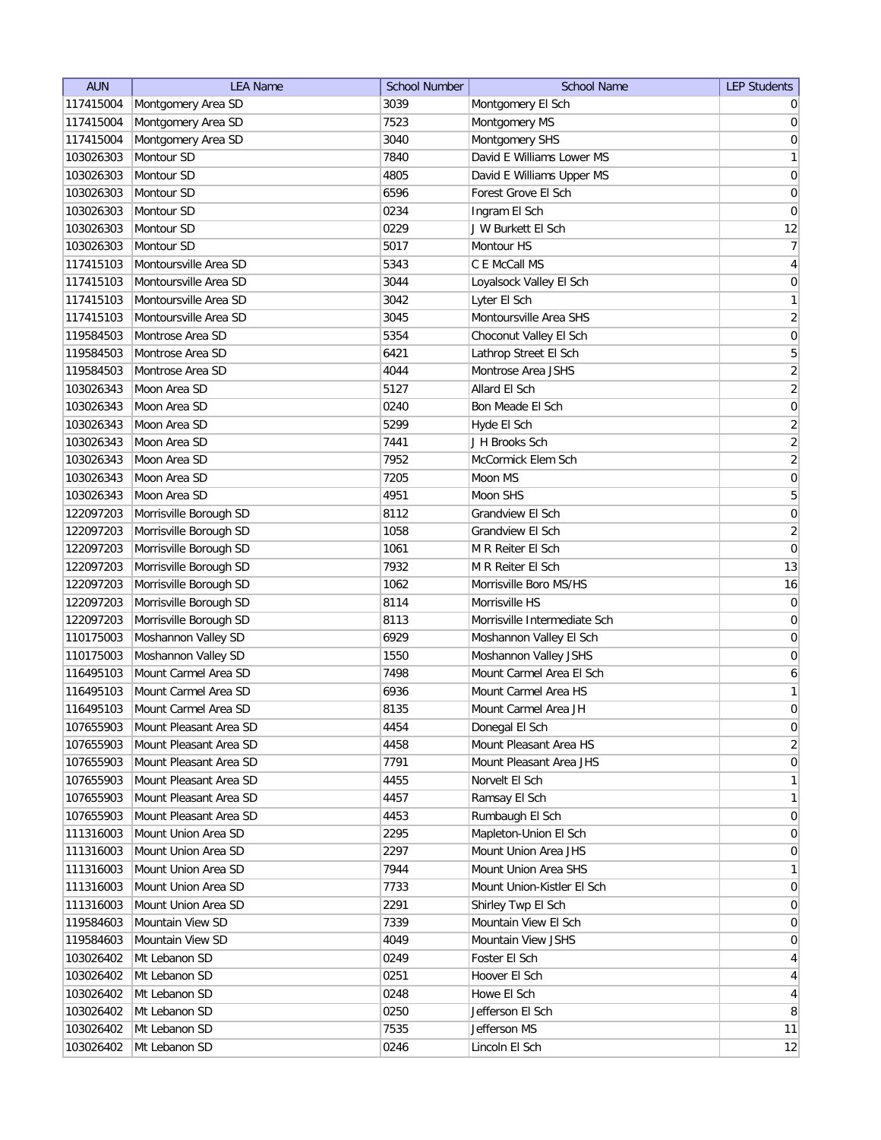| 117415004<br>Montgomery Area SD<br>3039<br>Montgomery El Sch<br>Montgomery Area SD<br>117415004<br>7523<br>Montgomery MS | $\overline{0}$<br>$\pmb{0}$ |
|--------------------------------------------------------------------------------------------------------------------------|-----------------------------|
|                                                                                                                          |                             |
|                                                                                                                          |                             |
| Montgomery Area SD<br>117415004<br>3040<br>Montgomery SHS                                                                | $\mathsf{O}\xspace$         |
| Montour SD<br>7840<br>David E Williams Lower MS<br>103026303                                                             | $\mathbf{1}$                |
| Montour SD<br>David E Williams Upper MS<br>103026303<br>4805                                                             | $\boldsymbol{0}$            |
| Forest Grove El Sch<br>103026303<br>Montour SD<br>6596                                                                   | $\boldsymbol{0}$            |
| 103026303<br>Montour SD<br>0234<br>Ingram El Sch                                                                         | $\pmb{0}$                   |
| 0229<br>103026303<br>Montour SD<br>J W Burkett El Sch                                                                    | 12                          |
| 103026303<br>Montour SD<br>5017<br>Montour HS                                                                            | $\overline{7}$              |
| Montoursville Area SD<br>C E McCall MS<br>117415103<br>5343                                                              | $\overline{4}$              |
| Montoursville Area SD<br>117415103<br>3044<br>Loyalsock Valley El Sch                                                    | $\boldsymbol{0}$            |
| Montoursville Area SD<br>117415103<br>3042<br>Lyter El Sch                                                               | $\mathbf{1}$                |
| Montoursville Area SHS<br>117415103<br>Montoursville Area SD<br>3045                                                     | $\overline{2}$              |
| Montrose Area SD<br>119584503<br>5354<br>Choconut Valley El Sch                                                          | 0                           |
| Montrose Area SD<br>Lathrop Street El Sch<br>119584503<br>6421                                                           | 5                           |
| 119584503<br>Montrose Area SD<br>4044<br>Montrose Area JSHS                                                              | $\overline{2}$              |
| 103026343<br>Moon Area SD<br>5127<br>Allard El Sch                                                                       | $\overline{2}$              |
| Moon Area SD<br>103026343<br>0240<br>Bon Meade El Sch                                                                    | $\mathbf 0$                 |
| Moon Area SD<br>5299<br>103026343<br>Hyde El Sch                                                                         | $\mathbf{2}$                |
| 103026343<br>7441<br>J H Brooks Sch<br>Moon Area SD                                                                      | $\overline{2}$              |
| 7952<br>McCormick Elem Sch<br>103026343<br>Moon Area SD                                                                  | $\overline{2}$              |
| 103026343<br>Moon Area SD<br>Moon MS<br>7205                                                                             | $\boldsymbol{0}$            |
| Moon Area SD<br>4951<br>Moon SHS<br>103026343                                                                            | $\mathbf 5$                 |
| 8112<br>Grandview El Sch<br>122097203<br>Morrisville Borough SD                                                          | $\boldsymbol{0}$            |
| Morrisville Borough SD<br>1058<br>122097203<br>Grandview El Sch                                                          | $\overline{2}$              |
| 122097203<br>Morrisville Borough SD<br>1061<br>M R Reiter El Sch                                                         | $\mathsf{O}\xspace$         |
| 122097203<br>Morrisville Borough SD<br>7932<br>M R Reiter El Sch                                                         | 13                          |
| 122097203<br>Morrisville Borough SD<br>1062<br>Morrisville Boro MS/HS                                                    | 16                          |
| Morrisville HS<br>122097203<br>Morrisville Borough SD<br>8114                                                            | 0                           |
| 122097203<br>Morrisville Borough SD<br>Morrisville Intermediate Sch<br>8113                                              | 0                           |
| Moshannon Valley El Sch<br>110175003<br>Moshannon Valley SD<br>6929                                                      | 0                           |
| Moshannon Valley SD<br>Moshannon Valley JSHS<br>110175003<br>1550                                                        | 0                           |
| Mount Carmel Area El Sch<br>Mount Carmel Area SD<br>116495103<br>7498                                                    | $\boldsymbol{6}$            |
| Mount Carmel Area SD<br>Mount Carmel Area HS<br>116495103<br>6936                                                        | $\mathbf{1}$                |
| 116495103<br>Mount Carmel Area SD<br>8135<br>Mount Carmel Area JH                                                        | $\overline{0}$              |
| 107655903<br>Mount Pleasant Area SD<br>4454<br>Donegal El Sch                                                            | $\pmb{0}$                   |
| Mount Pleasant Area HS<br>107655903<br>Mount Pleasant Area SD<br>4458                                                    | $\sqrt{2}$                  |
| Mount Pleasant Area SD<br>7791<br>Mount Pleasant Area JHS<br>107655903                                                   | $\boldsymbol{0}$            |
| Mount Pleasant Area SD<br>4455<br>Norvelt El Sch<br>107655903                                                            | $\mathbf{1}$                |
| Mount Pleasant Area SD<br>4457<br>Ramsay El Sch<br>107655903                                                             | $\mathbf{1}$                |
| Mount Pleasant Area SD<br>Rumbaugh El Sch<br>107655903<br>4453                                                           | $\boldsymbol{0}$            |
| Mount Union Area SD<br>111316003<br>2295<br>Mapleton-Union El Sch                                                        | $\boldsymbol{0}$            |
| Mount Union Area SD<br>Mount Union Area JHS<br>111316003<br>2297                                                         | $\boldsymbol{0}$            |
| Mount Union Area SD<br>Mount Union Area SHS<br>111316003<br>7944                                                         | $\mathbf{1}$                |
| Mount Union Area SD<br>111316003<br>7733<br>Mount Union-Kistler El Sch                                                   | $\overline{0}$              |
| 111316003<br>Mount Union Area SD<br>2291<br>Shirley Twp El Sch                                                           | 0                           |
| Mountain View SD<br>Mountain View El Sch<br>119584603<br>7339                                                            | $\overline{0}$              |
| Mountain View SD<br>Mountain View JSHS<br>119584603<br>4049                                                              | $\overline{0}$              |
| Mt Lebanon SD<br>0249<br>Foster El Sch<br>103026402                                                                      | $\overline{4}$              |
| Mt Lebanon SD<br>103026402<br>0251<br>Hoover El Sch                                                                      | $\overline{4}$              |
| Mt Lebanon SD<br>Howe El Sch<br>103026402<br>0248                                                                        | $\overline{4}$              |
| Mt Lebanon SD<br>0250<br>Jefferson El Sch<br>103026402                                                                   | $\,8\,$                     |
| Mt Lebanon SD<br>7535<br>Jefferson MS<br>103026402                                                                       | 11                          |
| Mt Lebanon SD<br>0246<br>Lincoln El Sch<br>103026402                                                                     | 12                          |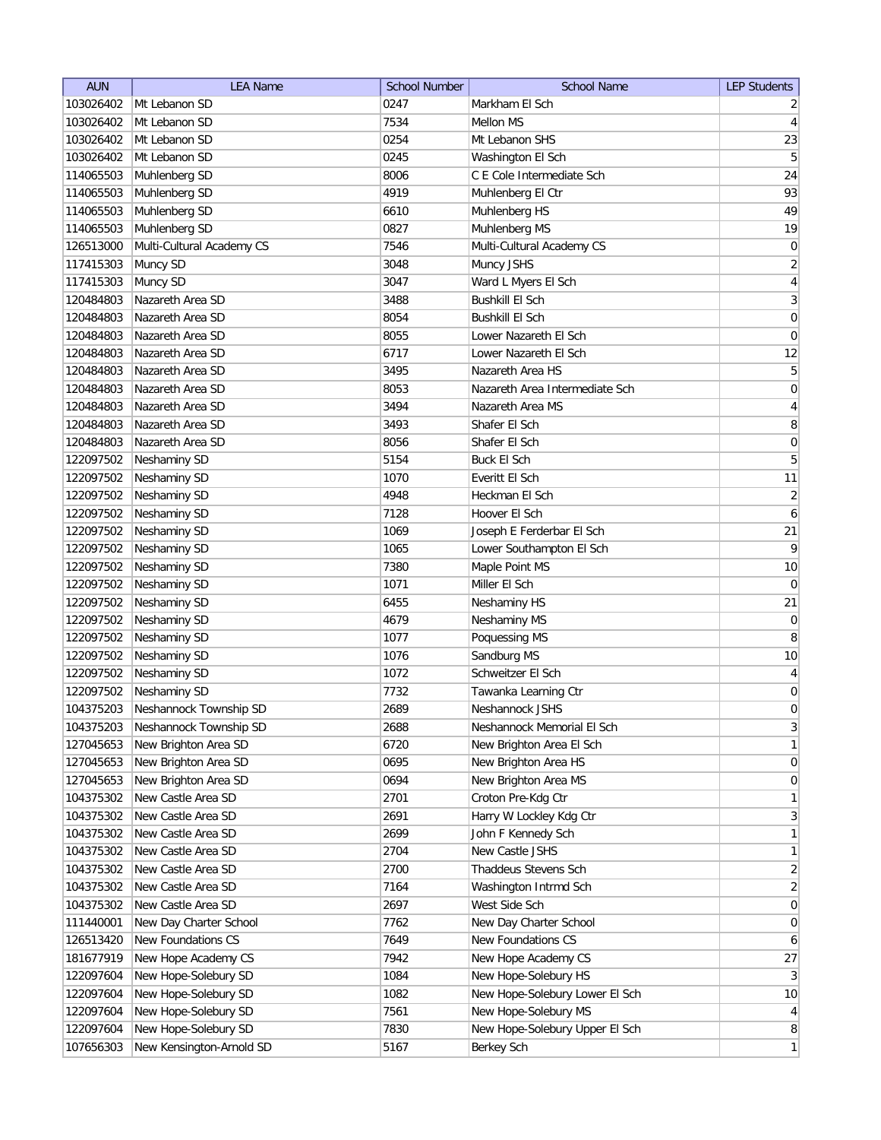| <b>AUN</b> | <b>LEA Name</b>           | <b>School Number</b> | <b>School Name</b>             | <b>LEP Students</b> |
|------------|---------------------------|----------------------|--------------------------------|---------------------|
| 103026402  | Mt Lebanon SD             | 0247                 | Markham El Sch                 | $\overline{2}$      |
| 103026402  | Mt Lebanon SD             | 7534                 | <b>Mellon MS</b>               | $\overline{4}$      |
| 103026402  | Mt Lebanon SD             | 0254                 | Mt Lebanon SHS                 | 23                  |
| 103026402  | Mt Lebanon SD             | 0245                 | Washington El Sch              | 5                   |
| 114065503  | Muhlenberg SD             | 8006                 | C E Cole Intermediate Sch      | 24                  |
| 114065503  | Muhlenberg SD             | 4919                 | Muhlenberg El Ctr              | 93                  |
| 114065503  | Muhlenberg SD             | 6610                 | Muhlenberg HS                  | 49                  |
| 114065503  | Muhlenberg SD             | 0827                 | Muhlenberg MS                  | 19                  |
| 126513000  | Multi-Cultural Academy CS | 7546                 | Multi-Cultural Academy CS      | 0                   |
| 117415303  | Muncy SD                  | 3048                 | Muncy JSHS                     | $\overline{2}$      |
| 117415303  | Muncy SD                  | 3047                 | Ward L Myers El Sch            | $\overline{4}$      |
| 120484803  | Nazareth Area SD          | 3488                 | <b>Bushkill El Sch</b>         | 3                   |
| 120484803  | Nazareth Area SD          | 8054                 | <b>Bushkill El Sch</b>         | 0                   |
| 120484803  | Nazareth Area SD          | 8055                 | Lower Nazareth El Sch          | 0                   |
| 120484803  | Nazareth Area SD          | 6717                 | Lower Nazareth El Sch          | 12                  |
| 120484803  | Nazareth Area SD          | 3495                 | Nazareth Area HS               | 5                   |
| 120484803  | Nazareth Area SD          | 8053                 | Nazareth Area Intermediate Sch | 0                   |
| 120484803  | Nazareth Area SD          | 3494                 | Nazareth Area MS               | $\overline{4}$      |
| 120484803  | Nazareth Area SD          | 3493                 | Shafer El Sch                  | 8                   |
| 120484803  | Nazareth Area SD          | 8056                 | Shafer El Sch                  | $\mathsf{O}\xspace$ |
| 122097502  | Neshaminy SD              | 5154                 | <b>Buck El Sch</b>             | $\mathbf 5$         |
| 122097502  | Neshaminy SD              | 1070                 | Everitt El Sch                 | 11                  |
| 122097502  | Neshaminy SD              | 4948                 | Heckman El Sch                 | $\overline{2}$      |
| 122097502  | Neshaminy SD              | 7128                 | Hoover El Sch                  | 6                   |
| 122097502  | Neshaminy SD              | 1069                 | Joseph E Ferderbar El Sch      | 21                  |
| 122097502  | Neshaminy SD              | 1065                 | Lower Southampton El Sch       | 9                   |
| 122097502  | Neshaminy SD              | 7380                 | Maple Point MS                 | 10                  |
| 122097502  | Neshaminy SD              | 1071                 | Miller El Sch                  | 0                   |
| 122097502  | Neshaminy SD              | 6455                 | Neshaminy HS                   | 21                  |
| 122097502  | Neshaminy SD              | 4679                 | Neshaminy MS                   | 0                   |
| 122097502  | Neshaminy SD              | 1077                 | Poquessing MS                  | 8                   |
| 122097502  | Neshaminy SD              | 1076                 | Sandburg MS                    | 10                  |
| 122097502  | Neshaminy SD              | 1072                 | Schweitzer El Sch              | $\overline{4}$      |
| 122097502  | Neshaminy SD              | 7732                 | Tawanka Learning Ctr           | 0                   |
| 104375203  | Neshannock Township SD    | 2689                 | Neshannock JSHS                | 0                   |
| 104375203  | Neshannock Township SD    | 2688                 | Neshannock Memorial El Sch     | $\mathbf{3}$        |
| 127045653  | New Brighton Area SD      | 6720                 | New Brighton Area El Sch       | $\mathbf{1}$        |
| 127045653  | New Brighton Area SD      | 0695                 | New Brighton Area HS           | $\boldsymbol{0}$    |
| 127045653  | New Brighton Area SD      | 0694                 | New Brighton Area MS           | $\boldsymbol{0}$    |
| 104375302  | New Castle Area SD        | 2701                 | Croton Pre-Kdg Ctr             | $\mathbf{1}$        |
| 104375302  | New Castle Area SD        | 2691                 | Harry W Lockley Kdg Ctr        | $\mathbf{3}$        |
| 104375302  | New Castle Area SD        | 2699                 | John F Kennedy Sch             | $\mathbf{1}$        |
| 104375302  | New Castle Area SD        | 2704                 | New Castle JSHS                | $\mathbf{1}$        |
| 104375302  | New Castle Area SD        | 2700                 | Thaddeus Stevens Sch           | $\overline{2}$      |
| 104375302  | New Castle Area SD        | 7164                 | Washington Intrmd Sch          | $\overline{2}$      |
| 104375302  | New Castle Area SD        | 2697                 | West Side Sch                  | 0                   |
| 111440001  | New Day Charter School    | 7762                 | New Day Charter School         | 0                   |
| 126513420  | New Foundations CS        | 7649                 | New Foundations CS             | $\boldsymbol{6}$    |
| 181677919  | New Hope Academy CS       | 7942                 | New Hope Academy CS            | $27\,$              |
| 122097604  | New Hope-Solebury SD      | 1084                 | New Hope-Solebury HS           | $\mathbf{3}$        |
| 122097604  | New Hope-Solebury SD      | 1082                 | New Hope-Solebury Lower El Sch | 10                  |
| 122097604  | New Hope-Solebury SD      | 7561                 | New Hope-Solebury MS           | $\overline{4}$      |
| 122097604  | New Hope-Solebury SD      | 7830                 | New Hope-Solebury Upper El Sch | 8                   |
| 107656303  | New Kensington-Arnold SD  | 5167                 | Berkey Sch                     | $\mathbf{1}$        |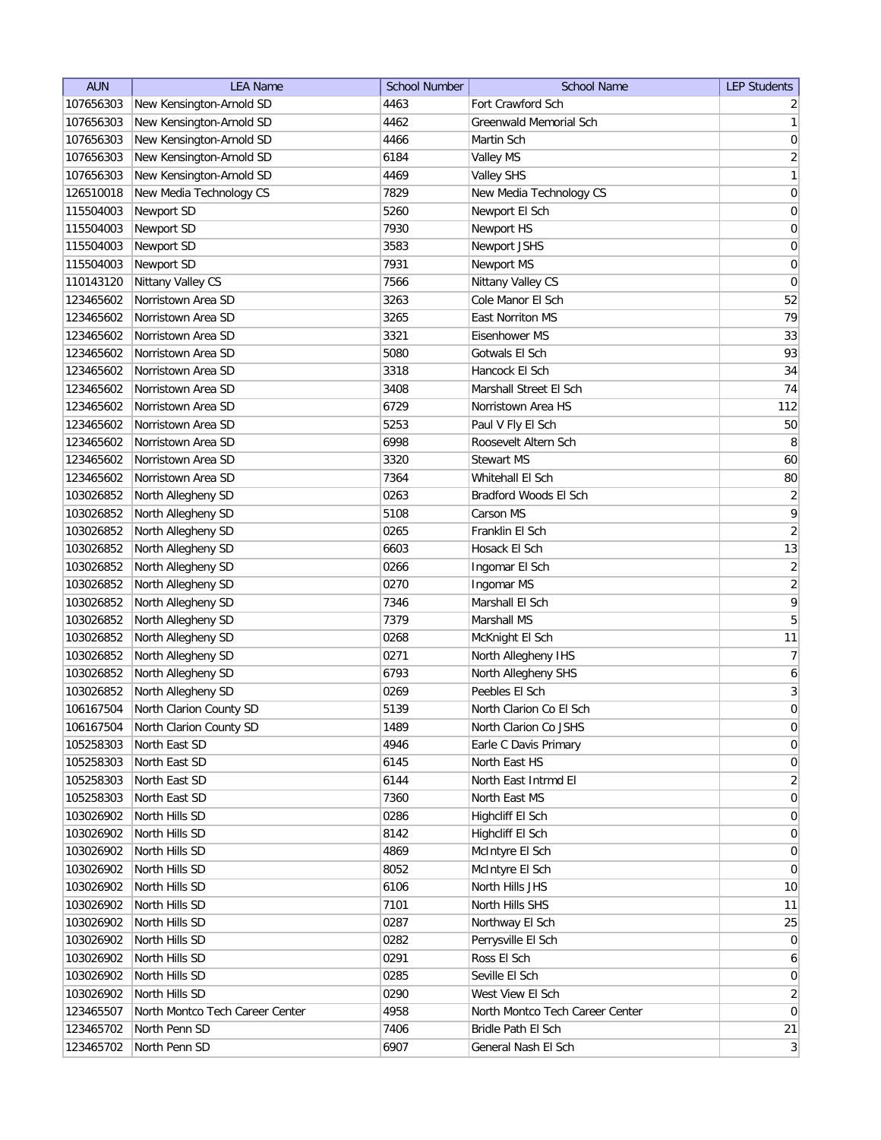| <b>AUN</b> | <b>LEA Name</b>                 | <b>School Number</b> | <b>School Name</b>              | <b>LEP Students</b> |
|------------|---------------------------------|----------------------|---------------------------------|---------------------|
| 107656303  | New Kensington-Arnold SD        | 4463                 | Fort Crawford Sch               | $\overline{2}$      |
| 107656303  | New Kensington-Arnold SD        | 4462                 | Greenwald Memorial Sch          | 1                   |
| 107656303  | New Kensington-Arnold SD        | 4466                 | Martin Sch                      | 0                   |
| 107656303  | New Kensington-Arnold SD        | 6184                 | Valley MS                       | $\overline{2}$      |
| 107656303  | New Kensington-Arnold SD        | 4469                 | <b>Valley SHS</b>               | 1                   |
| 126510018  | New Media Technology CS         | 7829                 | New Media Technology CS         | $\boldsymbol{0}$    |
| 115504003  | Newport SD                      | 5260                 | Newport El Sch                  | 0                   |
| 115504003  | Newport SD                      | 7930                 | Newport HS                      | $\boldsymbol{0}$    |
| 115504003  | Newport SD                      | 3583                 | Newport JSHS                    | $\boldsymbol{0}$    |
| 115504003  | Newport SD                      | 7931                 | Newport MS                      | 0                   |
| 110143120  | Nittany Valley CS               | 7566                 | Nittany Valley CS               | 0                   |
| 123465602  | Norristown Area SD              | 3263                 | Cole Manor El Sch               | 52                  |
| 123465602  | Norristown Area SD              | 3265                 | East Norriton MS                | 79                  |
| 123465602  | Norristown Area SD              | 3321                 | Eisenhower MS                   | 33                  |
| 123465602  | Norristown Area SD              | 5080                 | Gotwals El Sch                  | 93                  |
| 123465602  | Norristown Area SD              | 3318                 | Hancock El Sch                  | 34                  |
| 123465602  | Norristown Area SD              | 3408                 | Marshall Street El Sch          | 74                  |
| 123465602  | Norristown Area SD              | 6729                 | Norristown Area HS              | 112                 |
| 123465602  | Norristown Area SD              | 5253                 | Paul V Fly El Sch               | 50                  |
| 123465602  | Norristown Area SD              | 6998                 | Roosevelt Altern Sch            | 8                   |
| 123465602  | Norristown Area SD              | 3320                 | <b>Stewart MS</b>               | 60                  |
| 123465602  | Norristown Area SD              | 7364                 | Whitehall El Sch                | 80                  |
| 103026852  | North Allegheny SD              | 0263                 | Bradford Woods El Sch           | $\overline{2}$      |
| 103026852  | North Allegheny SD              | 5108                 | Carson MS                       | 9                   |
|            |                                 |                      | Franklin El Sch                 | $\overline{2}$      |
| 103026852  | North Allegheny SD              | 0265                 |                                 |                     |
| 103026852  | North Allegheny SD              | 6603                 | Hosack El Sch                   | 13                  |
| 103026852  | North Allegheny SD              | 0266                 | Ingomar El Sch                  | $\overline{2}$      |
| 103026852  | North Allegheny SD              | 0270                 | Ingomar MS                      | $\overline{2}$      |
| 103026852  | North Allegheny SD              | 7346                 | Marshall El Sch                 | 9                   |
| 103026852  | North Allegheny SD              | 7379                 | Marshall MS                     | 5                   |
| 103026852  | North Allegheny SD              | 0268                 | McKnight El Sch                 | 11                  |
| 103026852  | North Allegheny SD              | 0271                 | North Allegheny IHS             | 7                   |
| 103026852  | North Allegheny SD              | 6793                 | North Allegheny SHS             | 6                   |
| 103026852  | North Allegheny SD              | 0269                 | Peebles El Sch                  | $\vert 3 \vert$     |
| 106167504  | North Clarion County SD         | 5139                 | North Clarion Co El Sch         | $\mathbf 0$         |
| 106167504  | North Clarion County SD         | 1489                 | North Clarion Co JSHS           | 0                   |
| 105258303  | North East SD                   | 4946                 | Earle C Davis Primary           | 0                   |
| 105258303  | North East SD                   | 6145                 | North East HS                   | 0                   |
| 105258303  | North East SD                   | 6144                 | North East Intrmd El            | $\overline{2}$      |
| 105258303  | North East SD                   | 7360                 | North East MS                   | 0                   |
| 103026902  | North Hills SD                  | 0286                 | Highcliff El Sch                | 0                   |
| 103026902  | North Hills SD                  | 8142                 | Highcliff El Sch                | 0                   |
| 103026902  | North Hills SD                  | 4869                 | McIntyre El Sch                 | 0                   |
| 103026902  | North Hills SD                  | 8052                 | McIntyre El Sch                 | $\overline{0}$      |
| 103026902  | North Hills SD                  | 6106                 | North Hills JHS                 | 10                  |
| 103026902  | North Hills SD                  | 7101                 | North Hills SHS                 | 11                  |
| 103026902  | North Hills SD                  | 0287                 | Northway El Sch                 | 25                  |
| 103026902  | North Hills SD                  | 0282                 | Perrysville El Sch              | $\overline{0}$      |
| 103026902  | North Hills SD                  | 0291                 | Ross El Sch                     | $\mathbf{6}$        |
| 103026902  | North Hills SD                  | 0285                 | Seville El Sch                  | $\overline{0}$      |
| 103026902  | North Hills SD                  | 0290                 | West View El Sch                | $\overline{2}$      |
| 123465507  | North Montco Tech Career Center | 4958                 | North Montco Tech Career Center | 0                   |
| 123465702  | North Penn SD                   | 7406                 | Bridle Path El Sch              | 21                  |
| 123465702  | North Penn SD                   | 6907                 | General Nash El Sch             | $\vert 3 \vert$     |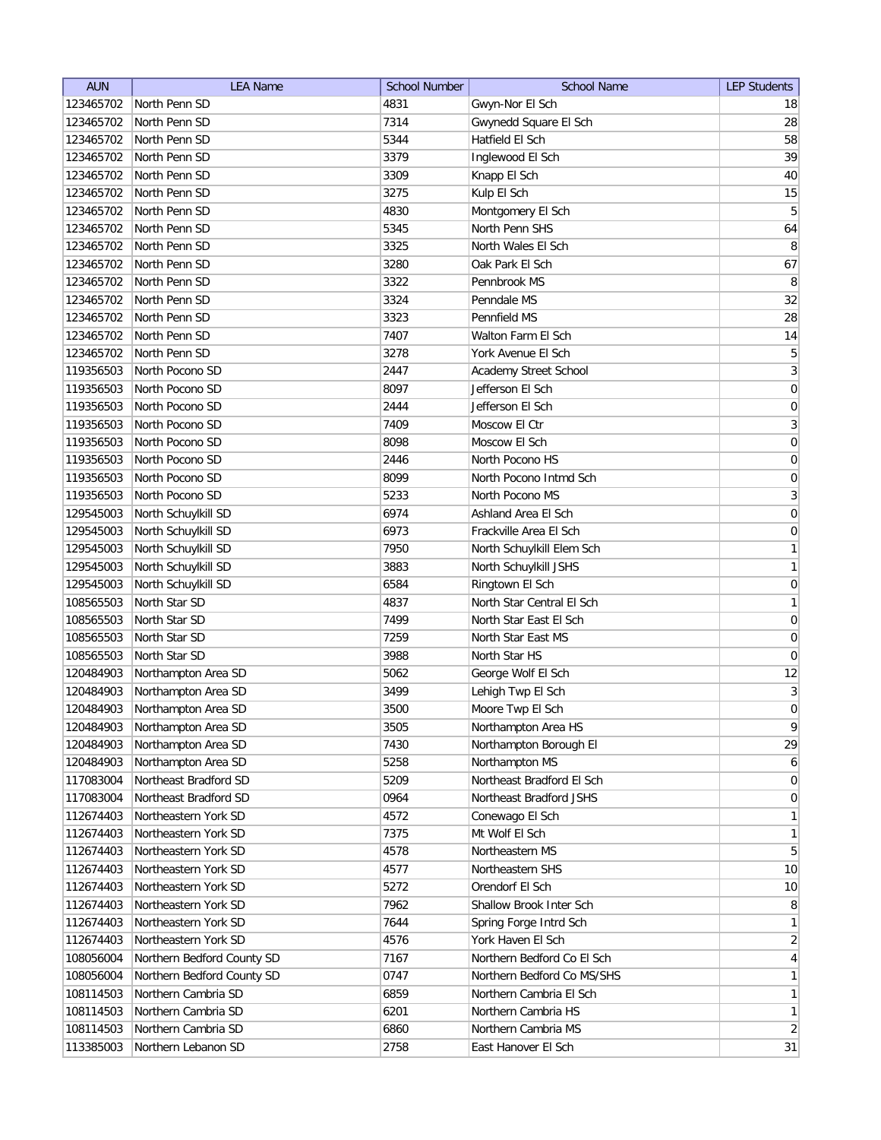| <b>AUN</b> | <b>LEA Name</b>            | <b>School Number</b> | <b>School Name</b>         | <b>LEP Students</b> |
|------------|----------------------------|----------------------|----------------------------|---------------------|
| 123465702  | North Penn SD              | 4831                 | Gwyn-Nor El Sch            | 18                  |
| 123465702  | North Penn SD              | 7314                 | Gwynedd Square El Sch      | 28                  |
| 123465702  | North Penn SD              | 5344                 | Hatfield El Sch            | 58                  |
| 123465702  | North Penn SD              | 3379                 | Inglewood El Sch           | 39                  |
| 123465702  | North Penn SD              | 3309                 | Knapp El Sch               | 40                  |
| 123465702  | North Penn SD              | 3275                 | Kulp El Sch                | 15                  |
| 123465702  | North Penn SD              | 4830                 | Montgomery El Sch          | $\overline{5}$      |
| 123465702  | North Penn SD              | 5345                 | North Penn SHS             | 64                  |
| 123465702  | North Penn SD              | 3325                 | North Wales El Sch         | 8                   |
| 123465702  | North Penn SD              | 3280                 | Oak Park El Sch            | 67                  |
| 123465702  | North Penn SD              | 3322                 | Pennbrook MS               | 8                   |
| 123465702  | North Penn SD              | 3324                 | Penndale MS                | 32                  |
| 123465702  | North Penn SD              | 3323                 | Pennfield MS               | 28                  |
| 123465702  | North Penn SD              | 7407                 | Walton Farm El Sch         | 14                  |
| 123465702  | North Penn SD              | 3278                 | York Avenue El Sch         | 5                   |
| 119356503  | North Pocono SD            | 2447                 | Academy Street School      | $\mathbf{3}$        |
| 119356503  | North Pocono SD            | 8097                 | Jefferson El Sch           | $\boldsymbol{0}$    |
| 119356503  | North Pocono SD            | 2444                 | Jefferson El Sch           | $\vert 0 \vert$     |
| 119356503  | North Pocono SD            | 7409                 | Moscow El Ctr              | 3                   |
| 119356503  | North Pocono SD            | 8098                 | Moscow El Sch              | 0                   |
| 119356503  | North Pocono SD            | 2446                 | North Pocono HS            | 0                   |
| 119356503  | North Pocono SD            | 8099                 | North Pocono Intmd Sch     | $\boldsymbol{0}$    |
| 119356503  | North Pocono SD            | 5233                 | North Pocono MS            | $\overline{3}$      |
| 129545003  | North Schuylkill SD        | 6974                 | Ashland Area El Sch        | 0                   |
| 129545003  | North Schuylkill SD        | 6973                 | Frackville Area El Sch     | $\boldsymbol{0}$    |
| 129545003  | North Schuylkill SD        | 7950                 | North Schuylkill Elem Sch  | 1                   |
| 129545003  | North Schuylkill SD        | 3883                 | North Schuylkill JSHS      | 1                   |
| 129545003  | North Schuylkill SD        | 6584                 | Ringtown El Sch            | $\boldsymbol{0}$    |
| 108565503  | North Star SD              | 4837                 | North Star Central El Sch  | 1                   |
| 108565503  | North Star SD              | 7499                 | North Star East El Sch     | $\boldsymbol{0}$    |
| 108565503  | North Star SD              | 7259                 | North Star East MS         | $\boldsymbol{0}$    |
| 108565503  | North Star SD              | 3988                 | North Star HS              | 0                   |
| 120484903  | Northampton Area SD        | 5062                 | George Wolf El Sch         | 12                  |
| 120484903  | Northampton Area SD        | 3499                 | Lehigh Twp El Sch          | 3                   |
| 120484903  | Northampton Area SD        | 3500                 | Moore Twp El Sch           | $\mathbf 0$         |
| 120484903  | Northampton Area SD        | 3505                 | Northampton Area HS        | 9                   |
| 120484903  | Northampton Area SD        | 7430                 | Northampton Borough El     | 29                  |
| 120484903  | Northampton Area SD        | 5258                 | Northampton MS             | 6 <sup>1</sup>      |
| 117083004  | Northeast Bradford SD      | 5209                 | Northeast Bradford El Sch  | $\overline{0}$      |
| 117083004  | Northeast Bradford SD      | 0964                 | Northeast Bradford JSHS    | 0                   |
| 112674403  | Northeastern York SD       | 4572                 | Conewago El Sch            | $\mathbf{1}$        |
| 112674403  | Northeastern York SD       | 7375                 | Mt Wolf El Sch             | $\mathbf{1}$        |
| 112674403  | Northeastern York SD       | 4578                 | Northeastern MS            | 5 <sup>2</sup>      |
| 112674403  | Northeastern York SD       | 4577                 | Northeastern SHS           | 10                  |
| 112674403  | Northeastern York SD       | 5272                 | Orendorf El Sch            | 10                  |
| 112674403  | Northeastern York SD       | 7962                 | Shallow Brook Inter Sch    | 8                   |
| 112674403  | Northeastern York SD       | 7644                 | Spring Forge Intrd Sch     | 1                   |
| 112674403  | Northeastern York SD       | 4576                 | York Haven El Sch          | $\overline{2}$      |
| 108056004  | Northern Bedford County SD | 7167                 | Northern Bedford Co El Sch | $\vert 4 \vert$     |
| 108056004  | Northern Bedford County SD | 0747                 | Northern Bedford Co MS/SHS | 1                   |
| 108114503  | Northern Cambria SD        | 6859                 | Northern Cambria El Sch    | 1                   |
| 108114503  | Northern Cambria SD        | 6201                 | Northern Cambria HS        | $\mathbf{1}$        |
| 108114503  | Northern Cambria SD        | 6860                 | Northern Cambria MS        | $\overline{2}$      |
| 113385003  | Northern Lebanon SD        | 2758                 | East Hanover El Sch        | 31                  |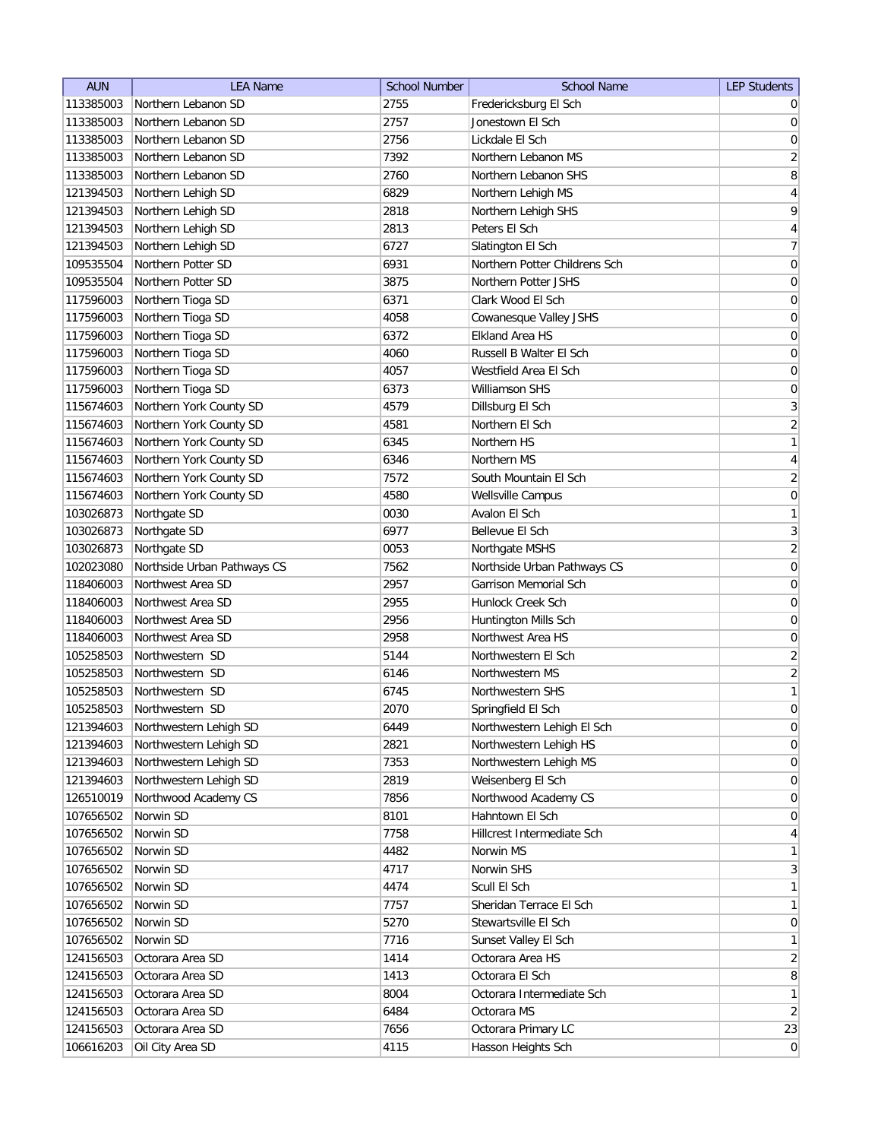| <b>AUN</b> | <b>LEA Name</b>             | <b>School Number</b> | <b>School Name</b>            | <b>LEP Students</b>          |
|------------|-----------------------------|----------------------|-------------------------------|------------------------------|
| 113385003  | Northern Lebanon SD         | 2755                 | Fredericksburg El Sch         | $\overline{0}$               |
| 113385003  | Northern Lebanon SD         | 2757                 | Jonestown El Sch              | 0                            |
| 113385003  | Northern Lebanon SD         | 2756                 | Lickdale El Sch               | $\boldsymbol{0}$             |
| 113385003  | Northern Lebanon SD         | 7392                 | Northern Lebanon MS           | $\overline{2}$               |
| 113385003  | Northern Lebanon SD         | 2760                 | Northern Lebanon SHS          | 8                            |
| 121394503  | Northern Lehigh SD          | 6829                 | Northern Lehigh MS            | $\overline{4}$               |
| 121394503  | Northern Lehigh SD          | 2818                 | Northern Lehigh SHS           | 9                            |
| 121394503  | Northern Lehigh SD          | 2813                 | Peters El Sch                 | $\vert 4 \vert$              |
| 121394503  | Northern Lehigh SD          | 6727                 | Slatington El Sch             | $\overline{7}$               |
| 109535504  | Northern Potter SD          | 6931                 | Northern Potter Childrens Sch | 0                            |
| 109535504  | Northern Potter SD          | 3875                 | Northern Potter JSHS          | 0                            |
| 117596003  | Northern Tioga SD           | 6371                 | Clark Wood El Sch             | 0                            |
| 117596003  | Northern Tioga SD           | 4058                 | Cowanesque Valley JSHS        | 0                            |
| 117596003  | Northern Tioga SD           | 6372                 | Elkland Area HS               | 0                            |
| 117596003  | Northern Tioga SD           | 4060                 | Russell B Walter El Sch       | 0                            |
| 117596003  | Northern Tioga SD           | 4057                 | Westfield Area El Sch         | $\overline{0}$               |
| 117596003  | Northern Tioga SD           | 6373                 | Williamson SHS                | $\boldsymbol{0}$             |
| 115674603  | Northern York County SD     | 4579                 | Dillsburg El Sch              | $\vert 3 \vert$              |
| 115674603  | Northern York County SD     | 4581                 | Northern El Sch               | $\overline{2}$               |
| 115674603  | Northern York County SD     | 6345                 | Northern HS                   | 1                            |
| 115674603  | Northern York County SD     | 6346                 | Northern MS                   | $\vert 4 \vert$              |
| 115674603  | Northern York County SD     | 7572                 | South Mountain El Sch         | $\overline{2}$               |
| 115674603  | Northern York County SD     | 4580                 | Wellsville Campus             | 0                            |
| 103026873  | Northgate SD                | 0030                 | Avalon El Sch                 | 1                            |
| 103026873  | Northgate SD                | 6977                 | Bellevue El Sch               | 3                            |
| 103026873  | Northgate SD                | 0053                 | Northgate MSHS                | $\overline{2}$               |
| 102023080  | Northside Urban Pathways CS | 7562                 | Northside Urban Pathways CS   | $\overline{0}$               |
| 118406003  | Northwest Area SD           | 2957                 | Garrison Memorial Sch         | 0                            |
| 118406003  | Northwest Area SD           | 2955                 | Hunlock Creek Sch             | 0                            |
| 118406003  | Northwest Area SD           | 2956                 | Huntington Mills Sch          | 0                            |
| 118406003  | Northwest Area SD           | 2958                 | Northwest Area HS             | 0                            |
| 105258503  | Northwestern SD             | 5144                 | Northwestern El Sch           | $\overline{2}$               |
| 105258503  | Northwestern SD             | 6146                 | Northwestern MS               | $\overline{2}$               |
| 105258503  | Northwestern SD             | 6745                 | Northwestern SHS              | 1                            |
| 105258503  | Northwestern SD             | 2070                 | Springfield El Sch            | $\overline{0}$               |
| 121394603  | Northwestern Lehigh SD      | 6449                 | Northwestern Lehigh El Sch    | $\vert 0 \vert$              |
| 121394603  | Northwestern Lehigh SD      | 2821                 | Northwestern Lehigh HS        | $\vert 0 \vert$              |
| 121394603  | Northwestern Lehigh SD      | 7353                 | Northwestern Lehigh MS        | 0                            |
| 121394603  | Northwestern Lehigh SD      | 2819                 | Weisenberg El Sch             | 0                            |
| 126510019  | Northwood Academy CS        | 7856                 | Northwood Academy CS          | $\overline{0}$               |
| 107656502  | Norwin SD                   | 8101                 | Hahntown El Sch               | 0                            |
| 107656502  | Norwin SD                   | 7758                 | Hillcrest Intermediate Sch    | $\vert 4 \vert$              |
| 107656502  | Norwin SD                   | 4482                 | Norwin MS                     | 1                            |
| 107656502  | Norwin SD                   | 4717                 | Norwin SHS                    | 3                            |
| 107656502  | Norwin SD                   | 4474                 | Scull El Sch                  | $\mathbf{1}$                 |
| 107656502  | Norwin SD                   | 7757                 | Sheridan Terrace El Sch       | 1                            |
| 107656502  | Norwin SD                   | 5270                 | Stewartsville El Sch          | $\overline{0}$               |
| 107656502  | Norwin SD                   | 7716                 | Sunset Valley El Sch          | $\mathbf{1}$                 |
| 124156503  | Octorara Area SD            | 1414                 | Octorara Area HS              | $\overline{2}$               |
| 124156503  | Octorara Area SD            | 1413                 | Octorara El Sch               | $\lvert 8 \rvert$            |
| 124156503  | Octorara Area SD            | 8004                 | Octorara Intermediate Sch     | 1                            |
| 124156503  | Octorara Area SD            | 6484                 | Octorara MS                   | $\left  \frac{2}{2} \right $ |
| 124156503  | Octorara Area SD            | 7656                 | Octorara Primary LC           | 23                           |
| 106616203  | Oil City Area SD            | 4115                 | Hasson Heights Sch            | 0                            |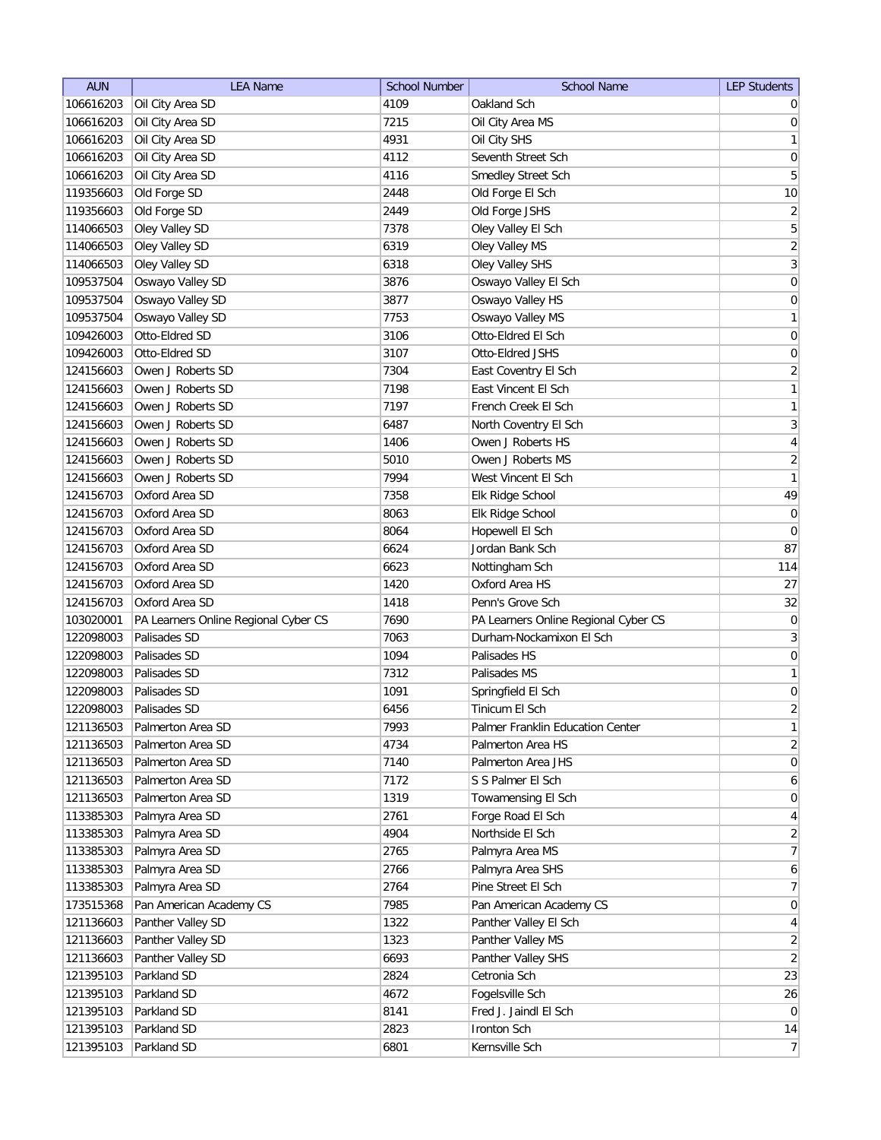| <b>AUN</b> | <b>LEA Name</b>                      | <b>School Number</b> | <b>School Name</b>                   | <b>LEP Students</b>          |
|------------|--------------------------------------|----------------------|--------------------------------------|------------------------------|
| 106616203  | Oil City Area SD                     | 4109                 | Oakland Sch                          | $\overline{0}$               |
| 106616203  | Oil City Area SD                     | 7215                 | Oil City Area MS                     | 0                            |
| 106616203  | Oil City Area SD                     | 4931                 | Oil City SHS                         | 1                            |
| 106616203  | Oil City Area SD                     | 4112                 | Seventh Street Sch                   | $\pmb{0}$                    |
| 106616203  | Oil City Area SD                     | 4116                 | Smedley Street Sch                   | 5                            |
| 119356603  | Old Forge SD                         | 2448                 | Old Forge El Sch                     | $10$                         |
| 119356603  | Old Forge SD                         | 2449                 | Old Forge JSHS                       | $\overline{2}$               |
| 114066503  | Oley Valley SD                       | 7378                 | Oley Valley El Sch                   | 5                            |
| 114066503  | Oley Valley SD                       | 6319                 | Oley Valley MS                       | $\overline{2}$               |
| 114066503  | Oley Valley SD                       | 6318                 | Oley Valley SHS                      | $\overline{3}$               |
| 109537504  | Oswayo Valley SD                     | 3876                 | Oswayo Valley El Sch                 | $\boldsymbol{0}$             |
| 109537504  | Oswayo Valley SD                     | 3877                 | Oswayo Valley HS                     | 0                            |
| 109537504  | Oswayo Valley SD                     | 7753                 | Oswayo Valley MS                     | $\mathbf{1}$                 |
| 109426003  | Otto-Eldred SD                       | 3106                 | Otto-Eldred El Sch                   | $\boldsymbol{0}$             |
| 109426003  | Otto-Eldred SD                       | 3107                 | Otto-Eldred JSHS                     | 0                            |
| 124156603  | Owen J Roberts SD                    | 7304                 | East Coventry El Sch                 | $\overline{2}$               |
| 124156603  | Owen J Roberts SD                    | 7198                 | East Vincent El Sch                  | $\mathbf{1}$                 |
| 124156603  | Owen J Roberts SD                    | 7197                 | French Creek El Sch                  | 1                            |
| 124156603  | Owen J Roberts SD                    | 6487                 | North Coventry El Sch                | 3                            |
| 124156603  | Owen J Roberts SD                    | 1406                 | Owen J Roberts HS                    | $\vert 4 \vert$              |
| 124156603  | Owen J Roberts SD                    | 5010                 | Owen J Roberts MS                    | $\overline{2}$               |
| 124156603  | Owen J Roberts SD                    | 7994                 | West Vincent El Sch                  | 1                            |
| 124156703  | Oxford Area SD                       | 7358                 | Elk Ridge School                     | 49                           |
| 124156703  | Oxford Area SD                       | 8063                 | Elk Ridge School                     | $\overline{0}$               |
| 124156703  | Oxford Area SD                       | 8064                 | Hopewell El Sch                      | $\overline{0}$               |
| 124156703  | Oxford Area SD                       | 6624                 | Jordan Bank Sch                      | 87                           |
| 124156703  | Oxford Area SD                       | 6623                 | Nottingham Sch                       | 114                          |
| 124156703  | Oxford Area SD                       | 1420                 | Oxford Area HS                       | 27                           |
| 124156703  | Oxford Area SD                       | 1418                 | Penn's Grove Sch                     | 32                           |
| 103020001  | PA Learners Online Regional Cyber CS | 7690                 | PA Learners Online Regional Cyber CS | 0                            |
| 122098003  | Palisades SD                         | 7063                 | Durham-Nockamixon El Sch             | 3                            |
| 122098003  | Palisades SD                         | 1094                 | Palisades HS                         | 0                            |
| 122098003  | Palisades SD                         | 7312                 | Palisades MS                         | $\mathbf{1}$                 |
| 122098003  | Palisades SD                         | 1091                 | Springfield El Sch                   | $\overline{0}$               |
| 122098003  | Palisades SD                         | 6456                 | Tinicum El Sch                       | $\overline{2}$               |
| 121136503  | Palmerton Area SD                    | 7993                 | Palmer Franklin Education Center     | 1                            |
| 121136503  | Palmerton Area SD                    | 4734                 | Palmerton Area HS                    | $\overline{2}$               |
| 121136503  | Palmerton Area SD                    | 7140                 | Palmerton Area JHS                   | 0                            |
| 121136503  | Palmerton Area SD                    | 7172                 | S S Palmer El Sch                    | $6 \mid$                     |
| 121136503  | Palmerton Area SD                    | 1319                 | Towamensing El Sch                   | $\overline{0}$               |
| 113385303  | Palmyra Area SD                      | 2761                 | Forge Road El Sch                    | $\vert 4 \vert$              |
| 113385303  | Palmyra Area SD                      | 4904                 | Northside El Sch                     | $\overline{2}$               |
| 113385303  | Palmyra Area SD                      | 2765                 | Palmyra Area MS                      | 7                            |
| 113385303  | Palmyra Area SD                      | 2766                 | Palmyra Area SHS                     | $6 \mid$                     |
| 113385303  | Palmyra Area SD                      | 2764                 | Pine Street El Sch                   | 7                            |
| 173515368  | Pan American Academy CS              | 7985                 | Pan American Academy CS              | $\overline{0}$               |
| 121136603  | Panther Valley SD                    | 1322                 | Panther Valley El Sch                | $\overline{4}$               |
| 121136603  | Panther Valley SD                    | 1323                 | Panther Valley MS                    | $\overline{2}$               |
| 121136603  | Panther Valley SD                    | 6693                 | Panther Valley SHS                   | $\left  \frac{2}{2} \right $ |
| 121395103  | Parkland SD                          | 2824                 | Cetronia Sch                         | 23                           |
| 121395103  | Parkland SD                          | 4672                 | Fogelsville Sch                      | 26                           |
| 121395103  | Parkland SD                          | 8141                 | Fred J. Jaindl El Sch                | $\overline{0}$               |
| 121395103  | Parkland SD                          | 2823                 | Ironton Sch                          | 14                           |
| 121395103  | Parkland SD                          | 6801                 | Kernsville Sch                       | 7                            |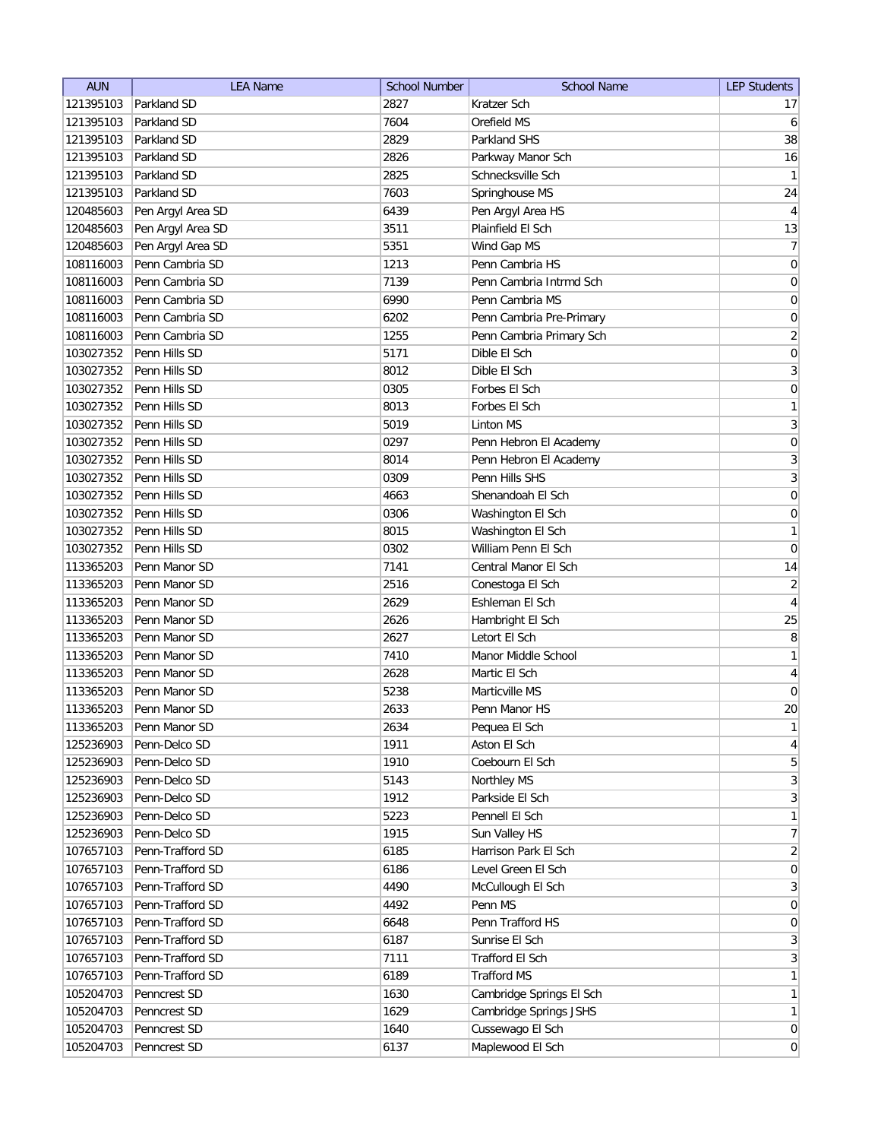| <b>AUN</b> | <b>LEA Name</b>   | <b>School Number</b> | <b>School Name</b>       | <b>LEP Students</b>          |
|------------|-------------------|----------------------|--------------------------|------------------------------|
| 121395103  | Parkland SD       | 2827                 | Kratzer Sch              | 17                           |
| 121395103  | Parkland SD       | 7604                 | Orefield MS              | 6                            |
| 121395103  | Parkland SD       | 2829                 | Parkland SHS             | 38                           |
| 121395103  | Parkland SD       | 2826                 | Parkway Manor Sch        | 16                           |
| 121395103  | Parkland SD       | 2825                 | Schnecksville Sch        | 1                            |
| 121395103  | Parkland SD       | 7603                 | Springhouse MS           | 24                           |
| 120485603  | Pen Argyl Area SD | 6439                 | Pen Argyl Area HS        | $\overline{4}$               |
| 120485603  | Pen Argyl Area SD | 3511                 | Plainfield El Sch        | 13                           |
| 120485603  | Pen Argyl Area SD | 5351                 | Wind Gap MS              | $\overline{7}$               |
| 108116003  | Penn Cambria SD   | 1213                 | Penn Cambria HS          | $\overline{0}$               |
| 108116003  | Penn Cambria SD   | 7139                 | Penn Cambria Intrmd Sch  | 0                            |
| 108116003  | Penn Cambria SD   | 6990                 | Penn Cambria MS          | 0                            |
| 108116003  | Penn Cambria SD   | 6202                 | Penn Cambria Pre-Primary | 0                            |
| 108116003  | Penn Cambria SD   | 1255                 | Penn Cambria Primary Sch | $\overline{2}$               |
| 103027352  | Penn Hills SD     | 5171                 | Dible El Sch             | 0                            |
| 103027352  | Penn Hills SD     | 8012                 | Dible El Sch             | $\mathbf{3}$                 |
| 103027352  | Penn Hills SD     | 0305                 | Forbes El Sch            | $\boldsymbol{0}$             |
| 103027352  | Penn Hills SD     | 8013                 | Forbes El Sch            | 1                            |
| 103027352  | Penn Hills SD     | 5019                 | <b>Linton MS</b>         | $\overline{3}$               |
| 103027352  | Penn Hills SD     | 0297                 | Penn Hebron El Academy   | $\pmb{0}$                    |
| 103027352  | Penn Hills SD     | 8014                 | Penn Hebron El Academy   | $\overline{3}$               |
| 103027352  | Penn Hills SD     | 0309                 | Penn Hills SHS           | $\overline{3}$               |
| 103027352  | Penn Hills SD     | 4663                 | Shenandoah El Sch        | $\boldsymbol{0}$             |
| 103027352  | Penn Hills SD     | 0306                 | Washington El Sch        | $\boldsymbol{0}$             |
| 103027352  | Penn Hills SD     | 8015                 | Washington El Sch        | 1                            |
| 103027352  | Penn Hills SD     | 0302                 | William Penn El Sch      | $\boldsymbol{0}$             |
| 113365203  | Penn Manor SD     | 7141                 | Central Manor El Sch     | 14                           |
| 113365203  | Penn Manor SD     | 2516                 | Conestoga El Sch         | $\overline{2}$               |
| 113365203  | Penn Manor SD     | 2629                 | Eshleman El Sch          | 4                            |
| 113365203  | Penn Manor SD     | 2626                 | Hambright El Sch         | 25                           |
| 113365203  | Penn Manor SD     | 2627                 | Letort El Sch            | 8                            |
| 113365203  | Penn Manor SD     | 7410                 | Manor Middle School      | $\mathbf{1}$                 |
| 113365203  | Penn Manor SD     | 2628                 | Martic El Sch            | $\overline{4}$               |
| 113365203  | Penn Manor SD     | 5238                 | Marticville MS           | $\pmb{0}$                    |
| 113365203  | Penn Manor SD     | 2633                 | Penn Manor HS            | 20                           |
| 113365203  | Penn Manor SD     | 2634                 | Pequea El Sch            | $\mathbf{1}$                 |
| 125236903  | Penn-Delco SD     | 1911                 | Aston El Sch             | $\vert 4 \vert$              |
| 125236903  | Penn-Delco SD     | 1910                 | Coebourn El Sch          | $\overline{5}$               |
| 125236903  | Penn-Delco SD     | 5143                 | Northley MS              | $\overline{\mathbf{3}}$      |
| 125236903  | Penn-Delco SD     | 1912                 | Parkside El Sch          | 3                            |
| 125236903  | Penn-Delco SD     | 5223                 | Pennell El Sch           | $\mathbf{1}$                 |
| 125236903  | Penn-Delco SD     | 1915                 | Sun Valley HS            | 7                            |
| 107657103  | Penn-Trafford SD  | 6185                 | Harrison Park El Sch     | $\overline{2}$               |
| 107657103  | Penn-Trafford SD  | 6186                 | Level Green El Sch       | 0                            |
| 107657103  | Penn-Trafford SD  | 4490                 | McCullough El Sch        | $\vert 3 \vert$              |
| 107657103  | Penn-Trafford SD  | 4492                 | Penn MS                  | $\overline{0}$               |
| 107657103  | Penn-Trafford SD  | 6648                 | Penn Trafford HS         | $\overline{0}$               |
| 107657103  | Penn-Trafford SD  | 6187                 | Sunrise El Sch           | $3\vert$                     |
| 107657103  | Penn-Trafford SD  | 7111                 | Trafford El Sch          | $\left  \frac{3}{2} \right $ |
| 107657103  | Penn-Trafford SD  | 6189                 | <b>Trafford MS</b>       | $\mathbf{1}$                 |
| 105204703  | Penncrest SD      | 1630                 | Cambridge Springs El Sch | 1                            |
| 105204703  | Penncrest SD      | 1629                 | Cambridge Springs JSHS   | 1                            |
| 105204703  | Penncrest SD      | 1640                 | Cussewago El Sch         | $\overline{0}$               |
| 105204703  | Penncrest SD      | 6137                 | Maplewood El Sch         | $\vert 0 \vert$              |
|            |                   |                      |                          |                              |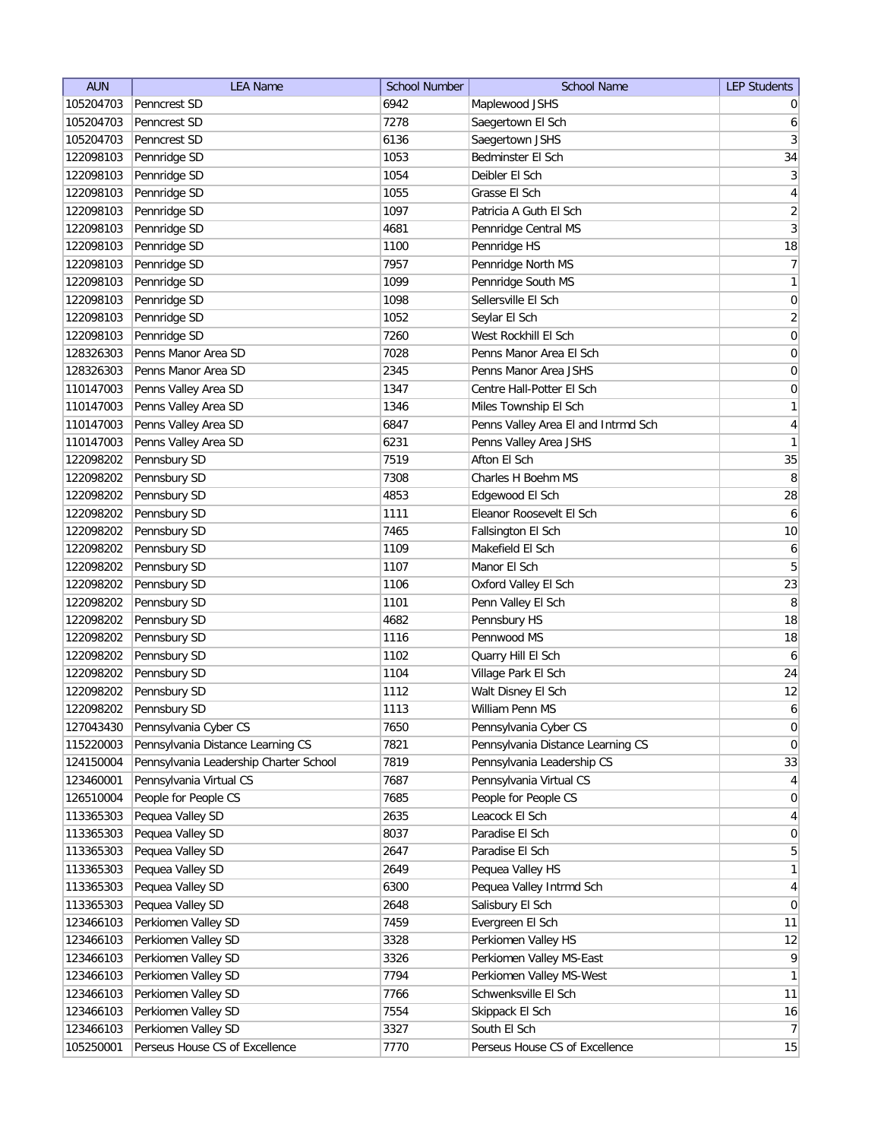| <b>AUN</b> | <b>LEA Name</b>                        | <b>School Number</b> | <b>School Name</b>                  | <b>LEP Students</b> |
|------------|----------------------------------------|----------------------|-------------------------------------|---------------------|
| 105204703  | Penncrest SD                           | 6942                 | Maplewood JSHS                      | $\overline{0}$      |
| 105204703  | Penncrest SD                           | 7278                 | Saegertown El Sch                   | 6                   |
| 105204703  | Penncrest SD                           | 6136                 | Saegertown JSHS                     | 3                   |
| 122098103  | Pennridge SD                           | 1053                 | Bedminster El Sch                   | 34                  |
| 122098103  | Pennridge SD                           | 1054                 | Deibler El Sch                      | $\vert 3 \vert$     |
| 122098103  | Pennridge SD                           | 1055                 | Grasse El Sch                       | 4                   |
| 122098103  | Pennridge SD                           | 1097                 | Patricia A Guth El Sch              | $\overline{2}$      |
| 122098103  | Pennridge SD                           | 4681                 | Pennridge Central MS                | 3                   |
| 122098103  | Pennridge SD                           | 1100                 | Pennridge HS                        | 18                  |
| 122098103  | Pennridge SD                           | 7957                 | Pennridge North MS                  | 7                   |
| 122098103  | Pennridge SD                           | 1099                 | Pennridge South MS                  | $\mathbf{1}$        |
| 122098103  | Pennridge SD                           | 1098                 | Sellersville El Sch                 | 0                   |
| 122098103  | Pennridge SD                           | 1052                 | Seylar El Sch                       | $\overline{2}$      |
| 122098103  | Pennridge SD                           | 7260                 | West Rockhill El Sch                | $\boldsymbol{0}$    |
| 128326303  | Penns Manor Area SD                    | 7028                 | Penns Manor Area El Sch             | 0                   |
| 128326303  | Penns Manor Area SD                    | 2345                 | Penns Manor Area JSHS               | 0                   |
| 110147003  | Penns Valley Area SD                   | 1347                 | Centre Hall-Potter El Sch           | 0                   |
| 110147003  | Penns Valley Area SD                   | 1346                 | Miles Township El Sch               | $\mathbf{1}$        |
| 110147003  | Penns Valley Area SD                   | 6847                 | Penns Valley Area El and Intrmd Sch | $\vert 4 \vert$     |
| 110147003  | Penns Valley Area SD                   | 6231                 | Penns Valley Area JSHS              | 1                   |
| 122098202  | Pennsbury SD                           | 7519                 | Afton El Sch                        | 35                  |
| 122098202  | Pennsbury SD                           | 7308                 | Charles H Boehm MS                  | 8                   |
| 122098202  | Pennsbury SD                           | 4853                 | Edgewood El Sch                     | 28                  |
| 122098202  | Pennsbury SD                           | 1111                 | Eleanor Roosevelt El Sch            | $\boldsymbol{6}$    |
| 122098202  | Pennsbury SD                           | 7465                 | Fallsington El Sch                  | 10                  |
| 122098202  | Pennsbury SD                           | 1109                 | Makefield El Sch                    | 6                   |
| 122098202  | Pennsbury SD                           | 1107                 | Manor El Sch                        | 5                   |
| 122098202  | Pennsbury SD                           | 1106                 | Oxford Valley El Sch                | 23                  |
| 122098202  | Pennsbury SD                           | 1101                 | Penn Valley El Sch                  | 8                   |
| 122098202  | Pennsbury SD                           | 4682                 | Pennsbury HS                        | 18                  |
| 122098202  | Pennsbury SD                           | 1116                 | Pennwood MS                         | 18                  |
| 122098202  | Pennsbury SD                           | 1102                 | Quarry Hill El Sch                  | 6                   |
| 122098202  | Pennsbury SD                           | 1104                 | Village Park El Sch                 | 24                  |
| 122098202  | Pennsbury SD                           | 1112                 | Walt Disney El Sch                  | 12                  |
| 122098202  | Pennsbury SD                           | 1113                 | William Penn MS                     | $\mathbf{6}$        |
| 127043430  | Pennsylvania Cyber CS                  | 7650                 | Pennsylvania Cyber CS               | $\overline{0}$      |
| 115220003  | Pennsylvania Distance Learning CS      | 7821                 | Pennsylvania Distance Learning CS   | 0                   |
| 124150004  | Pennsylvania Leadership Charter School | 7819                 | Pennsylvania Leadership CS          | 33                  |
| 123460001  | Pennsylvania Virtual CS                | 7687                 | Pennsylvania Virtual CS             | $\vert 4 \vert$     |
| 126510004  | People for People CS                   | 7685                 | People for People CS                | $\overline{0}$      |
| 113365303  | Pequea Valley SD                       | 2635                 | Leacock El Sch                      | $\vert 4 \vert$     |
| 113365303  | Pequea Valley SD                       | 8037                 | Paradise El Sch                     | $\overline{0}$      |
| 113365303  | Pequea Valley SD                       | 2647                 | Paradise El Sch                     | $\overline{5}$      |
| 113365303  | Pequea Valley SD                       | 2649                 | Pequea Valley HS                    | $\mathbf{1}$        |
| 113365303  | Pequea Valley SD                       | 6300                 | Pequea Valley Intrmd Sch            | $\overline{4}$      |
| 113365303  | Pequea Valley SD                       | 2648                 | Salisbury El Sch                    | $\overline{0}$      |
| 123466103  | Perkiomen Valley SD                    | 7459                 | Evergreen El Sch                    | 11                  |
| 123466103  | Perkiomen Valley SD                    | 3328                 | Perkiomen Valley HS                 | 12                  |
| 123466103  | Perkiomen Valley SD                    | 3326                 | Perkiomen Valley MS-East            | $\vert 9 \vert$     |
| 123466103  | Perkiomen Valley SD                    | 7794                 | Perkiomen Valley MS-West            | $\mathbf{1}$        |
| 123466103  | Perkiomen Valley SD                    | 7766                 | Schwenksville El Sch                | 11                  |
| 123466103  | Perkiomen Valley SD                    | 7554                 | Skippack El Sch                     | 16                  |
| 123466103  | Perkiomen Valley SD                    | 3327                 | South El Sch                        | 7                   |
| 105250001  | Perseus House CS of Excellence         | 7770                 | Perseus House CS of Excellence      | 15                  |
|            |                                        |                      |                                     |                     |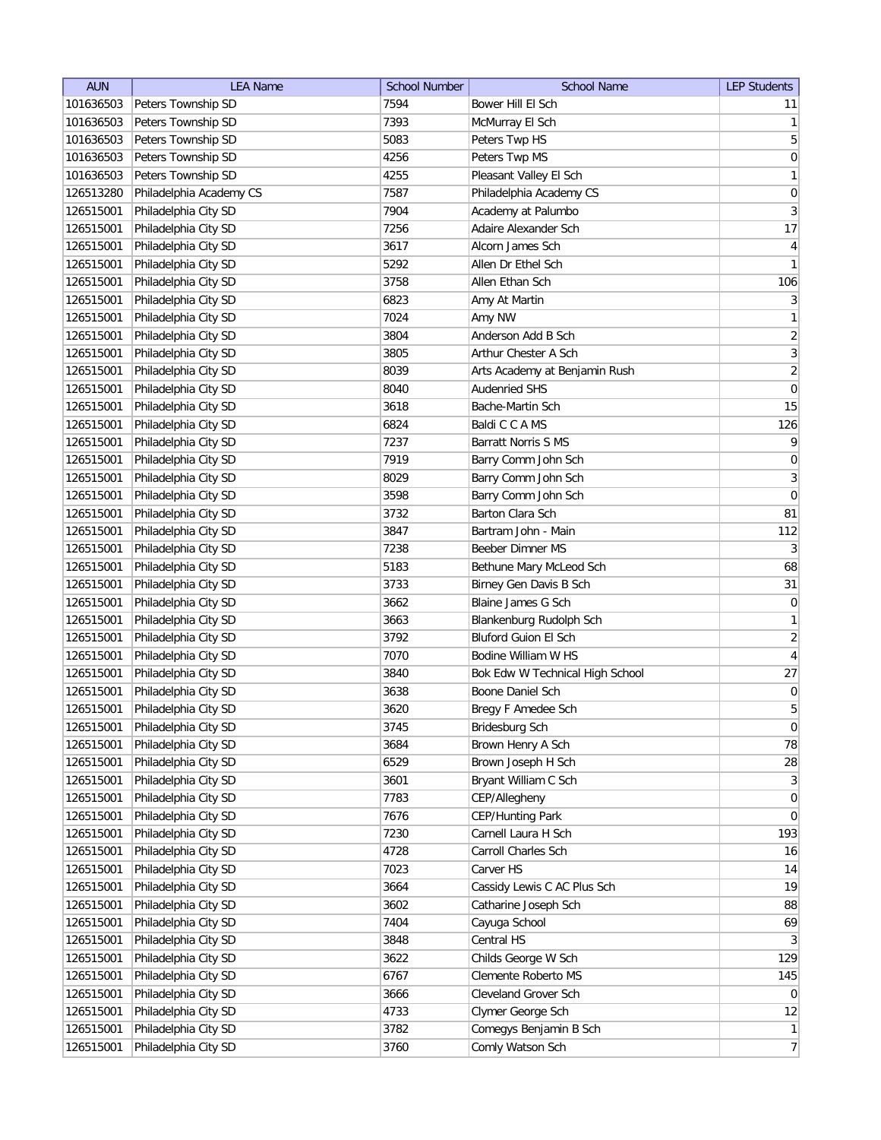| <b>AUN</b> | <b>LEA Name</b>         | <b>School Number</b> | <b>School Name</b>              | <b>LEP Students</b> |
|------------|-------------------------|----------------------|---------------------------------|---------------------|
| 101636503  | Peters Township SD      | 7594                 | Bower Hill El Sch               | 11                  |
| 101636503  | Peters Township SD      | 7393                 | McMurray El Sch                 | $\vert$ 1           |
| 101636503  | Peters Township SD      | 5083                 | Peters Twp HS                   | $\overline{5}$      |
| 101636503  | Peters Township SD      | 4256                 | Peters Twp MS                   | 0                   |
| 101636503  | Peters Township SD      | 4255                 | Pleasant Valley El Sch          | 1                   |
| 126513280  | Philadelphia Academy CS | 7587                 | Philadelphia Academy CS         | $\boldsymbol{0}$    |
| 126515001  | Philadelphia City SD    | 7904                 | Academy at Palumbo              | $\vert 3 \vert$     |
| 126515001  | Philadelphia City SD    | 7256                 | Adaire Alexander Sch            | 17                  |
| 126515001  | Philadelphia City SD    | 3617                 | Alcorn James Sch                | $\vert 4 \vert$     |
| 126515001  | Philadelphia City SD    | 5292                 | Allen Dr Ethel Sch              | 1                   |
| 126515001  | Philadelphia City SD    | 3758                 | Allen Ethan Sch                 | 106                 |
| 126515001  | Philadelphia City SD    | 6823                 | Amy At Martin                   | 3                   |
| 126515001  | Philadelphia City SD    | 7024                 | Amy NW                          | 1                   |
| 126515001  | Philadelphia City SD    | 3804                 | Anderson Add B Sch              | $\overline{2}$      |
| 126515001  | Philadelphia City SD    | 3805                 | Arthur Chester A Sch            | $\overline{3}$      |
| 126515001  | Philadelphia City SD    | 8039                 | Arts Academy at Benjamin Rush   | $\overline{2}$      |
| 126515001  | Philadelphia City SD    | 8040                 | <b>Audenried SHS</b>            | $\pmb{0}$           |
| 126515001  | Philadelphia City SD    | 3618                 | Bache-Martin Sch                | 15                  |
| 126515001  | Philadelphia City SD    | 6824                 | Baldi C C A MS                  | 126                 |
| 126515001  | Philadelphia City SD    | 7237                 | <b>Barratt Norris S MS</b>      | $\vert 9 \vert$     |
| 126515001  | Philadelphia City SD    | 7919                 | Barry Comm John Sch             | $\boldsymbol{0}$    |
| 126515001  | Philadelphia City SD    | 8029                 | Barry Comm John Sch             | $\overline{3}$      |
| 126515001  | Philadelphia City SD    | 3598                 | Barry Comm John Sch             | $\boldsymbol{0}$    |
| 126515001  | Philadelphia City SD    | 3732                 | Barton Clara Sch                | 81                  |
| 126515001  | Philadelphia City SD    | 3847                 | Bartram John - Main             | 112                 |
| 126515001  | Philadelphia City SD    | 7238                 | Beeber Dimner MS                | $\vert 3 \vert$     |
| 126515001  | Philadelphia City SD    | 5183                 | Bethune Mary McLeod Sch         | 68                  |
| 126515001  | Philadelphia City SD    | 3733                 | Birney Gen Davis B Sch          | 31                  |
| 126515001  | Philadelphia City SD    | 3662                 | Blaine James G Sch              | $\overline{0}$      |
| 126515001  | Philadelphia City SD    | 3663                 | Blankenburg Rudolph Sch         | $\mathbf{1}$        |
| 126515001  | Philadelphia City SD    | 3792                 | <b>Bluford Guion El Sch</b>     | $\overline{2}$      |
| 126515001  | Philadelphia City SD    | 7070                 | Bodine William W HS             | $\overline{4}$      |
| 126515001  | Philadelphia City SD    | 3840                 | Bok Edw W Technical High School | 27                  |
| 126515001  | Philadelphia City SD    | 3638                 | Boone Daniel Sch                | $\vert 0 \vert$     |
| 126515001  | Philadelphia City SD    | 3620                 | Bregy F Amedee Sch              | $5\overline{)}$     |
| 126515001  | Philadelphia City SD    | 3745                 | Bridesburg Sch                  | $\overline{0}$      |
| 126515001  | Philadelphia City SD    | 3684                 | Brown Henry A Sch               | 78                  |
| 126515001  | Philadelphia City SD    | 6529                 | Brown Joseph H Sch              | 28                  |
| 126515001  | Philadelphia City SD    | 3601                 | Bryant William C Sch            | $\vert 3 \vert$     |
| 126515001  | Philadelphia City SD    | 7783                 | CEP/Allegheny                   | 0                   |
| 126515001  | Philadelphia City SD    | 7676                 | CEP/Hunting Park                | 0                   |
| 126515001  | Philadelphia City SD    | 7230                 | Carnell Laura H Sch             | 193                 |
| 126515001  | Philadelphia City SD    | 4728                 | Carroll Charles Sch             | 16                  |
| 126515001  | Philadelphia City SD    | 7023                 | Carver HS                       | 14                  |
| 126515001  | Philadelphia City SD    | 3664                 | Cassidy Lewis C AC Plus Sch     | 19                  |
| 126515001  | Philadelphia City SD    | 3602                 | Catharine Joseph Sch            | 88                  |
| 126515001  | Philadelphia City SD    | 7404                 | Cayuga School                   | 69                  |
| 126515001  | Philadelphia City SD    | 3848                 | Central HS                      | 3                   |
| 126515001  | Philadelphia City SD    | 3622                 | Childs George W Sch             | 129                 |
| 126515001  | Philadelphia City SD    | 6767                 | Clemente Roberto MS             | 145                 |
| 126515001  | Philadelphia City SD    | 3666                 | Cleveland Grover Sch            | $\overline{0}$      |
| 126515001  | Philadelphia City SD    | 4733                 | Clymer George Sch               | 12                  |
| 126515001  | Philadelphia City SD    | 3782                 | Comegys Benjamin B Sch          | 1                   |
| 126515001  | Philadelphia City SD    | 3760                 | Comly Watson Sch                | $\overline{7}$      |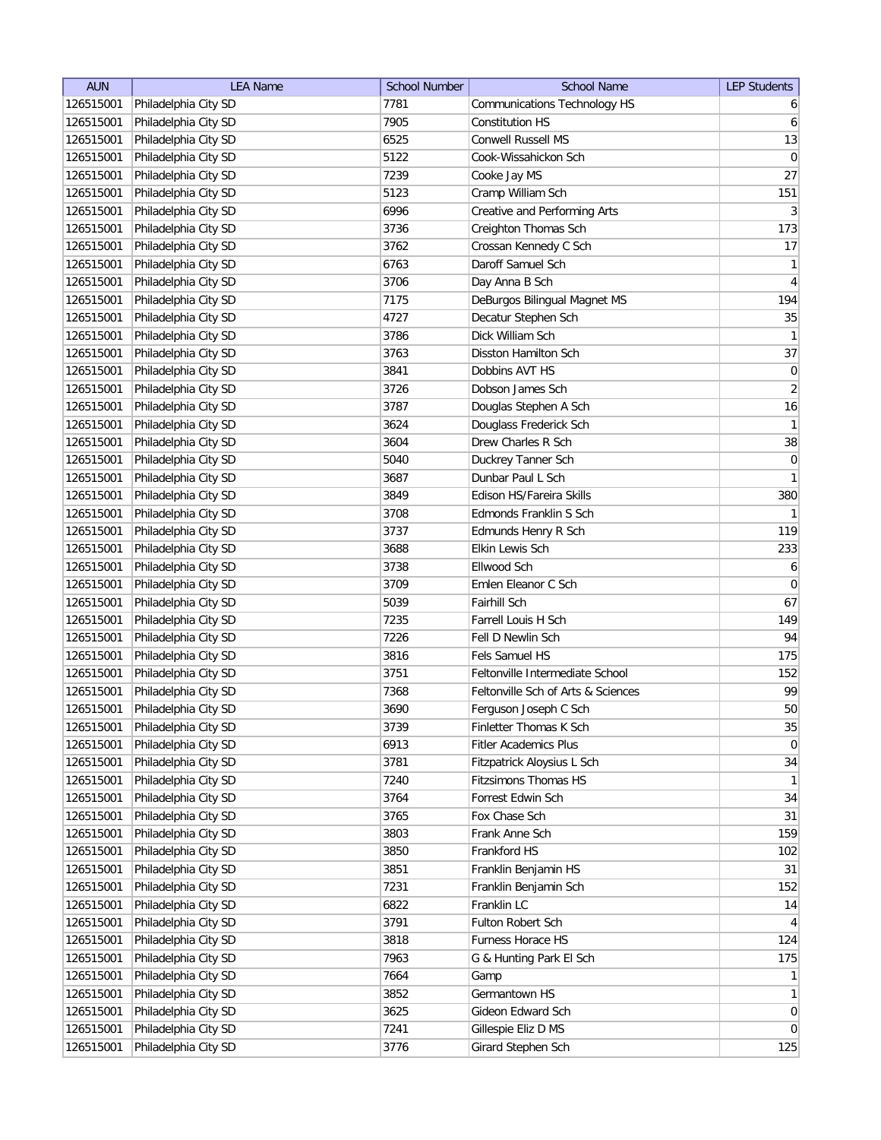| <b>AUN</b> | <b>LEA Name</b>      | <b>School Number</b> | <b>School Name</b>                  | <b>LEP Students</b> |
|------------|----------------------|----------------------|-------------------------------------|---------------------|
| 126515001  | Philadelphia City SD | 7781                 | <b>Communications Technology HS</b> | $6 \mid$            |
| 126515001  | Philadelphia City SD | 7905                 | Constitution HS                     | $6 \mid$            |
| 126515001  | Philadelphia City SD | 6525                 | <b>Conwell Russell MS</b>           | 13                  |
| 126515001  | Philadelphia City SD | 5122                 | Cook-Wissahickon Sch                | 0                   |
| 126515001  | Philadelphia City SD | 7239                 | Cooke Jay MS                        | 27                  |
| 126515001  | Philadelphia City SD | 5123                 | Cramp William Sch                   | 151                 |
| 126515001  | Philadelphia City SD | 6996                 | Creative and Performing Arts        | $\vert 3 \vert$     |
| 126515001  | Philadelphia City SD | 3736                 | Creighton Thomas Sch                | 173                 |
| 126515001  | Philadelphia City SD | 3762                 | Crossan Kennedy C Sch               | 17                  |
| 126515001  | Philadelphia City SD | 6763                 | Daroff Samuel Sch                   | $\mathbf{1}$        |
| 126515001  | Philadelphia City SD | 3706                 | Day Anna B Sch                      | $\overline{4}$      |
| 126515001  | Philadelphia City SD | 7175                 | DeBurgos Bilingual Magnet MS        | 194                 |
| 126515001  | Philadelphia City SD | 4727                 | Decatur Stephen Sch                 | 35                  |
| 126515001  | Philadelphia City SD | 3786                 | Dick William Sch                    | 1                   |
| 126515001  | Philadelphia City SD | 3763                 | Disston Hamilton Sch                | 37                  |
| 126515001  | Philadelphia City SD | 3841                 | Dobbins AVT HS                      | $\pmb{0}$           |
| 126515001  | Philadelphia City SD | 3726                 | Dobson James Sch                    | $\overline{2}$      |
| 126515001  | Philadelphia City SD | 3787                 | Douglas Stephen A Sch               | 16                  |
| 126515001  | Philadelphia City SD | 3624                 | Douglass Frederick Sch              | 1                   |
| 126515001  | Philadelphia City SD | 3604                 | Drew Charles R Sch                  | $38\,$              |
| 126515001  | Philadelphia City SD | 5040                 | Duckrey Tanner Sch                  | $\vert 0 \vert$     |
| 126515001  | Philadelphia City SD | 3687                 | Dunbar Paul L Sch                   | 1                   |
| 126515001  | Philadelphia City SD | 3849                 | Edison HS/Fareira Skills            | 380                 |
| 126515001  | Philadelphia City SD | 3708                 | Edmonds Franklin S Sch              | 1                   |
| 126515001  | Philadelphia City SD | 3737                 | Edmunds Henry R Sch                 | 119                 |
| 126515001  | Philadelphia City SD | 3688                 | Elkin Lewis Sch                     | 233                 |
| 126515001  | Philadelphia City SD | 3738                 | Ellwood Sch                         | 6                   |
| 126515001  | Philadelphia City SD | 3709                 | Emlen Eleanor C Sch                 | $\overline{0}$      |
| 126515001  | Philadelphia City SD | 5039                 | Fairhill Sch                        | 67                  |
| 126515001  | Philadelphia City SD | 7235                 | Farrell Louis H Sch                 | 149                 |
| 126515001  | Philadelphia City SD | 7226                 | Fell D Newlin Sch                   | 94                  |
| 126515001  | Philadelphia City SD | 3816                 | Fels Samuel HS                      | 175                 |
| 126515001  | Philadelphia City SD | 3751                 | Feltonville Intermediate School     | 152                 |
| 126515001  | Philadelphia City SD | 7368                 | Feltonville Sch of Arts & Sciences  | 99                  |
| 126515001  | Philadelphia City SD | 3690                 | Ferguson Joseph C Sch               | 50                  |
| 126515001  | Philadelphia City SD | 3739                 | Finletter Thomas K Sch              | 35                  |
| 126515001  | Philadelphia City SD | 6913                 | <b>Fitler Academics Plus</b>        | 0                   |
| 126515001  | Philadelphia City SD | 3781                 | Fitzpatrick Aloysius L Sch          | 34                  |
| 126515001  | Philadelphia City SD | 7240                 | <b>Fitzsimons Thomas HS</b>         | $\mathbf{1}$        |
| 126515001  | Philadelphia City SD | 3764                 | Forrest Edwin Sch                   | 34                  |
| 126515001  | Philadelphia City SD | 3765                 | Fox Chase Sch                       | 31                  |
| 126515001  | Philadelphia City SD | 3803                 | Frank Anne Sch                      | 159                 |
| 126515001  | Philadelphia City SD | 3850                 | Frankford HS                        | 102                 |
| 126515001  | Philadelphia City SD | 3851                 | Franklin Benjamin HS                | 31                  |
| 126515001  | Philadelphia City SD | 7231                 | Franklin Benjamin Sch               | 152                 |
| 126515001  | Philadelphia City SD | 6822                 | Franklin LC                         | 14                  |
| 126515001  | Philadelphia City SD | 3791                 | Fulton Robert Sch                   | 4                   |
| 126515001  | Philadelphia City SD | 3818                 | Furness Horace HS                   | 124                 |
| 126515001  | Philadelphia City SD | 7963                 | G & Hunting Park El Sch             | 175                 |
| 126515001  | Philadelphia City SD | 7664                 | Gamp                                | 1                   |
| 126515001  | Philadelphia City SD | 3852                 | Germantown HS                       | 1                   |
| 126515001  | Philadelphia City SD | 3625                 | Gideon Edward Sch                   | 0                   |
| 126515001  | Philadelphia City SD | 7241                 | Gillespie Eliz D MS                 | 0                   |
| 126515001  | Philadelphia City SD | 3776                 | Girard Stephen Sch                  | 125                 |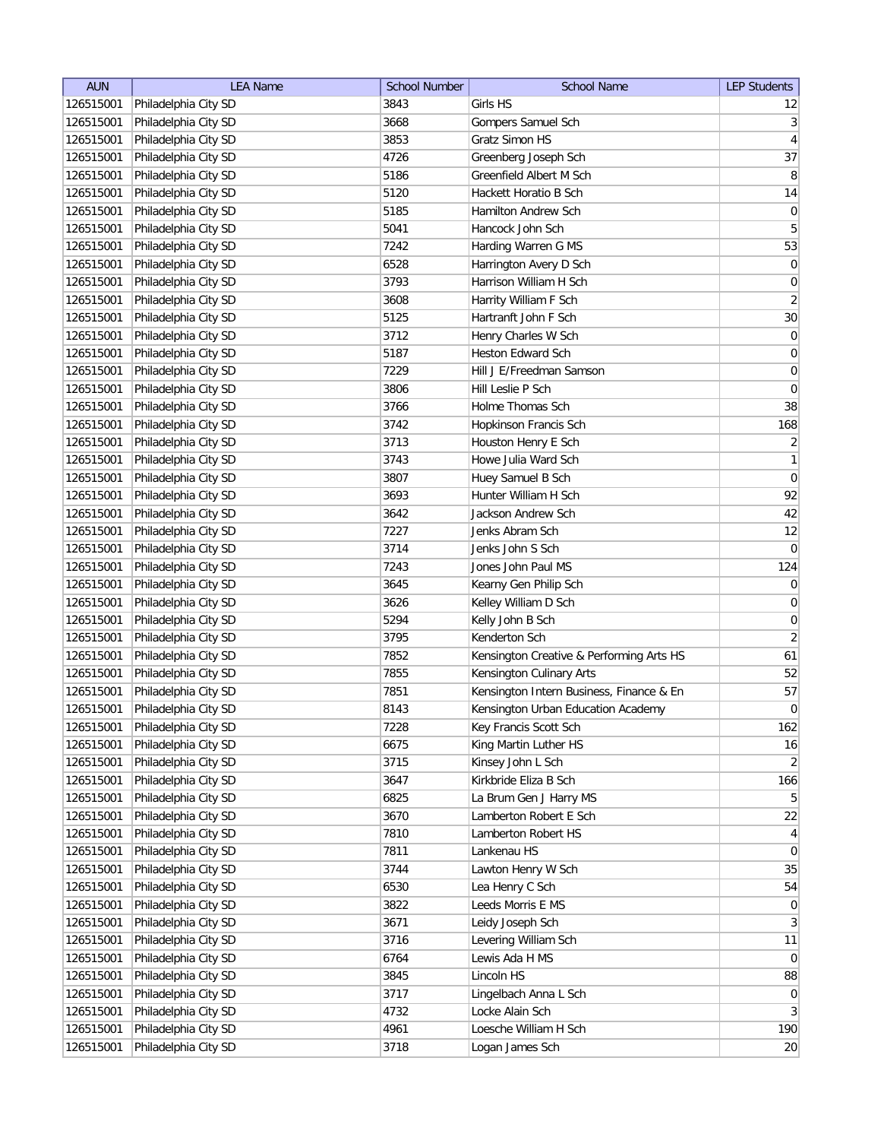| <b>AUN</b> | <b>LEA Name</b>      | <b>School Number</b> | <b>School Name</b>                       | <b>LEP Students</b> |
|------------|----------------------|----------------------|------------------------------------------|---------------------|
| 126515001  | Philadelphia City SD | 3843                 | Girls HS                                 | 12                  |
| 126515001  | Philadelphia City SD | 3668                 | Gompers Samuel Sch                       | 3                   |
| 126515001  | Philadelphia City SD | 3853                 | Gratz Simon HS                           | $\vert 4 \vert$     |
| 126515001  | Philadelphia City SD | 4726                 | Greenberg Joseph Sch                     | 37                  |
| 126515001  | Philadelphia City SD | 5186                 | Greenfield Albert M Sch                  | 8 <sup>1</sup>      |
| 126515001  | Philadelphia City SD | 5120                 | Hackett Horatio B Sch                    | 14                  |
| 126515001  | Philadelphia City SD | 5185                 | Hamilton Andrew Sch                      | $\vert 0 \vert$     |
| 126515001  | Philadelphia City SD | 5041                 | Hancock John Sch                         | $\sqrt{5}$          |
| 126515001  | Philadelphia City SD | 7242                 | Harding Warren G MS                      | 53                  |
| 126515001  | Philadelphia City SD | 6528                 | Harrington Avery D Sch                   | 0                   |
| 126515001  | Philadelphia City SD | 3793                 | Harrison William H Sch                   | $\boldsymbol{0}$    |
| 126515001  | Philadelphia City SD | 3608                 | Harrity William F Sch                    | $\overline{2}$      |
| 126515001  | Philadelphia City SD | 5125                 | Hartranft John F Sch                     | 30                  |
| 126515001  | Philadelphia City SD | 3712                 | Henry Charles W Sch                      | $\overline{0}$      |
| 126515001  | Philadelphia City SD | 5187                 | Heston Edward Sch                        | $\boldsymbol{0}$    |
| 126515001  | Philadelphia City SD | 7229                 | Hill J E/Freedman Samson                 | $\overline{0}$      |
| 126515001  | Philadelphia City SD | 3806                 | Hill Leslie P Sch                        | $\overline{0}$      |
| 126515001  | Philadelphia City SD | 3766                 | Holme Thomas Sch                         | 38                  |
| 126515001  | Philadelphia City SD | 3742                 | Hopkinson Francis Sch                    | 168                 |
| 126515001  | Philadelphia City SD | 3713                 | Houston Henry E Sch                      | $\overline{2}$      |
| 126515001  | Philadelphia City SD | 3743                 | Howe Julia Ward Sch                      | 1                   |
| 126515001  | Philadelphia City SD | 3807                 | Huey Samuel B Sch                        | $\vert 0 \vert$     |
| 126515001  | Philadelphia City SD | 3693                 | Hunter William H Sch                     | 92                  |
| 126515001  | Philadelphia City SD | 3642                 | Jackson Andrew Sch                       | 42                  |
| 126515001  | Philadelphia City SD | 7227                 | Jenks Abram Sch                          | 12                  |
| 126515001  | Philadelphia City SD | 3714                 | Jenks John S Sch                         | 0                   |
| 126515001  | Philadelphia City SD | 7243                 | Jones John Paul MS                       | 124                 |
| 126515001  | Philadelphia City SD | 3645                 | Kearny Gen Philip Sch                    | 0                   |
| 126515001  | Philadelphia City SD | 3626                 | Kelley William D Sch                     | $\pmb{0}$           |
| 126515001  | Philadelphia City SD | 5294                 | Kelly John B Sch                         | $\boldsymbol{0}$    |
| 126515001  | Philadelphia City SD | 3795                 | Kenderton Sch                            | $\overline{2}$      |
| 126515001  | Philadelphia City SD | 7852                 | Kensington Creative & Performing Arts HS | 61                  |
| 126515001  | Philadelphia City SD | 7855                 | Kensington Culinary Arts                 | 52                  |
| 126515001  | Philadelphia City SD | 7851                 | Kensington Intern Business, Finance & En | 57                  |
| 126515001  | Philadelphia City SD | 8143                 | Kensington Urban Education Academy       | 0                   |
| 126515001  | Philadelphia City SD | 7228                 | Key Francis Scott Sch                    | 162                 |
| 126515001  | Philadelphia City SD | 6675                 | King Martin Luther HS                    | 16                  |
| 126515001  | Philadelphia City SD | 3715                 | Kinsey John L Sch                        | $\overline{2}$      |
| 126515001  | Philadelphia City SD | 3647                 | Kirkbride Eliza B Sch                    | 166                 |
| 126515001  | Philadelphia City SD | 6825                 | La Brum Gen J Harry MS                   | 5 <sup>2</sup>      |
| 126515001  | Philadelphia City SD | 3670                 | Lamberton Robert E Sch                   | 22                  |
| 126515001  | Philadelphia City SD | 7810                 | Lamberton Robert HS                      | $\vert 4 \vert$     |
| 126515001  | Philadelphia City SD | 7811                 | Lankenau HS                              | 0                   |
| 126515001  | Philadelphia City SD | 3744                 | Lawton Henry W Sch                       | 35                  |
| 126515001  | Philadelphia City SD | 6530                 | Lea Henry C Sch                          | 54                  |
| 126515001  | Philadelphia City SD | 3822                 | Leeds Morris E MS                        | 0                   |
| 126515001  | Philadelphia City SD | 3671                 | Leidy Joseph Sch                         | 3 <sup>2</sup>      |
| 126515001  | Philadelphia City SD | 3716                 | Levering William Sch                     | 11                  |
| 126515001  | Philadelphia City SD | 6764                 | Lewis Ada H MS                           | 0                   |
| 126515001  | Philadelphia City SD | 3845                 | Lincoln HS                               | 88                  |
| 126515001  | Philadelphia City SD | 3717                 | Lingelbach Anna L Sch                    | $\overline{0}$      |
| 126515001  | Philadelphia City SD | 4732                 | Locke Alain Sch                          | 3                   |
| 126515001  | Philadelphia City SD | 4961                 | Loesche William H Sch                    | 190                 |
| 126515001  | Philadelphia City SD | 3718                 | Logan James Sch                          | 20                  |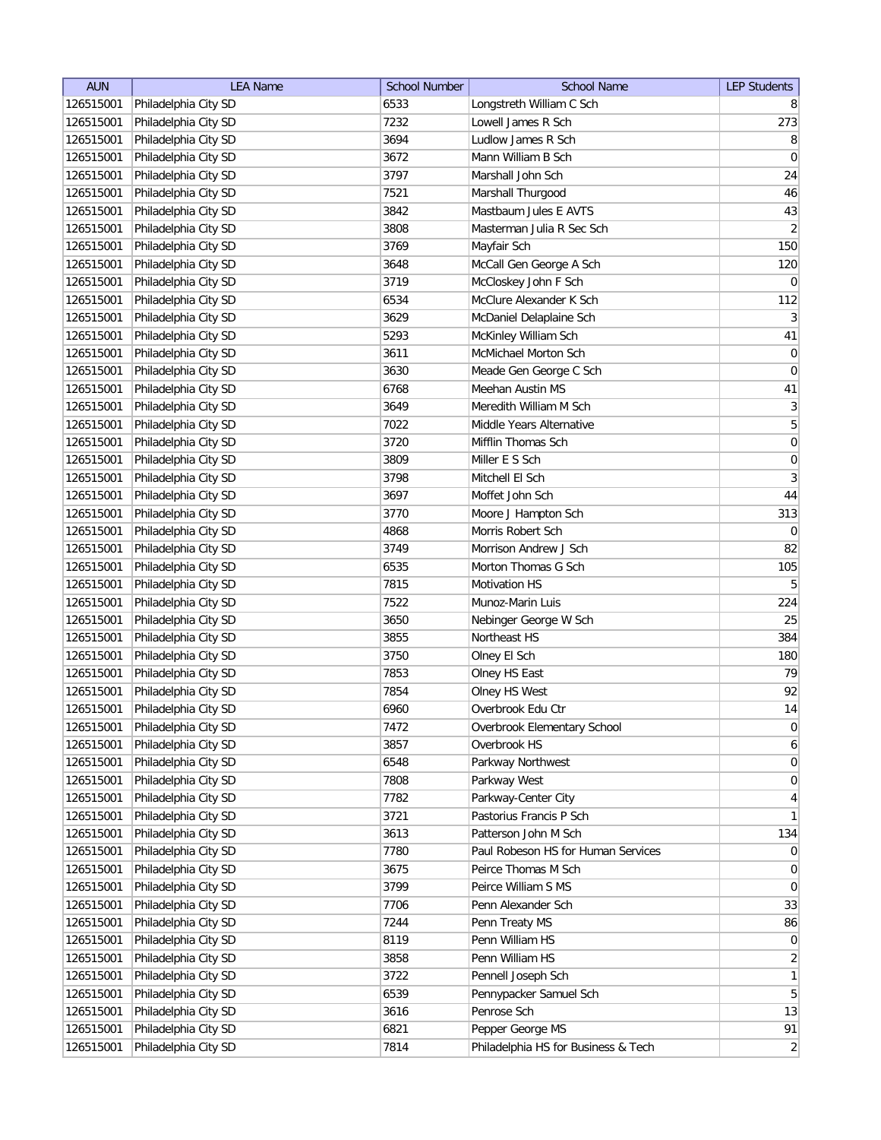| <b>AUN</b> | <b>LEA Name</b>      | <b>School Number</b> | <b>School Name</b>                  | <b>LEP Students</b> |
|------------|----------------------|----------------------|-------------------------------------|---------------------|
| 126515001  | Philadelphia City SD | 6533                 | Longstreth William C Sch            | 8                   |
| 126515001  | Philadelphia City SD | 7232                 | Lowell James R Sch                  | 273                 |
| 126515001  | Philadelphia City SD | 3694                 | Ludlow James R Sch                  | 8                   |
| 126515001  | Philadelphia City SD | 3672                 | Mann William B Sch                  | $\overline{0}$      |
| 126515001  | Philadelphia City SD | 3797                 | Marshall John Sch                   | 24                  |
| 126515001  | Philadelphia City SD | 7521                 | Marshall Thurgood                   | 46                  |
| 126515001  | Philadelphia City SD | 3842                 | Mastbaum Jules E AVTS               | 43                  |
| 126515001  | Philadelphia City SD | 3808                 | Masterman Julia R Sec Sch           | $\overline{2}$      |
| 126515001  | Philadelphia City SD | 3769                 | Mayfair Sch                         | 150                 |
| 126515001  | Philadelphia City SD | 3648                 | McCall Gen George A Sch             | 120                 |
| 126515001  | Philadelphia City SD | 3719                 | McCloskey John F Sch                | $\overline{0}$      |
| 126515001  | Philadelphia City SD | 6534                 | McClure Alexander K Sch             | 112                 |
| 126515001  | Philadelphia City SD | 3629                 | McDaniel Delaplaine Sch             | 3                   |
| 126515001  | Philadelphia City SD | 5293                 | McKinley William Sch                | 41                  |
| 126515001  | Philadelphia City SD | 3611                 | McMichael Morton Sch                | $\boldsymbol{0}$    |
| 126515001  | Philadelphia City SD | 3630                 | Meade Gen George C Sch              | $\overline{0}$      |
| 126515001  | Philadelphia City SD | 6768                 | Meehan Austin MS                    | 41                  |
| 126515001  | Philadelphia City SD | 3649                 | Meredith William M Sch              | $\vert 3 \vert$     |
| 126515001  | Philadelphia City SD | 7022                 | Middle Years Alternative            | $\overline{5}$      |
| 126515001  | Philadelphia City SD | 3720                 | Mifflin Thomas Sch                  | 0                   |
| 126515001  | Philadelphia City SD | 3809                 | Miller E S Sch                      | $\boldsymbol{0}$    |
| 126515001  | Philadelphia City SD | 3798                 | Mitchell El Sch                     | $\mathbf{3}$        |
| 126515001  | Philadelphia City SD | 3697                 | Moffet John Sch                     | 44                  |
| 126515001  | Philadelphia City SD | 3770                 | Moore J Hampton Sch                 | 313                 |
| 126515001  | Philadelphia City SD | 4868                 | Morris Robert Sch                   | $\overline{0}$      |
| 126515001  | Philadelphia City SD | 3749                 | Morrison Andrew J Sch               | 82                  |
| 126515001  | Philadelphia City SD | 6535                 | Morton Thomas G Sch                 | 105                 |
| 126515001  | Philadelphia City SD | 7815                 | <b>Motivation HS</b>                | 5 <sup>1</sup>      |
| 126515001  | Philadelphia City SD | 7522                 | Munoz-Marin Luis                    | 224                 |
| 126515001  | Philadelphia City SD | 3650                 | Nebinger George W Sch               | 25                  |
| 126515001  | Philadelphia City SD | 3855                 | Northeast HS                        | 384                 |
| 126515001  | Philadelphia City SD | 3750                 | Olney El Sch                        | 180                 |
| 126515001  | Philadelphia City SD | 7853                 | Olney HS East                       | 79                  |
| 126515001  | Philadelphia City SD | 7854                 | Olney HS West                       | 92                  |
| 126515001  | Philadelphia City SD | 6960                 | Overbrook Edu Ctr                   | 14                  |
| 126515001  | Philadelphia City SD | 7472                 | Overbrook Elementary School         | 0                   |
| 126515001  | Philadelphia City SD | 3857                 | Overbrook HS                        | $6\vert$            |
| 126515001  | Philadelphia City SD | 6548                 | Parkway Northwest                   | 0                   |
| 126515001  | Philadelphia City SD | 7808                 | Parkway West                        | 0                   |
| 126515001  | Philadelphia City SD | 7782                 | Parkway-Center City                 | $\vert 4 \vert$     |
| 126515001  | Philadelphia City SD | 3721                 | Pastorius Francis P Sch             | $\mathbf{1}$        |
| 126515001  | Philadelphia City SD | 3613                 | Patterson John M Sch                | 134                 |
| 126515001  | Philadelphia City SD | 7780                 | Paul Robeson HS for Human Services  | $\overline{0}$      |
| 126515001  | Philadelphia City SD | 3675                 | Peirce Thomas M Sch                 | $\overline{0}$      |
| 126515001  | Philadelphia City SD | 3799                 | Peirce William S MS                 | $\overline{0}$      |
| 126515001  | Philadelphia City SD | 7706                 | Penn Alexander Sch                  | 33                  |
| 126515001  | Philadelphia City SD | 7244                 | Penn Treaty MS                      | 86                  |
| 126515001  | Philadelphia City SD | 8119                 | Penn William HS                     | 0                   |
| 126515001  | Philadelphia City SD | 3858                 | Penn William HS                     | $\overline{2}$      |
| 126515001  | Philadelphia City SD | 3722                 | Pennell Joseph Sch                  | 1                   |
| 126515001  | Philadelphia City SD | 6539                 | Pennypacker Samuel Sch              | 5 <sup>2</sup>      |
| 126515001  | Philadelphia City SD | 3616                 | Penrose Sch                         | 13                  |
| 126515001  | Philadelphia City SD | 6821                 | Pepper George MS                    | 91                  |
| 126515001  | Philadelphia City SD | 7814                 | Philadelphia HS for Business & Tech | $\overline{2}$      |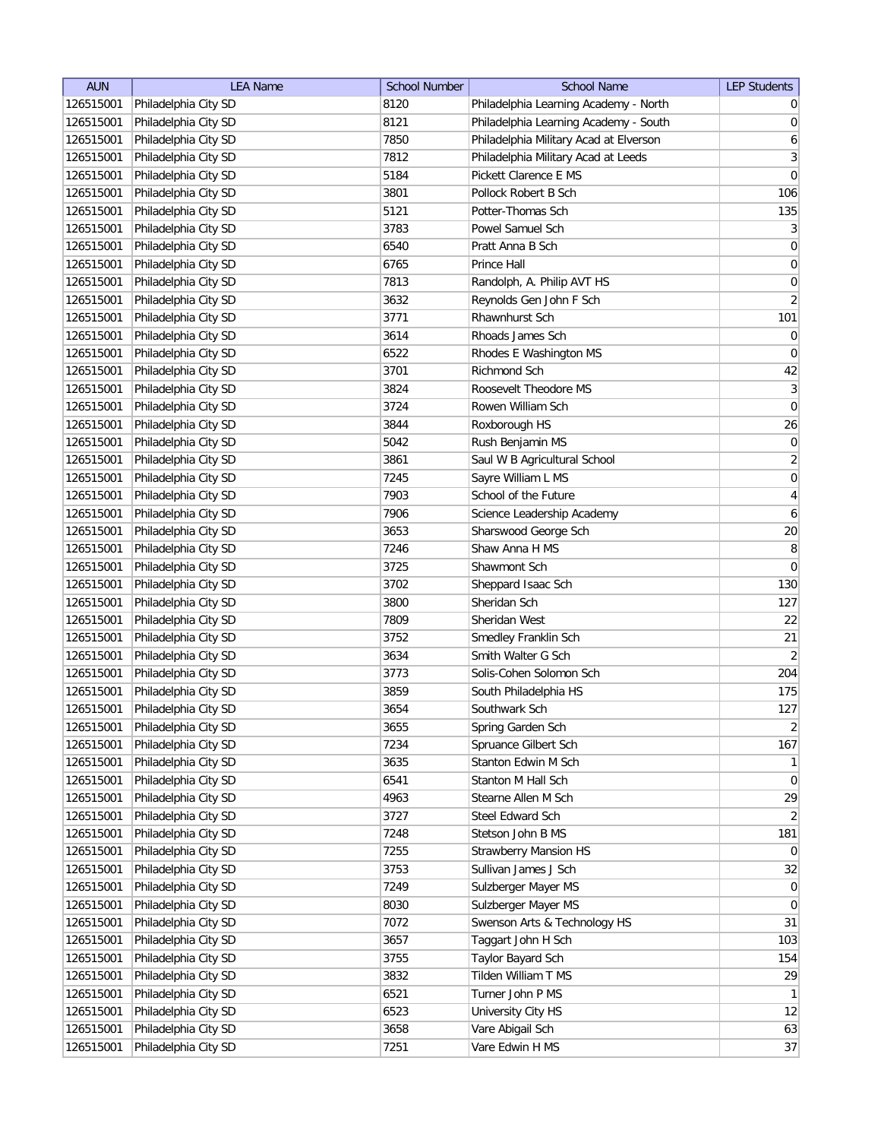| <b>AUN</b> | <b>LEA Name</b>      | <b>School Number</b> | <b>School Name</b>                     | <b>LEP Students</b>          |
|------------|----------------------|----------------------|----------------------------------------|------------------------------|
| 126515001  | Philadelphia City SD | 8120                 | Philadelphia Learning Academy - North  | $\overline{0}$               |
| 126515001  | Philadelphia City SD | 8121                 | Philadelphia Learning Academy - South  | 0                            |
| 126515001  | Philadelphia City SD | 7850                 | Philadelphia Military Acad at Elverson | $\boldsymbol{6}$             |
| 126515001  | Philadelphia City SD | 7812                 | Philadelphia Military Acad at Leeds    | $\overline{3}$               |
| 126515001  | Philadelphia City SD | 5184                 | Pickett Clarence E MS                  | $\vert 0 \vert$              |
| 126515001  | Philadelphia City SD | 3801                 | Pollock Robert B Sch                   | 106                          |
| 126515001  | Philadelphia City SD | 5121                 | Potter-Thomas Sch                      | 135                          |
| 126515001  | Philadelphia City SD | 3783                 | Powel Samuel Sch                       | $\left  \frac{3}{2} \right $ |
| 126515001  | Philadelphia City SD | 6540                 | Pratt Anna B Sch                       | $\boldsymbol{0}$             |
| 126515001  | Philadelphia City SD | 6765                 | Prince Hall                            | 0                            |
| 126515001  | Philadelphia City SD | 7813                 | Randolph, A. Philip AVT HS             | 0                            |
| 126515001  | Philadelphia City SD | 3632                 | Reynolds Gen John F Sch                | $\overline{2}$               |
| 126515001  | Philadelphia City SD | 3771                 | Rhawnhurst Sch                         | 101                          |
| 126515001  | Philadelphia City SD | 3614                 | Rhoads James Sch                       | $\overline{0}$               |
| 126515001  | Philadelphia City SD | 6522                 | Rhodes E Washington MS                 | $\overline{0}$               |
| 126515001  | Philadelphia City SD | 3701                 | <b>Richmond Sch</b>                    | 42                           |
| 126515001  | Philadelphia City SD | 3824                 | Roosevelt Theodore MS                  | 3                            |
| 126515001  | Philadelphia City SD | 3724                 | Rowen William Sch                      | $\overline{0}$               |
| 126515001  | Philadelphia City SD | 3844                 | Roxborough HS                          | 26                           |
| 126515001  | Philadelphia City SD | 5042                 | Rush Benjamin MS                       | 0                            |
| 126515001  | Philadelphia City SD | 3861                 | Saul W B Agricultural School           | $\overline{2}$               |
| 126515001  | Philadelphia City SD | 7245                 | Sayre William L MS                     | 0                            |
| 126515001  | Philadelphia City SD | 7903                 | School of the Future                   | $\overline{4}$               |
| 126515001  | Philadelphia City SD | 7906                 | Science Leadership Academy             | $\boldsymbol{6}$             |
| 126515001  | Philadelphia City SD | 3653                 | Sharswood George Sch                   | $20\,$                       |
| 126515001  | Philadelphia City SD | 7246                 | Shaw Anna H MS                         | 8                            |
| 126515001  | Philadelphia City SD | 3725                 | Shawmont Sch                           | 0                            |
| 126515001  | Philadelphia City SD | 3702                 | Sheppard Isaac Sch                     | 130                          |
| 126515001  | Philadelphia City SD | 3800                 | Sheridan Sch                           | 127                          |
| 126515001  | Philadelphia City SD | 7809                 | Sheridan West                          | 22                           |
| 126515001  | Philadelphia City SD | 3752                 | Smedley Franklin Sch                   | 21                           |
| 126515001  | Philadelphia City SD | 3634                 | Smith Walter G Sch                     | $\vert$ 2                    |
| 126515001  | Philadelphia City SD | 3773                 | Solis-Cohen Solomon Sch                | 204                          |
| 126515001  | Philadelphia City SD | 3859                 | South Philadelphia HS                  | 175                          |
| 126515001  | Philadelphia City SD | 3654                 | Southwark Sch                          | 127                          |
| 126515001  | Philadelphia City SD | 3655                 | Spring Garden Sch                      | $\overline{2}$               |
| 126515001  | Philadelphia City SD | 7234                 | Spruance Gilbert Sch                   | 167                          |
| 126515001  | Philadelphia City SD | 3635                 | Stanton Edwin M Sch                    | $\mathbf{1}$                 |
| 126515001  | Philadelphia City SD | 6541                 | Stanton M Hall Sch                     | $\overline{0}$               |
| 126515001  | Philadelphia City SD | 4963                 | Stearne Allen M Sch                    | 29                           |
| 126515001  | Philadelphia City SD | 3727                 | Steel Edward Sch                       | $\overline{2}$               |
| 126515001  | Philadelphia City SD | 7248                 | Stetson John B MS                      | 181                          |
| 126515001  | Philadelphia City SD | 7255                 | <b>Strawberry Mansion HS</b>           | $\overline{0}$               |
| 126515001  | Philadelphia City SD | 3753                 | Sullivan James J Sch                   | 32                           |
| 126515001  | Philadelphia City SD | 7249                 | Sulzberger Mayer MS                    | 0                            |
| 126515001  | Philadelphia City SD | 8030                 | Sulzberger Mayer MS                    | $\overline{0}$               |
| 126515001  | Philadelphia City SD | 7072                 | Swenson Arts & Technology HS           | 31                           |
| 126515001  | Philadelphia City SD | 3657                 | Taggart John H Sch                     | 103                          |
| 126515001  | Philadelphia City SD | 3755                 | Taylor Bayard Sch                      | 154                          |
| 126515001  | Philadelphia City SD | 3832                 | Tilden William T MS                    | 29                           |
| 126515001  | Philadelphia City SD | 6521                 | Turner John P MS                       | 1                            |
| 126515001  | Philadelphia City SD | 6523                 | University City HS                     | 12                           |
| 126515001  | Philadelphia City SD | 3658                 | Vare Abigail Sch                       | 63                           |
| 126515001  | Philadelphia City SD | 7251                 | Vare Edwin H MS                        | 37                           |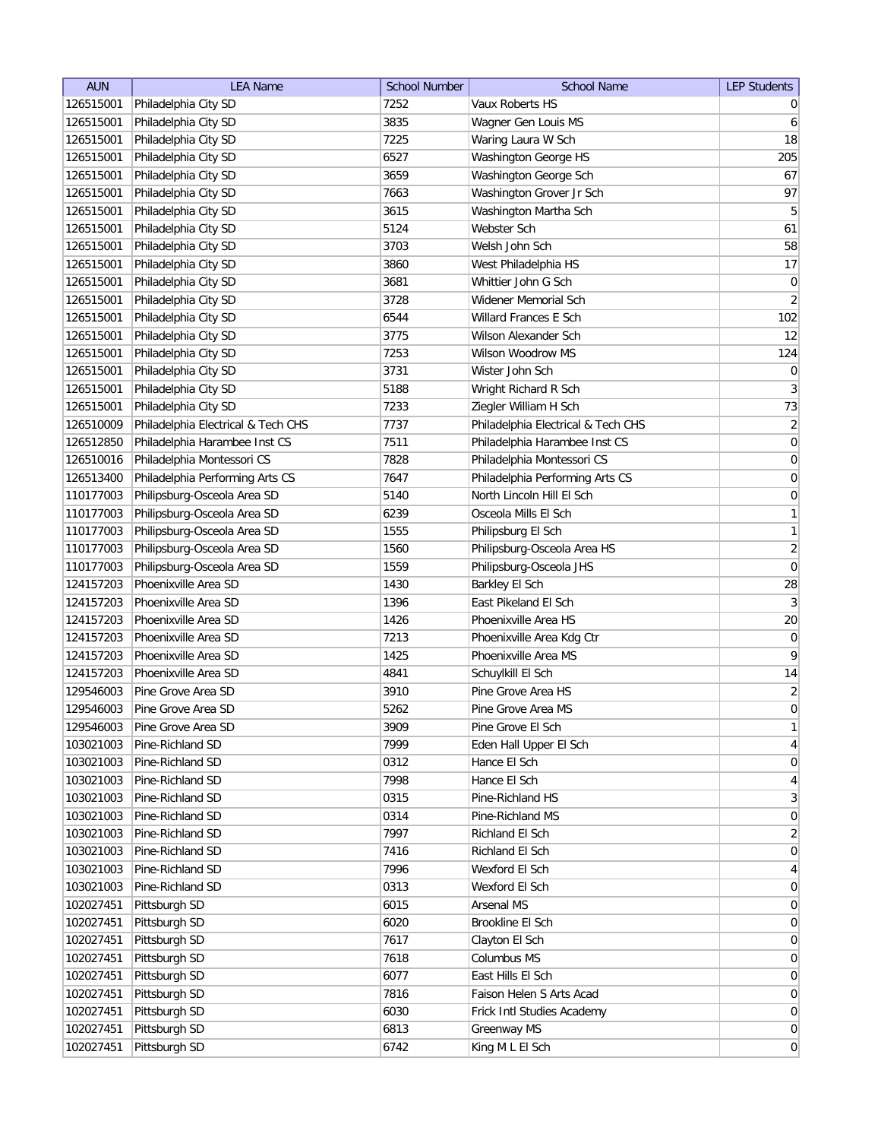| <b>AUN</b> | <b>LEA Name</b>                    | <b>School Number</b> | <b>School Name</b>                 | <b>LEP Students</b> |
|------------|------------------------------------|----------------------|------------------------------------|---------------------|
| 126515001  | Philadelphia City SD               | 7252                 | Vaux Roberts HS                    | $\overline{0}$      |
| 126515001  | Philadelphia City SD               | 3835                 | Wagner Gen Louis MS                | $6 \mid$            |
| 126515001  | Philadelphia City SD               | 7225                 | Waring Laura W Sch                 | 18                  |
| 126515001  | Philadelphia City SD               | 6527                 | Washington George HS               | 205                 |
| 126515001  | Philadelphia City SD               | 3659                 | Washington George Sch              | 67                  |
| 126515001  | Philadelphia City SD               | 7663                 | Washington Grover Jr Sch           | 97                  |
| 126515001  | Philadelphia City SD               | 3615                 | Washington Martha Sch              | $\overline{5}$      |
| 126515001  | Philadelphia City SD               | 5124                 | Webster Sch                        | 61                  |
| 126515001  | Philadelphia City SD               | 3703                 | Welsh John Sch                     | 58                  |
| 126515001  | Philadelphia City SD               | 3860                 | West Philadelphia HS               | 17                  |
| 126515001  | Philadelphia City SD               | 3681                 | Whittier John G Sch                | $\pmb{0}$           |
| 126515001  | Philadelphia City SD               | 3728                 | Widener Memorial Sch               | $\overline{2}$      |
| 126515001  | Philadelphia City SD               | 6544                 | Willard Frances E Sch              | 102                 |
| 126515001  | Philadelphia City SD               | 3775                 | Wilson Alexander Sch               | 12                  |
| 126515001  | Philadelphia City SD               | 7253                 | Wilson Woodrow MS                  | 124                 |
| 126515001  | Philadelphia City SD               | 3731                 | Wister John Sch                    | $\pmb{0}$           |
| 126515001  | Philadelphia City SD               | 5188                 | Wright Richard R Sch               | 3                   |
| 126515001  | Philadelphia City SD               | 7233                 | Ziegler William H Sch              | 73                  |
| 126510009  | Philadelphia Electrical & Tech CHS | 7737                 | Philadelphia Electrical & Tech CHS | $\mathbf{2}$        |
| 126512850  | Philadelphia Harambee Inst CS      | 7511                 | Philadelphia Harambee Inst CS      | 0                   |
| 126510016  | Philadelphia Montessori CS         | 7828                 | Philadelphia Montessori CS         | 0                   |
| 126513400  | Philadelphia Performing Arts CS    | 7647                 | Philadelphia Performing Arts CS    | $\boldsymbol{0}$    |
| 110177003  | Philipsburg-Osceola Area SD        | 5140                 | North Lincoln Hill El Sch          | $\boldsymbol{0}$    |
| 110177003  | Philipsburg-Osceola Area SD        | 6239                 | Osceola Mills El Sch               | 1                   |
| 110177003  | Philipsburg-Osceola Area SD        | 1555                 | Philipsburg El Sch                 | 1                   |
| 110177003  | Philipsburg-Osceola Area SD        | 1560                 | Philipsburg-Osceola Area HS        | $\overline{2}$      |
| 110177003  | Philipsburg-Osceola Area SD        | 1559                 | Philipsburg-Osceola JHS            | $\overline{0}$      |
| 124157203  | Phoenixville Area SD               | 1430                 | Barkley El Sch                     | 28                  |
| 124157203  | Phoenixville Area SD               | 1396                 | East Pikeland El Sch               | $\vert 3 \vert$     |
| 124157203  | Phoenixville Area SD               | 1426                 | Phoenixville Area HS               | 20                  |
| 124157203  | Phoenixville Area SD               | 7213                 | Phoenixville Area Kdg Ctr          | $\overline{0}$      |
| 124157203  | Phoenixville Area SD               | 1425                 | Phoenixville Area MS               | $\vert 9 \vert$     |
| 124157203  | Phoenixville Area SD               | 4841                 | Schuylkill El Sch                  | 14                  |
| 129546003  | Pine Grove Area SD                 | 3910                 | Pine Grove Area HS                 | $\overline{2}$      |
| 129546003  | Pine Grove Area SD                 | 5262                 | Pine Grove Area MS                 | $\overline{0}$      |
| 129546003  | Pine Grove Area SD                 | 3909                 | Pine Grove El Sch                  | $\mathbf{1}$        |
| 103021003  | Pine-Richland SD                   | 7999                 | Eden Hall Upper El Sch             | $\vert 4 \vert$     |
| 103021003  | Pine-Richland SD                   | 0312                 | Hance El Sch                       | $\overline{0}$      |
| 103021003  | Pine-Richland SD                   | 7998                 | Hance El Sch                       | $\vert 4 \vert$     |
| 103021003  | Pine-Richland SD                   | 0315                 | Pine-Richland HS                   | $3\vert$            |
| 103021003  | Pine-Richland SD                   | 0314                 | Pine-Richland MS                   | 0                   |
| 103021003  | Pine-Richland SD                   | 7997                 | Richland El Sch                    | $\overline{2}$      |
| 103021003  | Pine-Richland SD                   | 7416                 | Richland El Sch                    | $\overline{0}$      |
| 103021003  | Pine-Richland SD                   | 7996                 | Wexford El Sch                     | $\overline{4}$      |
| 103021003  | Pine-Richland SD                   | 0313                 | Wexford El Sch                     | 0                   |
| 102027451  | Pittsburgh SD                      | 6015                 | <b>Arsenal MS</b>                  | $\overline{0}$      |
| 102027451  | Pittsburgh SD                      | 6020                 | Brookline El Sch                   | $\overline{0}$      |
| 102027451  | Pittsburgh SD                      | 7617                 | Clayton El Sch                     | $\overline{0}$      |
| 102027451  | Pittsburgh SD                      | 7618                 | Columbus MS                        | $\overline{0}$      |
| 102027451  | Pittsburgh SD                      | 6077                 | East Hills El Sch                  | $\overline{0}$      |
| 102027451  | Pittsburgh SD                      | 7816                 | Faison Helen S Arts Acad           | $\overline{0}$      |
| 102027451  | Pittsburgh SD                      | 6030                 | Frick Intl Studies Academy         | $\overline{0}$      |
| 102027451  | Pittsburgh SD                      | 6813                 | Greenway MS                        | $\overline{0}$      |
| 102027451  | Pittsburgh SD                      | 6742                 | King M L El Sch                    | $\overline{0}$      |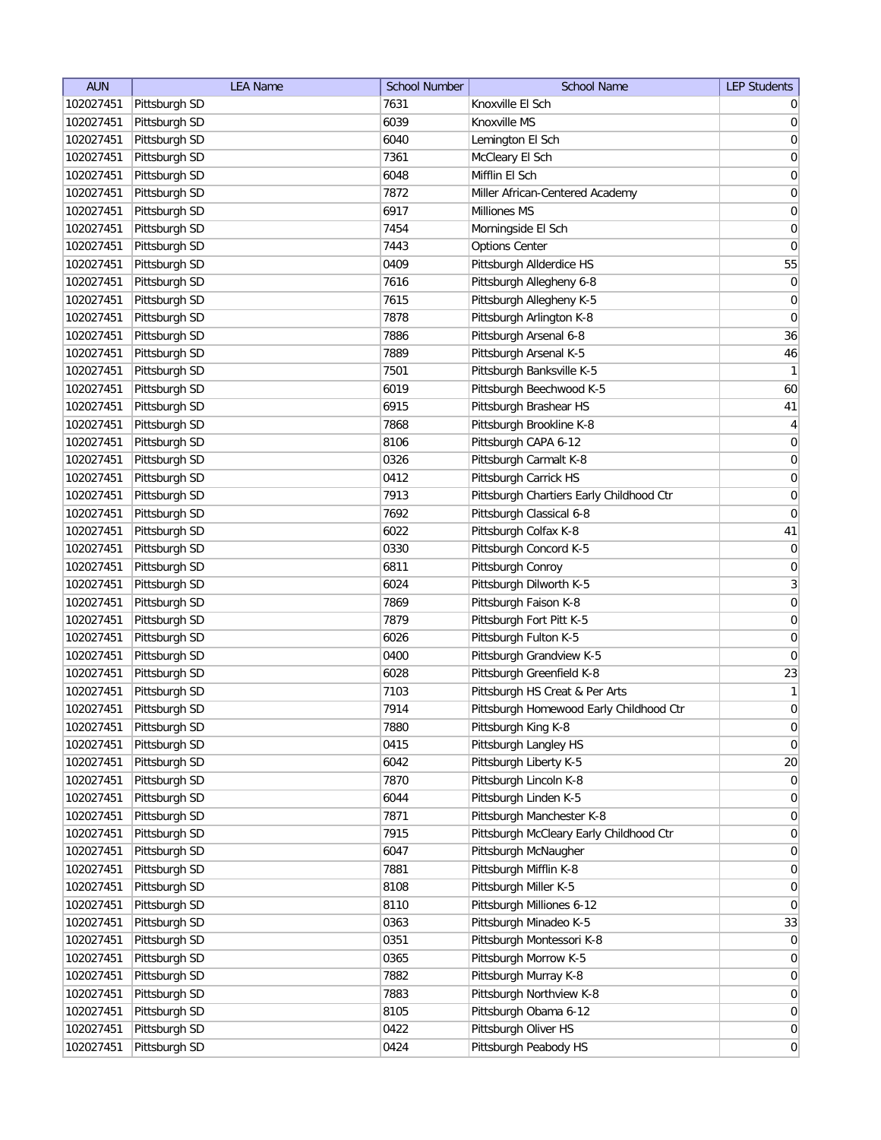| <b>AUN</b> | <b>LEA Name</b> | <b>School Number</b> | <b>School Name</b>                       | <b>LEP Students</b> |
|------------|-----------------|----------------------|------------------------------------------|---------------------|
| 102027451  | Pittsburgh SD   | 7631                 | Knoxville El Sch                         | $\overline{0}$      |
| 102027451  | Pittsburgh SD   | 6039                 | Knoxville MS                             | 0                   |
| 102027451  | Pittsburgh SD   | 6040                 | Lemington El Sch                         | 0                   |
| 102027451  | Pittsburgh SD   | 7361                 | McCleary El Sch                          | 0                   |
| 102027451  | Pittsburgh SD   | 6048                 | Mifflin El Sch                           | 0                   |
| 102027451  | Pittsburgh SD   | 7872                 | Miller African-Centered Academy          | 0                   |
| 102027451  | Pittsburgh SD   | 6917                 | Milliones MS                             | 0                   |
| 102027451  | Pittsburgh SD   | 7454                 | Morningside El Sch                       | 0                   |
| 102027451  | Pittsburgh SD   | 7443                 | <b>Options Center</b>                    | $\overline{0}$      |
| 102027451  | Pittsburgh SD   | 0409                 | Pittsburgh Allderdice HS                 | 55                  |
| 102027451  | Pittsburgh SD   | 7616                 | Pittsburgh Allegheny 6-8                 | 0                   |
| 102027451  | Pittsburgh SD   | 7615                 | Pittsburgh Allegheny K-5                 | 0                   |
| 102027451  | Pittsburgh SD   | 7878                 | Pittsburgh Arlington K-8                 | 0                   |
| 102027451  | Pittsburgh SD   | 7886                 | Pittsburgh Arsenal 6-8                   | 36                  |
| 102027451  | Pittsburgh SD   | 7889                 | Pittsburgh Arsenal K-5                   | 46                  |
| 102027451  | Pittsburgh SD   | 7501                 | Pittsburgh Banksville K-5                | $\mathbf{1}$        |
| 102027451  | Pittsburgh SD   | 6019                 | Pittsburgh Beechwood K-5                 | 60                  |
| 102027451  | Pittsburgh SD   | 6915                 | Pittsburgh Brashear HS                   | 41                  |
| 102027451  | Pittsburgh SD   | 7868                 | Pittsburgh Brookline K-8                 | $\vert 4 \vert$     |
| 102027451  | Pittsburgh SD   | 8106                 | Pittsburgh CAPA 6-12                     | 0                   |
| 102027451  | Pittsburgh SD   | 0326                 | Pittsburgh Carmalt K-8                   | $\boldsymbol{0}$    |
| 102027451  | Pittsburgh SD   | 0412                 | Pittsburgh Carrick HS                    | $\overline{0}$      |
| 102027451  | Pittsburgh SD   | 7913                 | Pittsburgh Chartiers Early Childhood Ctr | $\overline{0}$      |
| 102027451  | Pittsburgh SD   | 7692                 | Pittsburgh Classical 6-8                 | $\overline{0}$      |
| 102027451  | Pittsburgh SD   | 6022                 | Pittsburgh Colfax K-8                    | 41                  |
| 102027451  | Pittsburgh SD   | 0330                 | Pittsburgh Concord K-5                   | $\overline{0}$      |
| 102027451  | Pittsburgh SD   | 6811                 | Pittsburgh Conroy                        | $\overline{0}$      |
| 102027451  | Pittsburgh SD   | 6024                 | Pittsburgh Dilworth K-5                  | $\overline{3}$      |
| 102027451  | Pittsburgh SD   | 7869                 | Pittsburgh Faison K-8                    | 0                   |
| 102027451  | Pittsburgh SD   | 7879                 | Pittsburgh Fort Pitt K-5                 | 0                   |
| 102027451  | Pittsburgh SD   | 6026                 | Pittsburgh Fulton K-5                    | 0                   |
| 102027451  | Pittsburgh SD   | 0400                 | Pittsburgh Grandview K-5                 | 0                   |
| 102027451  | Pittsburgh SD   | 6028                 | Pittsburgh Greenfield K-8                | 23                  |
| 102027451  | Pittsburgh SD   | 7103                 | Pittsburgh HS Creat & Per Arts           | 1                   |
| 102027451  | Pittsburgh SD   | 7914                 | Pittsburgh Homewood Early Childhood Ctr  | $\overline{0}$      |
| 102027451  | Pittsburgh SD   | 7880                 | Pittsburgh King K-8                      | $\overline{0}$      |
| 102027451  | Pittsburgh SD   | 0415                 | Pittsburgh Langley HS                    | 0                   |
| 102027451  | Pittsburgh SD   | 6042                 | Pittsburgh Liberty K-5                   | 20                  |
| 102027451  | Pittsburgh SD   | 7870                 | Pittsburgh Lincoln K-8                   | 0                   |
| 102027451  | Pittsburgh SD   | 6044                 | Pittsburgh Linden K-5                    | $\overline{0}$      |
| 102027451  | Pittsburgh SD   | 7871                 | Pittsburgh Manchester K-8                | 0                   |
| 102027451  | Pittsburgh SD   | 7915                 | Pittsburgh McCleary Early Childhood Ctr  | 0                   |
| 102027451  | Pittsburgh SD   | 6047                 | Pittsburgh McNaugher                     | 0                   |
| 102027451  | Pittsburgh SD   | 7881                 |                                          |                     |
|            |                 |                      | Pittsburgh Mifflin K-8                   | 0                   |
| 102027451  | Pittsburgh SD   | 8108                 | Pittsburgh Miller K-5                    | 0                   |
| 102027451  | Pittsburgh SD   | 8110                 | Pittsburgh Milliones 6-12                | $\overline{0}$      |
| 102027451  | Pittsburgh SD   | 0363                 | Pittsburgh Minadeo K-5                   | 33                  |
| 102027451  | Pittsburgh SD   | 0351                 | Pittsburgh Montessori K-8                | 0                   |
| 102027451  | Pittsburgh SD   | 0365                 | Pittsburgh Morrow K-5                    | 0                   |
| 102027451  | Pittsburgh SD   | 7882                 | Pittsburgh Murray K-8                    | $\overline{0}$      |
| 102027451  | Pittsburgh SD   | 7883                 | Pittsburgh Northview K-8                 | $\overline{0}$      |
| 102027451  | Pittsburgh SD   | 8105                 | Pittsburgh Obama 6-12                    | 0                   |
| 102027451  | Pittsburgh SD   | 0422                 | Pittsburgh Oliver HS                     | $\overline{0}$      |
| 102027451  | Pittsburgh SD   | 0424                 | Pittsburgh Peabody HS                    | 0                   |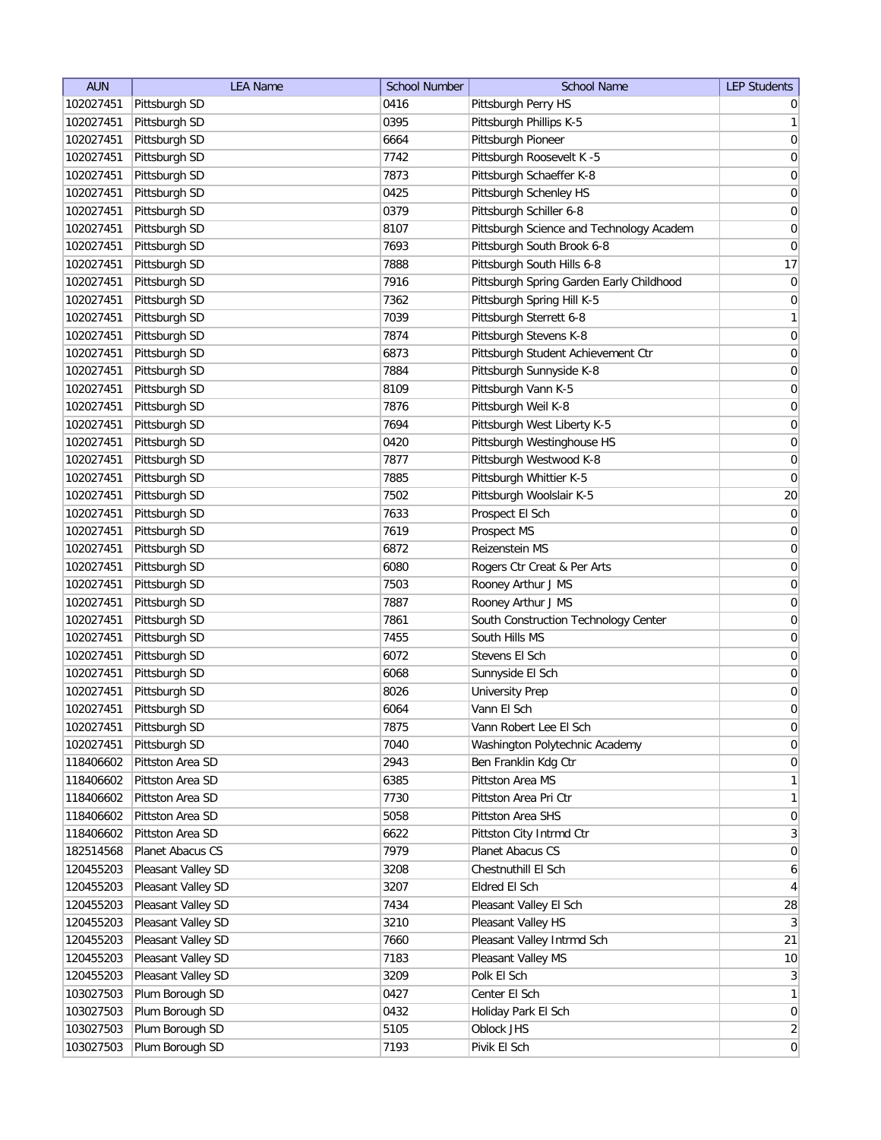| <b>AUN</b> | <b>LEA Name</b>    | <b>School Number</b> | <b>School Name</b>                       | <b>LEP Students</b> |
|------------|--------------------|----------------------|------------------------------------------|---------------------|
| 102027451  | Pittsburgh SD      | 0416                 | Pittsburgh Perry HS                      | 0                   |
| 102027451  | Pittsburgh SD      | 0395                 | Pittsburgh Phillips K-5                  | 1                   |
| 102027451  | Pittsburgh SD      | 6664                 | Pittsburgh Pioneer                       | 0                   |
| 102027451  | Pittsburgh SD      | 7742                 | Pittsburgh Roosevelt K -5                | $\overline{0}$      |
| 102027451  | Pittsburgh SD      | 7873                 | Pittsburgh Schaeffer K-8                 | 0                   |
| 102027451  | Pittsburgh SD      | 0425                 | Pittsburgh Schenley HS                   | 0                   |
| 102027451  | Pittsburgh SD      | 0379                 | Pittsburgh Schiller 6-8                  | 0                   |
| 102027451  | Pittsburgh SD      | 8107                 | Pittsburgh Science and Technology Academ | 0                   |
| 102027451  | Pittsburgh SD      | 7693                 | Pittsburgh South Brook 6-8               | $\overline{0}$      |
| 102027451  | Pittsburgh SD      | 7888                 | Pittsburgh South Hills 6-8               | 17                  |
| 102027451  | Pittsburgh SD      | 7916                 | Pittsburgh Spring Garden Early Childhood | $\overline{0}$      |
| 102027451  | Pittsburgh SD      | 7362                 | Pittsburgh Spring Hill K-5               | 0                   |
| 102027451  | Pittsburgh SD      | 7039                 | Pittsburgh Sterrett 6-8                  | $\mathbf{1}$        |
| 102027451  | Pittsburgh SD      | 7874                 | Pittsburgh Stevens K-8                   | $\overline{0}$      |
| 102027451  | Pittsburgh SD      | 6873                 | Pittsburgh Student Achievement Ctr       | 0                   |
| 102027451  | Pittsburgh SD      | 7884                 | Pittsburgh Sunnyside K-8                 | 0                   |
| 102027451  | Pittsburgh SD      | 8109                 | Pittsburgh Vann K-5                      | 0                   |
| 102027451  | Pittsburgh SD      | 7876                 | Pittsburgh Weil K-8                      | 0                   |
| 102027451  | Pittsburgh SD      | 7694                 | Pittsburgh West Liberty K-5              | $\overline{0}$      |
| 102027451  | Pittsburgh SD      | 0420                 | Pittsburgh Westinghouse HS               | 0                   |
| 102027451  | Pittsburgh SD      | 7877                 | Pittsburgh Westwood K-8                  | $\boldsymbol{0}$    |
| 102027451  | Pittsburgh SD      | 7885                 | Pittsburgh Whittier K-5                  | $\overline{0}$      |
| 102027451  | Pittsburgh SD      | 7502                 | Pittsburgh Woolslair K-5                 | 20                  |
| 102027451  | Pittsburgh SD      | 7633                 | Prospect El Sch                          | $\boldsymbol{0}$    |
| 102027451  | Pittsburgh SD      | 7619                 | Prospect MS                              | $\overline{0}$      |
| 102027451  | Pittsburgh SD      | 6872                 | Reizenstein MS                           | 0                   |
| 102027451  | Pittsburgh SD      | 6080                 | Rogers Ctr Creat & Per Arts              | $\overline{0}$      |
| 102027451  | Pittsburgh SD      | 7503                 | Rooney Arthur J MS                       | $\overline{0}$      |
| 102027451  | Pittsburgh SD      | 7887                 | Rooney Arthur J MS                       | 0                   |
| 102027451  | Pittsburgh SD      | 7861                 | South Construction Technology Center     | 0                   |
| 102027451  | Pittsburgh SD      | 7455                 | South Hills MS                           | 0                   |
| 102027451  | Pittsburgh SD      | 6072                 | Stevens El Sch                           | 0                   |
| 102027451  | Pittsburgh SD      | 6068                 | Sunnyside El Sch                         | 0                   |
| 102027451  | Pittsburgh SD      | 8026                 | <b>University Prep</b>                   | 0                   |
| 102027451  | Pittsburgh SD      | 6064                 | Vann El Sch                              | 0                   |
| 102027451  | Pittsburgh SD      | 7875                 | Vann Robert Lee El Sch                   | $\overline{0}$      |
| 102027451  | Pittsburgh SD      | 7040                 | Washington Polytechnic Academy           | $\overline{0}$      |
| 118406602  | Pittston Area SD   | 2943                 | Ben Franklin Kdg Ctr                     | $\overline{0}$      |
| 118406602  | Pittston Area SD   | 6385                 | Pittston Area MS                         | $\mathbf{1}$        |
| 118406602  | Pittston Area SD   | 7730                 | Pittston Area Pri Ctr                    | $\mathbf{1}$        |
| 118406602  | Pittston Area SD   | 5058                 | Pittston Area SHS                        | 0                   |
| 118406602  | Pittston Area SD   | 6622                 | Pittston City Intrmd Ctr                 | 3                   |
| 182514568  | Planet Abacus CS   | 7979                 | Planet Abacus CS                         | $\overline{0}$      |
| 120455203  | Pleasant Valley SD | 3208                 | Chestnuthill El Sch                      | 6                   |
| 120455203  | Pleasant Valley SD | 3207                 | Eldred El Sch                            | $\vert$             |
| 120455203  | Pleasant Valley SD | 7434                 | Pleasant Valley El Sch                   | 28                  |
| 120455203  | Pleasant Valley SD | 3210                 | Pleasant Valley HS                       | 3                   |
| 120455203  | Pleasant Valley SD | 7660                 | Pleasant Valley Intrmd Sch               | 21                  |
| 120455203  | Pleasant Valley SD | 7183                 | Pleasant Valley MS                       | 10                  |
| 120455203  | Pleasant Valley SD | 3209                 | Polk El Sch                              | 3                   |
| 103027503  | Plum Borough SD    | 0427                 | Center El Sch                            | $\mathbf{1}$        |
| 103027503  | Plum Borough SD    | 0432                 | Holiday Park El Sch                      | $\overline{0}$      |
| 103027503  | Plum Borough SD    | 5105                 | Oblock JHS                               | $\overline{2}$      |
| 103027503  | Plum Borough SD    | 7193                 | Pivik El Sch                             | 0                   |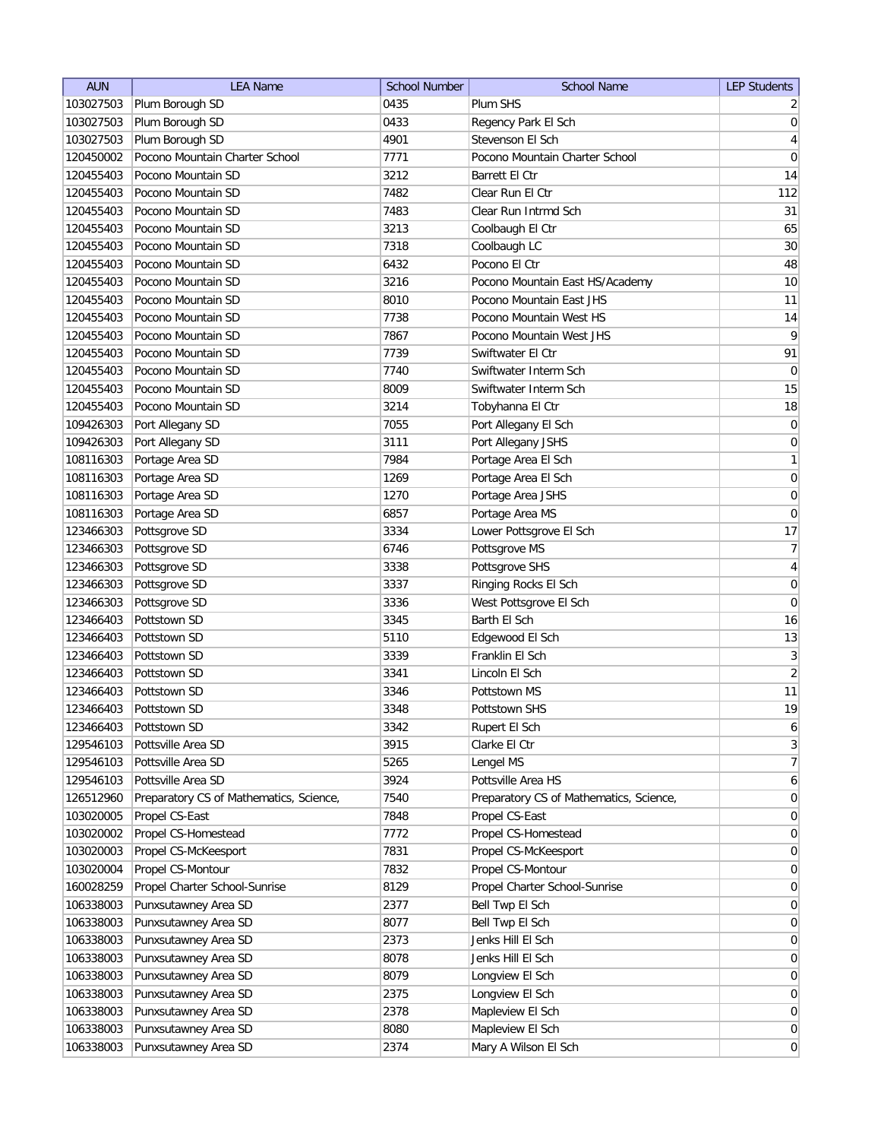| <b>AUN</b>             | <b>LEA Name</b>                         | <b>School Number</b> | <b>School Name</b>                      | <b>LEP Students</b>  |
|------------------------|-----------------------------------------|----------------------|-----------------------------------------|----------------------|
| 103027503              | Plum Borough SD                         | 0435                 | Plum SHS                                | $\overline{2}$       |
| 103027503              | Plum Borough SD                         | 0433                 | Regency Park El Sch                     | 0                    |
| 103027503              | Plum Borough SD                         | 4901                 | Stevenson El Sch                        | 4                    |
| 120450002              | Pocono Mountain Charter School          | 7771                 | Pocono Mountain Charter School          | 0                    |
| 120455403              | Pocono Mountain SD                      | 3212                 | Barrett El Ctr                          | 14                   |
| 120455403              | Pocono Mountain SD                      | 7482                 | Clear Run El Ctr                        | 112                  |
| 120455403              | Pocono Mountain SD                      | 7483                 | Clear Run Intrmd Sch                    | 31                   |
| 120455403              | Pocono Mountain SD                      | 3213                 | Coolbaugh El Ctr                        | 65                   |
| 120455403              | Pocono Mountain SD                      | 7318                 | Coolbaugh LC                            | 30                   |
| 120455403              | Pocono Mountain SD                      | 6432                 | Pocono El Ctr                           | 48                   |
| 120455403              | Pocono Mountain SD                      | 3216                 | Pocono Mountain East HS/Academy         | 10                   |
| 120455403              | Pocono Mountain SD                      | 8010                 | Pocono Mountain East JHS                | 11                   |
| 120455403              | Pocono Mountain SD                      | 7738                 | Pocono Mountain West HS                 | 14                   |
| 120455403              | Pocono Mountain SD                      | 7867                 | Pocono Mountain West JHS                | 9                    |
| 120455403              | Pocono Mountain SD                      | 7739                 | Swiftwater El Ctr                       | 91                   |
| 120455403              | Pocono Mountain SD                      | 7740                 | Swiftwater Interm Sch                   | 0                    |
| 120455403              | Pocono Mountain SD                      | 8009                 | Swiftwater Interm Sch                   | 15                   |
| 120455403              | Pocono Mountain SD                      | 3214                 | Tobyhanna El Ctr                        | 18                   |
| 109426303              | Port Allegany SD                        | 7055                 | Port Allegany El Sch                    | 0                    |
| 109426303              | Port Allegany SD                        | 3111                 | Port Allegany JSHS                      | 0                    |
| 108116303              | Portage Area SD                         | 7984                 | Portage Area El Sch                     | $\mathbf{1}$         |
| 108116303              | Portage Area SD                         | 1269                 | Portage Area El Sch                     | $\overline{0}$       |
| 108116303              | Portage Area SD                         | 1270                 | Portage Area JSHS                       | $\boldsymbol{0}$     |
| 108116303              | Portage Area SD                         | 6857                 | Portage Area MS                         | $\overline{0}$       |
| 123466303              | Pottsgrove SD                           | 3334                 | Lower Pottsgrove El Sch                 | 17                   |
| 123466303              | Pottsgrove SD                           | 6746                 | Pottsgrove MS                           | 7                    |
| 123466303              | Pottsgrove SD                           | 3338                 | Pottsgrove SHS                          | 4                    |
| 123466303              | Pottsgrove SD                           | 3337                 | Ringing Rocks El Sch                    | 0                    |
| 123466303              | Pottsgrove SD                           | 3336                 | West Pottsgrove El Sch                  | 0                    |
| 123466403              | Pottstown SD                            | 3345                 | Barth El Sch                            | 16                   |
| 123466403              | Pottstown SD                            | 5110                 | Edgewood El Sch                         | 13                   |
| 123466403              | Pottstown SD                            | 3339                 | Franklin El Sch                         | $\overline{3}$       |
| 123466403              | Pottstown SD                            | 3341                 | Lincoln El Sch                          | $\overline{2}$       |
| 123466403              | Pottstown SD                            | 3346                 | Pottstown MS                            | 11                   |
| 123466403              | Pottstown SD                            | 3348                 | Pottstown SHS                           | 19                   |
| 123466403              | Pottstown SD                            | 3342                 | Rupert El Sch                           | $6\vert$             |
| 129546103              | Pottsville Area SD                      | 3915                 | Clarke El Ctr                           | 3                    |
| 129546103              | Pottsville Area SD                      | 5265                 | Lengel MS                               | $\overline{7}$       |
| 129546103              | Pottsville Area SD                      | 3924                 | Pottsville Area HS                      | 6 <sup>1</sup>       |
| 126512960              | Preparatory CS of Mathematics, Science, | 7540                 | Preparatory CS of Mathematics, Science, | $\overline{0}$       |
| 103020005              | Propel CS-East                          | 7848                 | Propel CS-East                          | 0                    |
| 103020002              | Propel CS-Homestead                     | 7772                 | Propel CS-Homestead                     | $\overline{0}$       |
| 103020003              | Propel CS-McKeesport                    | 7831                 | Propel CS-McKeesport                    | $\overline{0}$       |
| 103020004              | Propel CS-Montour                       | 7832                 | Propel CS-Montour                       | $\overline{0}$       |
| 160028259              | Propel Charter School-Sunrise           | 8129                 | Propel Charter School-Sunrise           | 0                    |
| 106338003              | Punxsutawney Area SD                    | 2377                 | Bell Twp El Sch                         | $\overline{0}$       |
| 106338003              | Punxsutawney Area SD                    | 8077                 | Bell Twp El Sch                         | $\overline{0}$       |
|                        | Punxsutawney Area SD                    | 2373                 |                                         | $\overline{0}$       |
| 106338003<br>106338003 | Punxsutawney Area SD                    | 8078                 | Jenks Hill El Sch<br>Jenks Hill El Sch  | $\overline{0}$       |
| 106338003              | Punxsutawney Area SD                    | 8079                 | Longview El Sch                         | $\overline{0}$       |
| 106338003              | Punxsutawney Area SD                    | 2375                 | Longview El Sch                         | $\overline{0}$       |
|                        |                                         | 2378                 |                                         |                      |
| 106338003<br>106338003 | Punxsutawney Area SD                    | 8080                 | Mapleview El Sch                        | 0 <br>$\overline{0}$ |
|                        | Punxsutawney Area SD                    | 2374                 | Mapleview El Sch                        | 0                    |
| 106338003              | Punxsutawney Area SD                    |                      | Mary A Wilson El Sch                    |                      |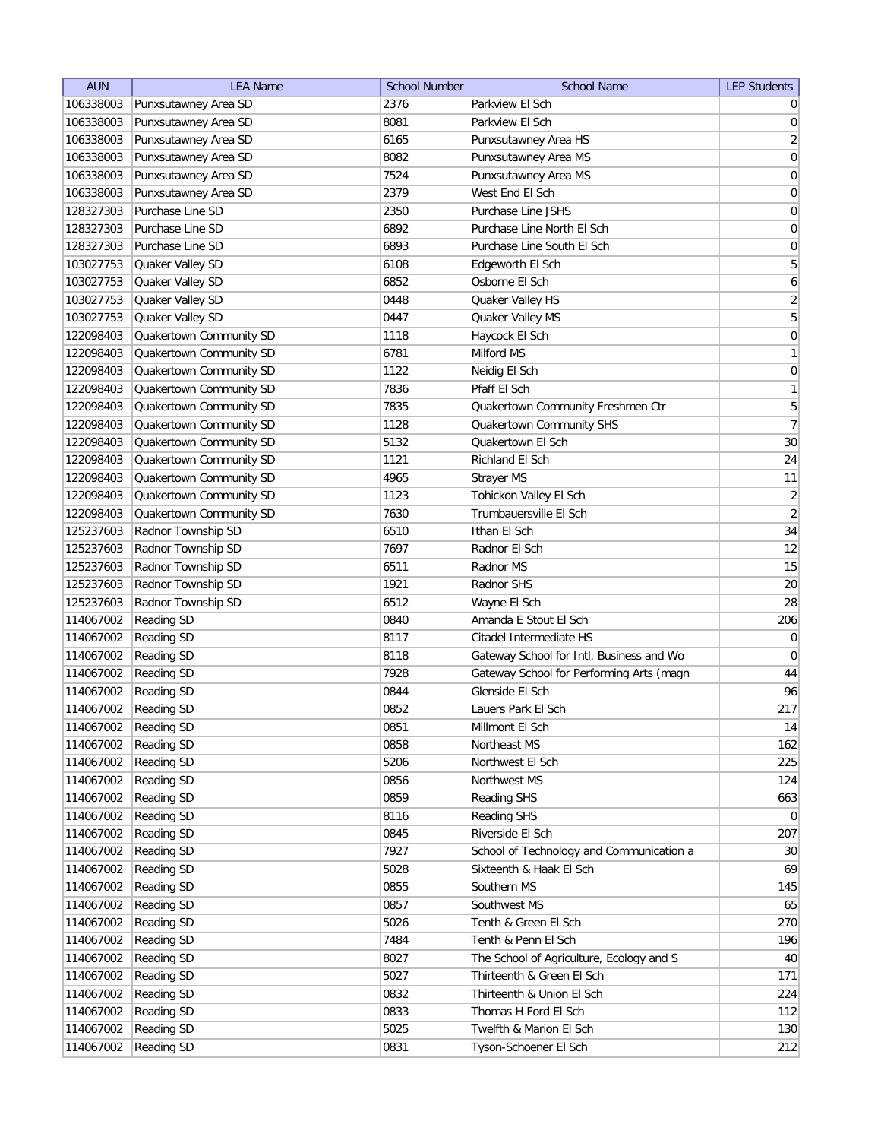| 106338003<br>2376<br>Parkview El Sch<br>Punxsutawney Area SD<br>$\overline{0}$<br>106338003<br>Punxsutawney Area SD<br>8081<br>Parkview El Sch<br> 0 <br>$\overline{2}$<br>106338003<br>Punxsutawney Area SD<br>6165<br>Punxsutawney Area HS<br> 0 <br>8082<br>106338003<br>Punxsutawney Area SD<br>Punxsutawney Area MS<br>$\boldsymbol{0}$<br>106338003<br>Punxsutawney Area SD<br>7524<br>Punxsutawney Area MS<br>West End El Sch<br>$\boldsymbol{0}$<br>106338003<br>Punxsutawney Area SD<br>2379<br>Purchase Line SD<br>128327303<br>2350<br>Purchase Line JSHS<br>0<br>6892<br>$\boldsymbol{0}$<br>128327303<br>Purchase Line SD<br>Purchase Line North El Sch<br>$\boldsymbol{0}$<br>128327303<br>Purchase Line SD<br>6893<br>Purchase Line South El Sch<br>5<br>103027753<br>Quaker Valley SD<br>6108<br>Edgeworth El Sch<br>$\boldsymbol{6}$<br>103027753<br>Quaker Valley SD<br>6852<br>Osborne El Sch<br>$\overline{2}$<br>103027753<br>Quaker Valley SD<br>Quaker Valley HS<br>0448<br>5<br>Quaker Valley SD<br>0447<br>103027753<br>Quaker Valley MS<br>$\boldsymbol{0}$<br>122098403<br>Quakertown Community SD<br>1118<br>Haycock El Sch<br>$\mathbf{1}$<br>122098403<br>Quakertown Community SD<br>6781<br>Milford MS<br>$\boldsymbol{0}$<br>Quakertown Community SD<br>1122<br>122098403<br>Neidig El Sch<br>1<br>Quakertown Community SD<br>7836<br>Pfaff El Sch<br>122098403<br>5<br>122098403<br>Quakertown Community SD<br>7835<br>Quakertown Community Freshmen Ctr<br>$\overline{7}$<br>Quakertown Community SD<br>122098403<br>1128<br>Quakertown Community SHS<br>Quakertown Community SD<br>5132<br>$30\,$<br>122098403<br>Quakertown El Sch<br>Quakertown Community SD<br>24<br>122098403<br>1121<br>Richland El Sch<br>Quakertown Community SD<br>11<br>122098403<br>4965<br>Strayer MS<br>$\overline{2}$<br>Tohickon Valley El Sch<br>122098403<br>Quakertown Community SD<br>1123<br>$\left  \right $<br>Quakertown Community SD<br>7630<br>Trumbauersville El Sch<br>122098403<br>34<br>Radnor Township SD<br>Ithan El Sch<br>125237603<br>6510<br>Radnor Township SD<br>12<br>125237603<br>7697<br>Radnor El Sch<br>Radnor Township SD<br>15<br>125237603<br>Radnor MS<br>6511<br>Radnor Township SD<br>$20\,$<br>125237603<br>1921<br>Radnor SHS<br>28<br>Radnor Township SD<br>125237603<br>6512<br>Wayne El Sch<br>Reading SD<br>206<br>114067002<br>Amanda E Stout El Sch<br>0840<br>114067002<br><b>Reading SD</b><br>Citadel Intermediate HS<br>$\overline{0}$<br>8117<br>114067002<br>Reading SD<br>8118<br>Gateway School for Intl. Business and Wo<br>$\overline{0}$<br>44<br>114067002<br><b>Reading SD</b><br>7928<br>Gateway School for Performing Arts (magn<br>96<br>114067002<br><b>Reading SD</b><br>Glenside El Sch<br>0844<br>0852<br>217<br>114067002<br><b>Reading SD</b><br>Lauers Park El Sch<br>114067002<br><b>Reading SD</b><br>0851<br>Millmont El Sch<br>14<br>0858<br>162<br>114067002<br><b>Reading SD</b><br>Northeast MS<br>5206<br>225<br>114067002<br><b>Reading SD</b><br>Northwest El Sch<br>114067002<br>Reading SD<br>0856<br>Northwest MS<br>124<br>114067002<br>0859<br>663<br>Reading SD<br>Reading SHS<br>114067002<br>Reading SD<br>8116<br>Reading SHS<br>$\overline{0}$<br>Riverside El Sch<br>207<br>114067002<br>Reading SD<br>0845<br>30 <sup>°</sup><br>114067002<br><b>Reading SD</b><br>7927<br>School of Technology and Communication a<br>114067002<br>69<br><b>Reading SD</b><br>5028<br>Sixteenth & Haak El Sch<br>145<br>114067002<br><b>Reading SD</b><br>0855<br>Southern MS<br>Reading SD<br>65<br>114067002<br>0857<br>Southwest MS<br>Reading SD<br>270<br>114067002<br>5026<br>Tenth & Green El Sch<br>114067002<br>Reading SD<br>7484<br>Tenth & Penn El Sch<br>196<br>114067002<br>8027<br>The School of Agriculture, Ecology and S<br>40<br><b>Reading SD</b><br>Thirteenth & Green El Sch<br>171<br>114067002<br>Reading SD<br>5027<br>114067002<br><b>Reading SD</b><br>0832<br>Thirteenth & Union El Sch<br>224<br>0833<br>114067002<br>Reading SD<br>Thomas H Ford El Sch<br>112<br>5025<br>130<br>114067002<br><b>Reading SD</b><br>Twelfth & Marion El Sch<br>114067002<br>Reading SD<br>0831<br>212<br>Tyson-Schoener El Sch | <b>AUN</b> | <b>LEA Name</b> | <b>School Number</b> | <b>School Name</b> | <b>LEP Students</b> |
|-------------------------------------------------------------------------------------------------------------------------------------------------------------------------------------------------------------------------------------------------------------------------------------------------------------------------------------------------------------------------------------------------------------------------------------------------------------------------------------------------------------------------------------------------------------------------------------------------------------------------------------------------------------------------------------------------------------------------------------------------------------------------------------------------------------------------------------------------------------------------------------------------------------------------------------------------------------------------------------------------------------------------------------------------------------------------------------------------------------------------------------------------------------------------------------------------------------------------------------------------------------------------------------------------------------------------------------------------------------------------------------------------------------------------------------------------------------------------------------------------------------------------------------------------------------------------------------------------------------------------------------------------------------------------------------------------------------------------------------------------------------------------------------------------------------------------------------------------------------------------------------------------------------------------------------------------------------------------------------------------------------------------------------------------------------------------------------------------------------------------------------------------------------------------------------------------------------------------------------------------------------------------------------------------------------------------------------------------------------------------------------------------------------------------------------------------------------------------------------------------------------------------------------------------------------------------------------------------------------------------------------------------------------------------------------------------------------------------------------------------------------------------------------------------------------------------------------------------------------------------------------------------------------------------------------------------------------------------------------------------------------------------------------------------------------------------------------------------------------------------------------------------------------------------------------------------------------------------------------------------------------------------------------------------------------------------------------------------------------------------------------------------------------------------------------------------------------------------------------------------------------------------------------------------------------------------------------------------------------------------------------------------------------------------------------------------------------------------------------------------------------------------------------------------------------------------------------------------------------------------------------------------------------------------------------------------------------------------------------------------------------------------------------------------------------------------------------------------------------------------------------------------------------------------------------------------------------------------------------|------------|-----------------|----------------------|--------------------|---------------------|
|                                                                                                                                                                                                                                                                                                                                                                                                                                                                                                                                                                                                                                                                                                                                                                                                                                                                                                                                                                                                                                                                                                                                                                                                                                                                                                                                                                                                                                                                                                                                                                                                                                                                                                                                                                                                                                                                                                                                                                                                                                                                                                                                                                                                                                                                                                                                                                                                                                                                                                                                                                                                                                                                                                                                                                                                                                                                                                                                                                                                                                                                                                                                                                                                                                                                                                                                                                                                                                                                                                                                                                                                                                                                                                                                                                                                                                                                                                                                                                                                                                                                                                                                                                                                                                     |            |                 |                      |                    |                     |
|                                                                                                                                                                                                                                                                                                                                                                                                                                                                                                                                                                                                                                                                                                                                                                                                                                                                                                                                                                                                                                                                                                                                                                                                                                                                                                                                                                                                                                                                                                                                                                                                                                                                                                                                                                                                                                                                                                                                                                                                                                                                                                                                                                                                                                                                                                                                                                                                                                                                                                                                                                                                                                                                                                                                                                                                                                                                                                                                                                                                                                                                                                                                                                                                                                                                                                                                                                                                                                                                                                                                                                                                                                                                                                                                                                                                                                                                                                                                                                                                                                                                                                                                                                                                                                     |            |                 |                      |                    |                     |
|                                                                                                                                                                                                                                                                                                                                                                                                                                                                                                                                                                                                                                                                                                                                                                                                                                                                                                                                                                                                                                                                                                                                                                                                                                                                                                                                                                                                                                                                                                                                                                                                                                                                                                                                                                                                                                                                                                                                                                                                                                                                                                                                                                                                                                                                                                                                                                                                                                                                                                                                                                                                                                                                                                                                                                                                                                                                                                                                                                                                                                                                                                                                                                                                                                                                                                                                                                                                                                                                                                                                                                                                                                                                                                                                                                                                                                                                                                                                                                                                                                                                                                                                                                                                                                     |            |                 |                      |                    |                     |
|                                                                                                                                                                                                                                                                                                                                                                                                                                                                                                                                                                                                                                                                                                                                                                                                                                                                                                                                                                                                                                                                                                                                                                                                                                                                                                                                                                                                                                                                                                                                                                                                                                                                                                                                                                                                                                                                                                                                                                                                                                                                                                                                                                                                                                                                                                                                                                                                                                                                                                                                                                                                                                                                                                                                                                                                                                                                                                                                                                                                                                                                                                                                                                                                                                                                                                                                                                                                                                                                                                                                                                                                                                                                                                                                                                                                                                                                                                                                                                                                                                                                                                                                                                                                                                     |            |                 |                      |                    |                     |
|                                                                                                                                                                                                                                                                                                                                                                                                                                                                                                                                                                                                                                                                                                                                                                                                                                                                                                                                                                                                                                                                                                                                                                                                                                                                                                                                                                                                                                                                                                                                                                                                                                                                                                                                                                                                                                                                                                                                                                                                                                                                                                                                                                                                                                                                                                                                                                                                                                                                                                                                                                                                                                                                                                                                                                                                                                                                                                                                                                                                                                                                                                                                                                                                                                                                                                                                                                                                                                                                                                                                                                                                                                                                                                                                                                                                                                                                                                                                                                                                                                                                                                                                                                                                                                     |            |                 |                      |                    |                     |
|                                                                                                                                                                                                                                                                                                                                                                                                                                                                                                                                                                                                                                                                                                                                                                                                                                                                                                                                                                                                                                                                                                                                                                                                                                                                                                                                                                                                                                                                                                                                                                                                                                                                                                                                                                                                                                                                                                                                                                                                                                                                                                                                                                                                                                                                                                                                                                                                                                                                                                                                                                                                                                                                                                                                                                                                                                                                                                                                                                                                                                                                                                                                                                                                                                                                                                                                                                                                                                                                                                                                                                                                                                                                                                                                                                                                                                                                                                                                                                                                                                                                                                                                                                                                                                     |            |                 |                      |                    |                     |
|                                                                                                                                                                                                                                                                                                                                                                                                                                                                                                                                                                                                                                                                                                                                                                                                                                                                                                                                                                                                                                                                                                                                                                                                                                                                                                                                                                                                                                                                                                                                                                                                                                                                                                                                                                                                                                                                                                                                                                                                                                                                                                                                                                                                                                                                                                                                                                                                                                                                                                                                                                                                                                                                                                                                                                                                                                                                                                                                                                                                                                                                                                                                                                                                                                                                                                                                                                                                                                                                                                                                                                                                                                                                                                                                                                                                                                                                                                                                                                                                                                                                                                                                                                                                                                     |            |                 |                      |                    |                     |
|                                                                                                                                                                                                                                                                                                                                                                                                                                                                                                                                                                                                                                                                                                                                                                                                                                                                                                                                                                                                                                                                                                                                                                                                                                                                                                                                                                                                                                                                                                                                                                                                                                                                                                                                                                                                                                                                                                                                                                                                                                                                                                                                                                                                                                                                                                                                                                                                                                                                                                                                                                                                                                                                                                                                                                                                                                                                                                                                                                                                                                                                                                                                                                                                                                                                                                                                                                                                                                                                                                                                                                                                                                                                                                                                                                                                                                                                                                                                                                                                                                                                                                                                                                                                                                     |            |                 |                      |                    |                     |
|                                                                                                                                                                                                                                                                                                                                                                                                                                                                                                                                                                                                                                                                                                                                                                                                                                                                                                                                                                                                                                                                                                                                                                                                                                                                                                                                                                                                                                                                                                                                                                                                                                                                                                                                                                                                                                                                                                                                                                                                                                                                                                                                                                                                                                                                                                                                                                                                                                                                                                                                                                                                                                                                                                                                                                                                                                                                                                                                                                                                                                                                                                                                                                                                                                                                                                                                                                                                                                                                                                                                                                                                                                                                                                                                                                                                                                                                                                                                                                                                                                                                                                                                                                                                                                     |            |                 |                      |                    |                     |
|                                                                                                                                                                                                                                                                                                                                                                                                                                                                                                                                                                                                                                                                                                                                                                                                                                                                                                                                                                                                                                                                                                                                                                                                                                                                                                                                                                                                                                                                                                                                                                                                                                                                                                                                                                                                                                                                                                                                                                                                                                                                                                                                                                                                                                                                                                                                                                                                                                                                                                                                                                                                                                                                                                                                                                                                                                                                                                                                                                                                                                                                                                                                                                                                                                                                                                                                                                                                                                                                                                                                                                                                                                                                                                                                                                                                                                                                                                                                                                                                                                                                                                                                                                                                                                     |            |                 |                      |                    |                     |
|                                                                                                                                                                                                                                                                                                                                                                                                                                                                                                                                                                                                                                                                                                                                                                                                                                                                                                                                                                                                                                                                                                                                                                                                                                                                                                                                                                                                                                                                                                                                                                                                                                                                                                                                                                                                                                                                                                                                                                                                                                                                                                                                                                                                                                                                                                                                                                                                                                                                                                                                                                                                                                                                                                                                                                                                                                                                                                                                                                                                                                                                                                                                                                                                                                                                                                                                                                                                                                                                                                                                                                                                                                                                                                                                                                                                                                                                                                                                                                                                                                                                                                                                                                                                                                     |            |                 |                      |                    |                     |
|                                                                                                                                                                                                                                                                                                                                                                                                                                                                                                                                                                                                                                                                                                                                                                                                                                                                                                                                                                                                                                                                                                                                                                                                                                                                                                                                                                                                                                                                                                                                                                                                                                                                                                                                                                                                                                                                                                                                                                                                                                                                                                                                                                                                                                                                                                                                                                                                                                                                                                                                                                                                                                                                                                                                                                                                                                                                                                                                                                                                                                                                                                                                                                                                                                                                                                                                                                                                                                                                                                                                                                                                                                                                                                                                                                                                                                                                                                                                                                                                                                                                                                                                                                                                                                     |            |                 |                      |                    |                     |
|                                                                                                                                                                                                                                                                                                                                                                                                                                                                                                                                                                                                                                                                                                                                                                                                                                                                                                                                                                                                                                                                                                                                                                                                                                                                                                                                                                                                                                                                                                                                                                                                                                                                                                                                                                                                                                                                                                                                                                                                                                                                                                                                                                                                                                                                                                                                                                                                                                                                                                                                                                                                                                                                                                                                                                                                                                                                                                                                                                                                                                                                                                                                                                                                                                                                                                                                                                                                                                                                                                                                                                                                                                                                                                                                                                                                                                                                                                                                                                                                                                                                                                                                                                                                                                     |            |                 |                      |                    |                     |
|                                                                                                                                                                                                                                                                                                                                                                                                                                                                                                                                                                                                                                                                                                                                                                                                                                                                                                                                                                                                                                                                                                                                                                                                                                                                                                                                                                                                                                                                                                                                                                                                                                                                                                                                                                                                                                                                                                                                                                                                                                                                                                                                                                                                                                                                                                                                                                                                                                                                                                                                                                                                                                                                                                                                                                                                                                                                                                                                                                                                                                                                                                                                                                                                                                                                                                                                                                                                                                                                                                                                                                                                                                                                                                                                                                                                                                                                                                                                                                                                                                                                                                                                                                                                                                     |            |                 |                      |                    |                     |
|                                                                                                                                                                                                                                                                                                                                                                                                                                                                                                                                                                                                                                                                                                                                                                                                                                                                                                                                                                                                                                                                                                                                                                                                                                                                                                                                                                                                                                                                                                                                                                                                                                                                                                                                                                                                                                                                                                                                                                                                                                                                                                                                                                                                                                                                                                                                                                                                                                                                                                                                                                                                                                                                                                                                                                                                                                                                                                                                                                                                                                                                                                                                                                                                                                                                                                                                                                                                                                                                                                                                                                                                                                                                                                                                                                                                                                                                                                                                                                                                                                                                                                                                                                                                                                     |            |                 |                      |                    |                     |
|                                                                                                                                                                                                                                                                                                                                                                                                                                                                                                                                                                                                                                                                                                                                                                                                                                                                                                                                                                                                                                                                                                                                                                                                                                                                                                                                                                                                                                                                                                                                                                                                                                                                                                                                                                                                                                                                                                                                                                                                                                                                                                                                                                                                                                                                                                                                                                                                                                                                                                                                                                                                                                                                                                                                                                                                                                                                                                                                                                                                                                                                                                                                                                                                                                                                                                                                                                                                                                                                                                                                                                                                                                                                                                                                                                                                                                                                                                                                                                                                                                                                                                                                                                                                                                     |            |                 |                      |                    |                     |
|                                                                                                                                                                                                                                                                                                                                                                                                                                                                                                                                                                                                                                                                                                                                                                                                                                                                                                                                                                                                                                                                                                                                                                                                                                                                                                                                                                                                                                                                                                                                                                                                                                                                                                                                                                                                                                                                                                                                                                                                                                                                                                                                                                                                                                                                                                                                                                                                                                                                                                                                                                                                                                                                                                                                                                                                                                                                                                                                                                                                                                                                                                                                                                                                                                                                                                                                                                                                                                                                                                                                                                                                                                                                                                                                                                                                                                                                                                                                                                                                                                                                                                                                                                                                                                     |            |                 |                      |                    |                     |
|                                                                                                                                                                                                                                                                                                                                                                                                                                                                                                                                                                                                                                                                                                                                                                                                                                                                                                                                                                                                                                                                                                                                                                                                                                                                                                                                                                                                                                                                                                                                                                                                                                                                                                                                                                                                                                                                                                                                                                                                                                                                                                                                                                                                                                                                                                                                                                                                                                                                                                                                                                                                                                                                                                                                                                                                                                                                                                                                                                                                                                                                                                                                                                                                                                                                                                                                                                                                                                                                                                                                                                                                                                                                                                                                                                                                                                                                                                                                                                                                                                                                                                                                                                                                                                     |            |                 |                      |                    |                     |
|                                                                                                                                                                                                                                                                                                                                                                                                                                                                                                                                                                                                                                                                                                                                                                                                                                                                                                                                                                                                                                                                                                                                                                                                                                                                                                                                                                                                                                                                                                                                                                                                                                                                                                                                                                                                                                                                                                                                                                                                                                                                                                                                                                                                                                                                                                                                                                                                                                                                                                                                                                                                                                                                                                                                                                                                                                                                                                                                                                                                                                                                                                                                                                                                                                                                                                                                                                                                                                                                                                                                                                                                                                                                                                                                                                                                                                                                                                                                                                                                                                                                                                                                                                                                                                     |            |                 |                      |                    |                     |
|                                                                                                                                                                                                                                                                                                                                                                                                                                                                                                                                                                                                                                                                                                                                                                                                                                                                                                                                                                                                                                                                                                                                                                                                                                                                                                                                                                                                                                                                                                                                                                                                                                                                                                                                                                                                                                                                                                                                                                                                                                                                                                                                                                                                                                                                                                                                                                                                                                                                                                                                                                                                                                                                                                                                                                                                                                                                                                                                                                                                                                                                                                                                                                                                                                                                                                                                                                                                                                                                                                                                                                                                                                                                                                                                                                                                                                                                                                                                                                                                                                                                                                                                                                                                                                     |            |                 |                      |                    |                     |
|                                                                                                                                                                                                                                                                                                                                                                                                                                                                                                                                                                                                                                                                                                                                                                                                                                                                                                                                                                                                                                                                                                                                                                                                                                                                                                                                                                                                                                                                                                                                                                                                                                                                                                                                                                                                                                                                                                                                                                                                                                                                                                                                                                                                                                                                                                                                                                                                                                                                                                                                                                                                                                                                                                                                                                                                                                                                                                                                                                                                                                                                                                                                                                                                                                                                                                                                                                                                                                                                                                                                                                                                                                                                                                                                                                                                                                                                                                                                                                                                                                                                                                                                                                                                                                     |            |                 |                      |                    |                     |
|                                                                                                                                                                                                                                                                                                                                                                                                                                                                                                                                                                                                                                                                                                                                                                                                                                                                                                                                                                                                                                                                                                                                                                                                                                                                                                                                                                                                                                                                                                                                                                                                                                                                                                                                                                                                                                                                                                                                                                                                                                                                                                                                                                                                                                                                                                                                                                                                                                                                                                                                                                                                                                                                                                                                                                                                                                                                                                                                                                                                                                                                                                                                                                                                                                                                                                                                                                                                                                                                                                                                                                                                                                                                                                                                                                                                                                                                                                                                                                                                                                                                                                                                                                                                                                     |            |                 |                      |                    |                     |
|                                                                                                                                                                                                                                                                                                                                                                                                                                                                                                                                                                                                                                                                                                                                                                                                                                                                                                                                                                                                                                                                                                                                                                                                                                                                                                                                                                                                                                                                                                                                                                                                                                                                                                                                                                                                                                                                                                                                                                                                                                                                                                                                                                                                                                                                                                                                                                                                                                                                                                                                                                                                                                                                                                                                                                                                                                                                                                                                                                                                                                                                                                                                                                                                                                                                                                                                                                                                                                                                                                                                                                                                                                                                                                                                                                                                                                                                                                                                                                                                                                                                                                                                                                                                                                     |            |                 |                      |                    |                     |
|                                                                                                                                                                                                                                                                                                                                                                                                                                                                                                                                                                                                                                                                                                                                                                                                                                                                                                                                                                                                                                                                                                                                                                                                                                                                                                                                                                                                                                                                                                                                                                                                                                                                                                                                                                                                                                                                                                                                                                                                                                                                                                                                                                                                                                                                                                                                                                                                                                                                                                                                                                                                                                                                                                                                                                                                                                                                                                                                                                                                                                                                                                                                                                                                                                                                                                                                                                                                                                                                                                                                                                                                                                                                                                                                                                                                                                                                                                                                                                                                                                                                                                                                                                                                                                     |            |                 |                      |                    |                     |
|                                                                                                                                                                                                                                                                                                                                                                                                                                                                                                                                                                                                                                                                                                                                                                                                                                                                                                                                                                                                                                                                                                                                                                                                                                                                                                                                                                                                                                                                                                                                                                                                                                                                                                                                                                                                                                                                                                                                                                                                                                                                                                                                                                                                                                                                                                                                                                                                                                                                                                                                                                                                                                                                                                                                                                                                                                                                                                                                                                                                                                                                                                                                                                                                                                                                                                                                                                                                                                                                                                                                                                                                                                                                                                                                                                                                                                                                                                                                                                                                                                                                                                                                                                                                                                     |            |                 |                      |                    |                     |
|                                                                                                                                                                                                                                                                                                                                                                                                                                                                                                                                                                                                                                                                                                                                                                                                                                                                                                                                                                                                                                                                                                                                                                                                                                                                                                                                                                                                                                                                                                                                                                                                                                                                                                                                                                                                                                                                                                                                                                                                                                                                                                                                                                                                                                                                                                                                                                                                                                                                                                                                                                                                                                                                                                                                                                                                                                                                                                                                                                                                                                                                                                                                                                                                                                                                                                                                                                                                                                                                                                                                                                                                                                                                                                                                                                                                                                                                                                                                                                                                                                                                                                                                                                                                                                     |            |                 |                      |                    |                     |
|                                                                                                                                                                                                                                                                                                                                                                                                                                                                                                                                                                                                                                                                                                                                                                                                                                                                                                                                                                                                                                                                                                                                                                                                                                                                                                                                                                                                                                                                                                                                                                                                                                                                                                                                                                                                                                                                                                                                                                                                                                                                                                                                                                                                                                                                                                                                                                                                                                                                                                                                                                                                                                                                                                                                                                                                                                                                                                                                                                                                                                                                                                                                                                                                                                                                                                                                                                                                                                                                                                                                                                                                                                                                                                                                                                                                                                                                                                                                                                                                                                                                                                                                                                                                                                     |            |                 |                      |                    |                     |
|                                                                                                                                                                                                                                                                                                                                                                                                                                                                                                                                                                                                                                                                                                                                                                                                                                                                                                                                                                                                                                                                                                                                                                                                                                                                                                                                                                                                                                                                                                                                                                                                                                                                                                                                                                                                                                                                                                                                                                                                                                                                                                                                                                                                                                                                                                                                                                                                                                                                                                                                                                                                                                                                                                                                                                                                                                                                                                                                                                                                                                                                                                                                                                                                                                                                                                                                                                                                                                                                                                                                                                                                                                                                                                                                                                                                                                                                                                                                                                                                                                                                                                                                                                                                                                     |            |                 |                      |                    |                     |
|                                                                                                                                                                                                                                                                                                                                                                                                                                                                                                                                                                                                                                                                                                                                                                                                                                                                                                                                                                                                                                                                                                                                                                                                                                                                                                                                                                                                                                                                                                                                                                                                                                                                                                                                                                                                                                                                                                                                                                                                                                                                                                                                                                                                                                                                                                                                                                                                                                                                                                                                                                                                                                                                                                                                                                                                                                                                                                                                                                                                                                                                                                                                                                                                                                                                                                                                                                                                                                                                                                                                                                                                                                                                                                                                                                                                                                                                                                                                                                                                                                                                                                                                                                                                                                     |            |                 |                      |                    |                     |
|                                                                                                                                                                                                                                                                                                                                                                                                                                                                                                                                                                                                                                                                                                                                                                                                                                                                                                                                                                                                                                                                                                                                                                                                                                                                                                                                                                                                                                                                                                                                                                                                                                                                                                                                                                                                                                                                                                                                                                                                                                                                                                                                                                                                                                                                                                                                                                                                                                                                                                                                                                                                                                                                                                                                                                                                                                                                                                                                                                                                                                                                                                                                                                                                                                                                                                                                                                                                                                                                                                                                                                                                                                                                                                                                                                                                                                                                                                                                                                                                                                                                                                                                                                                                                                     |            |                 |                      |                    |                     |
|                                                                                                                                                                                                                                                                                                                                                                                                                                                                                                                                                                                                                                                                                                                                                                                                                                                                                                                                                                                                                                                                                                                                                                                                                                                                                                                                                                                                                                                                                                                                                                                                                                                                                                                                                                                                                                                                                                                                                                                                                                                                                                                                                                                                                                                                                                                                                                                                                                                                                                                                                                                                                                                                                                                                                                                                                                                                                                                                                                                                                                                                                                                                                                                                                                                                                                                                                                                                                                                                                                                                                                                                                                                                                                                                                                                                                                                                                                                                                                                                                                                                                                                                                                                                                                     |            |                 |                      |                    |                     |
|                                                                                                                                                                                                                                                                                                                                                                                                                                                                                                                                                                                                                                                                                                                                                                                                                                                                                                                                                                                                                                                                                                                                                                                                                                                                                                                                                                                                                                                                                                                                                                                                                                                                                                                                                                                                                                                                                                                                                                                                                                                                                                                                                                                                                                                                                                                                                                                                                                                                                                                                                                                                                                                                                                                                                                                                                                                                                                                                                                                                                                                                                                                                                                                                                                                                                                                                                                                                                                                                                                                                                                                                                                                                                                                                                                                                                                                                                                                                                                                                                                                                                                                                                                                                                                     |            |                 |                      |                    |                     |
|                                                                                                                                                                                                                                                                                                                                                                                                                                                                                                                                                                                                                                                                                                                                                                                                                                                                                                                                                                                                                                                                                                                                                                                                                                                                                                                                                                                                                                                                                                                                                                                                                                                                                                                                                                                                                                                                                                                                                                                                                                                                                                                                                                                                                                                                                                                                                                                                                                                                                                                                                                                                                                                                                                                                                                                                                                                                                                                                                                                                                                                                                                                                                                                                                                                                                                                                                                                                                                                                                                                                                                                                                                                                                                                                                                                                                                                                                                                                                                                                                                                                                                                                                                                                                                     |            |                 |                      |                    |                     |
|                                                                                                                                                                                                                                                                                                                                                                                                                                                                                                                                                                                                                                                                                                                                                                                                                                                                                                                                                                                                                                                                                                                                                                                                                                                                                                                                                                                                                                                                                                                                                                                                                                                                                                                                                                                                                                                                                                                                                                                                                                                                                                                                                                                                                                                                                                                                                                                                                                                                                                                                                                                                                                                                                                                                                                                                                                                                                                                                                                                                                                                                                                                                                                                                                                                                                                                                                                                                                                                                                                                                                                                                                                                                                                                                                                                                                                                                                                                                                                                                                                                                                                                                                                                                                                     |            |                 |                      |                    |                     |
|                                                                                                                                                                                                                                                                                                                                                                                                                                                                                                                                                                                                                                                                                                                                                                                                                                                                                                                                                                                                                                                                                                                                                                                                                                                                                                                                                                                                                                                                                                                                                                                                                                                                                                                                                                                                                                                                                                                                                                                                                                                                                                                                                                                                                                                                                                                                                                                                                                                                                                                                                                                                                                                                                                                                                                                                                                                                                                                                                                                                                                                                                                                                                                                                                                                                                                                                                                                                                                                                                                                                                                                                                                                                                                                                                                                                                                                                                                                                                                                                                                                                                                                                                                                                                                     |            |                 |                      |                    |                     |
|                                                                                                                                                                                                                                                                                                                                                                                                                                                                                                                                                                                                                                                                                                                                                                                                                                                                                                                                                                                                                                                                                                                                                                                                                                                                                                                                                                                                                                                                                                                                                                                                                                                                                                                                                                                                                                                                                                                                                                                                                                                                                                                                                                                                                                                                                                                                                                                                                                                                                                                                                                                                                                                                                                                                                                                                                                                                                                                                                                                                                                                                                                                                                                                                                                                                                                                                                                                                                                                                                                                                                                                                                                                                                                                                                                                                                                                                                                                                                                                                                                                                                                                                                                                                                                     |            |                 |                      |                    |                     |
|                                                                                                                                                                                                                                                                                                                                                                                                                                                                                                                                                                                                                                                                                                                                                                                                                                                                                                                                                                                                                                                                                                                                                                                                                                                                                                                                                                                                                                                                                                                                                                                                                                                                                                                                                                                                                                                                                                                                                                                                                                                                                                                                                                                                                                                                                                                                                                                                                                                                                                                                                                                                                                                                                                                                                                                                                                                                                                                                                                                                                                                                                                                                                                                                                                                                                                                                                                                                                                                                                                                                                                                                                                                                                                                                                                                                                                                                                                                                                                                                                                                                                                                                                                                                                                     |            |                 |                      |                    |                     |
|                                                                                                                                                                                                                                                                                                                                                                                                                                                                                                                                                                                                                                                                                                                                                                                                                                                                                                                                                                                                                                                                                                                                                                                                                                                                                                                                                                                                                                                                                                                                                                                                                                                                                                                                                                                                                                                                                                                                                                                                                                                                                                                                                                                                                                                                                                                                                                                                                                                                                                                                                                                                                                                                                                                                                                                                                                                                                                                                                                                                                                                                                                                                                                                                                                                                                                                                                                                                                                                                                                                                                                                                                                                                                                                                                                                                                                                                                                                                                                                                                                                                                                                                                                                                                                     |            |                 |                      |                    |                     |
|                                                                                                                                                                                                                                                                                                                                                                                                                                                                                                                                                                                                                                                                                                                                                                                                                                                                                                                                                                                                                                                                                                                                                                                                                                                                                                                                                                                                                                                                                                                                                                                                                                                                                                                                                                                                                                                                                                                                                                                                                                                                                                                                                                                                                                                                                                                                                                                                                                                                                                                                                                                                                                                                                                                                                                                                                                                                                                                                                                                                                                                                                                                                                                                                                                                                                                                                                                                                                                                                                                                                                                                                                                                                                                                                                                                                                                                                                                                                                                                                                                                                                                                                                                                                                                     |            |                 |                      |                    |                     |
|                                                                                                                                                                                                                                                                                                                                                                                                                                                                                                                                                                                                                                                                                                                                                                                                                                                                                                                                                                                                                                                                                                                                                                                                                                                                                                                                                                                                                                                                                                                                                                                                                                                                                                                                                                                                                                                                                                                                                                                                                                                                                                                                                                                                                                                                                                                                                                                                                                                                                                                                                                                                                                                                                                                                                                                                                                                                                                                                                                                                                                                                                                                                                                                                                                                                                                                                                                                                                                                                                                                                                                                                                                                                                                                                                                                                                                                                                                                                                                                                                                                                                                                                                                                                                                     |            |                 |                      |                    |                     |
|                                                                                                                                                                                                                                                                                                                                                                                                                                                                                                                                                                                                                                                                                                                                                                                                                                                                                                                                                                                                                                                                                                                                                                                                                                                                                                                                                                                                                                                                                                                                                                                                                                                                                                                                                                                                                                                                                                                                                                                                                                                                                                                                                                                                                                                                                                                                                                                                                                                                                                                                                                                                                                                                                                                                                                                                                                                                                                                                                                                                                                                                                                                                                                                                                                                                                                                                                                                                                                                                                                                                                                                                                                                                                                                                                                                                                                                                                                                                                                                                                                                                                                                                                                                                                                     |            |                 |                      |                    |                     |
|                                                                                                                                                                                                                                                                                                                                                                                                                                                                                                                                                                                                                                                                                                                                                                                                                                                                                                                                                                                                                                                                                                                                                                                                                                                                                                                                                                                                                                                                                                                                                                                                                                                                                                                                                                                                                                                                                                                                                                                                                                                                                                                                                                                                                                                                                                                                                                                                                                                                                                                                                                                                                                                                                                                                                                                                                                                                                                                                                                                                                                                                                                                                                                                                                                                                                                                                                                                                                                                                                                                                                                                                                                                                                                                                                                                                                                                                                                                                                                                                                                                                                                                                                                                                                                     |            |                 |                      |                    |                     |
|                                                                                                                                                                                                                                                                                                                                                                                                                                                                                                                                                                                                                                                                                                                                                                                                                                                                                                                                                                                                                                                                                                                                                                                                                                                                                                                                                                                                                                                                                                                                                                                                                                                                                                                                                                                                                                                                                                                                                                                                                                                                                                                                                                                                                                                                                                                                                                                                                                                                                                                                                                                                                                                                                                                                                                                                                                                                                                                                                                                                                                                                                                                                                                                                                                                                                                                                                                                                                                                                                                                                                                                                                                                                                                                                                                                                                                                                                                                                                                                                                                                                                                                                                                                                                                     |            |                 |                      |                    |                     |
|                                                                                                                                                                                                                                                                                                                                                                                                                                                                                                                                                                                                                                                                                                                                                                                                                                                                                                                                                                                                                                                                                                                                                                                                                                                                                                                                                                                                                                                                                                                                                                                                                                                                                                                                                                                                                                                                                                                                                                                                                                                                                                                                                                                                                                                                                                                                                                                                                                                                                                                                                                                                                                                                                                                                                                                                                                                                                                                                                                                                                                                                                                                                                                                                                                                                                                                                                                                                                                                                                                                                                                                                                                                                                                                                                                                                                                                                                                                                                                                                                                                                                                                                                                                                                                     |            |                 |                      |                    |                     |
|                                                                                                                                                                                                                                                                                                                                                                                                                                                                                                                                                                                                                                                                                                                                                                                                                                                                                                                                                                                                                                                                                                                                                                                                                                                                                                                                                                                                                                                                                                                                                                                                                                                                                                                                                                                                                                                                                                                                                                                                                                                                                                                                                                                                                                                                                                                                                                                                                                                                                                                                                                                                                                                                                                                                                                                                                                                                                                                                                                                                                                                                                                                                                                                                                                                                                                                                                                                                                                                                                                                                                                                                                                                                                                                                                                                                                                                                                                                                                                                                                                                                                                                                                                                                                                     |            |                 |                      |                    |                     |
|                                                                                                                                                                                                                                                                                                                                                                                                                                                                                                                                                                                                                                                                                                                                                                                                                                                                                                                                                                                                                                                                                                                                                                                                                                                                                                                                                                                                                                                                                                                                                                                                                                                                                                                                                                                                                                                                                                                                                                                                                                                                                                                                                                                                                                                                                                                                                                                                                                                                                                                                                                                                                                                                                                                                                                                                                                                                                                                                                                                                                                                                                                                                                                                                                                                                                                                                                                                                                                                                                                                                                                                                                                                                                                                                                                                                                                                                                                                                                                                                                                                                                                                                                                                                                                     |            |                 |                      |                    |                     |
|                                                                                                                                                                                                                                                                                                                                                                                                                                                                                                                                                                                                                                                                                                                                                                                                                                                                                                                                                                                                                                                                                                                                                                                                                                                                                                                                                                                                                                                                                                                                                                                                                                                                                                                                                                                                                                                                                                                                                                                                                                                                                                                                                                                                                                                                                                                                                                                                                                                                                                                                                                                                                                                                                                                                                                                                                                                                                                                                                                                                                                                                                                                                                                                                                                                                                                                                                                                                                                                                                                                                                                                                                                                                                                                                                                                                                                                                                                                                                                                                                                                                                                                                                                                                                                     |            |                 |                      |                    |                     |
|                                                                                                                                                                                                                                                                                                                                                                                                                                                                                                                                                                                                                                                                                                                                                                                                                                                                                                                                                                                                                                                                                                                                                                                                                                                                                                                                                                                                                                                                                                                                                                                                                                                                                                                                                                                                                                                                                                                                                                                                                                                                                                                                                                                                                                                                                                                                                                                                                                                                                                                                                                                                                                                                                                                                                                                                                                                                                                                                                                                                                                                                                                                                                                                                                                                                                                                                                                                                                                                                                                                                                                                                                                                                                                                                                                                                                                                                                                                                                                                                                                                                                                                                                                                                                                     |            |                 |                      |                    |                     |
|                                                                                                                                                                                                                                                                                                                                                                                                                                                                                                                                                                                                                                                                                                                                                                                                                                                                                                                                                                                                                                                                                                                                                                                                                                                                                                                                                                                                                                                                                                                                                                                                                                                                                                                                                                                                                                                                                                                                                                                                                                                                                                                                                                                                                                                                                                                                                                                                                                                                                                                                                                                                                                                                                                                                                                                                                                                                                                                                                                                                                                                                                                                                                                                                                                                                                                                                                                                                                                                                                                                                                                                                                                                                                                                                                                                                                                                                                                                                                                                                                                                                                                                                                                                                                                     |            |                 |                      |                    |                     |
|                                                                                                                                                                                                                                                                                                                                                                                                                                                                                                                                                                                                                                                                                                                                                                                                                                                                                                                                                                                                                                                                                                                                                                                                                                                                                                                                                                                                                                                                                                                                                                                                                                                                                                                                                                                                                                                                                                                                                                                                                                                                                                                                                                                                                                                                                                                                                                                                                                                                                                                                                                                                                                                                                                                                                                                                                                                                                                                                                                                                                                                                                                                                                                                                                                                                                                                                                                                                                                                                                                                                                                                                                                                                                                                                                                                                                                                                                                                                                                                                                                                                                                                                                                                                                                     |            |                 |                      |                    |                     |
|                                                                                                                                                                                                                                                                                                                                                                                                                                                                                                                                                                                                                                                                                                                                                                                                                                                                                                                                                                                                                                                                                                                                                                                                                                                                                                                                                                                                                                                                                                                                                                                                                                                                                                                                                                                                                                                                                                                                                                                                                                                                                                                                                                                                                                                                                                                                                                                                                                                                                                                                                                                                                                                                                                                                                                                                                                                                                                                                                                                                                                                                                                                                                                                                                                                                                                                                                                                                                                                                                                                                                                                                                                                                                                                                                                                                                                                                                                                                                                                                                                                                                                                                                                                                                                     |            |                 |                      |                    |                     |
|                                                                                                                                                                                                                                                                                                                                                                                                                                                                                                                                                                                                                                                                                                                                                                                                                                                                                                                                                                                                                                                                                                                                                                                                                                                                                                                                                                                                                                                                                                                                                                                                                                                                                                                                                                                                                                                                                                                                                                                                                                                                                                                                                                                                                                                                                                                                                                                                                                                                                                                                                                                                                                                                                                                                                                                                                                                                                                                                                                                                                                                                                                                                                                                                                                                                                                                                                                                                                                                                                                                                                                                                                                                                                                                                                                                                                                                                                                                                                                                                                                                                                                                                                                                                                                     |            |                 |                      |                    |                     |
|                                                                                                                                                                                                                                                                                                                                                                                                                                                                                                                                                                                                                                                                                                                                                                                                                                                                                                                                                                                                                                                                                                                                                                                                                                                                                                                                                                                                                                                                                                                                                                                                                                                                                                                                                                                                                                                                                                                                                                                                                                                                                                                                                                                                                                                                                                                                                                                                                                                                                                                                                                                                                                                                                                                                                                                                                                                                                                                                                                                                                                                                                                                                                                                                                                                                                                                                                                                                                                                                                                                                                                                                                                                                                                                                                                                                                                                                                                                                                                                                                                                                                                                                                                                                                                     |            |                 |                      |                    |                     |
|                                                                                                                                                                                                                                                                                                                                                                                                                                                                                                                                                                                                                                                                                                                                                                                                                                                                                                                                                                                                                                                                                                                                                                                                                                                                                                                                                                                                                                                                                                                                                                                                                                                                                                                                                                                                                                                                                                                                                                                                                                                                                                                                                                                                                                                                                                                                                                                                                                                                                                                                                                                                                                                                                                                                                                                                                                                                                                                                                                                                                                                                                                                                                                                                                                                                                                                                                                                                                                                                                                                                                                                                                                                                                                                                                                                                                                                                                                                                                                                                                                                                                                                                                                                                                                     |            |                 |                      |                    |                     |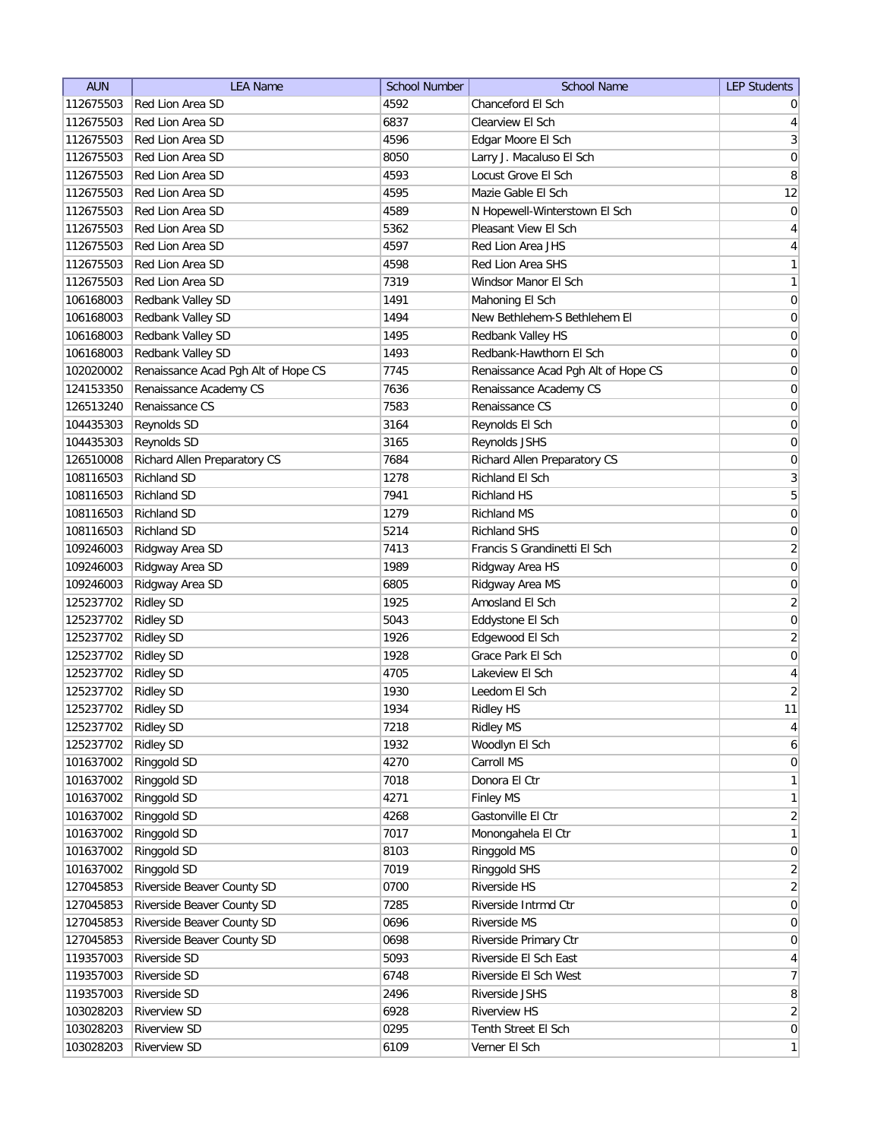| <b>AUN</b> | <b>LEA Name</b>                     | <b>School Number</b> | <b>School Name</b>                  | <b>LEP Students</b> |
|------------|-------------------------------------|----------------------|-------------------------------------|---------------------|
| 112675503  | Red Lion Area SD                    | 4592                 | Chanceford El Sch                   | $\overline{0}$      |
| 112675503  | Red Lion Area SD                    | 6837                 | Clearview El Sch                    | $\overline{4}$      |
| 112675503  | Red Lion Area SD                    | 4596                 | Edgar Moore El Sch                  | $\mathbf{3}$        |
| 112675503  | Red Lion Area SD                    | 8050                 | Larry J. Macaluso El Sch            | $\mathsf{O}\xspace$ |
| 112675503  | Red Lion Area SD                    | 4593                 | Locust Grove El Sch                 | 8                   |
| 112675503  | Red Lion Area SD                    | 4595                 | Mazie Gable El Sch                  | 12                  |
| 112675503  | Red Lion Area SD                    | 4589                 | N Hopewell-Winterstown El Sch       | $\boldsymbol{0}$    |
| 112675503  | Red Lion Area SD                    | 5362                 | Pleasant View El Sch                | $\overline{4}$      |
| 112675503  | Red Lion Area SD                    | 4597                 | Red Lion Area JHS                   | $\overline{4}$      |
| 112675503  | Red Lion Area SD                    | 4598                 | Red Lion Area SHS                   | $\mathbf{1}$        |
| 112675503  | Red Lion Area SD                    | 7319                 | Windsor Manor El Sch                | $\mathbf{1}$        |
| 106168003  | Redbank Valley SD                   | 1491                 | Mahoning El Sch                     | 0                   |
| 106168003  | Redbank Valley SD                   | 1494                 | New Bethlehem-S Bethlehem El        | 0                   |
| 106168003  | Redbank Valley SD                   | 1495                 | Redbank Valley HS                   | 0                   |
| 106168003  | Redbank Valley SD                   | 1493                 | Redbank-Hawthorn El Sch             | 0                   |
| 102020002  | Renaissance Acad Pgh Alt of Hope CS | 7745                 | Renaissance Acad Pgh Alt of Hope CS | 0                   |
| 124153350  | Renaissance Academy CS              | 7636                 | Renaissance Academy CS              | $\boldsymbol{0}$    |
| 126513240  | Renaissance CS                      | 7583                 | Renaissance CS                      | $\boldsymbol{0}$    |
| 104435303  | Reynolds SD                         | 3164                 | Reynolds El Sch                     | $\boldsymbol{0}$    |
| 104435303  | Reynolds SD                         | 3165                 | Reynolds JSHS                       | $\boldsymbol{0}$    |
| 126510008  | Richard Allen Preparatory CS        | 7684                 | Richard Allen Preparatory CS        | 0                   |
| 108116503  | <b>Richland SD</b>                  | 1278                 | Richland El Sch                     | $\overline{3}$      |
| 108116503  | <b>Richland SD</b>                  | 7941                 | <b>Richland HS</b>                  | $\sqrt{5}$          |
| 108116503  | <b>Richland SD</b>                  | 1279                 | <b>Richland MS</b>                  | $\boldsymbol{0}$    |
| 108116503  | <b>Richland SD</b>                  | 5214                 | <b>Richland SHS</b>                 | $\boldsymbol{0}$    |
|            |                                     |                      |                                     | $\overline{2}$      |
| 109246003  | Ridgway Area SD                     | 7413                 | Francis S Grandinetti El Sch        |                     |
| 109246003  | Ridgway Area SD                     | 1989                 | Ridgway Area HS                     | 0                   |
| 109246003  | Ridgway Area SD                     | 6805                 | Ridgway Area MS                     | 0                   |
| 125237702  | <b>Ridley SD</b>                    | 1925                 | Amosland El Sch                     | $\overline{2}$      |
| 125237702  | <b>Ridley SD</b>                    | 5043                 | Eddystone El Sch                    | 0                   |
| 125237702  | <b>Ridley SD</b>                    | 1926                 | Edgewood El Sch                     | $\overline{2}$      |
| 125237702  | <b>Ridley SD</b>                    | 1928                 | Grace Park El Sch                   | $\boldsymbol{0}$    |
| 125237702  | <b>Ridley SD</b>                    | 4705                 | Lakeview El Sch                     | $\overline{4}$      |
| 125237702  | <b>Ridley SD</b>                    | 1930                 | Leedom El Sch                       | $\overline{2}$      |
| 125237702  | <b>Ridley SD</b>                    | 1934                 | <b>Ridley HS</b>                    | 11                  |
| 125237702  | <b>Ridley SD</b>                    | 7218                 | <b>Ridley MS</b>                    | $\overline{4}$      |
| 125237702  | <b>Ridley SD</b>                    | 1932                 | Woodlyn El Sch                      | $\boldsymbol{6}$    |
| 101637002  | Ringgold SD                         | 4270                 | Carroll MS                          | $\boldsymbol{0}$    |
| 101637002  | Ringgold SD                         | 7018                 | Donora El Ctr                       | $\mathbf{1}$        |
| 101637002  | Ringgold SD                         | 4271                 | <b>Finley MS</b>                    | $\mathbf{1}$        |
| 101637002  | Ringgold SD                         | 4268                 | Gastonville El Ctr                  | $\overline{2}$      |
| 101637002  | Ringgold SD                         | 7017                 | Monongahela El Ctr                  | $\mathbf{1}$        |
| 101637002  | Ringgold SD                         | 8103                 | Ringgold MS                         | $\pmb{0}$           |
| 101637002  | Ringgold SD                         | 7019                 | Ringgold SHS                        | $\overline{2}$      |
| 127045853  | Riverside Beaver County SD          | 0700                 | Riverside HS                        | $\overline{2}$      |
| 127045853  | Riverside Beaver County SD          | 7285                 | Riverside Intrmd Ctr                | $\overline{0}$      |
| 127045853  | Riverside Beaver County SD          | 0696                 | Riverside MS                        | 0                   |
| 127045853  | Riverside Beaver County SD          | 0698                 | Riverside Primary Ctr               | $\boldsymbol{0}$    |
| 119357003  | Riverside SD                        | 5093                 | Riverside El Sch East               | $\overline{4}$      |
| 119357003  | Riverside SD                        | 6748                 | Riverside El Sch West               | $\overline{7}$      |
| 119357003  | Riverside SD                        | 2496                 | Riverside JSHS                      | $\,8$               |
| 103028203  | <b>Riverview SD</b>                 | 6928                 | <b>Riverview HS</b>                 | $\mathbf{2}$        |
| 103028203  | <b>Riverview SD</b>                 | 0295                 | Tenth Street El Sch                 | $\overline{0}$      |
| 103028203  | <b>Riverview SD</b>                 | 6109                 | Verner El Sch                       | $\mathbf{1}$        |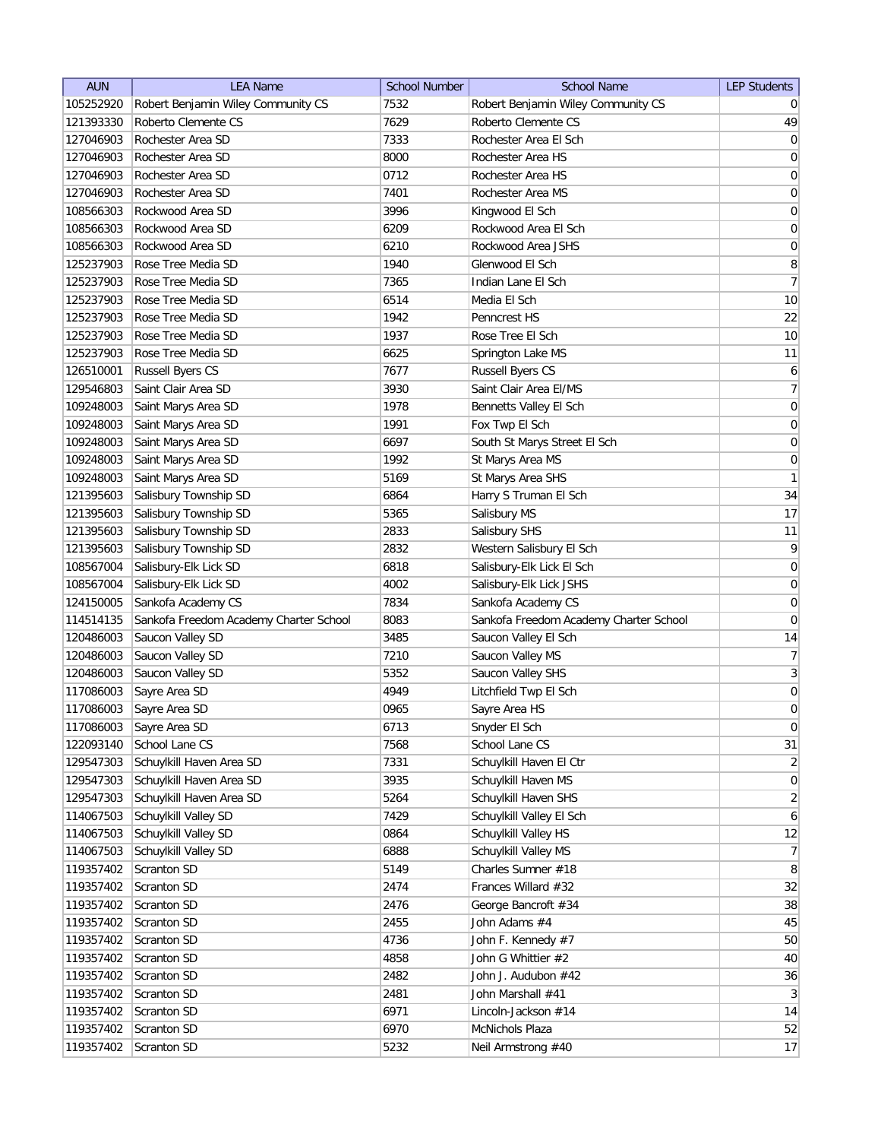| <b>AUN</b> | <b>LEA Name</b>                        | <b>School Number</b> | <b>School Name</b>                     | <b>LEP Students</b> |
|------------|----------------------------------------|----------------------|----------------------------------------|---------------------|
| 105252920  | Robert Benjamin Wiley Community CS     | 7532                 | Robert Benjamin Wiley Community CS     | $\overline{0}$      |
| 121393330  | Roberto Clemente CS                    | 7629                 | Roberto Clemente CS                    | 49                  |
| 127046903  | Rochester Area SD                      | 7333                 | Rochester Area El Sch                  | 0                   |
| 127046903  | Rochester Area SD                      | 8000                 | Rochester Area HS                      | 0                   |
| 127046903  | Rochester Area SD                      | 0712                 | Rochester Area HS                      | $\boldsymbol{0}$    |
| 127046903  | Rochester Area SD                      | 7401                 | Rochester Area MS                      | 0                   |
| 108566303  | Rockwood Area SD                       | 3996                 | Kingwood El Sch                        | 0                   |
| 108566303  | Rockwood Area SD                       | 6209                 | Rockwood Area El Sch                   | $\boldsymbol{0}$    |
| 108566303  | Rockwood Area SD                       | 6210                 | Rockwood Area JSHS                     | $\boldsymbol{0}$    |
| 125237903  | Rose Tree Media SD                     | 1940                 | Glenwood El Sch                        | 8                   |
| 125237903  | Rose Tree Media SD                     | 7365                 | Indian Lane El Sch                     | 7                   |
| 125237903  | Rose Tree Media SD                     | 6514                 | Media El Sch                           | 10                  |
| 125237903  | Rose Tree Media SD                     | 1942                 | Penncrest HS                           | 22                  |
| 125237903  | Rose Tree Media SD                     | 1937                 | Rose Tree El Sch                       | 10                  |
| 125237903  | Rose Tree Media SD                     | 6625                 | Springton Lake MS                      | 11                  |
| 126510001  | <b>Russell Byers CS</b>                | 7677                 | <b>Russell Byers CS</b>                | $6 \mid$            |
| 129546803  | Saint Clair Area SD                    | 3930                 | Saint Clair Area El/MS                 | 7                   |
| 109248003  | Saint Marys Area SD                    | 1978                 | Bennetts Valley El Sch                 | 0                   |
| 109248003  | Saint Marys Area SD                    | 1991                 | Fox Twp El Sch                         | $\vert 0 \vert$     |
| 109248003  | Saint Marys Area SD                    | 6697                 | South St Marys Street El Sch           | $\boldsymbol{0}$    |
| 109248003  | Saint Marys Area SD                    | 1992                 | St Marys Area MS                       | $\boldsymbol{0}$    |
| 109248003  | Saint Marys Area SD                    | 5169                 | St Marys Area SHS                      | $\mathbf{1}$        |
| 121395603  | Salisbury Township SD                  | 6864                 | Harry S Truman El Sch                  | 34                  |
| 121395603  | Salisbury Township SD                  | 5365                 | Salisbury MS                           | 17                  |
| 121395603  | Salisbury Township SD                  | 2833                 | Salisbury SHS                          | 11                  |
| 121395603  | Salisbury Township SD                  | 2832                 | Western Salisbury El Sch               | 9                   |
| 108567004  | Salisbury-Elk Lick SD                  | 6818                 | Salisbury-Elk Lick El Sch              | $\boldsymbol{0}$    |
| 108567004  | Salisbury-Elk Lick SD                  | 4002                 | Salisbury-Elk Lick JSHS                | $\boldsymbol{0}$    |
| 124150005  | Sankofa Academy CS                     | 7834                 | Sankofa Academy CS                     | 0                   |
| 114514135  | Sankofa Freedom Academy Charter School | 8083                 | Sankofa Freedom Academy Charter School | $\overline{0}$      |
| 120486003  | Saucon Valley SD                       | 3485                 | Saucon Valley El Sch                   | 14                  |
| 120486003  | Saucon Valley SD                       | 7210                 | Saucon Valley MS                       | 7                   |
| 120486003  | Saucon Valley SD                       | 5352                 | Saucon Valley SHS                      | $\overline{3}$      |
| 117086003  | Sayre Area SD                          | 4949                 | Litchfield Twp El Sch                  | 0                   |
| 117086003  | Sayre Area SD                          | 0965                 | Sayre Area HS                          | $\overline{0}$      |
| 117086003  | Sayre Area SD                          | 6713                 | Snyder El Sch                          | $\vert 0 \vert$     |
| 122093140  | School Lane CS                         | 7568                 | School Lane CS                         | 31                  |
| 129547303  | Schuylkill Haven Area SD               | 7331                 | Schuylkill Haven El Ctr                | $\overline{2}$      |
| 129547303  | Schuylkill Haven Area SD               | 3935                 | Schuylkill Haven MS                    | 0                   |
| 129547303  | Schuylkill Haven Area SD               | 5264                 | Schuylkill Haven SHS                   | $\overline{2}$      |
| 114067503  | Schuylkill Valley SD                   | 7429                 | Schuylkill Valley El Sch               | $6 \mid$            |
| 114067503  | Schuylkill Valley SD                   | 0864                 | Schuylkill Valley HS                   | 12                  |
| 114067503  | Schuylkill Valley SD                   | 6888                 | Schuylkill Valley MS                   | 7                   |
| 119357402  | Scranton SD                            | 5149                 | Charles Sumner #18                     | 8 <sup>2</sup>      |
| 119357402  | Scranton SD                            | 2474                 | Frances Willard #32                    | 32                  |
| 119357402  | Scranton SD                            | 2476                 | George Bancroft #34                    | 38                  |
| 119357402  | Scranton SD                            | 2455                 | John Adams #4                          | 45                  |
| 119357402  | Scranton SD                            | 4736                 | John F. Kennedy #7                     | 50                  |
| 119357402  | Scranton SD                            | 4858                 | John G Whittier #2                     | 40                  |
| 119357402  | Scranton SD                            | 2482                 | John J. Audubon #42                    | 36                  |
| 119357402  | Scranton SD                            | 2481                 | John Marshall #41                      | 3                   |
| 119357402  | Scranton SD                            | 6971                 | Lincoln-Jackson #14                    | 14                  |
| 119357402  | Scranton SD                            | 6970                 | McNichols Plaza                        | 52                  |
| 119357402  | Scranton SD                            | 5232                 | Neil Armstrong #40                     | 17                  |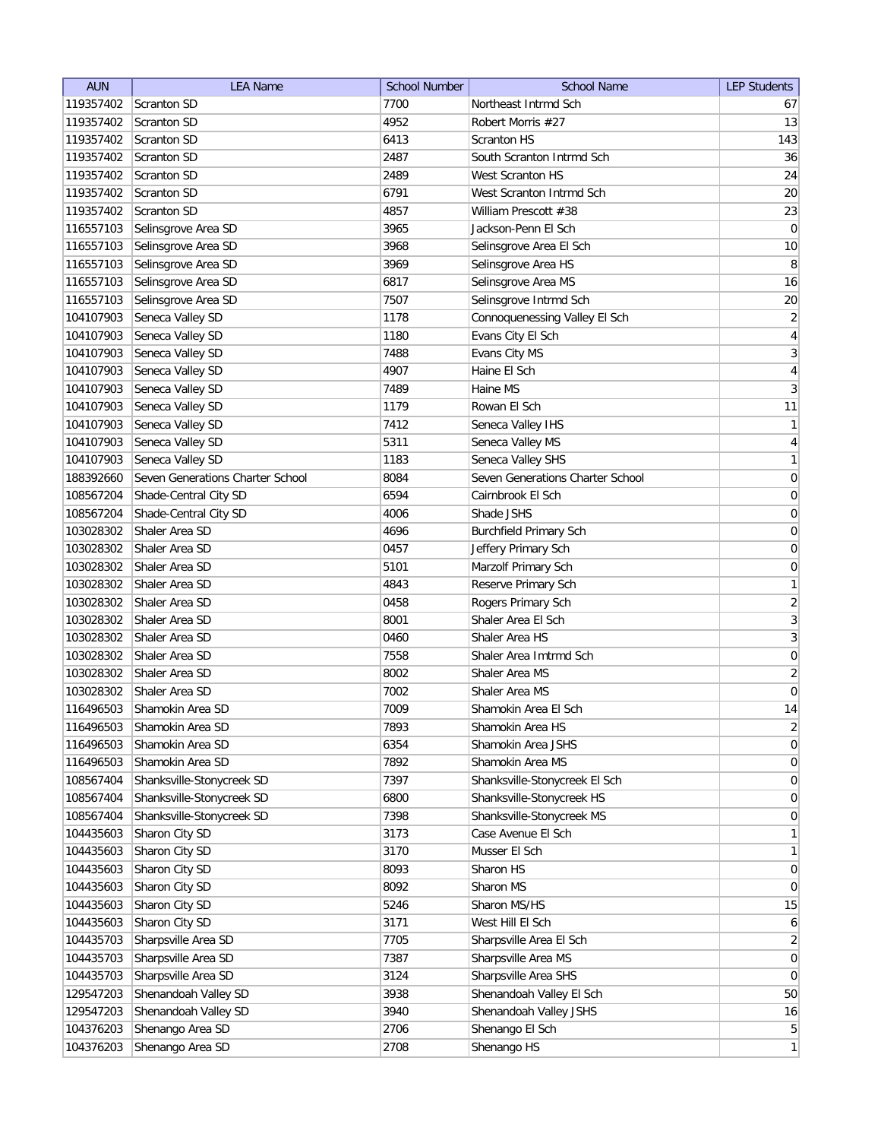| <b>AUN</b> | <b>LEA Name</b>                  | <b>School Number</b> | <b>School Name</b>               | <b>LEP Students</b> |
|------------|----------------------------------|----------------------|----------------------------------|---------------------|
| 119357402  | Scranton SD                      | 7700                 | Northeast Intrmd Sch             | 67                  |
| 119357402  | Scranton SD                      | 4952                 | Robert Morris #27                | 13                  |
| 119357402  | <b>Scranton SD</b>               | 6413                 | <b>Scranton HS</b>               | 143                 |
| 119357402  | Scranton SD                      | 2487                 | South Scranton Intrmd Sch        | 36                  |
| 119357402  | <b>Scranton SD</b>               | 2489                 | West Scranton HS                 | 24                  |
| 119357402  | <b>Scranton SD</b>               | 6791                 | West Scranton Intrmd Sch         | 20                  |
| 119357402  | <b>Scranton SD</b>               | 4857                 | William Prescott #38             | 23                  |
| 116557103  | Selinsgrove Area SD              | 3965                 | Jackson-Penn El Sch              | $\boldsymbol{0}$    |
| 116557103  | Selinsgrove Area SD              | 3968                 | Selinsgrove Area El Sch          | 10                  |
| 116557103  | Selinsgrove Area SD              | 3969                 | Selinsgrove Area HS              | 8                   |
| 116557103  | Selinsgrove Area SD              | 6817                 | Selinsgrove Area MS              | 16                  |
| 116557103  | Selinsgrove Area SD              | 7507                 | Selinsgrove Intrmd Sch           | 20                  |
| 104107903  | Seneca Valley SD                 | 1178                 | Connoquenessing Valley El Sch    | $\overline{2}$      |
| 104107903  | Seneca Valley SD                 | 1180                 | Evans City El Sch                | 4                   |
| 104107903  | Seneca Valley SD                 | 7488                 | Evans City MS                    | 3                   |
| 104107903  | Seneca Valley SD                 | 4907                 | Haine El Sch                     | 4                   |
| 104107903  | Seneca Valley SD                 | 7489                 | Haine MS                         | $\mathbf{3}$        |
| 104107903  | Seneca Valley SD                 | 1179                 | Rowan El Sch                     | 11                  |
| 104107903  | Seneca Valley SD                 | 7412                 | Seneca Valley IHS                | $\mathbf{1}$        |
| 104107903  | Seneca Valley SD                 | 5311                 | Seneca Valley MS                 | $\vert 4 \vert$     |
| 104107903  | Seneca Valley SD                 | 1183                 | Seneca Valley SHS                | 1                   |
| 188392660  | Seven Generations Charter School | 8084                 | Seven Generations Charter School | $\vert 0 \vert$     |
| 108567204  | Shade-Central City SD            | 6594                 | Cairnbrook El Sch                | $\boldsymbol{0}$    |
| 108567204  | Shade-Central City SD            | 4006                 | Shade JSHS                       | $\boldsymbol{0}$    |
| 103028302  | Shaler Area SD                   | 4696                 | <b>Burchfield Primary Sch</b>    | $\boldsymbol{0}$    |
| 103028302  | Shaler Area SD                   | 0457                 | Jeffery Primary Sch              | $\boldsymbol{0}$    |
| 103028302  | Shaler Area SD                   | 5101                 | Marzolf Primary Sch              | $\boldsymbol{0}$    |
| 103028302  | Shaler Area SD                   | 4843                 | Reserve Primary Sch              | 1                   |
| 103028302  | Shaler Area SD                   | 0458                 | Rogers Primary Sch               | $\overline{2}$      |
| 103028302  | Shaler Area SD                   | 8001                 | Shaler Area El Sch               | 3                   |
| 103028302  | Shaler Area SD                   | 0460                 | Shaler Area HS                   | 3                   |
| 103028302  | Shaler Area SD                   | 7558                 | Shaler Area Imtrmd Sch           | 0                   |
| 103028302  | Shaler Area SD                   | 8002                 | Shaler Area MS                   | $\overline{2}$      |
| 103028302  | Shaler Area SD                   | 7002                 | Shaler Area MS                   | $\pmb{0}$           |
| 116496503  | Shamokin Area SD                 | 7009                 | Shamokin Area El Sch             | 14                  |
| 116496503  | Shamokin Area SD                 | 7893                 | Shamokin Area HS                 | $\overline{2}$      |
| 116496503  | Shamokin Area SD                 | 6354                 | Shamokin Area JSHS               | 0                   |
| 116496503  | Shamokin Area SD                 | 7892                 | Shamokin Area MS                 | 0                   |
| 108567404  | Shanksville-Stonycreek SD        | 7397                 | Shanksville-Stonycreek El Sch    | 0                   |
| 108567404  | Shanksville-Stonycreek SD        | 6800                 | Shanksville-Stonycreek HS        | $\overline{0}$      |
| 108567404  | Shanksville-Stonycreek SD        | 7398                 | Shanksville-Stonycreek MS        | $\overline{0}$      |
| 104435603  | Sharon City SD                   | 3173                 | Case Avenue El Sch               | $\mathbf{1}$        |
| 104435603  | Sharon City SD                   | 3170                 | Musser El Sch                    | $\mathbf{1}$        |
| 104435603  | Sharon City SD                   | 8093                 | Sharon HS                        | $\overline{0}$      |
| 104435603  | Sharon City SD                   | 8092                 | Sharon MS                        | $\overline{0}$      |
| 104435603  | Sharon City SD                   | 5246                 | Sharon MS/HS                     | 15                  |
| 104435603  | Sharon City SD                   | 3171                 | West Hill El Sch                 | 6                   |
| 104435703  | Sharpsville Area SD              | 7705                 | Sharpsville Area El Sch          | $\overline{2}$      |
| 104435703  | Sharpsville Area SD              | 7387                 | Sharpsville Area MS              | 0                   |
| 104435703  | Sharpsville Area SD              | 3124                 | Sharpsville Area SHS             | 0                   |
| 129547203  | Shenandoah Valley SD             | 3938                 | Shenandoah Valley El Sch         | 50                  |
| 129547203  | Shenandoah Valley SD             | 3940                 | Shenandoah Valley JSHS           | 16                  |
| 104376203  | Shenango Area SD                 | 2706                 | Shenango El Sch                  | 5 <sup>2</sup>      |
| 104376203  | Shenango Area SD                 | 2708                 | Shenango HS                      | 1                   |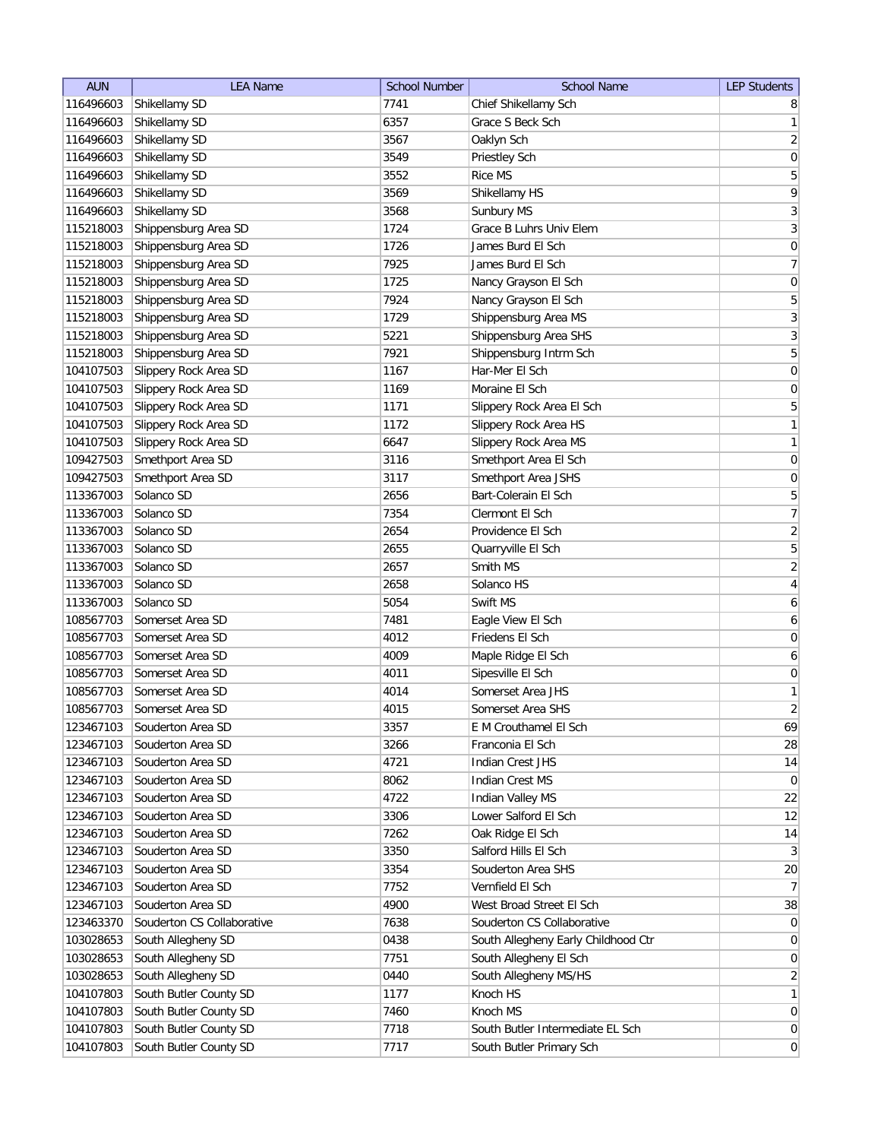| <b>AUN</b> | <b>LEA Name</b>            | <b>School Number</b> | <b>School Name</b>                  | <b>LEP Students</b> |
|------------|----------------------------|----------------------|-------------------------------------|---------------------|
| 116496603  | Shikellamy SD              | 7741                 | Chief Shikellamy Sch                | 8                   |
| 116496603  | Shikellamy SD              | 6357                 | Grace S Beck Sch                    | $\mathbf{1}$        |
| 116496603  | Shikellamy SD              | 3567                 | Oaklyn Sch                          | $\overline{2}$      |
| 116496603  | Shikellamy SD              | 3549                 | Priestley Sch                       | 0                   |
| 116496603  | Shikellamy SD              | 3552                 | <b>Rice MS</b>                      | 5                   |
| 116496603  | Shikellamy SD              | 3569                 | Shikellamy HS                       | 9                   |
| 116496603  | Shikellamy SD              | 3568                 | Sunbury MS                          | $\overline{3}$      |
| 115218003  | Shippensburg Area SD       | 1724                 | Grace B Luhrs Univ Elem             | $\mathbf{3}$        |
| 115218003  | Shippensburg Area SD       | 1726                 | James Burd El Sch                   | $\boldsymbol{0}$    |
| 115218003  | Shippensburg Area SD       | 7925                 | James Burd El Sch                   | $\overline{7}$      |
| 115218003  | Shippensburg Area SD       | 1725                 | Nancy Grayson El Sch                | $\boldsymbol{0}$    |
| 115218003  | Shippensburg Area SD       | 7924                 | Nancy Grayson El Sch                | 5                   |
| 115218003  | Shippensburg Area SD       | 1729                 | Shippensburg Area MS                | $\overline{3}$      |
| 115218003  | Shippensburg Area SD       | 5221                 | Shippensburg Area SHS               | $\overline{3}$      |
| 115218003  | Shippensburg Area SD       | 7921                 | Shippensburg Intrm Sch              | 5                   |
| 104107503  | Slippery Rock Area SD      | 1167                 | Har-Mer El Sch                      | $\boldsymbol{0}$    |
| 104107503  | Slippery Rock Area SD      | 1169                 | Moraine El Sch                      | 0                   |
| 104107503  | Slippery Rock Area SD      | 1171                 | Slippery Rock Area El Sch           | $\overline{5}$      |
| 104107503  | Slippery Rock Area SD      | 1172                 | Slippery Rock Area HS               | 1                   |
| 104107503  | Slippery Rock Area SD      | 6647                 | Slippery Rock Area MS               | 1                   |
| 109427503  | Smethport Area SD          | 3116                 | Smethport Area El Sch               | 0                   |
| 109427503  | Smethport Area SD          | 3117                 | Smethport Area JSHS                 | $\mathsf{O}\xspace$ |
| 113367003  | Solanco SD                 | 2656                 | Bart-Colerain El Sch                | 5                   |
| 113367003  | Solanco SD                 | 7354                 | Clermont El Sch                     | $\overline{7}$      |
| 113367003  | Solanco SD                 | 2654                 | Providence El Sch                   | $\overline{2}$      |
| 113367003  | Solanco SD                 | 2655                 | Quarryville El Sch                  | $\overline{5}$      |
| 113367003  | Solanco SD                 | 2657                 | Smith MS                            | $\overline{2}$      |
| 113367003  | Solanco SD                 | 2658                 | Solanco HS                          | $\vert 4 \vert$     |
| 113367003  | Solanco SD                 | 5054                 | Swift MS                            | $\boldsymbol{6}$    |
| 108567703  | Somerset Area SD           | 7481                 | Eagle View El Sch                   | 6                   |
| 108567703  | Somerset Area SD           | 4012                 | Friedens El Sch                     | 0                   |
| 108567703  | Somerset Area SD           | 4009                 | Maple Ridge El Sch                  | 6                   |
| 108567703  | Somerset Area SD           | 4011                 | Sipesville El Sch                   | 0                   |
| 108567703  | Somerset Area SD           | 4014                 | Somerset Area JHS                   | 1                   |
| 108567703  | Somerset Area SD           | 4015                 | Somerset Area SHS                   | $\overline{2}$      |
| 123467103  | Souderton Area SD          | 3357                 | E M Crouthamel El Sch               | 69                  |
| 123467103  | Souderton Area SD          | 3266                 | Franconia El Sch                    | 28                  |
| 123467103  | Souderton Area SD          | 4721                 | Indian Crest JHS                    | 14                  |
| 123467103  | Souderton Area SD          | 8062                 | Indian Crest MS                     | 0                   |
| 123467103  | Souderton Area SD          | 4722                 | Indian Valley MS                    | 22                  |
| 123467103  | Souderton Area SD          | 3306                 | Lower Salford El Sch                | 12                  |
| 123467103  | Souderton Area SD          | 7262                 | Oak Ridge El Sch                    | 14                  |
| 123467103  | Souderton Area SD          | 3350                 | Salford Hills El Sch                | 3 <sup>2</sup>      |
| 123467103  | Souderton Area SD          | 3354                 | Souderton Area SHS                  | 20                  |
| 123467103  | Souderton Area SD          | 7752                 | Vernfield El Sch                    | 7                   |
| 123467103  | Souderton Area SD          | 4900                 | West Broad Street El Sch            | 38                  |
| 123463370  | Souderton CS Collaborative | 7638                 | Souderton CS Collaborative          | 0                   |
| 103028653  | South Allegheny SD         | 0438                 | South Allegheny Early Childhood Ctr | $\overline{0}$      |
| 103028653  | South Allegheny SD         | 7751                 | South Allegheny El Sch              | $\overline{0}$      |
| 103028653  | South Allegheny SD         | 0440                 | South Allegheny MS/HS               | $\overline{2}$      |
| 104107803  | South Butler County SD     | 1177                 | Knoch HS                            | $\mathbf{1}$        |
| 104107803  | South Butler County SD     | 7460                 | Knoch MS                            | $\overline{0}$      |
| 104107803  | South Butler County SD     | 7718                 | South Butler Intermediate EL Sch    | $\overline{0}$      |
| 104107803  | South Butler County SD     | 7717                 | South Butler Primary Sch            | $\overline{0}$      |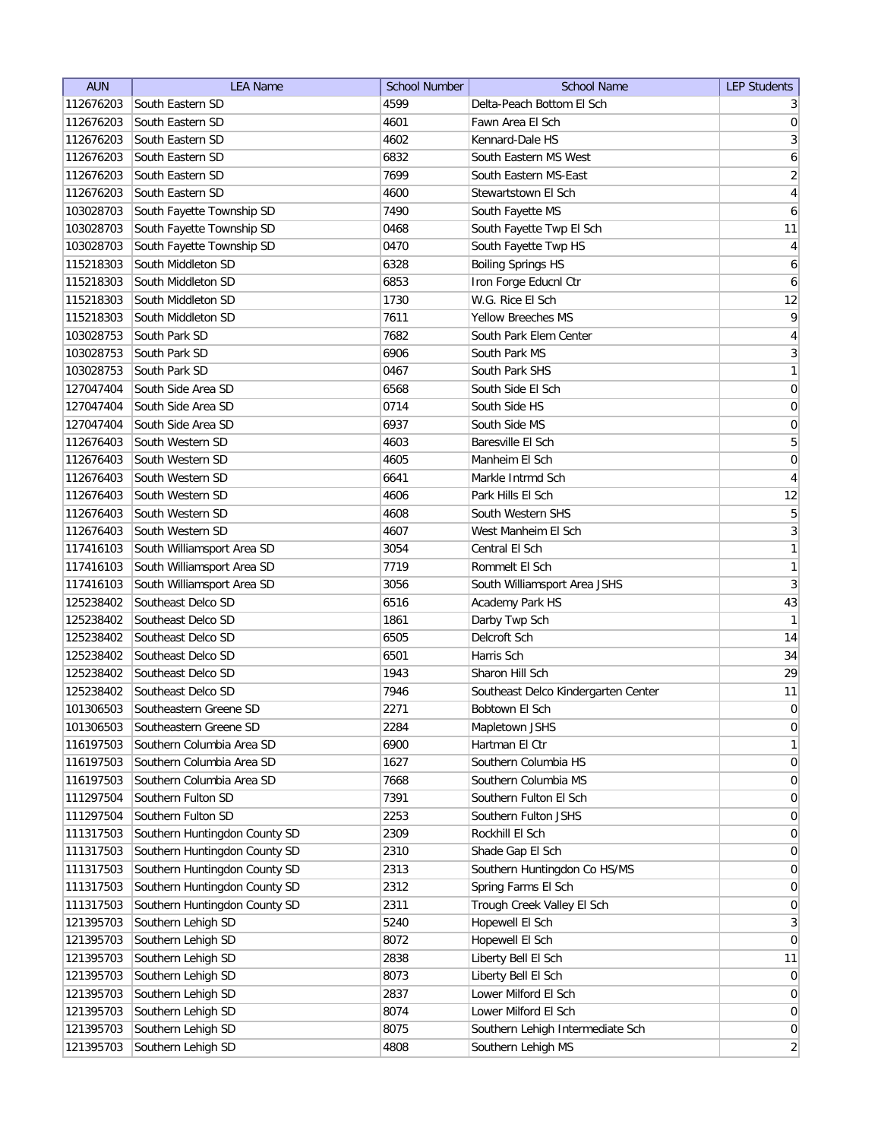| <b>AUN</b> | <b>LEA Name</b>               | <b>School Number</b> | <b>School Name</b>                  | <b>LEP Students</b> |
|------------|-------------------------------|----------------------|-------------------------------------|---------------------|
| 112676203  | South Eastern SD              | 4599                 | Delta-Peach Bottom El Sch           | 3                   |
| 112676203  | South Eastern SD              | 4601                 | Fawn Area El Sch                    | 0                   |
| 112676203  | South Eastern SD              | 4602                 | Kennard-Dale HS                     | $\overline{3}$      |
| 112676203  | South Eastern SD              | 6832                 | South Eastern MS West               | 6                   |
| 112676203  | South Eastern SD              | 7699                 | South Eastern MS-East               | $\overline{2}$      |
| 112676203  | South Eastern SD              | 4600                 | Stewartstown El Sch                 | 4                   |
| 103028703  | South Fayette Township SD     | 7490                 | South Fayette MS                    | 6                   |
| 103028703  | South Fayette Township SD     | 0468                 | South Fayette Twp El Sch            | 11                  |
| 103028703  | South Fayette Township SD     | 0470                 | South Fayette Twp HS                | $\overline{4}$      |
| 115218303  | South Middleton SD            | 6328                 | <b>Boiling Springs HS</b>           | 6                   |
| 115218303  | South Middleton SD            | 6853                 | Iron Forge Educnl Ctr               | 6                   |
| 115218303  | South Middleton SD            | 1730                 | W.G. Rice El Sch                    | 12                  |
| 115218303  | South Middleton SD            | 7611                 | <b>Yellow Breeches MS</b>           | 9                   |
| 103028753  | South Park SD                 | 7682                 | South Park Elem Center              | 4                   |
| 103028753  | South Park SD                 | 6906                 | South Park MS                       | $\overline{3}$      |
| 103028753  | South Park SD                 | 0467                 | South Park SHS                      | 1                   |
| 127047404  | South Side Area SD            | 6568                 | South Side El Sch                   | $\vert 0 \vert$     |
| 127047404  | South Side Area SD            | 0714                 | South Side HS                       | 0                   |
| 127047404  | South Side Area SD            | 6937                 | South Side MS                       | $\vert 0 \vert$     |
| 112676403  | South Western SD              | 4603                 | Baresville El Sch                   | $\overline{5}$      |
| 112676403  | South Western SD              | 4605                 | Manheim El Sch                      | $\boldsymbol{0}$    |
| 112676403  | South Western SD              | 6641                 | Markle Intrmd Sch                   | $\overline{4}$      |
| 112676403  | South Western SD              | 4606                 | Park Hills El Sch                   | 12                  |
| 112676403  | South Western SD              | 4608                 | South Western SHS                   | $\overline{5}$      |
| 112676403  | South Western SD              | 4607                 | West Manheim El Sch                 | 3                   |
| 117416103  | South Williamsport Area SD    | 3054                 | Central El Sch                      | $\mathbf{1}$        |
| 117416103  | South Williamsport Area SD    | 7719                 | Rommelt El Sch                      | 1                   |
| 117416103  | South Williamsport Area SD    | 3056                 | South Williamsport Area JSHS        | 3                   |
| 125238402  | Southeast Delco SD            | 6516                 | Academy Park HS                     | 43                  |
| 125238402  | Southeast Delco SD            | 1861                 | Darby Twp Sch                       | 1                   |
| 125238402  | Southeast Delco SD            | 6505                 | Delcroft Sch                        | 14                  |
| 125238402  | Southeast Delco SD            | 6501                 | Harris Sch                          | 34                  |
| 125238402  | Southeast Delco SD            | 1943                 | Sharon Hill Sch                     | 29                  |
| 125238402  | Southeast Delco SD            | 7946                 | Southeast Delco Kindergarten Center | 11                  |
| 101306503  | Southeastern Greene SD        | 2271                 | Bobtown El Sch                      | $\overline{0}$      |
| 101306503  | Southeastern Greene SD        | 2284                 | Mapletown JSHS                      | 0                   |
| 116197503  | Southern Columbia Area SD     | 6900                 | Hartman El Ctr                      | 1                   |
| 116197503  | Southern Columbia Area SD     | 1627                 | Southern Columbia HS                | 0                   |
| 116197503  | Southern Columbia Area SD     | 7668                 | Southern Columbia MS                | 0                   |
| 111297504  | Southern Fulton SD            | 7391                 | Southern Fulton El Sch              | $\overline{0}$      |
| 111297504  | Southern Fulton SD            | 2253                 | Southern Fulton JSHS                | $\overline{0}$      |
| 111317503  | Southern Huntingdon County SD | 2309                 | Rockhill El Sch                     | $\overline{0}$      |
| 111317503  | Southern Huntingdon County SD | 2310                 | Shade Gap El Sch                    | $\overline{0}$      |
| 111317503  | Southern Huntingdon County SD | 2313                 | Southern Huntingdon Co HS/MS        | 0                   |
| 111317503  | Southern Huntingdon County SD | 2312                 | Spring Farms El Sch                 | 0                   |
| 111317503  | Southern Huntingdon County SD | 2311                 | Trough Creek Valley El Sch          | 0                   |
| 121395703  | Southern Lehigh SD            | 5240                 | Hopewell El Sch                     | 3                   |
| 121395703  | Southern Lehigh SD            | 8072                 | Hopewell El Sch                     | 0                   |
| 121395703  | Southern Lehigh SD            | 2838                 | Liberty Bell El Sch                 | 11                  |
| 121395703  | Southern Lehigh SD            | 8073                 | Liberty Bell El Sch                 | $\overline{0}$      |
| 121395703  | Southern Lehigh SD            | 2837                 | Lower Milford El Sch                | $\overline{0}$      |
| 121395703  | Southern Lehigh SD            | 8074                 | Lower Milford El Sch                | 0                   |
| 121395703  | Southern Lehigh SD            | 8075                 | Southern Lehigh Intermediate Sch    | 0                   |
| 121395703  | Southern Lehigh SD            | 4808                 | Southern Lehigh MS                  | $\overline{2}$      |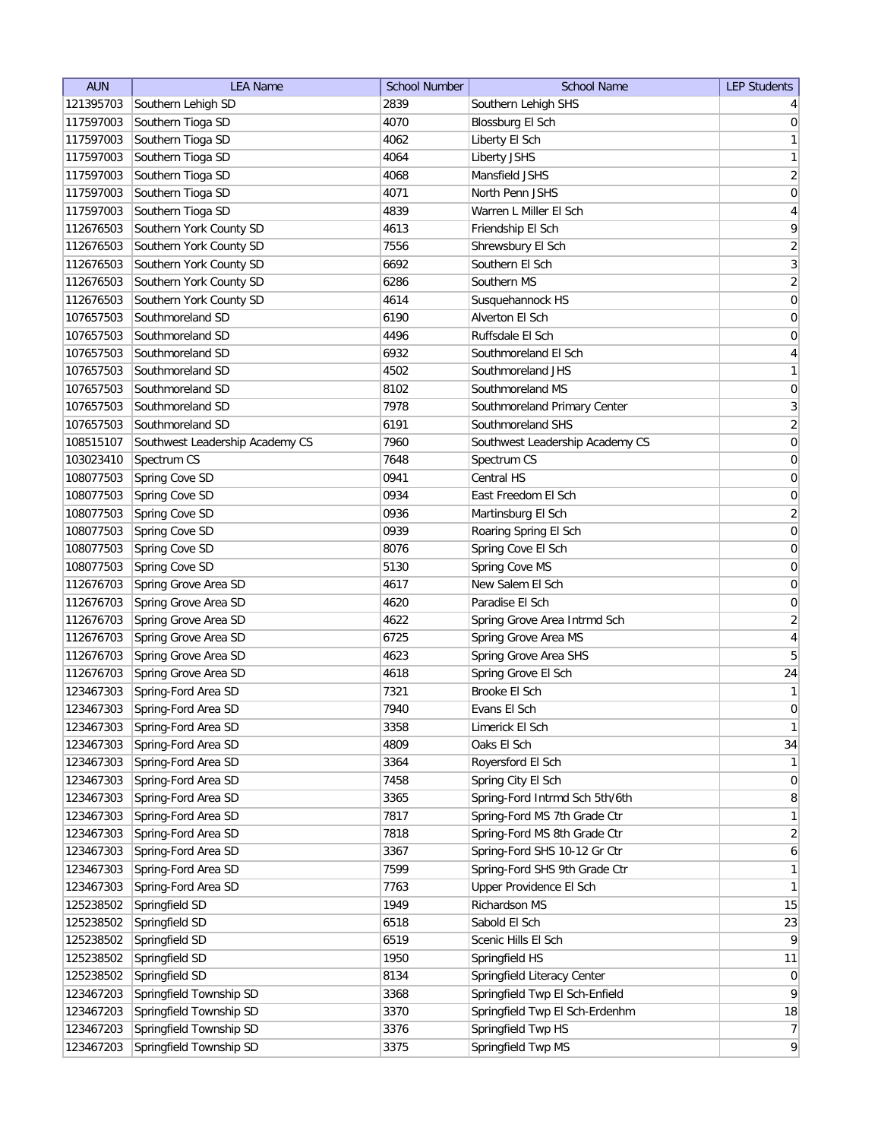| 121395703<br>Southern Lehigh SD<br>Southern Lehigh SHS<br>2839<br>4 <sup>1</sup><br>Southern Tioga SD<br>117597003<br>4070<br>Blossburg El Sch<br> 0 <br>Southern Tioga SD<br>$\mathbf{1}$<br>117597003<br>4062<br>Liberty El Sch<br>117597003<br>Southern Tioga SD<br>4064<br>Liberty JSHS<br>Southern Tioga SD<br>117597003<br>4068<br>Mansfield JSHS<br>Southern Tioga SD<br>117597003<br>4071<br>North Penn JSHS<br>Southern Tioga SD<br>117597003<br>4839<br>Warren L Miller El Sch<br>Southern York County SD<br>112676503<br>4613<br>Friendship El Sch<br>Southern York County SD<br>7556<br>112676503<br>Shrewsbury El Sch<br>Southern York County SD<br>Southern El Sch<br>112676503<br>6692<br>Southern York County SD<br>112676503<br>6286<br>Southern MS<br>112676503<br>Southern York County SD<br>4614<br>Susquehannock HS<br>107657503<br>Southmoreland SD<br>6190<br>Alverton El Sch<br>107657503<br>Southmoreland SD<br>4496<br>Ruffsdale El Sch<br>Southmoreland SD<br>4<br>107657503<br>6932<br>Southmoreland El Sch<br>107657503<br>Southmoreland SD<br>4502<br>Southmoreland JHS<br>107657503<br>Southmoreland SD<br>8102<br>Southmoreland MS<br>Southmoreland SD<br>107657503<br>7978<br>Southmoreland Primary Center<br>Southmoreland SD<br>Southmoreland SHS<br>107657503<br>6191<br>108515107<br>Southwest Leadership Academy CS<br>7960<br>Southwest Leadership Academy CS<br>Spectrum CS<br>103023410<br>7648<br>Spectrum CS<br>Spring Cove SD<br>Central HS<br>108077503<br>0941<br>East Freedom El Sch<br>108077503<br>Spring Cove SD<br>0934<br>108077503<br>Spring Cove SD<br>0936<br>Martinsburg El Sch<br>108077503<br>0939<br>Spring Cove SD<br>Roaring Spring El Sch<br>Spring Cove El Sch<br>108077503<br>Spring Cove SD<br>8076<br>Spring Cove SD<br>Spring Cove MS<br>108077503<br>5130<br>Spring Grove Area SD<br>112676703<br>New Salem El Sch<br>4617<br>Spring Grove Area SD<br>0<br>112676703<br>4620<br>Paradise El Sch |
|---------------------------------------------------------------------------------------------------------------------------------------------------------------------------------------------------------------------------------------------------------------------------------------------------------------------------------------------------------------------------------------------------------------------------------------------------------------------------------------------------------------------------------------------------------------------------------------------------------------------------------------------------------------------------------------------------------------------------------------------------------------------------------------------------------------------------------------------------------------------------------------------------------------------------------------------------------------------------------------------------------------------------------------------------------------------------------------------------------------------------------------------------------------------------------------------------------------------------------------------------------------------------------------------------------------------------------------------------------------------------------------------------------------------------------------------------------------------------------------------------------------------------------------------------------------------------------------------------------------------------------------------------------------------------------------------------------------------------------------------------------------------------------------------------------------------------------------------------------------------------------------------------------------------------------------------------------------------|
|                                                                                                                                                                                                                                                                                                                                                                                                                                                                                                                                                                                                                                                                                                                                                                                                                                                                                                                                                                                                                                                                                                                                                                                                                                                                                                                                                                                                                                                                                                                                                                                                                                                                                                                                                                                                                                                                                                                                                                     |
|                                                                                                                                                                                                                                                                                                                                                                                                                                                                                                                                                                                                                                                                                                                                                                                                                                                                                                                                                                                                                                                                                                                                                                                                                                                                                                                                                                                                                                                                                                                                                                                                                                                                                                                                                                                                                                                                                                                                                                     |
| 1<br>$\overline{2}$<br> 0 <br>$\overline{4}$<br>$\vert 9 \vert$<br>$\overline{2}$<br>$\overline{3}$<br>$\left  \frac{2}{2} \right $<br>$\boldsymbol{0}$<br>$\boldsymbol{0}$<br>$\boldsymbol{0}$<br>$\mathbf{1}$<br>$\boldsymbol{0}$<br>$\overline{3}$<br>$\overline{2}$<br> 0 <br> 0 <br>$\boldsymbol{0}$<br>$\boldsymbol{0}$<br>$\overline{2}$<br>$\boldsymbol{0}$<br>$\boldsymbol{0}$<br>$\boldsymbol{0}$<br>$\boldsymbol{0}$                                                                                                                                                                                                                                                                                                                                                                                                                                                                                                                                                                                                                                                                                                                                                                                                                                                                                                                                                                                                                                                                                                                                                                                                                                                                                                                                                                                                                                                                                                                                     |
|                                                                                                                                                                                                                                                                                                                                                                                                                                                                                                                                                                                                                                                                                                                                                                                                                                                                                                                                                                                                                                                                                                                                                                                                                                                                                                                                                                                                                                                                                                                                                                                                                                                                                                                                                                                                                                                                                                                                                                     |
|                                                                                                                                                                                                                                                                                                                                                                                                                                                                                                                                                                                                                                                                                                                                                                                                                                                                                                                                                                                                                                                                                                                                                                                                                                                                                                                                                                                                                                                                                                                                                                                                                                                                                                                                                                                                                                                                                                                                                                     |
|                                                                                                                                                                                                                                                                                                                                                                                                                                                                                                                                                                                                                                                                                                                                                                                                                                                                                                                                                                                                                                                                                                                                                                                                                                                                                                                                                                                                                                                                                                                                                                                                                                                                                                                                                                                                                                                                                                                                                                     |
|                                                                                                                                                                                                                                                                                                                                                                                                                                                                                                                                                                                                                                                                                                                                                                                                                                                                                                                                                                                                                                                                                                                                                                                                                                                                                                                                                                                                                                                                                                                                                                                                                                                                                                                                                                                                                                                                                                                                                                     |
|                                                                                                                                                                                                                                                                                                                                                                                                                                                                                                                                                                                                                                                                                                                                                                                                                                                                                                                                                                                                                                                                                                                                                                                                                                                                                                                                                                                                                                                                                                                                                                                                                                                                                                                                                                                                                                                                                                                                                                     |
|                                                                                                                                                                                                                                                                                                                                                                                                                                                                                                                                                                                                                                                                                                                                                                                                                                                                                                                                                                                                                                                                                                                                                                                                                                                                                                                                                                                                                                                                                                                                                                                                                                                                                                                                                                                                                                                                                                                                                                     |
|                                                                                                                                                                                                                                                                                                                                                                                                                                                                                                                                                                                                                                                                                                                                                                                                                                                                                                                                                                                                                                                                                                                                                                                                                                                                                                                                                                                                                                                                                                                                                                                                                                                                                                                                                                                                                                                                                                                                                                     |
|                                                                                                                                                                                                                                                                                                                                                                                                                                                                                                                                                                                                                                                                                                                                                                                                                                                                                                                                                                                                                                                                                                                                                                                                                                                                                                                                                                                                                                                                                                                                                                                                                                                                                                                                                                                                                                                                                                                                                                     |
|                                                                                                                                                                                                                                                                                                                                                                                                                                                                                                                                                                                                                                                                                                                                                                                                                                                                                                                                                                                                                                                                                                                                                                                                                                                                                                                                                                                                                                                                                                                                                                                                                                                                                                                                                                                                                                                                                                                                                                     |
|                                                                                                                                                                                                                                                                                                                                                                                                                                                                                                                                                                                                                                                                                                                                                                                                                                                                                                                                                                                                                                                                                                                                                                                                                                                                                                                                                                                                                                                                                                                                                                                                                                                                                                                                                                                                                                                                                                                                                                     |
|                                                                                                                                                                                                                                                                                                                                                                                                                                                                                                                                                                                                                                                                                                                                                                                                                                                                                                                                                                                                                                                                                                                                                                                                                                                                                                                                                                                                                                                                                                                                                                                                                                                                                                                                                                                                                                                                                                                                                                     |
|                                                                                                                                                                                                                                                                                                                                                                                                                                                                                                                                                                                                                                                                                                                                                                                                                                                                                                                                                                                                                                                                                                                                                                                                                                                                                                                                                                                                                                                                                                                                                                                                                                                                                                                                                                                                                                                                                                                                                                     |
|                                                                                                                                                                                                                                                                                                                                                                                                                                                                                                                                                                                                                                                                                                                                                                                                                                                                                                                                                                                                                                                                                                                                                                                                                                                                                                                                                                                                                                                                                                                                                                                                                                                                                                                                                                                                                                                                                                                                                                     |
|                                                                                                                                                                                                                                                                                                                                                                                                                                                                                                                                                                                                                                                                                                                                                                                                                                                                                                                                                                                                                                                                                                                                                                                                                                                                                                                                                                                                                                                                                                                                                                                                                                                                                                                                                                                                                                                                                                                                                                     |
|                                                                                                                                                                                                                                                                                                                                                                                                                                                                                                                                                                                                                                                                                                                                                                                                                                                                                                                                                                                                                                                                                                                                                                                                                                                                                                                                                                                                                                                                                                                                                                                                                                                                                                                                                                                                                                                                                                                                                                     |
|                                                                                                                                                                                                                                                                                                                                                                                                                                                                                                                                                                                                                                                                                                                                                                                                                                                                                                                                                                                                                                                                                                                                                                                                                                                                                                                                                                                                                                                                                                                                                                                                                                                                                                                                                                                                                                                                                                                                                                     |
|                                                                                                                                                                                                                                                                                                                                                                                                                                                                                                                                                                                                                                                                                                                                                                                                                                                                                                                                                                                                                                                                                                                                                                                                                                                                                                                                                                                                                                                                                                                                                                                                                                                                                                                                                                                                                                                                                                                                                                     |
|                                                                                                                                                                                                                                                                                                                                                                                                                                                                                                                                                                                                                                                                                                                                                                                                                                                                                                                                                                                                                                                                                                                                                                                                                                                                                                                                                                                                                                                                                                                                                                                                                                                                                                                                                                                                                                                                                                                                                                     |
|                                                                                                                                                                                                                                                                                                                                                                                                                                                                                                                                                                                                                                                                                                                                                                                                                                                                                                                                                                                                                                                                                                                                                                                                                                                                                                                                                                                                                                                                                                                                                                                                                                                                                                                                                                                                                                                                                                                                                                     |
|                                                                                                                                                                                                                                                                                                                                                                                                                                                                                                                                                                                                                                                                                                                                                                                                                                                                                                                                                                                                                                                                                                                                                                                                                                                                                                                                                                                                                                                                                                                                                                                                                                                                                                                                                                                                                                                                                                                                                                     |
|                                                                                                                                                                                                                                                                                                                                                                                                                                                                                                                                                                                                                                                                                                                                                                                                                                                                                                                                                                                                                                                                                                                                                                                                                                                                                                                                                                                                                                                                                                                                                                                                                                                                                                                                                                                                                                                                                                                                                                     |
|                                                                                                                                                                                                                                                                                                                                                                                                                                                                                                                                                                                                                                                                                                                                                                                                                                                                                                                                                                                                                                                                                                                                                                                                                                                                                                                                                                                                                                                                                                                                                                                                                                                                                                                                                                                                                                                                                                                                                                     |
|                                                                                                                                                                                                                                                                                                                                                                                                                                                                                                                                                                                                                                                                                                                                                                                                                                                                                                                                                                                                                                                                                                                                                                                                                                                                                                                                                                                                                                                                                                                                                                                                                                                                                                                                                                                                                                                                                                                                                                     |
|                                                                                                                                                                                                                                                                                                                                                                                                                                                                                                                                                                                                                                                                                                                                                                                                                                                                                                                                                                                                                                                                                                                                                                                                                                                                                                                                                                                                                                                                                                                                                                                                                                                                                                                                                                                                                                                                                                                                                                     |
|                                                                                                                                                                                                                                                                                                                                                                                                                                                                                                                                                                                                                                                                                                                                                                                                                                                                                                                                                                                                                                                                                                                                                                                                                                                                                                                                                                                                                                                                                                                                                                                                                                                                                                                                                                                                                                                                                                                                                                     |
|                                                                                                                                                                                                                                                                                                                                                                                                                                                                                                                                                                                                                                                                                                                                                                                                                                                                                                                                                                                                                                                                                                                                                                                                                                                                                                                                                                                                                                                                                                                                                                                                                                                                                                                                                                                                                                                                                                                                                                     |
| $\overline{2}$<br>Spring Grove Area SD<br>Spring Grove Area Intrmd Sch<br>112676703<br>4622                                                                                                                                                                                                                                                                                                                                                                                                                                                                                                                                                                                                                                                                                                                                                                                                                                                                                                                                                                                                                                                                                                                                                                                                                                                                                                                                                                                                                                                                                                                                                                                                                                                                                                                                                                                                                                                                         |
| 4<br>Spring Grove Area SD<br>Spring Grove Area MS<br>112676703<br>6725                                                                                                                                                                                                                                                                                                                                                                                                                                                                                                                                                                                                                                                                                                                                                                                                                                                                                                                                                                                                                                                                                                                                                                                                                                                                                                                                                                                                                                                                                                                                                                                                                                                                                                                                                                                                                                                                                              |
| Spring Grove Area SD<br>Spring Grove Area SHS<br>5<br>112676703<br>4623                                                                                                                                                                                                                                                                                                                                                                                                                                                                                                                                                                                                                                                                                                                                                                                                                                                                                                                                                                                                                                                                                                                                                                                                                                                                                                                                                                                                                                                                                                                                                                                                                                                                                                                                                                                                                                                                                             |
| Spring Grove Area SD<br>Spring Grove El Sch<br>24<br>112676703<br>4618                                                                                                                                                                                                                                                                                                                                                                                                                                                                                                                                                                                                                                                                                                                                                                                                                                                                                                                                                                                                                                                                                                                                                                                                                                                                                                                                                                                                                                                                                                                                                                                                                                                                                                                                                                                                                                                                                              |
| Brooke El Sch<br>1<br>123467303<br>Spring-Ford Area SD<br>7321                                                                                                                                                                                                                                                                                                                                                                                                                                                                                                                                                                                                                                                                                                                                                                                                                                                                                                                                                                                                                                                                                                                                                                                                                                                                                                                                                                                                                                                                                                                                                                                                                                                                                                                                                                                                                                                                                                      |
| $\overline{0}$<br>123467303<br>Spring-Ford Area SD<br>7940<br>Evans El Sch                                                                                                                                                                                                                                                                                                                                                                                                                                                                                                                                                                                                                                                                                                                                                                                                                                                                                                                                                                                                                                                                                                                                                                                                                                                                                                                                                                                                                                                                                                                                                                                                                                                                                                                                                                                                                                                                                          |
| 123467303<br>Spring-Ford Area SD<br>3358<br>Limerick El Sch<br>1                                                                                                                                                                                                                                                                                                                                                                                                                                                                                                                                                                                                                                                                                                                                                                                                                                                                                                                                                                                                                                                                                                                                                                                                                                                                                                                                                                                                                                                                                                                                                                                                                                                                                                                                                                                                                                                                                                    |
| Spring-Ford Area SD<br>34<br>123467303<br>4809<br>Oaks El Sch                                                                                                                                                                                                                                                                                                                                                                                                                                                                                                                                                                                                                                                                                                                                                                                                                                                                                                                                                                                                                                                                                                                                                                                                                                                                                                                                                                                                                                                                                                                                                                                                                                                                                                                                                                                                                                                                                                       |
| Spring-Ford Area SD<br>3364<br>1<br>123467303<br>Royersford El Sch                                                                                                                                                                                                                                                                                                                                                                                                                                                                                                                                                                                                                                                                                                                                                                                                                                                                                                                                                                                                                                                                                                                                                                                                                                                                                                                                                                                                                                                                                                                                                                                                                                                                                                                                                                                                                                                                                                  |
| 123467303<br>Spring-Ford Area SD<br>7458<br>Spring City El Sch<br> 0                                                                                                                                                                                                                                                                                                                                                                                                                                                                                                                                                                                                                                                                                                                                                                                                                                                                                                                                                                                                                                                                                                                                                                                                                                                                                                                                                                                                                                                                                                                                                                                                                                                                                                                                                                                                                                                                                                |
| 123467303<br>Spring-Ford Area SD<br>Spring-Ford Intrmd Sch 5th/6th<br>8<br>3365                                                                                                                                                                                                                                                                                                                                                                                                                                                                                                                                                                                                                                                                                                                                                                                                                                                                                                                                                                                                                                                                                                                                                                                                                                                                                                                                                                                                                                                                                                                                                                                                                                                                                                                                                                                                                                                                                     |
| 123467303<br>Spring-Ford Area SD<br>7817<br>Spring-Ford MS 7th Grade Ctr<br>$\mathbf{1}$                                                                                                                                                                                                                                                                                                                                                                                                                                                                                                                                                                                                                                                                                                                                                                                                                                                                                                                                                                                                                                                                                                                                                                                                                                                                                                                                                                                                                                                                                                                                                                                                                                                                                                                                                                                                                                                                            |
| Spring-Ford MS 8th Grade Ctr<br>123467303<br>Spring-Ford Area SD<br>$\overline{2}$<br>7818                                                                                                                                                                                                                                                                                                                                                                                                                                                                                                                                                                                                                                                                                                                                                                                                                                                                                                                                                                                                                                                                                                                                                                                                                                                                                                                                                                                                                                                                                                                                                                                                                                                                                                                                                                                                                                                                          |
| 123467303<br>Spring-Ford Area SD<br>Spring-Ford SHS 10-12 Gr Ctr<br>3367<br>$6 \mid$                                                                                                                                                                                                                                                                                                                                                                                                                                                                                                                                                                                                                                                                                                                                                                                                                                                                                                                                                                                                                                                                                                                                                                                                                                                                                                                                                                                                                                                                                                                                                                                                                                                                                                                                                                                                                                                                                |
| 123467303<br>Spring-Ford Area SD<br>Spring-Ford SHS 9th Grade Ctr<br>1<br>7599                                                                                                                                                                                                                                                                                                                                                                                                                                                                                                                                                                                                                                                                                                                                                                                                                                                                                                                                                                                                                                                                                                                                                                                                                                                                                                                                                                                                                                                                                                                                                                                                                                                                                                                                                                                                                                                                                      |
| Spring-Ford Area SD<br>7763<br>Upper Providence El Sch<br>$\mathbf{1}$<br>123467303                                                                                                                                                                                                                                                                                                                                                                                                                                                                                                                                                                                                                                                                                                                                                                                                                                                                                                                                                                                                                                                                                                                                                                                                                                                                                                                                                                                                                                                                                                                                                                                                                                                                                                                                                                                                                                                                                 |
| Springfield SD<br>Richardson MS<br>15<br>125238502<br>1949                                                                                                                                                                                                                                                                                                                                                                                                                                                                                                                                                                                                                                                                                                                                                                                                                                                                                                                                                                                                                                                                                                                                                                                                                                                                                                                                                                                                                                                                                                                                                                                                                                                                                                                                                                                                                                                                                                          |
| Springfield SD<br>Sabold El Sch<br>125238502<br>6518<br>23                                                                                                                                                                                                                                                                                                                                                                                                                                                                                                                                                                                                                                                                                                                                                                                                                                                                                                                                                                                                                                                                                                                                                                                                                                                                                                                                                                                                                                                                                                                                                                                                                                                                                                                                                                                                                                                                                                          |
| Springfield SD<br>6519<br>$\vert 9 \vert$<br>125238502<br>Scenic Hills El Sch                                                                                                                                                                                                                                                                                                                                                                                                                                                                                                                                                                                                                                                                                                                                                                                                                                                                                                                                                                                                                                                                                                                                                                                                                                                                                                                                                                                                                                                                                                                                                                                                                                                                                                                                                                                                                                                                                       |
| 125238502<br>Springfield SD<br>1950<br>Springfield HS<br>11                                                                                                                                                                                                                                                                                                                                                                                                                                                                                                                                                                                                                                                                                                                                                                                                                                                                                                                                                                                                                                                                                                                                                                                                                                                                                                                                                                                                                                                                                                                                                                                                                                                                                                                                                                                                                                                                                                         |
| Springfield SD<br>Springfield Literacy Center<br>125238502<br>8134<br> 0                                                                                                                                                                                                                                                                                                                                                                                                                                                                                                                                                                                                                                                                                                                                                                                                                                                                                                                                                                                                                                                                                                                                                                                                                                                                                                                                                                                                                                                                                                                                                                                                                                                                                                                                                                                                                                                                                            |
| $\vert 9 \vert$<br>Springfield Township SD<br>Springfield Twp El Sch-Enfield<br>123467203<br>3368                                                                                                                                                                                                                                                                                                                                                                                                                                                                                                                                                                                                                                                                                                                                                                                                                                                                                                                                                                                                                                                                                                                                                                                                                                                                                                                                                                                                                                                                                                                                                                                                                                                                                                                                                                                                                                                                   |
| Springfield Township SD<br>3370<br>Springfield Twp El Sch-Erdenhm<br>18<br>123467203                                                                                                                                                                                                                                                                                                                                                                                                                                                                                                                                                                                                                                                                                                                                                                                                                                                                                                                                                                                                                                                                                                                                                                                                                                                                                                                                                                                                                                                                                                                                                                                                                                                                                                                                                                                                                                                                                |
| Springfield Twp HS<br>123467203<br>Springfield Township SD<br>3376<br>7                                                                                                                                                                                                                                                                                                                                                                                                                                                                                                                                                                                                                                                                                                                                                                                                                                                                                                                                                                                                                                                                                                                                                                                                                                                                                                                                                                                                                                                                                                                                                                                                                                                                                                                                                                                                                                                                                             |
| $\overline{9}$<br>123467203<br>Springfield Township SD<br>3375<br>Springfield Twp MS                                                                                                                                                                                                                                                                                                                                                                                                                                                                                                                                                                                                                                                                                                                                                                                                                                                                                                                                                                                                                                                                                                                                                                                                                                                                                                                                                                                                                                                                                                                                                                                                                                                                                                                                                                                                                                                                                |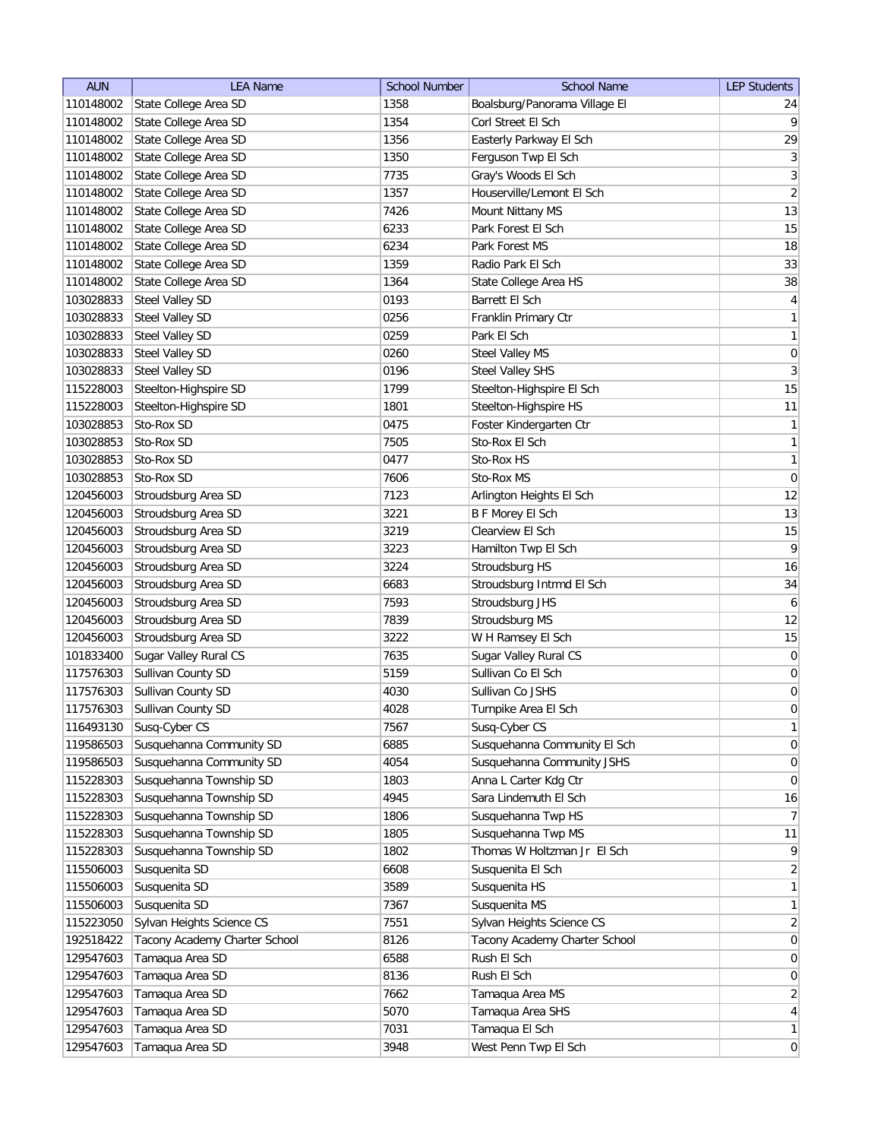| <b>AUN</b> | <b>LEA Name</b>               | <b>School Number</b> | <b>School Name</b>            | <b>LEP Students</b> |
|------------|-------------------------------|----------------------|-------------------------------|---------------------|
| 110148002  | State College Area SD         | 1358                 | Boalsburg/Panorama Village El | 24                  |
| 110148002  | State College Area SD         | 1354                 | Corl Street El Sch            | $\vert 9 \vert$     |
| 110148002  | State College Area SD         | 1356                 | Easterly Parkway El Sch       | 29                  |
| 110148002  | State College Area SD         | 1350                 | Ferguson Twp El Sch           | $\vert 3 \vert$     |
| 110148002  | State College Area SD         | 7735                 | Gray's Woods El Sch           | $\overline{3}$      |
| 110148002  | State College Area SD         | 1357                 | Houserville/Lemont El Sch     | $\left  \right $    |
| 110148002  | State College Area SD         | 7426                 | Mount Nittany MS              | 13                  |
| 110148002  | State College Area SD         | 6233                 | Park Forest El Sch            | 15                  |
| 110148002  | State College Area SD         | 6234                 | Park Forest MS                | 18                  |
| 110148002  | State College Area SD         | 1359                 | Radio Park El Sch             | 33                  |
| 110148002  | State College Area SD         | 1364                 | State College Area HS         | $38\,$              |
| 103028833  | Steel Valley SD               | 0193                 | Barrett El Sch                | $\overline{4}$      |
| 103028833  | <b>Steel Valley SD</b>        | 0256                 | Franklin Primary Ctr          | $\mathbf{1}$        |
| 103028833  | <b>Steel Valley SD</b>        | 0259                 | Park El Sch                   | $\mathbf{1}$        |
| 103028833  | Steel Valley SD               | 0260                 | Steel Valley MS               | $\boldsymbol{0}$    |
| 103028833  | Steel Valley SD               | 0196                 | Steel Valley SHS              | $\mathbf{3}$        |
| 115228003  | Steelton-Highspire SD         | 1799                 | Steelton-Highspire El Sch     | 15                  |
| 115228003  | Steelton-Highspire SD         | 1801                 | Steelton-Highspire HS         | 11                  |
| 103028853  | Sto-Rox SD                    | 0475                 | Foster Kindergarten Ctr       | 1                   |
| 103028853  | Sto-Rox SD                    | 7505                 | Sto-Rox El Sch                | 1                   |
| 103028853  | Sto-Rox SD                    | 0477                 | Sto-Rox HS                    | 1                   |
| 103028853  | Sto-Rox SD                    | 7606                 | Sto-Rox MS                    | 0                   |
| 120456003  | Stroudsburg Area SD           | 7123                 | Arlington Heights El Sch      | 12                  |
| 120456003  | Stroudsburg Area SD           | 3221                 | <b>B F Morey El Sch</b>       | 13                  |
| 120456003  | Stroudsburg Area SD           | 3219                 | Clearview El Sch              | 15                  |
| 120456003  | Stroudsburg Area SD           | 3223                 | Hamilton Twp El Sch           | 9                   |
| 120456003  | Stroudsburg Area SD           | 3224                 | Stroudsburg HS                | 16                  |
| 120456003  | Stroudsburg Area SD           | 6683                 | Stroudsburg Intrmd El Sch     | 34                  |
| 120456003  | Stroudsburg Area SD           | 7593                 | Stroudsburg JHS               | $\overline{6}$      |
| 120456003  | Stroudsburg Area SD           | 7839                 | Stroudsburg MS                | 12                  |
| 120456003  | Stroudsburg Area SD           | 3222                 | W H Ramsey El Sch             | 15                  |
| 101833400  | Sugar Valley Rural CS         | 7635                 | Sugar Valley Rural CS         | 0                   |
| 117576303  | Sullivan County SD            | 5159                 | Sullivan Co El Sch            | $\pmb{0}$           |
| 117576303  | Sullivan County SD            | 4030                 | Sullivan Co JSHS              | $\boldsymbol{0}$    |
| 117576303  | Sullivan County SD            | 4028                 | Turnpike Area El Sch          | $\overline{0}$      |
| 116493130  | Susq-Cyber CS                 | 7567                 | Susq-Cyber CS                 | 1                   |
| 119586503  | Susquehanna Community SD      | 6885                 | Susquehanna Community El Sch  | 0                   |
| 119586503  | Susquehanna Community SD      | 4054                 | Susquehanna Community JSHS    | 0                   |
| 115228303  | Susquehanna Township SD       | 1803                 | Anna L Carter Kdg Ctr         | 0                   |
| 115228303  | Susquehanna Township SD       | 4945                 | Sara Lindemuth El Sch         | 16                  |
| 115228303  | Susquehanna Township SD       | 1806                 | Susquehanna Twp HS            | 7                   |
| 115228303  | Susquehanna Township SD       | 1805                 | Susquehanna Twp MS            | 11                  |
| 115228303  | Susquehanna Township SD       | 1802                 | Thomas W Holtzman Jr El Sch   | $\mathsf{q}$        |
| 115506003  | Susquenita SD                 | 6608                 | Susquenita El Sch             | $\overline{2}$      |
| 115506003  | Susquenita SD                 | 3589                 | Susquenita HS                 | $\mathbf{1}$        |
| 115506003  | Susquenita SD                 | 7367                 | Susquenita MS                 | $\mathbf{1}$        |
| 115223050  | Sylvan Heights Science CS     | 7551                 | Sylvan Heights Science CS     | $\overline{2}$      |
| 192518422  | Tacony Academy Charter School | 8126                 | Tacony Academy Charter School | $\overline{0}$      |
| 129547603  | Tamaqua Area SD               | 6588                 | Rush El Sch                   | $\overline{0}$      |
| 129547603  | Tamaqua Area SD               | 8136                 | Rush El Sch                   | $\overline{0}$      |
| 129547603  | Tamaqua Area SD               | 7662                 | Tamaqua Area MS               | $\overline{2}$      |
| 129547603  | Tamaqua Area SD               | 5070                 | Tamaqua Area SHS              | $\vert 4 \vert$     |
| 129547603  | Tamaqua Area SD               | 7031                 | Tamaqua El Sch                | 1                   |
| 129547603  | Tamaqua Area SD               | 3948                 | West Penn Twp El Sch          | 0                   |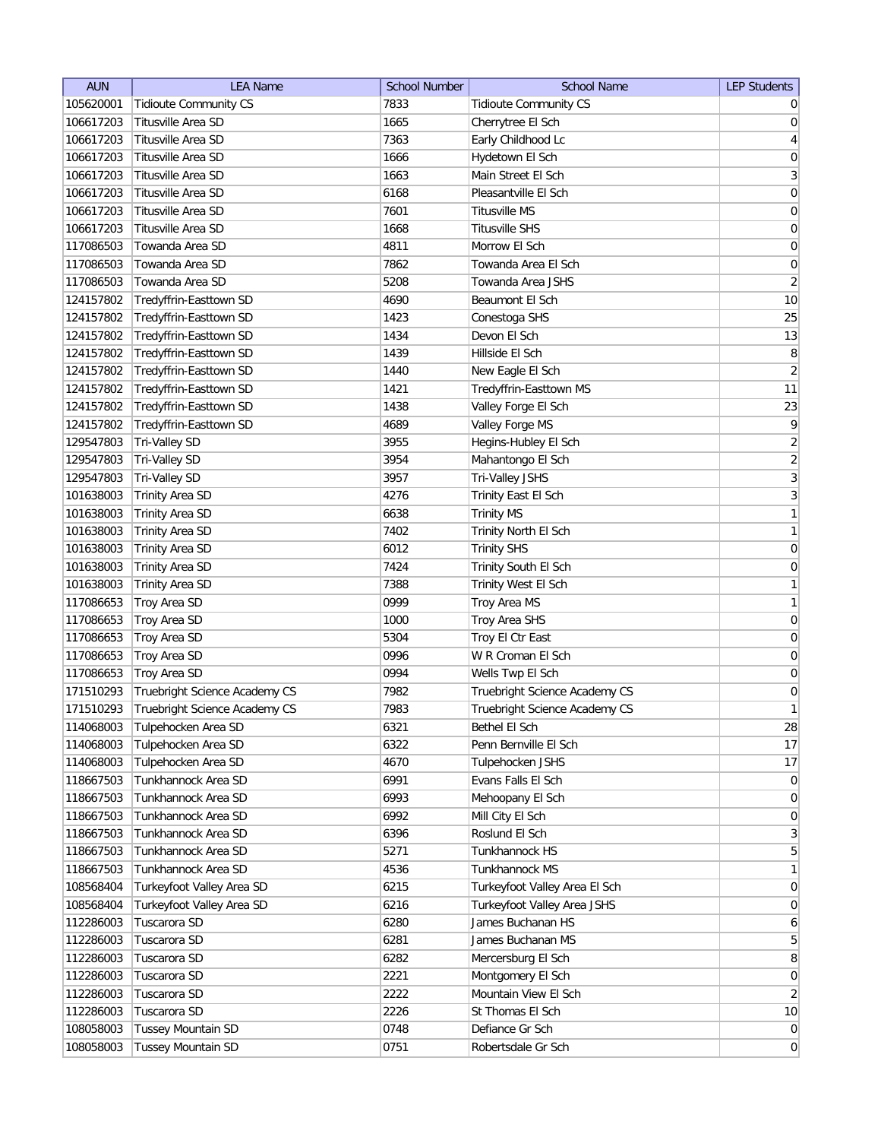| <b>AUN</b> | <b>LEA Name</b>               | <b>School Number</b> | <b>School Name</b>            | <b>LEP Students</b> |
|------------|-------------------------------|----------------------|-------------------------------|---------------------|
| 105620001  | <b>Tidioute Community CS</b>  | 7833                 | <b>Tidioute Community CS</b>  | $\overline{0}$      |
| 106617203  | Titusville Area SD            | 1665                 | Cherrytree El Sch             | 0                   |
| 106617203  | Titusville Area SD            | 7363                 | Early Childhood Lc            | $\vert 4 \vert$     |
| 106617203  | Titusville Area SD            | 1666                 | Hydetown El Sch               | $\boldsymbol{0}$    |
| 106617203  | Titusville Area SD            | 1663                 | Main Street El Sch            | $\overline{3}$      |
| 106617203  | Titusville Area SD            | 6168                 | Pleasantville El Sch          | $\boldsymbol{0}$    |
| 106617203  | Titusville Area SD            | 7601                 | Titusville MS                 | 0                   |
| 106617203  | Titusville Area SD            | 1668                 | <b>Titusville SHS</b>         | $\boldsymbol{0}$    |
| 117086503  | Towanda Area SD               | 4811                 | Morrow El Sch                 | $\boldsymbol{0}$    |
| 117086503  | Towanda Area SD               | 7862                 | Towanda Area El Sch           | $\boldsymbol{0}$    |
| 117086503  | Towanda Area SD               | 5208                 | Towanda Area JSHS             | $\overline{2}$      |
| 124157802  | Tredyffrin-Easttown SD        | 4690                 | Beaumont El Sch               | 10                  |
| 124157802  | Tredyffrin-Easttown SD        | 1423                 | Conestoga SHS                 | 25                  |
| 124157802  | Tredyffrin-Easttown SD        | 1434                 | Devon El Sch                  | 13                  |
| 124157802  | Tredyffrin-Easttown SD        | 1439                 | Hillside El Sch               | 8                   |
| 124157802  | Tredyffrin-Easttown SD        | 1440                 | New Eagle El Sch              | $\overline{2}$      |
| 124157802  | Tredyffrin-Easttown SD        | 1421                 | Tredyffrin-Easttown MS        | 11                  |
| 124157802  | Tredyffrin-Easttown SD        | 1438                 | Valley Forge El Sch           | 23                  |
| 124157802  | Tredyffrin-Easttown SD        | 4689                 | Valley Forge MS               | $\vert 9 \vert$     |
| 129547803  | Tri-Valley SD                 | 3955                 | Hegins-Hubley El Sch          | $\overline{2}$      |
| 129547803  | Tri-Valley SD                 | 3954                 | Mahantongo El Sch             | $\overline{2}$      |
| 129547803  | Tri-Valley SD                 | 3957                 | Tri-Valley JSHS               | $\overline{3}$      |
| 101638003  | Trinity Area SD               | 4276                 | Trinity East El Sch           | $\overline{3}$      |
| 101638003  | Trinity Area SD               | 6638                 | <b>Trinity MS</b>             | $\mathbf{1}$        |
| 101638003  | <b>Trinity Area SD</b>        | 7402                 | Trinity North El Sch          | $\mathbf{1}$        |
| 101638003  | <b>Trinity Area SD</b>        | 6012                 | <b>Trinity SHS</b>            | $\boldsymbol{0}$    |
| 101638003  | <b>Trinity Area SD</b>        | 7424                 | Trinity South El Sch          | $\overline{0}$      |
| 101638003  | <b>Trinity Area SD</b>        | 7388                 | <b>Trinity West El Sch</b>    | 1                   |
| 117086653  | Troy Area SD                  | 0999                 | Troy Area MS                  | $\mathbf{1}$        |
| 117086653  | Troy Area SD                  | 1000                 | Troy Area SHS                 | $\overline{0}$      |
| 117086653  | Troy Area SD                  | 5304                 | Troy El Ctr East              | $\overline{0}$      |
| 117086653  | Troy Area SD                  | 0996                 | W R Croman El Sch             | 0                   |
| 117086653  | Troy Area SD                  | 0994                 | Wells Twp El Sch              | 0                   |
| 171510293  | Truebright Science Academy CS | 7982                 | Truebright Science Academy CS | $\overline{0}$      |
| 171510293  | Truebright Science Academy CS | 7983                 | Truebright Science Academy CS | 1                   |
| 114068003  | Tulpehocken Area SD           | 6321                 | Bethel El Sch                 | 28                  |
| 114068003  | Tulpehocken Area SD           | 6322                 | Penn Bernville El Sch         | 17                  |
| 114068003  | Tulpehocken Area SD           | 4670                 | Tulpehocken JSHS              | 17                  |
| 118667503  | Tunkhannock Area SD           | 6991                 | Evans Falls El Sch            | $\overline{0}$      |
| 118667503  | Tunkhannock Area SD           | 6993                 | Mehoopany El Sch              | $\overline{0}$      |
| 118667503  | Tunkhannock Area SD           | 6992                 | Mill City El Sch              | $\overline{0}$      |
| 118667503  | Tunkhannock Area SD           | 6396                 | Roslund El Sch                | 3                   |
| 118667503  | Tunkhannock Area SD           | 5271                 | Tunkhannock HS                | $5\overline{)}$     |
| 118667503  | Tunkhannock Area SD           | 4536                 | Tunkhannock MS                | $\mathbf{1}$        |
| 108568404  | Turkeyfoot Valley Area SD     | 6215                 | Turkeyfoot Valley Area El Sch | $\overline{0}$      |
| 108568404  | Turkeyfoot Valley Area SD     | 6216                 | Turkeyfoot Valley Area JSHS   | 0                   |
| 112286003  | Tuscarora SD                  | 6280                 | James Buchanan HS             | 6                   |
| 112286003  | Tuscarora SD                  | 6281                 | James Buchanan MS             | 5 <sup>1</sup>      |
| 112286003  | Tuscarora SD                  | 6282                 | Mercersburg El Sch            | 8                   |
| 112286003  | Tuscarora SD                  | 2221                 | Montgomery El Sch             | 0                   |
| 112286003  | Tuscarora SD                  | 2222                 | Mountain View El Sch          | $\overline{2}$      |
| 112286003  | Tuscarora SD                  | 2226                 | St Thomas El Sch              | 10                  |
| 108058003  | <b>Tussey Mountain SD</b>     | 0748                 | Defiance Gr Sch               | 0                   |
|            |                               | 0751                 |                               | 0                   |
| 108058003  | <b>Tussey Mountain SD</b>     |                      | Robertsdale Gr Sch            |                     |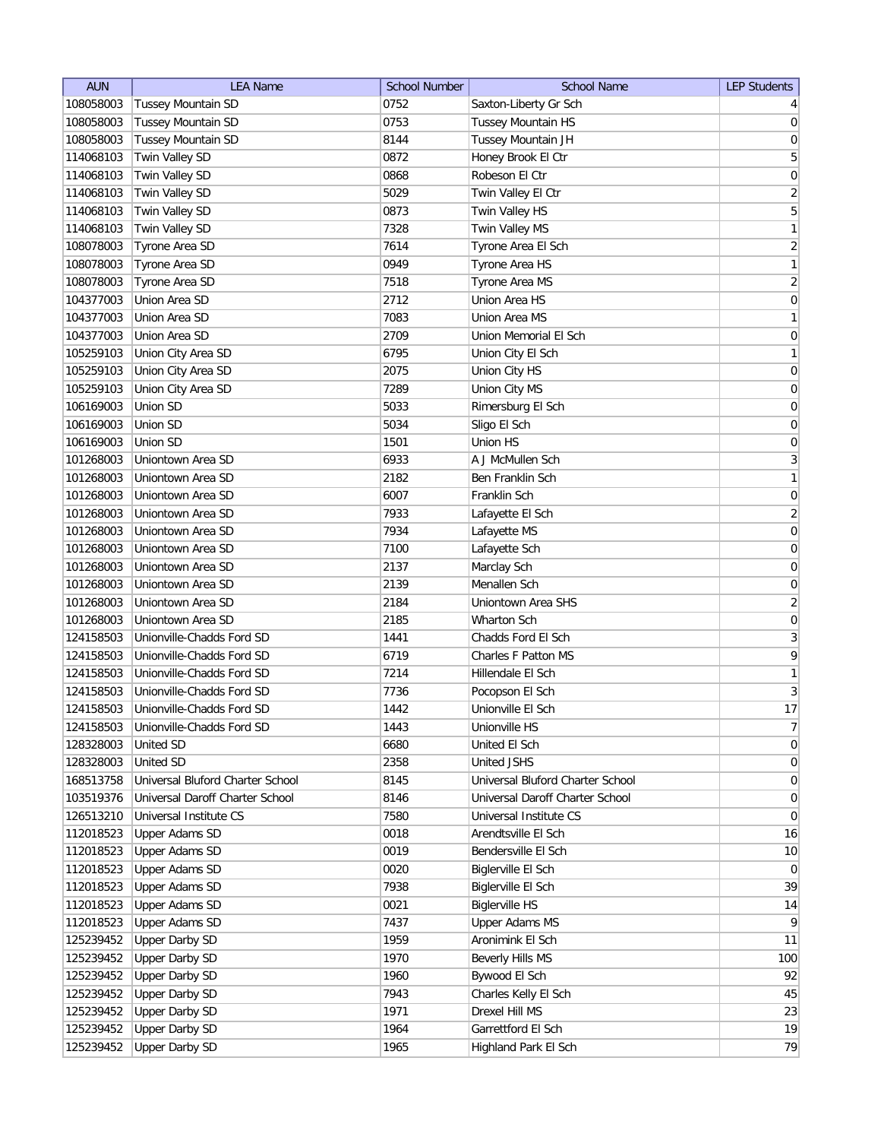| <b>AUN</b>             | <b>LEA Name</b>                  | <b>School Number</b> | <b>School Name</b>                | <b>LEP Students</b> |
|------------------------|----------------------------------|----------------------|-----------------------------------|---------------------|
| 108058003              | Tussey Mountain SD               | 0752                 | Saxton-Liberty Gr Sch             | 4                   |
| 108058003              | Tussey Mountain SD               | 0753                 | Tussey Mountain HS                | 0                   |
| 108058003              | Tussey Mountain SD               | 8144                 | Tussey Mountain JH                | $\boldsymbol{0}$    |
| 114068103              | Twin Valley SD                   | 0872                 | Honey Brook El Ctr                | 5                   |
| 114068103              | Twin Valley SD                   | 0868                 | Robeson El Ctr                    | 0                   |
| 114068103              | Twin Valley SD                   | 5029                 | Twin Valley El Ctr                | $\overline{2}$      |
| 114068103              | Twin Valley SD                   | 0873                 | Twin Valley HS                    | $\overline{5}$      |
| 114068103              | Twin Valley SD                   | 7328                 | Twin Valley MS                    | 1                   |
| 108078003              | Tyrone Area SD                   | 7614                 | Tyrone Area El Sch                | $\overline{2}$      |
| 108078003              | Tyrone Area SD                   | 0949                 | Tyrone Area HS                    | $\mathbf{1}$        |
| 108078003              | Tyrone Area SD                   | 7518                 | Tyrone Area MS                    | $\overline{2}$      |
| 104377003              | Union Area SD                    | 2712                 | Union Area HS                     | $\boldsymbol{0}$    |
| 104377003              | Union Area SD                    | 7083                 | Union Area MS                     | $\mathbf{1}$        |
| 104377003              | Union Area SD                    | 2709                 | Union Memorial El Sch             | 0                   |
| 105259103              | Union City Area SD               | 6795                 | Union City El Sch                 | $\mathbf{1}$        |
| 105259103              | Union City Area SD               | 2075                 | Union City HS                     | $\overline{0}$      |
| 105259103              | Union City Area SD               | 7289                 | Union City MS                     | $\boldsymbol{0}$    |
| 106169003              | Union SD                         | 5033                 | Rimersburg El Sch                 | $\boldsymbol{0}$    |
| 106169003              | Union SD                         | 5034                 | Sligo El Sch                      | $\vert 0 \vert$     |
| 106169003              | Union SD                         | 1501                 | Union HS                          | $\boldsymbol{0}$    |
| 101268003              | Uniontown Area SD                | 6933                 | A J McMullen Sch                  | $\overline{3}$      |
| 101268003              | Uniontown Area SD                | 2182                 | <b>Ben Franklin Sch</b>           | $\mathbf{1}$        |
| 101268003              | Uniontown Area SD                | 6007                 | Franklin Sch                      | $\boldsymbol{0}$    |
| 101268003              | Uniontown Area SD                | 7933                 | Lafayette El Sch                  | $\overline{2}$      |
| 101268003              | Uniontown Area SD                | 7934                 | Lafayette MS                      | $\boldsymbol{0}$    |
| 101268003              | Uniontown Area SD                | 7100                 | Lafayette Sch                     | $\overline{0}$      |
| 101268003              | Uniontown Area SD                | 2137                 | Marclay Sch                       | 0                   |
| 101268003              | Uniontown Area SD                | 2139                 | Menallen Sch                      | 0                   |
| 101268003              | Uniontown Area SD                | 2184                 | Uniontown Area SHS                | $\overline{2}$      |
| 101268003              | Uniontown Area SD                | 2185                 | Wharton Sch                       | 0                   |
| 124158503              | Unionville-Chadds Ford SD        | 1441                 | Chadds Ford El Sch                | 3                   |
| 124158503              | Unionville-Chadds Ford SD        | 6719                 | Charles F Patton MS               | 9                   |
| 124158503              | Unionville-Chadds Ford SD        | 7214                 | Hillendale El Sch                 | $\mathbf{1}$        |
| 124158503              | Unionville-Chadds Ford SD        | 7736                 | Pocopson El Sch                   | $\mathbf{3}$        |
| 124158503              | Unionville-Chadds Ford SD        | 1442                 | Unionville El Sch                 | 17                  |
| 124158503              | Unionville-Chadds Ford SD        | 1443                 | Unionville HS                     | 7                   |
| 128328003              | United SD                        | 6680                 | United El Sch                     | 0                   |
| 128328003              | <b>United SD</b>                 | 2358                 | United JSHS                       | 0                   |
| 168513758              | Universal Bluford Charter School | 8145                 | Universal Bluford Charter School  | $\overline{0}$      |
| 103519376              | Universal Daroff Charter School  | 8146                 | Universal Daroff Charter School   | 0                   |
| 126513210              | Universal Institute CS           | 7580                 | Universal Institute CS            | 0                   |
| 112018523              | Upper Adams SD                   | 0018                 | Arendtsville El Sch               | 16                  |
| 112018523              | <b>Upper Adams SD</b>            | 0019                 | Bendersville El Sch               | 10                  |
| 112018523              | <b>Upper Adams SD</b>            | 0020                 | Biglerville El Sch                | $\overline{0}$      |
| 112018523              | <b>Upper Adams SD</b>            | 7938                 | Biglerville El Sch                | 39                  |
|                        | <b>Upper Adams SD</b>            | 0021                 | <b>Biglerville HS</b>             | 14                  |
| 112018523<br>112018523 | <b>Upper Adams SD</b>            | 7437                 | <b>Upper Adams MS</b>             | $\vert 9 \vert$     |
|                        | <b>Upper Darby SD</b>            | 1959                 | Aronimink El Sch                  | 11                  |
| 125239452<br>125239452 | <b>Upper Darby SD</b>            | 1970                 |                                   | 100                 |
| 125239452              | <b>Upper Darby SD</b>            | 1960                 | Beverly Hills MS<br>Bywood El Sch | 92                  |
| 125239452              | <b>Upper Darby SD</b>            | 7943                 |                                   |                     |
|                        |                                  | 1971                 | Charles Kelly El Sch              | 45                  |
| 125239452              | <b>Upper Darby SD</b>            | 1964                 | Drexel Hill MS                    | 23                  |
| 125239452              | <b>Upper Darby SD</b>            |                      | Garrettford El Sch                | 19<br>79            |
| 125239452              | <b>Upper Darby SD</b>            | 1965                 | Highland Park El Sch              |                     |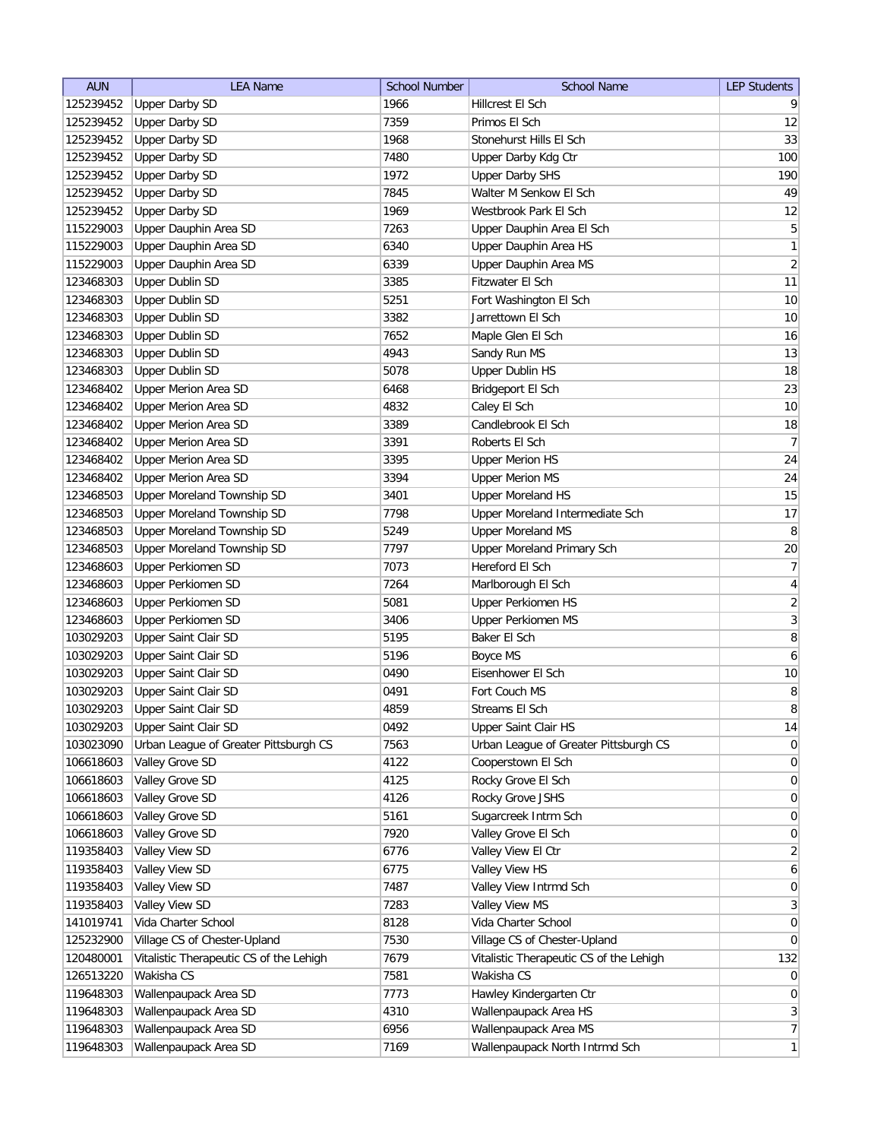| <b>AUN</b> | <b>LEA Name</b>                         | <b>School Number</b> | <b>School Name</b>                      | <b>LEP Students</b>     |
|------------|-----------------------------------------|----------------------|-----------------------------------------|-------------------------|
| 125239452  | <b>Upper Darby SD</b>                   | 1966                 | Hillcrest El Sch                        | 9                       |
| 125239452  | <b>Upper Darby SD</b>                   | 7359                 | Primos El Sch                           | 12                      |
| 125239452  | <b>Upper Darby SD</b>                   | 1968                 | Stonehurst Hills El Sch                 | 33                      |
| 125239452  | <b>Upper Darby SD</b>                   | 7480                 | Upper Darby Kdg Ctr                     | 100                     |
| 125239452  | <b>Upper Darby SD</b>                   | 1972                 | <b>Upper Darby SHS</b>                  | 190                     |
| 125239452  | <b>Upper Darby SD</b>                   | 7845                 | Walter M Senkow El Sch                  | 49                      |
| 125239452  | <b>Upper Darby SD</b>                   | 1969                 | Westbrook Park El Sch                   | 12                      |
| 115229003  | Upper Dauphin Area SD                   | 7263                 | Upper Dauphin Area El Sch               | $\overline{5}$          |
| 115229003  | Upper Dauphin Area SD                   | 6340                 | Upper Dauphin Area HS                   | 1                       |
| 115229003  | Upper Dauphin Area SD                   | 6339                 | Upper Dauphin Area MS                   | $\overline{2}$          |
| 123468303  | <b>Upper Dublin SD</b>                  | 3385                 | Fitzwater El Sch                        | 11                      |
| 123468303  | <b>Upper Dublin SD</b>                  | 5251                 | Fort Washington El Sch                  | 10                      |
| 123468303  | <b>Upper Dublin SD</b>                  | 3382                 | Jarrettown El Sch                       | 10                      |
| 123468303  | <b>Upper Dublin SD</b>                  | 7652                 | Maple Glen El Sch                       | 16                      |
| 123468303  | <b>Upper Dublin SD</b>                  | 4943                 | Sandy Run MS                            | 13                      |
| 123468303  | <b>Upper Dublin SD</b>                  | 5078                 | <b>Upper Dublin HS</b>                  | 18                      |
| 123468402  | Upper Merion Area SD                    | 6468                 | Bridgeport El Sch                       | 23                      |
| 123468402  | <b>Upper Merion Area SD</b>             | 4832                 | Caley El Sch                            | 10                      |
| 123468402  | <b>Upper Merion Area SD</b>             | 3389                 | Candlebrook El Sch                      | 18                      |
| 123468402  | <b>Upper Merion Area SD</b>             | 3391                 | Roberts El Sch                          | 7                       |
| 123468402  | <b>Upper Merion Area SD</b>             | 3395                 | <b>Upper Merion HS</b>                  | 24                      |
| 123468402  | <b>Upper Merion Area SD</b>             | 3394                 | <b>Upper Merion MS</b>                  | 24                      |
| 123468503  | Upper Moreland Township SD              | 3401                 | <b>Upper Moreland HS</b>                | 15                      |
| 123468503  | Upper Moreland Township SD              | 7798                 | Upper Moreland Intermediate Sch         | 17                      |
| 123468503  | Upper Moreland Township SD              | 5249                 | <b>Upper Moreland MS</b>                | 8                       |
| 123468503  | Upper Moreland Township SD              | 7797                 | Upper Moreland Primary Sch              | 20                      |
| 123468603  | <b>Upper Perkiomen SD</b>               | 7073                 | Hereford El Sch                         | 7                       |
| 123468603  | Upper Perkiomen SD                      | 7264                 | Marlborough El Sch                      | $\overline{4}$          |
| 123468603  | <b>Upper Perkiomen SD</b>               | 5081                 | Upper Perkiomen HS                      | $\overline{2}$          |
| 123468603  | <b>Upper Perkiomen SD</b>               | 3406                 | Upper Perkiomen MS                      | $\overline{\mathbf{3}}$ |
| 103029203  | <b>Upper Saint Clair SD</b>             | 5195                 | Baker El Sch                            | 8                       |
| 103029203  | Upper Saint Clair SD                    | 5196                 | Boyce MS                                | $\overline{6}$          |
| 103029203  | Upper Saint Clair SD                    | 0490                 | Eisenhower El Sch                       | 10                      |
| 103029203  | Upper Saint Clair SD                    | 0491                 | Fort Couch MS                           | $\bf 8$                 |
| 103029203  | Upper Saint Clair SD                    | 4859                 | Streams El Sch                          | 8                       |
| 103029203  | Upper Saint Clair SD                    | 0492                 | Upper Saint Clair HS                    | 14                      |
| 103023090  | Urban League of Greater Pittsburgh CS   | 7563                 | Urban League of Greater Pittsburgh CS   | $\overline{0}$          |
| 106618603  | Valley Grove SD                         | 4122                 | Cooperstown El Sch                      | 0                       |
| 106618603  | Valley Grove SD                         | 4125                 | Rocky Grove El Sch                      | 0                       |
| 106618603  | Valley Grove SD                         | 4126                 | Rocky Grove JSHS                        | $\overline{0}$          |
| 106618603  | Valley Grove SD                         | 5161                 | Sugarcreek Intrm Sch                    | $\overline{0}$          |
| 106618603  | Valley Grove SD                         | 7920                 | Valley Grove El Sch                     | 0                       |
| 119358403  | Valley View SD                          | 6776                 | Valley View El Ctr                      | $\overline{2}$          |
| 119358403  | Valley View SD                          | 6775                 | Valley View HS                          | $\mathbf{6}$            |
| 119358403  | Valley View SD                          | 7487                 | Valley View Intrmd Sch                  | $\overline{0}$          |
| 119358403  | Valley View SD                          | 7283                 | Valley View MS                          | 3                       |
| 141019741  | Vida Charter School                     | 8128                 | Vida Charter School                     | $\overline{0}$          |
| 125232900  | Village CS of Chester-Upland            | 7530                 | Village CS of Chester-Upland            | $\overline{0}$          |
| 120480001  | Vitalistic Therapeutic CS of the Lehigh | 7679                 | Vitalistic Therapeutic CS of the Lehigh | 132                     |
| 126513220  | Wakisha CS                              | 7581                 | Wakisha CS                              | $\overline{0}$          |
| 119648303  | Wallenpaupack Area SD                   | 7773                 | Hawley Kindergarten Ctr                 | $\overline{0}$          |
| 119648303  | Wallenpaupack Area SD                   | 4310                 | Wallenpaupack Area HS                   | 3                       |
| 119648303  | Wallenpaupack Area SD                   | 6956                 | Wallenpaupack Area MS                   | 7                       |
| 119648303  | Wallenpaupack Area SD                   | 7169                 | Wallenpaupack North Intrmd Sch          | 1                       |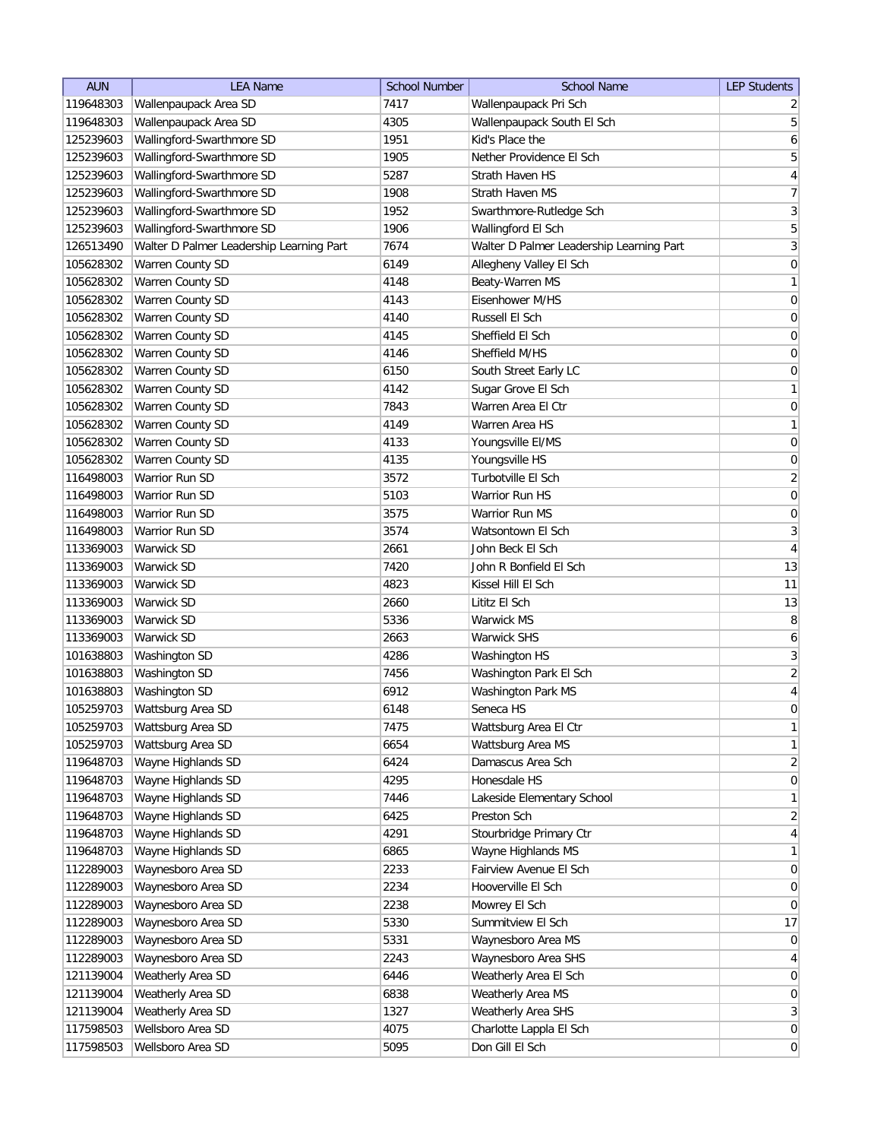| <b>AUN</b> | <b>LEA Name</b>                          | <b>School Number</b> | <b>School Name</b>                       | <b>LEP Students</b> |
|------------|------------------------------------------|----------------------|------------------------------------------|---------------------|
| 119648303  | Wallenpaupack Area SD                    | 7417                 | Wallenpaupack Pri Sch                    | $\overline{2}$      |
| 119648303  | Wallenpaupack Area SD                    | 4305                 | Wallenpaupack South El Sch               | $\overline{5}$      |
| 125239603  | Wallingford-Swarthmore SD                | 1951                 | Kid's Place the                          | $\boldsymbol{6}$    |
| 125239603  | Wallingford-Swarthmore SD                | 1905                 | Nether Providence El Sch                 | $\sqrt{5}$          |
| 125239603  | Wallingford-Swarthmore SD                | 5287                 | Strath Haven HS                          | $\overline{4}$      |
| 125239603  | Wallingford-Swarthmore SD                | 1908                 | Strath Haven MS                          | $\overline{7}$      |
| 125239603  | Wallingford-Swarthmore SD                | 1952                 | Swarthmore-Rutledge Sch                  | $\mathbf{3}$        |
| 125239603  | Wallingford-Swarthmore SD                | 1906                 | Wallingford El Sch                       | $\overline{5}$      |
| 126513490  | Walter D Palmer Leadership Learning Part | 7674                 | Walter D Palmer Leadership Learning Part | $\mathbf{3}$        |
| 105628302  | Warren County SD                         | 6149                 | Allegheny Valley El Sch                  | $\boldsymbol{0}$    |
| 105628302  | Warren County SD                         | 4148                 | Beaty-Warren MS                          | $\mathbf{1}$        |
| 105628302  | Warren County SD                         | 4143                 | Eisenhower M/HS                          | 0                   |
| 105628302  | <b>Warren County SD</b>                  | 4140                 | Russell El Sch                           | 0                   |
| 105628302  | Warren County SD                         | 4145                 | Sheffield El Sch                         | 0                   |
| 105628302  | Warren County SD                         | 4146                 | Sheffield M/HS                           | 0                   |
| 105628302  | Warren County SD                         | 6150                 | South Street Early LC                    | 0                   |
| 105628302  | Warren County SD                         | 4142                 | Sugar Grove El Sch                       | $\mathbf{1}$        |
| 105628302  | Warren County SD                         | 7843                 | Warren Area El Ctr                       | $\boldsymbol{0}$    |
| 105628302  | Warren County SD                         | 4149                 | Warren Area HS                           | $\mathbf{1}$        |
| 105628302  | Warren County SD                         | 4133                 | Youngsville EI/MS                        | $\mathsf{O}\xspace$ |
| 105628302  | Warren County SD                         | 4135                 | Youngsville HS                           | $\pmb{0}$           |
| 116498003  | <b>Warrior Run SD</b>                    | 3572                 | Turbotville El Sch                       | $\overline{2}$      |
| 116498003  | Warrior Run SD                           | 5103                 | Warrior Run HS                           | $\boldsymbol{0}$    |
| 116498003  | Warrior Run SD                           | 3575                 | Warrior Run MS                           | $\boldsymbol{0}$    |
| 116498003  | Warrior Run SD                           | 3574                 | Watsontown El Sch                        | $\overline{3}$      |
| 113369003  | Warwick SD                               | 2661                 | John Beck El Sch                         | $\overline{4}$      |
| 113369003  | Warwick SD                               | 7420                 | John R Bonfield El Sch                   | 13                  |
| 113369003  | Warwick SD                               | 4823                 | Kissel Hill El Sch                       | 11                  |
| 113369003  | Warwick SD                               | 2660                 | Lititz El Sch                            | 13                  |
| 113369003  | Warwick SD                               | 5336                 | Warwick MS                               | 8                   |
| 113369003  | Warwick SD                               | 2663                 | <b>Warwick SHS</b>                       | 6                   |
| 101638803  | Washington SD                            | 4286                 | Washington HS                            | $\mathbf{3}$        |
| 101638803  | Washington SD                            | 7456                 | Washington Park El Sch                   | $\overline{2}$      |
| 101638803  | Washington SD                            | 6912                 | Washington Park MS                       | $\overline{4}$      |
| 105259703  | Wattsburg Area SD                        | 6148                 | Seneca HS                                | $\overline{0}$      |
| 105259703  | Wattsburg Area SD                        | 7475                 | Wattsburg Area El Ctr                    | $\mathbf{1}$        |
| 105259703  | Wattsburg Area SD                        | 6654                 | Wattsburg Area MS                        | $\mathbf{1}$        |
| 119648703  | Wayne Highlands SD                       | 6424                 | Damascus Area Sch                        | $\overline{2}$      |
| 119648703  | Wayne Highlands SD                       | 4295                 | Honesdale HS                             | $\boldsymbol{0}$    |
| 119648703  | Wayne Highlands SD                       | 7446                 | Lakeside Elementary School               | $\mathbf{1}$        |
| 119648703  | Wayne Highlands SD                       | 6425                 | Preston Sch                              | $\overline{2}$      |
| 119648703  | Wayne Highlands SD                       | 4291                 | Stourbridge Primary Ctr                  | $\overline{4}$      |
| 119648703  | Wayne Highlands SD                       | 6865                 | Wayne Highlands MS                       | $\mathbf{1}$        |
| 112289003  | Waynesboro Area SD                       | 2233                 | Fairview Avenue El Sch                   | $\pmb{0}$           |
| 112289003  | Waynesboro Area SD                       | 2234                 | Hooverville El Sch                       | $\overline{0}$      |
| 112289003  | Waynesboro Area SD                       | 2238                 | Mowrey El Sch                            | $\overline{0}$      |
| 112289003  | Waynesboro Area SD                       | 5330                 | Summitview El Sch                        | 17                  |
| 112289003  | Waynesboro Area SD                       | 5331                 | Waynesboro Area MS                       | $\overline{0}$      |
| 112289003  | Waynesboro Area SD                       | 2243                 | Waynesboro Area SHS                      | $\overline{4}$      |
| 121139004  | Weatherly Area SD                        | 6446                 | Weatherly Area El Sch                    | $\boldsymbol{0}$    |
| 121139004  | Weatherly Area SD                        | 6838                 | Weatherly Area MS                        | $\boldsymbol{0}$    |
| 121139004  | Weatherly Area SD                        | 1327                 | Weatherly Area SHS                       | $\mathbf{3}$        |
| 117598503  | Wellsboro Area SD                        | 4075                 | Charlotte Lappla El Sch                  | $\boldsymbol{0}$    |
| 117598503  | Wellsboro Area SD                        | 5095                 | Don Gill El Sch                          | $\boldsymbol{0}$    |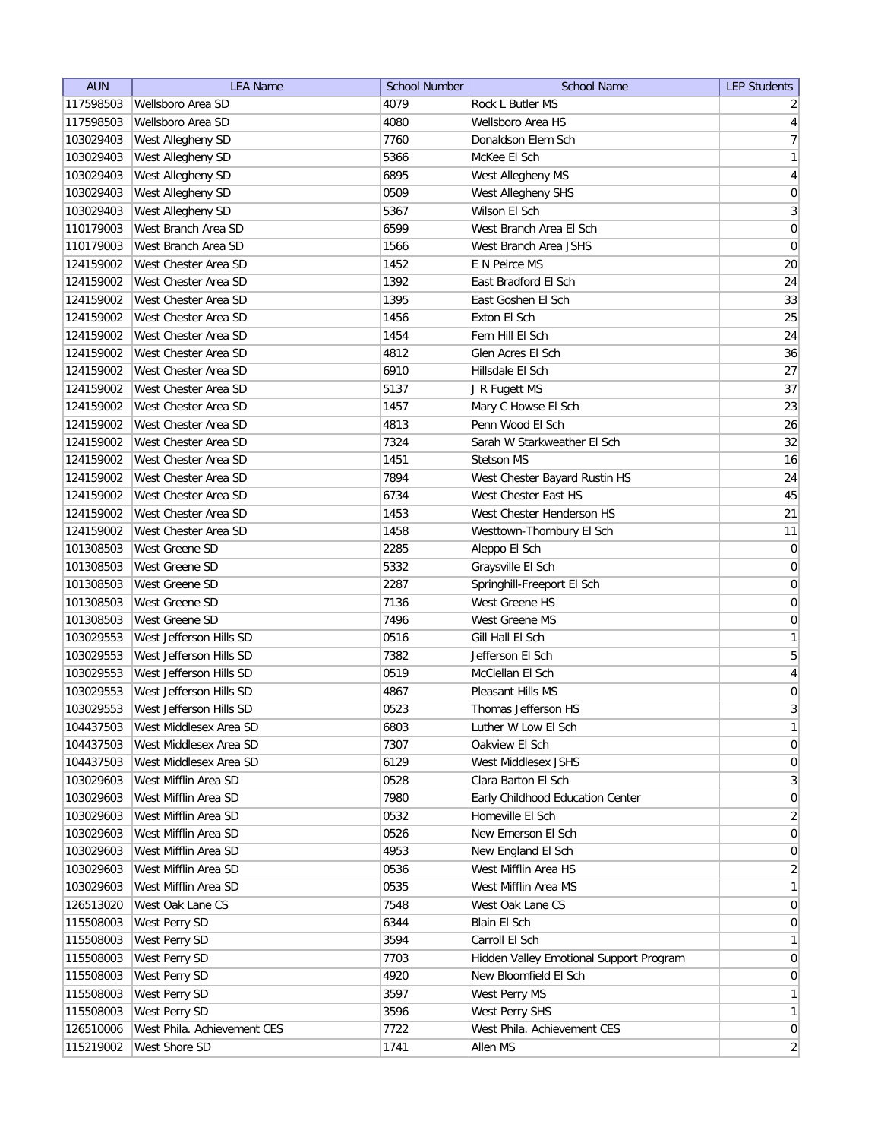| <b>AUN</b> | <b>LEA Name</b>             | School Number | <b>School Name</b>                      | <b>LEP Students</b>          |
|------------|-----------------------------|---------------|-----------------------------------------|------------------------------|
| 117598503  | Wellsboro Area SD           | 4079          | Rock L Butler MS                        | $\overline{2}$               |
| 117598503  | Wellsboro Area SD           | 4080          | Wellsboro Area HS                       | $\vert 4 \vert$              |
| 103029403  | West Allegheny SD           | 7760          | Donaldson Elem Sch                      | 7                            |
| 103029403  | West Allegheny SD           | 5366          | McKee El Sch                            | $\mathbf{1}$                 |
| 103029403  | West Allegheny SD           | 6895          | West Allegheny MS                       | $\overline{4}$               |
| 103029403  | West Allegheny SD           | 0509          | West Allegheny SHS                      | $\boldsymbol{0}$             |
| 103029403  | West Allegheny SD           | 5367          | Wilson El Sch                           | $\mathbf{3}$                 |
| 110179003  | West Branch Area SD         | 6599          | West Branch Area El Sch                 | $\boldsymbol{0}$             |
| 110179003  | West Branch Area SD         | 1566          | West Branch Area JSHS                   | $\boldsymbol{0}$             |
| 124159002  | West Chester Area SD        | 1452          | E N Peirce MS                           | 20                           |
| 124159002  | West Chester Area SD        | 1392          | East Bradford El Sch                    | 24                           |
| 124159002  | West Chester Area SD        | 1395          | East Goshen El Sch                      | 33                           |
| 124159002  | West Chester Area SD        | 1456          | Exton El Sch                            | 25                           |
| 124159002  | West Chester Area SD        | 1454          | Fern Hill El Sch                        | 24                           |
| 124159002  | West Chester Area SD        | 4812          | Glen Acres El Sch                       | 36                           |
| 124159002  | West Chester Area SD        | 6910          | Hillsdale El Sch                        | 27                           |
| 124159002  | West Chester Area SD        | 5137          | J R Fugett MS                           | 37                           |
| 124159002  | West Chester Area SD        | 1457          | Mary C Howse El Sch                     | 23                           |
| 124159002  | West Chester Area SD        | 4813          | Penn Wood El Sch                        | 26                           |
| 124159002  | West Chester Area SD        | 7324          | Sarah W Starkweather El Sch             | 32                           |
| 124159002  | West Chester Area SD        | 1451          | <b>Stetson MS</b>                       | 16                           |
| 124159002  | West Chester Area SD        | 7894          | West Chester Bayard Rustin HS           | 24                           |
| 124159002  | West Chester Area SD        | 6734          | West Chester East HS                    | 45                           |
| 124159002  | West Chester Area SD        | 1453          | West Chester Henderson HS               | 21                           |
| 124159002  | West Chester Area SD        | 1458          | Westtown-Thornbury El Sch               | 11                           |
| 101308503  | West Greene SD              | 2285          | Aleppo El Sch                           | $\overline{0}$               |
| 101308503  | West Greene SD              | 5332          | Graysville El Sch                       | $\boldsymbol{0}$             |
| 101308503  | West Greene SD              | 2287          | Springhill-Freeport El Sch              | $\boldsymbol{0}$             |
| 101308503  | West Greene SD              | 7136          | West Greene HS                          | 0                            |
| 101308503  | West Greene SD              | 7496          | West Greene MS                          | 0                            |
| 103029553  | West Jefferson Hills SD     | 0516          | Gill Hall El Sch                        | 1                            |
| 103029553  | West Jefferson Hills SD     | 7382          | Jefferson El Sch                        | 5                            |
| 103029553  | West Jefferson Hills SD     | 0519          | McClellan El Sch                        | 4                            |
| 103029553  | West Jefferson Hills SD     | 4867          | Pleasant Hills MS                       | 0                            |
| 103029553  | West Jefferson Hills SD     | 0523          | Thomas Jefferson HS                     | 3                            |
| 104437503  | West Middlesex Area SD      | 6803          | Luther W Low El Sch                     | $\mathbf{1}$                 |
| 104437503  | West Middlesex Area SD      | 7307          | Oakview El Sch                          | $\overline{0}$               |
| 104437503  | West Middlesex Area SD      | 6129          | West Middlesex JSHS                     | $\overline{0}$               |
| 103029603  | West Mifflin Area SD        | 0528          | Clara Barton El Sch                     | $\left  \frac{3}{2} \right $ |
| 103029603  | West Mifflin Area SD        | 7980          | Early Childhood Education Center        | 0                            |
| 103029603  | West Mifflin Area SD        | 0532          | Homeville El Sch                        | $\overline{2}$               |
| 103029603  | West Mifflin Area SD        | 0526          | New Emerson El Sch                      | $\overline{0}$               |
| 103029603  | West Mifflin Area SD        | 4953          | New England El Sch                      | $\vert 0 \vert$              |
| 103029603  | West Mifflin Area SD        | 0536          | West Mifflin Area HS                    | $\overline{2}$               |
| 103029603  | West Mifflin Area SD        | 0535          | West Mifflin Area MS                    | $\mathbf{1}$                 |
| 126513020  | West Oak Lane CS            | 7548          | West Oak Lane CS                        | $\overline{0}$               |
| 115508003  | West Perry SD               | 6344          | Blain El Sch                            | $\overline{0}$               |
| 115508003  | West Perry SD               | 3594          | Carroll El Sch                          | 1                            |
| 115508003  | West Perry SD               | 7703          | Hidden Valley Emotional Support Program | $\overline{0}$               |
| 115508003  | West Perry SD               | 4920          | New Bloomfield El Sch                   | $\overline{0}$               |
| 115508003  | West Perry SD               | 3597          | West Perry MS                           | 1                            |
| 115508003  | West Perry SD               | 3596          | West Perry SHS                          | 1                            |
| 126510006  | West Phila. Achievement CES | 7722          | West Phila. Achievement CES             | $\overline{0}$               |
| 115219002  | West Shore SD               | 1741          | Allen MS                                | $\overline{2}$               |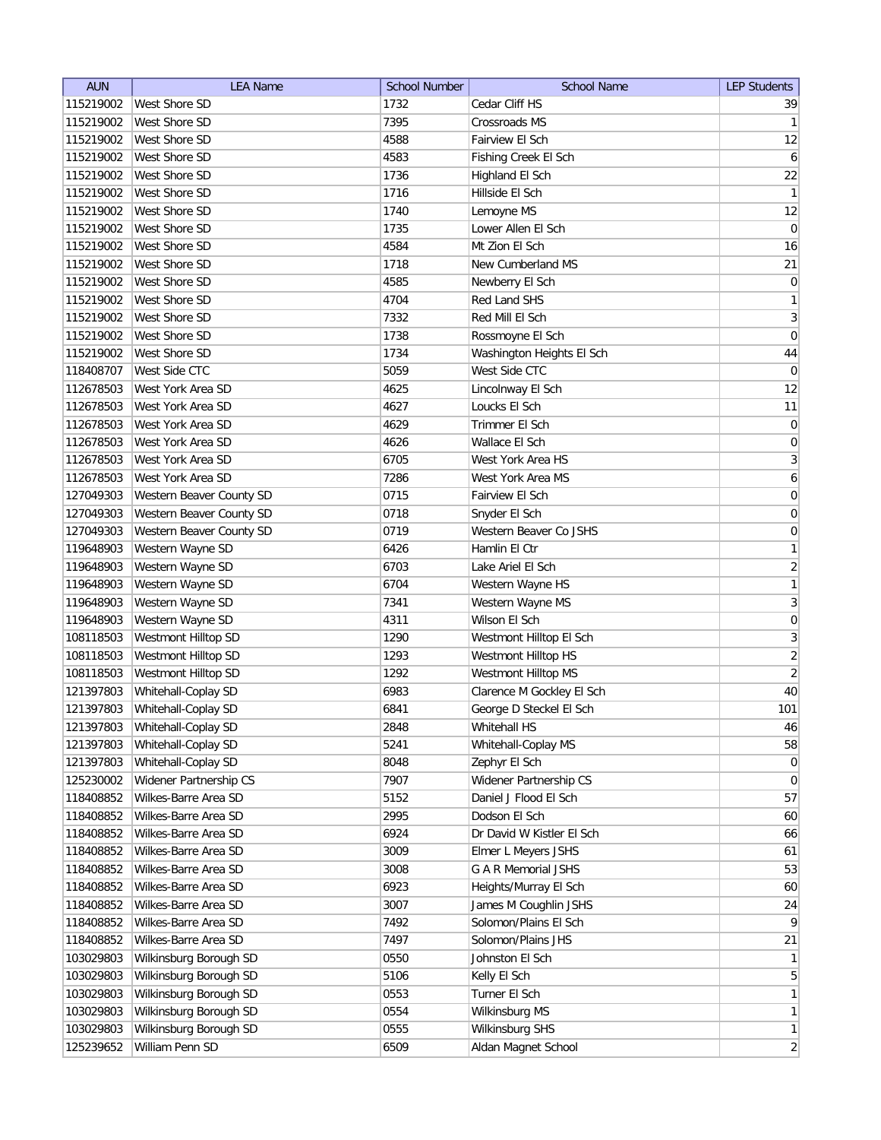| <b>AUN</b> | <b>LEA Name</b>          | <b>School Number</b> | <b>School Name</b>        | <b>LEP Students</b>          |
|------------|--------------------------|----------------------|---------------------------|------------------------------|
| 115219002  | West Shore SD            | 1732                 | Cedar Cliff HS            | 39                           |
| 115219002  | West Shore SD            | 7395                 | Crossroads MS             | $\vert$ 1                    |
| 115219002  | West Shore SD            | 4588                 | Fairview El Sch           | 12                           |
| 115219002  | West Shore SD            | 4583                 | Fishing Creek El Sch      | $\boldsymbol{6}$             |
| 115219002  | West Shore SD            | 1736                 | Highland El Sch           | 22                           |
| 115219002  | West Shore SD            | 1716                 | Hillside El Sch           | $\mathbf{1}$                 |
| 115219002  | West Shore SD            | 1740                 | Lemoyne MS                | 12                           |
| 115219002  | West Shore SD            | 1735                 | Lower Allen El Sch        | 0                            |
| 115219002  | <b>West Shore SD</b>     | 4584                 | Mt Zion El Sch            | 16                           |
| 115219002  | <b>West Shore SD</b>     | 1718                 | New Cumberland MS         | 21                           |
| 115219002  | <b>West Shore SD</b>     | 4585                 | Newberry El Sch           | 0                            |
| 115219002  | West Shore SD            | 4704                 | Red Land SHS              | $\mathbf{1}$                 |
| 115219002  | <b>West Shore SD</b>     | 7332                 | Red Mill El Sch           | $\vert 3 \vert$              |
| 115219002  | West Shore SD            | 1738                 | Rossmoyne El Sch          | $\overline{0}$               |
| 115219002  | West Shore SD            | 1734                 | Washington Heights El Sch | 44                           |
| 118408707  | West Side CTC            | 5059                 | West Side CTC             | $\overline{0}$               |
| 112678503  | West York Area SD        | 4625                 | Lincolnway El Sch         | 12                           |
| 112678503  | West York Area SD        | 4627                 | Loucks El Sch             | 11                           |
| 112678503  | West York Area SD        | 4629                 | Trimmer El Sch            | 0                            |
| 112678503  | West York Area SD        | 4626                 | Wallace El Sch            | $\vert 0 \vert$              |
| 112678503  | West York Area SD        | 6705                 | West York Area HS         | 3                            |
| 112678503  | West York Area SD        | 7286                 | West York Area MS         | $\boldsymbol{6}$             |
| 127049303  | Western Beaver County SD | 0715                 | Fairview El Sch           | $\boldsymbol{0}$             |
| 127049303  | Western Beaver County SD | 0718                 | Snyder El Sch             | $\boldsymbol{0}$             |
| 127049303  | Western Beaver County SD | 0719                 | Western Beaver Co JSHS    | $\boldsymbol{0}$             |
| 119648903  | Western Wayne SD         | 6426                 | Hamlin El Ctr             | 1                            |
| 119648903  | Western Wayne SD         | 6703                 | Lake Ariel El Sch         | $\overline{2}$               |
| 119648903  | Western Wayne SD         | 6704                 | Western Wayne HS          | 1                            |
| 119648903  | Western Wayne SD         | 7341                 | Western Wayne MS          | $\overline{3}$               |
| 119648903  | Western Wayne SD         | 4311                 | Wilson El Sch             | $\boldsymbol{0}$             |
| 108118503  | Westmont Hilltop SD      | 1290                 | Westmont Hilltop El Sch   | 3                            |
| 108118503  | Westmont Hilltop SD      | 1293                 | Westmont Hilltop HS       | $\overline{2}$               |
| 108118503  | Westmont Hilltop SD      | 1292                 | Westmont Hilltop MS       | $\left  \frac{2}{2} \right $ |
| 121397803  | Whitehall-Coplay SD      | 6983                 | Clarence M Gockley El Sch | 40                           |
| 121397803  | Whitehall-Coplay SD      | 6841                 | George D Steckel El Sch   | 101                          |
| 121397803  | Whitehall-Coplay SD      | 2848                 | Whitehall HS              | 46                           |
| 121397803  | Whitehall-Coplay SD      | 5241                 | Whitehall-Coplay MS       | 58                           |
| 121397803  | Whitehall-Coplay SD      | 8048                 | Zephyr El Sch             | 0                            |
| 125230002  | Widener Partnership CS   | 7907                 | Widener Partnership CS    | $\overline{0}$               |
| 118408852  | Wilkes-Barre Area SD     | 5152                 | Daniel J Flood El Sch     | 57                           |
| 118408852  | Wilkes-Barre Area SD     | 2995                 | Dodson El Sch             | 60                           |
| 118408852  | Wilkes-Barre Area SD     | 6924                 | Dr David W Kistler El Sch | 66                           |
| 118408852  | Wilkes-Barre Area SD     | 3009                 | Elmer L Meyers JSHS       | 61                           |
| 118408852  | Wilkes-Barre Area SD     | 3008                 | G A R Memorial JSHS       | 53                           |
| 118408852  | Wilkes-Barre Area SD     | 6923                 | Heights/Murray El Sch     | 60                           |
| 118408852  | Wilkes-Barre Area SD     | 3007                 | James M Coughlin JSHS     | 24                           |
| 118408852  | Wilkes-Barre Area SD     | 7492                 | Solomon/Plains El Sch     | $\vert 9 \vert$              |
| 118408852  | Wilkes-Barre Area SD     | 7497                 | Solomon/Plains JHS        | 21                           |
| 103029803  | Wilkinsburg Borough SD   | 0550                 | Johnston El Sch           | 1                            |
| 103029803  | Wilkinsburg Borough SD   | 5106                 | Kelly El Sch              | 5 <sup>1</sup>               |
| 103029803  | Wilkinsburg Borough SD   | 0553                 | Turner El Sch             | $\mathbf{1}$                 |
| 103029803  | Wilkinsburg Borough SD   | 0554                 | Wilkinsburg MS            | 1                            |
| 103029803  | Wilkinsburg Borough SD   | 0555                 | Wilkinsburg SHS           | 1                            |
| 125239652  | William Penn SD          | 6509                 | Aldan Magnet School       | $\overline{2}$               |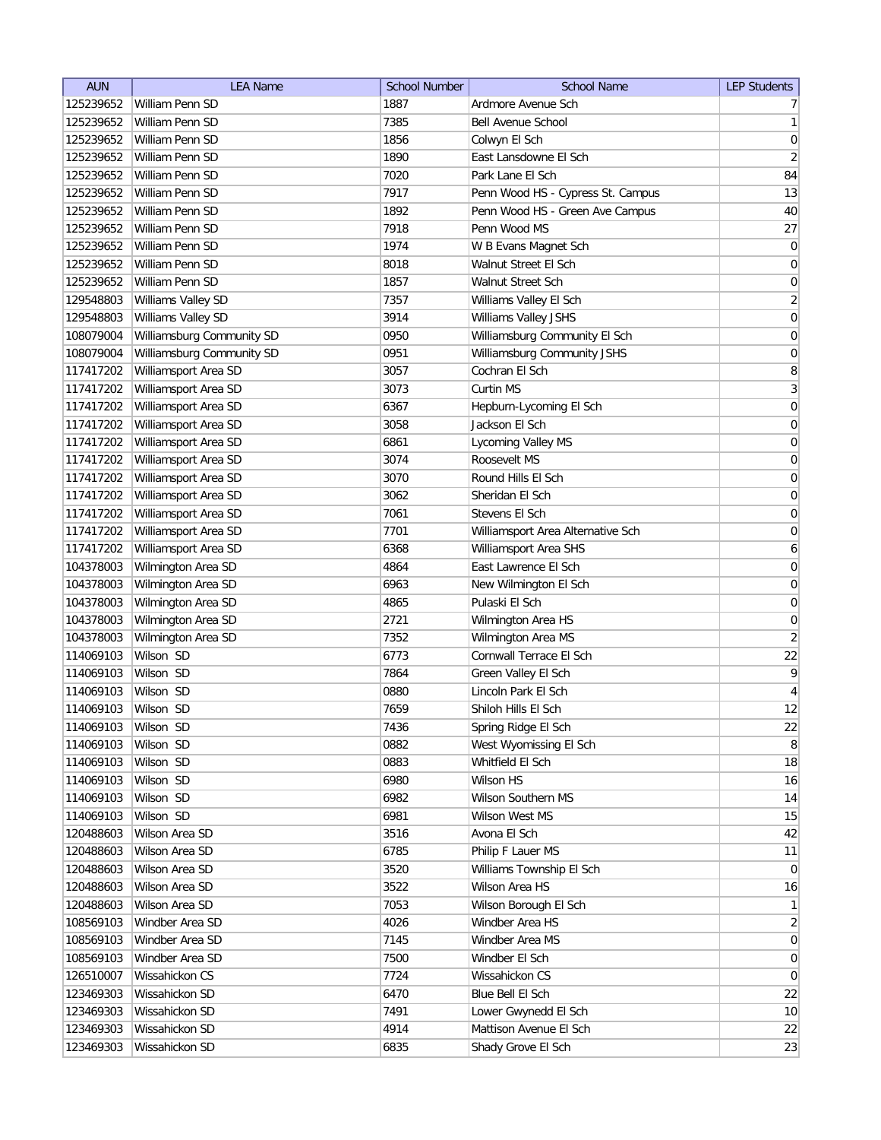| <b>AUN</b> | <b>LEA Name</b>           | <b>School Number</b> | <b>School Name</b>                | <b>LEP Students</b> |
|------------|---------------------------|----------------------|-----------------------------------|---------------------|
| 125239652  | William Penn SD           | 1887                 | Ardmore Avenue Sch                | 7 <sup>1</sup>      |
| 125239652  | William Penn SD           | 7385                 | <b>Bell Avenue School</b>         | 1                   |
| 125239652  | William Penn SD           | 1856                 | Colwyn El Sch                     | 0                   |
| 125239652  | William Penn SD           | 1890                 | East Lansdowne El Sch             | $\overline{2}$      |
| 125239652  | William Penn SD           | 7020                 | Park Lane El Sch                  | 84                  |
| 125239652  | William Penn SD           | 7917                 | Penn Wood HS - Cypress St. Campus | 13                  |
| 125239652  | William Penn SD           | 1892                 | Penn Wood HS - Green Ave Campus   | 40                  |
| 125239652  | William Penn SD           | 7918                 | Penn Wood MS                      | 27                  |
| 125239652  | William Penn SD           | 1974                 | W B Evans Magnet Sch              | $\boldsymbol{0}$    |
| 125239652  | William Penn SD           | 8018                 | Walnut Street El Sch              | $\boldsymbol{0}$    |
| 125239652  | William Penn SD           | 1857                 | Walnut Street Sch                 | 0                   |
| 129548803  | Williams Valley SD        | 7357                 | Williams Valley El Sch            | $\overline{2}$      |
| 129548803  | Williams Valley SD        | 3914                 | Williams Valley JSHS              | $\boldsymbol{0}$    |
| 108079004  | Williamsburg Community SD | 0950                 | Williamsburg Community El Sch     | 0                   |
| 108079004  | Williamsburg Community SD | 0951                 | Williamsburg Community JSHS       | 0                   |
| 117417202  | Williamsport Area SD      | 3057                 | Cochran El Sch                    | 8                   |
| 117417202  | Williamsport Area SD      | 3073                 | Curtin MS                         | $\vert 3 \vert$     |
| 117417202  | Williamsport Area SD      | 6367                 | Hepburn-Lycoming El Sch           | 0                   |
| 117417202  | Williamsport Area SD      | 3058                 | Jackson El Sch                    | 0                   |
| 117417202  | Williamsport Area SD      | 6861                 | Lycoming Valley MS                | $\vert 0 \vert$     |
| 117417202  | Williamsport Area SD      | 3074                 | Roosevelt MS                      | $\boldsymbol{0}$    |
| 117417202  | Williamsport Area SD      | 3070                 | Round Hills El Sch                | $\boldsymbol{0}$    |
| 117417202  | Williamsport Area SD      | 3062                 | Sheridan El Sch                   | $\boldsymbol{0}$    |
| 117417202  | Williamsport Area SD      | 7061                 | Stevens El Sch                    | $\boldsymbol{0}$    |
| 117417202  | Williamsport Area SD      | 7701                 | Williamsport Area Alternative Sch | $\boldsymbol{0}$    |
| 117417202  | Williamsport Area SD      | 6368                 | Williamsport Area SHS             | 6                   |
| 104378003  | Wilmington Area SD        | 4864                 | East Lawrence El Sch              | $\boldsymbol{0}$    |
| 104378003  | Wilmington Area SD        | 6963                 | New Wilmington El Sch             | $\boldsymbol{0}$    |
| 104378003  | Wilmington Area SD        | 4865                 | Pulaski El Sch                    | 0                   |
| 104378003  | Wilmington Area SD        | 2721                 | Wilmington Area HS                | 0                   |
| 104378003  | Wilmington Area SD        | 7352                 | Wilmington Area MS                | $\overline{2}$      |
| 114069103  | Wilson SD                 | 6773                 | Cornwall Terrace El Sch           | 22                  |
| 114069103  | Wilson SD                 | 7864                 | Green Valley El Sch               | $\vert 9 \vert$     |
| 114069103  | Wilson SD                 | 0880                 | Lincoln Park El Sch               | $\overline{4}$      |
| 114069103  | Wilson SD                 | 7659                 | Shiloh Hills El Sch               | 12                  |
| 114069103  | Wilson SD                 | 7436                 | Spring Ridge El Sch               | 22                  |
| 114069103  | Wilson SD                 | 0882                 | West Wyomissing El Sch            | 8 <sup>2</sup>      |
| 114069103  | Wilson SD                 | 0883                 | Whitfield El Sch                  | 18                  |
| 114069103  | Wilson SD                 | 6980                 | Wilson HS                         | 16                  |
| 114069103  | Wilson SD                 | 6982                 | Wilson Southern MS                | 14                  |
| 114069103  | Wilson SD                 | 6981                 | <b>Wilson West MS</b>             | 15                  |
| 120488603  | Wilson Area SD            | 3516                 | Avona El Sch                      | 42                  |
| 120488603  | Wilson Area SD            | 6785                 | Philip F Lauer MS                 | 11                  |
| 120488603  | Wilson Area SD            | 3520                 | Williams Township El Sch          | $\overline{0}$      |
| 120488603  | Wilson Area SD            | 3522                 | Wilson Area HS                    | 16                  |
| 120488603  | Wilson Area SD            | 7053                 | Wilson Borough El Sch             | $\mathbf{1}$        |
| 108569103  | Windber Area SD           | 4026                 | Windber Area HS                   | $\overline{2}$      |
| 108569103  | Windber Area SD           | 7145                 | Windber Area MS                   | 0                   |
| 108569103  | Windber Area SD           | 7500                 | Windber El Sch                    | 0                   |
| 126510007  | Wissahickon CS            | 7724                 | Wissahickon CS                    | $\overline{0}$      |
| 123469303  | Wissahickon SD            | 6470                 | Blue Bell El Sch                  | 22                  |
| 123469303  | Wissahickon SD            | 7491                 | Lower Gwynedd El Sch              | 10                  |
| 123469303  | Wissahickon SD            | 4914                 | Mattison Avenue El Sch            | 22                  |
| 123469303  | Wissahickon SD            | 6835                 | Shady Grove El Sch                | 23                  |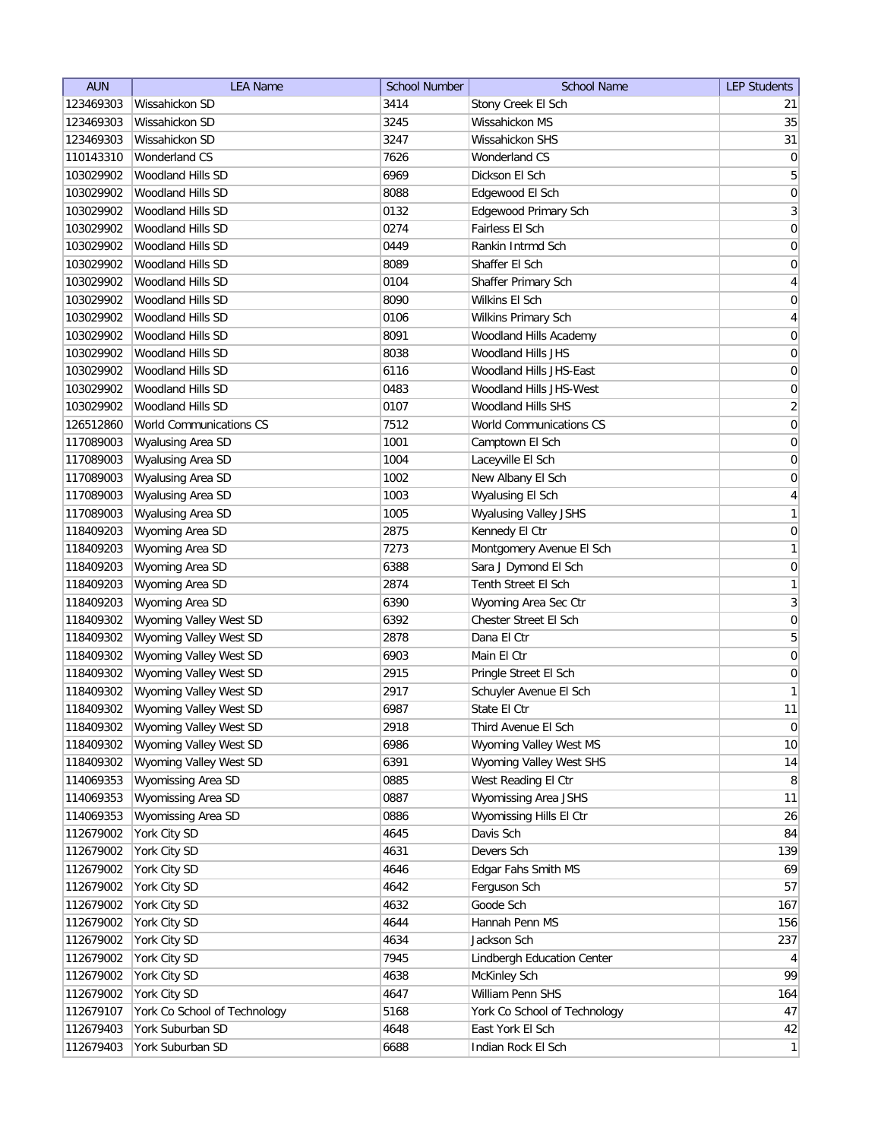| <b>AUN</b> | <b>LEA Name</b>              | <b>School Number</b> | <b>School Name</b>           | <b>LEP Students</b> |
|------------|------------------------------|----------------------|------------------------------|---------------------|
| 123469303  | Wissahickon SD               | 3414                 | Stony Creek El Sch           | 21                  |
| 123469303  | Wissahickon SD               | 3245                 | Wissahickon MS               | 35                  |
| 123469303  | Wissahickon SD               | 3247                 | Wissahickon SHS              | 31                  |
| 110143310  | Wonderland CS                | 7626                 | Wonderland CS                | $\boldsymbol{0}$    |
| 103029902  | Woodland Hills SD            | 6969                 | Dickson El Sch               | 5                   |
| 103029902  | Woodland Hills SD            | 8088                 | Edgewood El Sch              | $\boldsymbol{0}$    |
| 103029902  | Woodland Hills SD            | 0132                 | Edgewood Primary Sch         | $\mathbf{3}$        |
| 103029902  | Woodland Hills SD            | 0274                 | Fairless El Sch              | $\boldsymbol{0}$    |
| 103029902  | Woodland Hills SD            | 0449                 | Rankin Intrmd Sch            | $\boldsymbol{0}$    |
| 103029902  | <b>Woodland Hills SD</b>     | 8089                 | Shaffer El Sch               | $\overline{0}$      |
| 103029902  | <b>Woodland Hills SD</b>     | 0104                 | Shaffer Primary Sch          | 4                   |
| 103029902  | Woodland Hills SD            | 8090                 | Wilkins El Sch               | 0                   |
| 103029902  | Woodland Hills SD            | 0106                 | Wilkins Primary Sch          | 4                   |
| 103029902  | <b>Woodland Hills SD</b>     | 8091                 | Woodland Hills Academy       | 0                   |
| 103029902  | Woodland Hills SD            | 8038                 | Woodland Hills JHS           | 0                   |
| 103029902  | Woodland Hills SD            | 6116                 | Woodland Hills JHS-East      | 0                   |
| 103029902  | Woodland Hills SD            | 0483                 | Woodland Hills JHS-West      | 0                   |
| 103029902  | <b>Woodland Hills SD</b>     | 0107                 | <b>Woodland Hills SHS</b>    | $\overline{2}$      |
| 126512860  | World Communications CS      | 7512                 | World Communications CS      | 0                   |
| 117089003  | Wyalusing Area SD            | 1001                 | Camptown El Sch              | $\pmb{0}$           |
| 117089003  | Wyalusing Area SD            | 1004                 | Laceyville El Sch            | $\boldsymbol{0}$    |
| 117089003  | Wyalusing Area SD            | 1002                 | New Albany El Sch            | 0                   |
| 117089003  | Wyalusing Area SD            | 1003                 | Wyalusing El Sch             | $\overline{4}$      |
| 117089003  | Wyalusing Area SD            | 1005                 | <b>Wyalusing Valley JSHS</b> | 1                   |
| 118409203  | Wyoming Area SD              | 2875                 | Kennedy El Ctr               | $\boldsymbol{0}$    |
| 118409203  | Wyoming Area SD              | 7273                 | Montgomery Avenue El Sch     | 1                   |
| 118409203  | Wyoming Area SD              | 6388                 | Sara J Dymond El Sch         | $\overline{0}$      |
| 118409203  | Wyoming Area SD              | 2874                 | Tenth Street El Sch          | 1                   |
| 118409203  | Wyoming Area SD              | 6390                 | Wyoming Area Sec Ctr         | $\overline{3}$      |
| 118409302  | Wyoming Valley West SD       | 6392                 | Chester Street El Sch        | 0                   |
| 118409302  | Wyoming Valley West SD       | 2878                 | Dana El Ctr                  | 5                   |
| 118409302  | Wyoming Valley West SD       | 6903                 | Main El Ctr                  | 0                   |
| 118409302  | Wyoming Valley West SD       | 2915                 | Pringle Street El Sch        | 0                   |
| 118409302  | Wyoming Valley West SD       | 2917                 | Schuyler Avenue El Sch       | $\mathbf{1}$        |
| 118409302  | Wyoming Valley West SD       | 6987                 | State El Ctr                 | 11                  |
| 118409302  | Wyoming Valley West SD       | 2918                 | Third Avenue El Sch          | $\overline{0}$      |
| 118409302  | Wyoming Valley West SD       | 6986                 | Wyoming Valley West MS       | 10                  |
| 118409302  | Wyoming Valley West SD       | 6391                 | Wyoming Valley West SHS      | 14                  |
| 114069353  | Wyomissing Area SD           | 0885                 | West Reading El Ctr          | 8                   |
| 114069353  | Wyomissing Area SD           | 0887                 | Wyomissing Area JSHS         | 11                  |
| 114069353  | Wyomissing Area SD           | 0886                 | Wyomissing Hills El Ctr      | 26                  |
| 112679002  | York City SD                 | 4645                 | Davis Sch                    | 84                  |
| 112679002  | York City SD                 | 4631                 | Devers Sch                   | 139                 |
| 112679002  | York City SD                 | 4646                 | Edgar Fahs Smith MS          | 69                  |
| 112679002  | York City SD                 | 4642                 | Ferguson Sch                 | 57                  |
| 112679002  | York City SD                 | 4632                 | Goode Sch                    | 167                 |
| 112679002  | York City SD                 | 4644                 | Hannah Penn MS               | 156                 |
| 112679002  | York City SD                 | 4634                 | Jackson Sch                  | 237                 |
| 112679002  | York City SD                 | 7945                 | Lindbergh Education Center   | $\vert 4 \vert$     |
| 112679002  | York City SD                 | 4638                 | McKinley Sch                 | 99                  |
| 112679002  | York City SD                 | 4647                 | William Penn SHS             | 164                 |
| 112679107  | York Co School of Technology | 5168                 | York Co School of Technology | 47                  |
| 112679403  | York Suburban SD             | 4648                 | East York El Sch             | 42                  |
| 112679403  | York Suburban SD             | 6688                 | Indian Rock El Sch           | $\mathbf{1}$        |